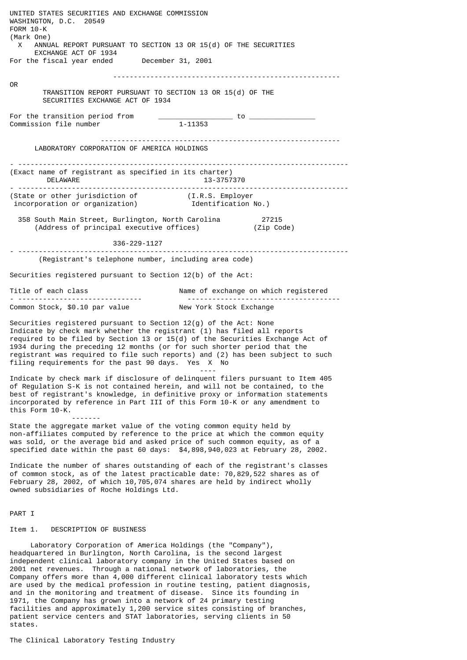UNITED STATES SECURITIES AND EXCHANGE COMMISSION WASHINGTON, D.C. 20549 FORM 10-K (Mark One) X ANNUAL REPORT PURSUANT TO SECTION 13 OR 15(d) OF THE SECURITIES EXCHANGE ACT OF 1934 For the fiscal year ended December 31, 2001 ------------------------------------------------------- OR TRANSITION REPORT PURSUANT TO SECTION 13 OR 15(d) OF THE SECURITIES EXCHANGE ACT OF 1934 For the transition period from \_\_\_\_\_\_\_\_\_\_\_\_\_\_\_\_\_\_ to \_\_\_\_\_\_\_\_\_\_\_\_\_\_\_\_ Commission file number ---------------------------------------------------------- LABORATORY CORPORATION OF AMERICA HOLDINGS - -------------------------------------------------------------------------------- (Exact name of registrant as specified in its charter) DELAWARE 13-3757370 - -------------------------------------------------------------------------------- (State or other jurisdiction of (I.R.S. Employer incorporation or organization) Identification No.) 358 South Main Street, Burlington, North Carolina 27215  $(Address of principal executive offices)$  336-229-1127 - -------------------------------------------------------------------------------- (Registrant's telephone number, including area code) Securities registered pursuant to Section 12(b) of the Act: Title of each class The South Name of exchange on which reqistered - ------------------------------ ------------------------------------- Common Stock, \$0.10 par value New York Stock Exchange Securities registered pursuant to Section 12(g) of the Act: None Indicate by check mark whether the registrant (1) has filed all reports required to be filed by Section 13 or 15(d) of the Securities Exchange Act of 1934 during the preceding 12 months (or for such shorter period that the registrant was required to file such reports) and (2) has been subject to such filing requirements for the past 90 days. Yes X No ---- Indicate by check mark if disclosure of delinquent filers pursuant to Item 405 of Regulation S-K is not contained herein, and will not be contained, to the best of registrant's knowledge, in definitive proxy or information statements incorporated by reference in Part III of this Form 10-K or any amendment to this Form 10-K. ------- State the aggregate market value of the voting common equity held by non-affiliates computed by reference to the price at which the common equity was sold, or the average bid and asked price of such common equity, as of a specified date within the past 60 days: \$4,898,940,023 at February 28, 2002. Indicate the number of shares outstanding of each of the registrant's classes of common stock, as of the latest practicable date: 70,829,522 shares as of February 28, 2002, of which 10,705,074 shares are held by indirect wholly owned subsidiaries of Roche Holdings Ltd. PART I Item 1. DESCRIPTION OF BUSINESS Laboratory Corporation of America Holdings (the "Company"), headquartered in Burlington, North Carolina, is the second largest independent clinical laboratory company in the United States based on

2001 net revenues. Through a national network of laboratories, the Company offers more than  $4,000$  different clinical laboratory tests which are used by the medical profession in routine testing, patient diagnosis, and in the monitoring and treatment of disease. Since its founding in 1971, the Company has grown into a network of 24 primary testing facilities and approximately 1,200 service sites consisting of branches, patient service centers and STAT laboratories, serving clients in 50 states.

The Clinical Laboratory Testing Industry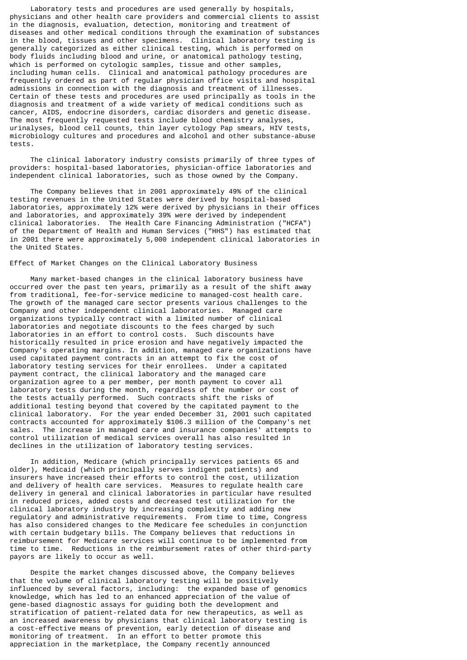Laboratory tests and procedures are used generally by hospitals, physicians and other health care providers and commercial clients to assist in the diagnosis, evaluation, detection, monitoring and treatment of diseases and other medical conditions through the examination of substances in the blood, tissues and other specimens. Clinical laboratory testing is generally categorized as either clinical testing, which is performed on body fluids including blood and urine, or anatomical pathology testing, which is performed on cytologic samples, tissue and other samples, including human cells. Clinical and anatomical pathology procedures are frequently ordered as part of regular physician office visits and hospital admissions in connection with the diagnosis and treatment of illnesses. Certain of these tests and procedures are used principally as tools in the diagnosis and treatment of a wide variety of medical conditions such as cancer, AIDS, endocrine disorders, cardiac disorders and genetic disease. The most frequently requested tests include blood chemistry analyses, urinalyses, blood cell counts, thin layer cytology Pap smears, HIV tests, microbiology cultures and procedures and alcohol and other substance-abuse tests.

 The clinical laboratory industry consists primarily of three types of providers: hospital-based laboratories, physician-office laboratories and independent clinical laboratories, such as those owned by the Company.

 The Company believes that in 2001 approximately 49% of the clinical testing revenues in the United States were derived by hospital-based laboratories, approximately 12% were derived by physicians in their offices and laboratories, and approximately 39% were derived by independent clinical laboratories. The Health Care Financing Administration ("HCFA") of the Department of Health and Human Services ("HHS") has estimated that in 2001 there were approximately 5,000 independent clinical laboratories in the United States.

#### Effect of Market Changes on the Clinical Laboratory Business

 Many market-based changes in the clinical laboratory business have occurred over the past ten years, primarily as a result of the shift away from traditional, fee-for-service medicine to managed-cost health care. The growth of the managed care sector presents various challenges to the Company and other independent clinical laboratories. Managed care organizations typically contract with a limited number of clinical laboratories and negotiate discounts to the fees charged by such laboratories in an effort to control costs. Such discounts have historically resulted in price erosion and have negatively impacted the Company's operating margins. In addition, managed care organizations have used capitated payment contracts in an attempt to fix the cost of laboratory testing services for their enrollees. Under a capitated payment contract, the clinical laboratory and the managed care organization agree to a per member, per month payment to cover all laboratory tests during the month, regardless of the number or cost of the tests actually performed. Such contracts shift the risks of additional testing beyond that covered by the capitated payment to the clinical laboratory. For the year ended December 31, 2001 such capitated contracts accounted for approximately \$106.3 million of the Company's net sales. The increase in managed care and insurance companies' attempts to control utilization of medical services overall has also resulted in declines in the utilization of laboratory testing services.

 In addition, Medicare (which principally services patients 65 and older), Medicaid (which principally serves indigent patients) and insurers have increased their efforts to control the cost, utilization and delivery of health care services. Measures to regulate health care delivery in general and clinical laboratories in particular have resulted in reduced prices, added costs and decreased test utilization for the clinical laboratory industry by increasing complexity and adding new regulatory and administrative requirements. From time to time, Congress has also considered changes to the Medicare fee schedules in conjunction with certain budgetary bills. The Company believes that reductions in reimbursement for Medicare services will continue to be implemented from time to time. Reductions in the reimbursement rates of other third-party payors are likely to occur as well.

 Despite the market changes discussed above, the Company believes that the volume of clinical laboratory testing will be positively influenced by several factors, including: the expanded base of genomics knowledge, which has led to an enhanced appreciation of the value of gene-based diagnostic assays for guiding both the development and stratification of patient-related data for new therapeutics, as well as an increased awareness by physicians that clinical laboratory testing is a cost-effective means of prevention, early detection of disease and monitoring of treatment. In an effort to better promote this appreciation in the marketplace, the Company recently announced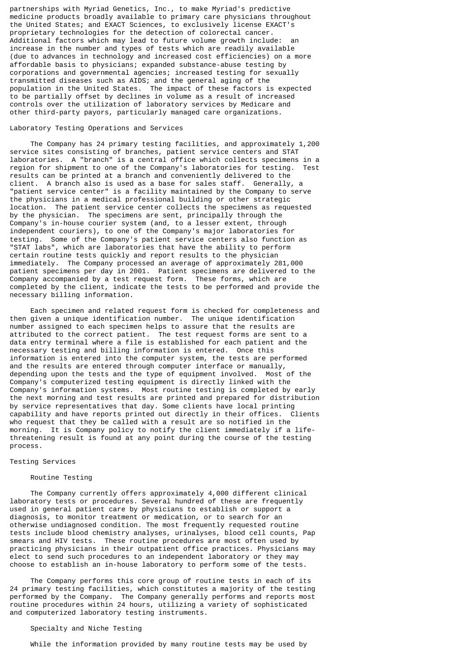partnerships with Myriad Genetics, Inc., to make Myriad's predictive medicine products broadly available to primary care physicians throughout the United States; and EXACT Sciences, to exclusively license EXACT's proprietary technologies for the detection of colorectal cancer. Additional factors which may lead to future volume growth include: an increase in the number and types of tests which are readily available (due to advances in technology and increased cost efficiencies) on a more affordable basis to physicians; expanded substance-abuse testing by corporations and governmental agencies; increased testing for sexually transmitted diseases such as AIDS; and the general aging of the population in the United States. The impact of these factors is expected to be partially offset by declines in volume as a result of increased controls over the utilization of laboratory services by Medicare and other third-party payors, particularly managed care organizations.

# Laboratory Testing Operations and Services

 The Company has 24 primary testing facilities, and approximately 1,200 service sites consisting of branches, patient service centers and STAT laboratories. A "branch" is a central office which collects specimens in a region for shipment to one of the Company's laboratories for testing. Test results can be printed at a branch and conveniently delivered to the client. A branch also is used as a base for sales staff. Generally, a "patient service center" is a facility maintained by the Company to serve the physicians in a medical professional building or other strategic location. The patient service center collects the specimens as requested by the physician. The specimens are sent, principally through the Company's in-house courier system (and, to a lesser extent, through independent couriers), to one of the Company's major laboratories for testing. Some of the Company's patient service centers also function as "STAT labs", which are laboratories that have the ability to perform certain routine tests quickly and report results to the physician immediately. The Company processed an average of approximately 281,000 patient specimens per day in 2001. Patient specimens are delivered to the Company accompanied by a test request form. These forms, which are completed by the client, indicate the tests to be performed and provide the necessary billing information.

 Each specimen and related request form is checked for completeness and then given a unique identification number. The unique identification number assigned to each specimen helps to assure that the results are attributed to the correct patient. The test request forms are sent to a data entry terminal where a file is established for each patient and the necessary testing and billing information is entered. Once this information is entered into the computer system, the tests are performed and the results are entered through computer interface or manually, depending upon the tests and the type of equipment involved. Most of the Company's computerized testing equipment is directly linked with the Company's information systems. Most routine testing is completed by early the next morning and test results are printed and prepared for distribution by service representatives that day. Some clients have local printing capability and have reports printed out directly in their offices. Clients who request that they be called with a result are so notified in the morning. It is Company policy to notify the client immediately if a lifethreatening result is found at any point during the course of the testing process.

#### Testing Services

#### Routine Testing

 The Company currently offers approximately 4,000 different clinical laboratory tests or procedures. Several hundred of these are frequently used in general patient care by physicians to establish or support a diagnosis, to monitor treatment or medication, or to search for an otherwise undiagnosed condition. The most frequently requested routine tests include blood chemistry analyses, urinalyses, blood cell counts, Pap smears and HIV tests. These routine procedures are most often used by practicing physicians in their outpatient office practices. Physicians may elect to send such procedures to an independent laboratory or they may choose to establish an in-house laboratory to perform some of the tests.

 The Company performs this core group of routine tests in each of its 24 primary testing facilities, which constitutes a majority of the testing performed by the Company. The Company generally performs and reports most routine procedures within 24 hours, utilizing a variety of sophisticated and computerized laboratory testing instruments.

#### Specialty and Niche Testing

While the information provided by many routine tests may be used by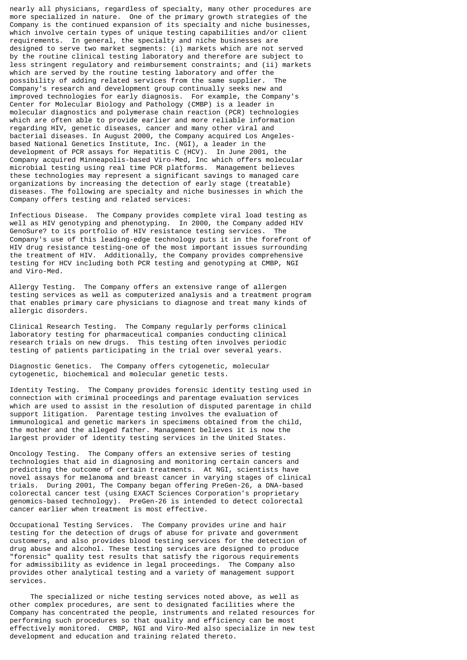nearly all physicians, regardless of specialty, many other procedures are more specialized in nature. One of the primary growth strategies of the Company is the continued expansion of its specialty and niche businesses, which involve certain types of unique testing capabilities and/or client requirements. In general, the specialty and niche businesses are designed to serve two market segments: (i) markets which are not served by the routine clinical testing laboratory and therefore are subject to less stringent regulatory and reimbursement constraints; and (ii) markets which are served by the routine testing laboratory and offer the possibility of adding related services from the same supplier. The Company's research and development group continually seeks new and improved technologies for early diagnosis. For example, the Company's Center for Molecular Biology and Pathology (CMBP) is a leader in molecular diagnostics and polymerase chain reaction (PCR) technologies which are often able to provide earlier and more reliable information regarding HIV, genetic diseases, cancer and many other viral and bacterial diseases. In August 2000, the Company acquired Los Angelesbased National Genetics Institute, Inc. (NGI), a leader in the development of PCR assays for Hepatitis  $\tilde{C}$  (HCV). In June 2001, the Company acquired Minneapolis-based Viro-Med, Inc which offers molecular microbial testing using real time PCR platforms. Management believes these technologies may represent a significant savings to managed care organizations by increasing the detection of early stage (treatable) diseases. The following are specialty and niche businesses in which the Company offers testing and related services:

Infectious Disease. The Company provides complete viral load testing as well as HIV genotyping and phenotyping. In 2000, the Company added HIV GenoSure? to its portfolio of HIV resistance testing services. The Company's use of this leading-edge technology puts it in the forefront of HIV drug resistance testing-one of the most important issues surrounding the treatment of HIV. Additionally, the Company provides comprehensive testing for HCV including both PCR testing and genotyping at CMBP, NGI and Viro-Med.

Allergy Testing. The Company offers an extensive range of allergen testing services as well as computerized analysis and a treatment program that enables primary care physicians to diagnose and treat many kinds of allergic disorders.

Clinical Research Testing. The Company regularly performs clinical laboratory testing for pharmaceutical companies conducting clinical research trials on new drugs. This testing often involves periodic testing of patients participating in the trial over several years.

Diagnostic Genetics. The Company offers cytogenetic, molecular cytogenetic, biochemical and molecular genetic tests.

Identity Testing. The Company provides forensic identity testing used in connection with criminal proceedings and parentage evaluation services which are used to assist in the resolution of disputed parentage in child support litigation. Parentage testing involves the evaluation of immunological and genetic markers in specimens obtained from the child, the mother and the alleged father. Management believes it is now the largest provider of identity testing services in the United States.

Oncology Testing. The Company offers an extensive series of testing technologies that aid in diagnosing and monitoring certain cancers and predicting the outcome of certain treatments. At NGI, scientists have novel assays for melanoma and breast cancer in varying stages of clinical trials. During 2001, The Company began offering PreGen-26, a DNA-based colorectal cancer test (using EXACT Sciences Corporation's proprietary genomics-based technology). PreGen-26 is intended to detect colorectal cancer earlier when treatment is most effective.

Occupational Testing Services. The Company provides urine and hair testing for the detection of drugs of abuse for private and government customers, and also provides blood testing services for the detection of drug abuse and alcohol. These testing services are designed to produce "forensic" quality test results that satisfy the rigorous requirements for admissibility as evidence in legal proceedings. The Company also provides other analytical testing and a variety of management support services.

 The specialized or niche testing services noted above, as well as other complex procedures, are sent to designated facilities where the Company has concentrated the people, instruments and related resources for performing such procedures so that quality and efficiency can be most effectively monitored. CMBP, NGI and Viro-Med also specialize in new test development and education and training related thereto.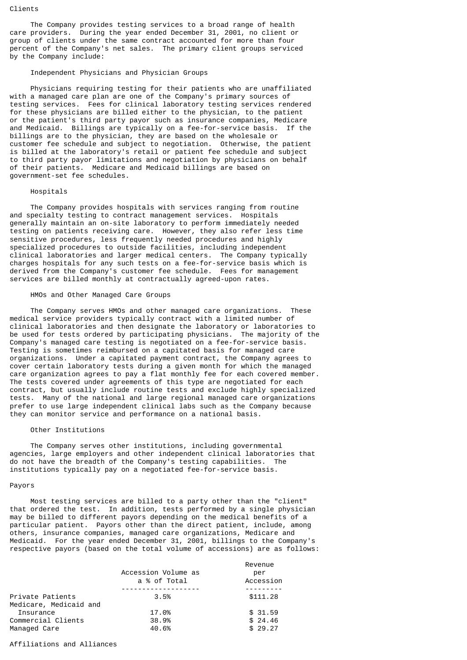#### Clients

The Company provides testing services to a broad range of health care providers. During the year ended December 31, 2001, no client or group of clients under the same contract accounted for more than four percent of the Company's net sales. The primary client groups serviced by the Company include:

# Independent Physicians and Physician Groups

 Physicians requiring testing for their patients who are unaffiliated with a managed care plan are one of the Company's primary sources of testing services. Fees for clinical laboratory testing services rendered for these physicians are billed either to the physician, to the patient or the patient's third party payor such as insurance companies, Medicare and Medicaid. Billings are typically on a fee-for-service basis. If the billings are to the physician, they are based on the wholesale or customer fee schedule and subject to negotiation. Otherwise, the patient is billed at the laboratory's retail or patient fee schedule and subject to third party payor limitations and negotiation by physicians on behalf of their patients. Medicare and Medicaid billings are based on government-set fee schedules.

# Hospitals

 The Company provides hospitals with services ranging from routine and specialty testing to contract management services. Hospitals generally maintain an on-site laboratory to perform immediately needed testing on patients receiving care. However, they also refer less time sensitive procedures, less frequently needed procedures and highly specialized procedures to outside facilities, including independent clinical laboratories and larger medical centers. The Company typically charges hospitals for any such tests on a fee-for-service basis which is derived from the Company's customer fee schedule. Fees for management services are billed monthly at contractually agreed-upon rates.

# HMOs and Other Managed Care Groups

 The Company serves HMOs and other managed care organizations. These medical service providers typically contract with a limited number of clinical laboratories and then designate the laboratory or laboratories to be used for tests ordered by participating physicians. The majority of the Company's managed care testing is negotiated on a fee-for-service basis. Testing is sometimes reimbursed on a capitated basis for managed care organizations. Under a capitated payment contract, the Company agrees to cover certain laboratory tests during a given month for which the managed care organization agrees to pay a flat monthly fee for each covered member. The tests covered under agreements of this type are negotiated for each contract, but usually include routine tests and exclude highly specialized tests. Many of the national and large regional managed care organizations prefer to use large independent clinical labs such as the Company because they can monitor service and performance on a national basis.

# Other Institutions

 The Company serves other institutions, including governmental agencies, large employers and other independent clinical laboratories that do not have the breadth of the Company's testing capabilities. The institutions typically pay on a negotiated fee-for-service basis.

## Payors

 Most testing services are billed to a party other than the "client" that ordered the test. In addition, tests performed by a single physician may be billed to different payors depending on the medical benefits of a particular patient. Payors other than the direct patient, include, among others, insurance companies, managed care organizations, Medicare and Medicaid. For the year ended December 31, 2001, billings to the Company's respective payors (based on the total volume of accessions) are as follows:

|                        | Accession Volume as<br>a % of Total | Revenue<br>per<br>Accession |
|------------------------|-------------------------------------|-----------------------------|
|                        |                                     |                             |
| Private Patients       | 3.5%                                | \$111,28                    |
| Medicare, Medicaid and |                                     |                             |
| <b>Insurance</b>       | 17.0%                               | \$31.59                     |
| Commercial Clients     | 38.9%                               | \$24.46                     |
| Managed Care           | 40.6%                               | \$29.27                     |

## Affiliations and Alliances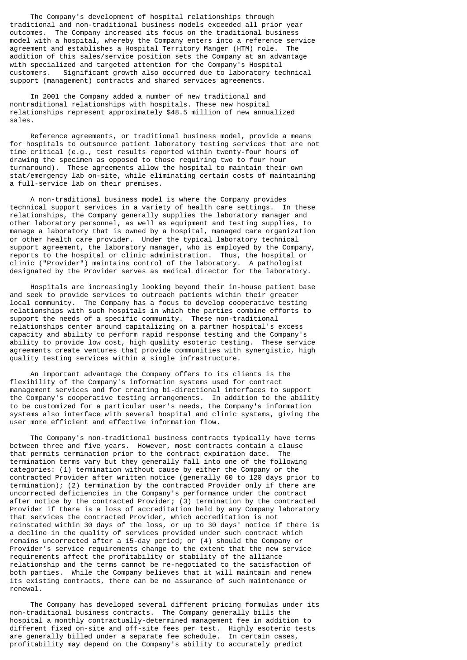The Company's development of hospital relationships through traditional and non-traditional business models exceeded all prior year outcomes. The Company increased its focus on the traditional business model with a hospital, whereby the Company enters into a reference service agreement and establishes a Hospital Territory Manger (HTM) role. The addition of this sales/service position sets the Company at an advantage with specialized and targeted attention for the Company's Hospital<br>customers. Significant growth also occurred due to laboratory tee Significant growth also occurred due to laboratory technical support (management) contracts and shared services agreements.

 In 2001 the Company added a number of new traditional and nontraditional relationships with hospitals. These new hospital relationships represent approximately \$48.5 million of new annualized sales.

 Reference agreements, or traditional business model, provide a means for hospitals to outsource patient laboratory testing services that are not time critical (e.g., test results reported within twenty-four hours of drawing the specimen as opposed to those requiring two to four hour turnaround). These agreements allow the hospital to maintain their own stat/emergency lab on-site, while eliminating certain costs of maintaining a full-service lab on their premises.

 A non-traditional business model is where the Company provides technical support services in a variety of health care settings. In these relationships, the Company generally supplies the laboratory manager and other laboratory personnel, as well as equipment and testing supplies, to manage a laboratory that is owned by a hospital, managed care organization or other health care provider. Under the typical laboratory technical support agreement, the laboratory manager, who is employed by the Company, reports to the hospital or clinic administration. Thus, the hospital or clinic ("Provider") maintains control of the laboratory. A pathologist designated by the Provider serves as medical director for the laboratory.

 Hospitals are increasingly looking beyond their in-house patient base and seek to provide services to outreach patients within their greater local community. The Company has a focus to develop cooperative testing relationships with such hospitals in which the parties combine efforts to support the needs of a specific community. These non-traditional relationships center around capitalizing on a partner hospital's excess capacity and ability to perform rapid response testing and the Company's ability to provide low cost, high quality esoteric testing. These service agreements create ventures that provide communities with synergistic, high quality testing services within a single infrastructure.

 An important advantage the Company offers to its clients is the flexibility of the Company's information systems used for contract management services and for creating bi-directional interfaces to support the Company's cooperative testing arrangements. In addition to the ability to be customized for a particular user's needs, the Company's information systems also interface with several hospital and clinic systems, giving the user more efficient and effective information flow.

 The Company's non-traditional business contracts typically have terms between three and five years. However, most contracts contain a clause that permits termination prior to the contract expiration date. The termination terms vary but they generally fall into one of the following categories: (1) termination without cause by either the Company or the contracted Provider after written notice (generally 60 to 120 days prior to termination); (2) termination by the contracted Provider only if there are uncorrected deficiencies in the Company's performance under the contract after notice by the contracted Provider; (3) termination by the contracted Provider if there is a loss of accreditation held by any Company laboratory that services the contracted Provider, which accreditation is not reinstated within 30 days of the loss, or up to 30 days' notice if there is a decline in the quality of services provided under such contract which remains uncorrected after a 15-day period; or (4) should the Company or Provider's service requirements change to the extent that the new service requirements affect the profitability or stability of the alliance relationship and the terms cannot be re-negotiated to the satisfaction of both parties. While the Company believes that it will maintain and renew its existing contracts, there can be no assurance of such maintenance or renewal.

 The Company has developed several different pricing formulas under its non-traditional business contracts. The Company generally bills the hospital a monthly contractually-determined management fee in addition to different fixed on-site and off-site fees per test. Highly esoteric tests are generally billed under a separate fee schedule. In certain cases, profitability may depend on the Company's ability to accurately predict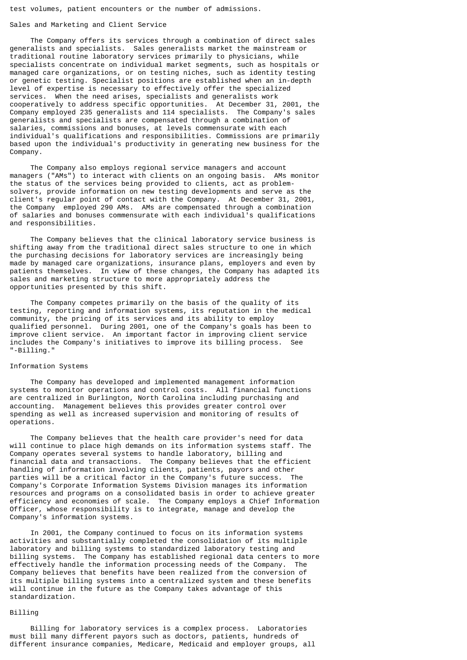test volumes, patient encounters or the number of admissions.

#### Sales and Marketing and Client Service

 The Company offers its services through a combination of direct sales generalists and specialists. Sales generalists market the mainstream or traditional routine laboratory services primarily to physicians, while specialists concentrate on individual market segments, such as hospitals or managed care organizations, or on testing niches, such as identity testing or genetic testing. Specialist positions are established when an in-depth level of expertise is necessary to effectively offer the specialized services. When the need arises, specialists and generalists work cooperatively to address specific opportunities. At December 31, 2001, the Company employed 235 generalists and 114 specialists. The Company's sales generalists and specialists are compensated through a combination of salaries, commissions and bonuses, at levels commensurate with each individual's qualifications and responsibilities. Commissions are primarily based upon the individual's productivity in generating new business for the Company.

 The Company also employs regional service managers and account managers ("AMs") to interact with clients on an ongoing basis. AMs monitor the status of the services being provided to clients, act as problemsolvers, provide information on new testing developments and serve as the client's regular point of contact with the Company. At December 31, 2001, the Company employed 290 AMs. AMs are compensated through a combination of salaries and bonuses commensurate with each individual's qualifications and responsibilities.

 The Company believes that the clinical laboratory service business is shifting away from the traditional direct sales structure to one in which the purchasing decisions for laboratory services are increasingly being made by managed care organizations, insurance plans, employers and even by patients themselves. In view of these changes, the Company has adapted its sales and marketing structure to more appropriately address the opportunities presented by this shift.

 The Company competes primarily on the basis of the quality of its testing, reporting and information systems, its reputation in the medical community, the pricing of its services and its ability to employ qualified personnel. During 2001, one of the Company's goals has been to improve client service. An important factor in improving client service includes the Company's initiatives to improve its billing process. See "-Billing."

# Information Systems

 The Company has developed and implemented management information systems to monitor operations and control costs. All financial functions are centralized in Burlington, North Carolina including purchasing and accounting. Management believes this provides greater control over spending as well as increased supervision and monitoring of results of operations.

 The Company believes that the health care provider's need for data will continue to place high demands on its information systems staff. The Company operates several systems to handle laboratory, billing and financial data and transactions. The Company believes that the efficient handling of information involving clients, patients, payors and other parties will be a critical factor in the Company's future success. The Company's Corporate Information Systems Division manages its information resources and programs on a consolidated basis in order to achieve greater efficiency and economies of scale. The Company employs a Chief Information Officer, whose responsibility is to integrate, manage and develop the Company's information systems.

 In 2001, the Company continued to focus on its information systems activities and substantially completed the consolidation of its multiple laboratory and billing systems to standardized laboratory testing and billing systems. The Company has established regional data centers to more effectively handle the information processing needs of the Company. The Company believes that benefits have been realized from the conversion of its multiple billing systems into a centralized system and these benefits will continue in the future as the Company takes advantage of this standardization.

## Billing

 Billing for laboratory services is a complex process. Laboratories must bill many different payors such as doctors, patients, hundreds of different insurance companies, Medicare, Medicaid and employer groups, all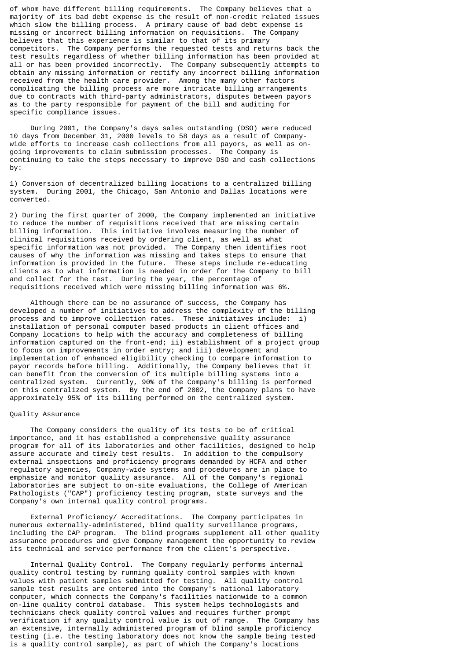of whom have different billing requirements. The Company believes that a majority of its bad debt expense is the result of non-credit related issues which slow the billing process. A primary cause of bad debt expense is missing or incorrect billing information on requisitions. The Company believes that this experience is similar to that of its primary competitors. The Company performs the requested tests and returns back the test results regardless of whether billing information has been provided at all or has been provided incorrectly. The Company subsequently attempts to obtain any missing information or rectify any incorrect billing information received from the health care provider. Among the many other factors complicating the billing process are more intricate billing arrangements due to contracts with third-party administrators, disputes between payors as to the party responsible for payment of the bill and auditing for specific compliance issues.

 During 2001, the Company's days sales outstanding (DSO) were reduced 10 days from December 31, 2000 levels to 58 days as a result of Companywide efforts to increase cash collections from all payors, as well as ongoing improvements to claim submission processes. The Company is continuing to take the steps necessary to improve DSO and cash collections by:

1) Conversion of decentralized billing locations to a centralized billing system. During 2001, the Chicago, San Antonio and Dallas locations were converted.

2) During the first quarter of 2000, the Company implemented an initiative to reduce the number of requisitions received that are missing certain billing information. This initiative involves measuring the number of clinical requisitions received by ordering client, as well as what specific information was not provided. The Company then identifies root causes of why the information was missing and takes steps to ensure that information is provided in the future. These steps include re-educating clients as to what information is needed in order for the Company to bill and collect for the test. During the year, the percentage of requisitions received which were missing billing information was 6%.

 Although there can be no assurance of success, the Company has developed a number of initiatives to address the complexity of the billing process and to improve collection rates. These initiatives include: i) installation of personal computer based products in client offices and Company locations to help with the accuracy and completeness of billing information captured on the front-end; ii) establishment of a project group to focus on improvements in order entry; and iii) development and implementation of enhanced eligibility checking to compare information to payor records before billing. Additionally, the Company believes that it can benefit from the conversion of its multiple billing systems into a centralized system. Currently, 90% of the Company's billing is performed on this centralized system. By the end of 2002, the Company plans to have approximately 95% of its billing performed on the centralized system.

#### Quality Assurance

 The Company considers the quality of its tests to be of critical importance, and it has established a comprehensive quality assurance program for all of its laboratories and other facilities, designed to help assure accurate and timely test results. In addition to the compulsory external inspections and proficiency programs demanded by HCFA and other regulatory agencies, Company-wide systems and procedures are in place to emphasize and monitor quality assurance. All of the Company's regional laboratories are subject to on-site evaluations, the College of American Pathologists ("CAP") proficiency testing program, state surveys and the Company's own internal quality control programs.

 External Proficiency/ Accreditations. The Company participates in numerous externally-administered, blind quality surveillance programs, including the CAP program. The blind programs supplement all other quality assurance procedures and give Company management the opportunity to review its technical and service performance from the client's perspective.

 Internal Quality Control. The Company regularly performs internal quality control testing by running quality control samples with known values with patient samples submitted for testing. All quality control sample test results are entered into the Company's national laboratory computer, which connects the Company's facilities nationwide to a common on-line quality control database. This system helps technologists and technicians check quality control values and requires further prompt verification if any quality control value is out of range. The Company has an extensive, internally administered program of blind sample proficiency testing (i.e. the testing laboratory does not know the sample being tested is a quality control sample), as part of which the Company's locations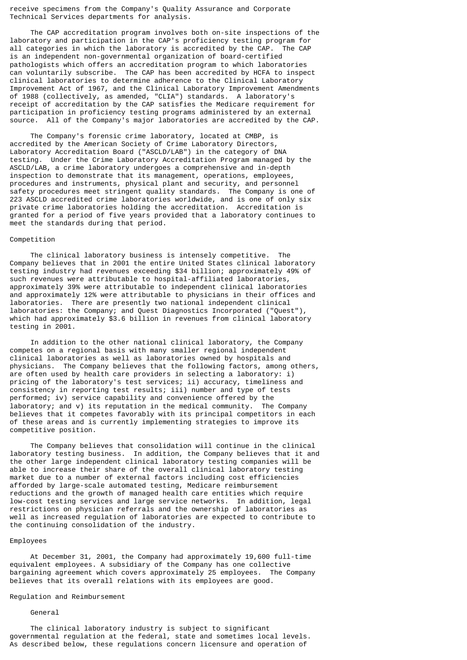receive specimens from the Company's Quality Assurance and Corporate Technical Services departments for analysis.

 The CAP accreditation program involves both on-site inspections of the laboratory and participation in the CAP's proficiency testing program for<br>all categories in which the laboratory is accredited by the CAP. The CAP all categories in which the laboratory is accredited by the CAP. is an independent non-governmental organization of board-certified pathologists which offers an accreditation program to which laboratories can voluntarily subscribe. The CAP has been accredited by HCFA to inspect clinical laboratories to determine adherence to the Clinical Laboratory Improvement Act of 1967, and the Clinical Laboratory Improvement Amendments of 1988 (collectively, as amended, "CLIA") standards. A laboratory's receipt of accreditation by the CAP satisfies the Medicare requirement for participation in proficiency testing programs administered by an external source. All of the Company's major laboratories are accredited by the CAP.

 The Company's forensic crime laboratory, located at CMBP, is accredited by the American Society of Crime Laboratory Directors, Laboratory Accreditation Board ("ASCLD/LAB") in the category of DNA testing. Under the Crime Laboratory Accreditation Program managed by the ASCLD/LAB, a crime laboratory undergoes a comprehensive and in-depth inspection to demonstrate that its management, operations, employees, procedures and instruments, physical plant and security, and personnel safety procedures meet stringent quality standards. The Company is one of 223 ASCLD accredited crime laboratories worldwide, and is one of only six private crime laboratories holding the accreditation. Accreditation is granted for a period of five years provided that a laboratory continues to meet the standards during that period.

#### Competition

 The clinical laboratory business is intensely competitive. The Company believes that in 2001 the entire United States clinical laboratory testing industry had revenues exceeding \$34 billion; approximately 49% of such revenues were attributable to hospital-affiliated laboratories, approximately 39% were attributable to independent clinical laboratories and approximately 12% were attributable to physicians in their offices and laboratories. There are presently two national independent clinical laboratories: the Company; and Quest Diagnostics Incorporated ("Quest"), which had approximately \$3.6 billion in revenues from clinical laboratory testing in 2001.

 In addition to the other national clinical laboratory, the Company competes on a regional basis with many smaller regional independent clinical laboratories as well as laboratories owned by hospitals and physicians. The Company believes that the following factors, among others, are often used by health care providers in selecting a laboratory: i) pricing of the laboratory's test services; ii) accuracy, timeliness and consistency in reporting test results; iii) number and type of tests performed; iv) service capability and convenience offered by the laboratory; and v) its reputation in the medical community. The Company believes that it competes favorably with its principal competitors in each of these areas and is currently implementing strategies to improve its competitive position.

 The Company believes that consolidation will continue in the clinical laboratory testing business. In addition, the Company believes that it and the other large independent clinical laboratory testing companies will be able to increase their share of the overall clinical laboratory testing market due to a number of external factors including cost efficiencies afforded by large-scale automated testing, Medicare reimbursement reductions and the growth of managed health care entities which require low-cost testing services and large service networks. In addition, legal restrictions on physician referrals and the ownership of laboratories as well as increased regulation of laboratories are expected to contribute to the continuing consolidation of the industry.

#### Employees

 At December 31, 2001, the Company had approximately 19,600 full-time equivalent employees. A subsidiary of the Company has one collective bargaining agreement which covers approximately 25 employees. The Company believes that its overall relations with its employees are good.

## Regulation and Reimbursement

#### General

 The clinical laboratory industry is subject to significant governmental regulation at the federal, state and sometimes local levels. As described below, these regulations concern licensure and operation of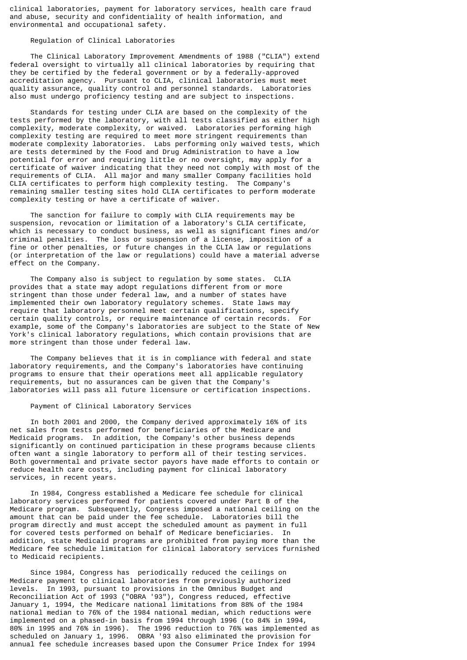clinical laboratories, payment for laboratory services, health care fraud and abuse, security and confidentiality of health information, and environmental and occupational safety.

## Regulation of Clinical Laboratories

 The Clinical Laboratory Improvement Amendments of 1988 ("CLIA") extend federal oversight to virtually all clinical laboratories by requiring that they be certified by the federal government or by a federally-approved accreditation agency. Pursuant to CLIA, clinical laboratories must meet quality assurance, quality control and personnel standards. Laboratories also must undergo proficiency testing and are subject to inspections.

 Standards for testing under CLIA are based on the complexity of the tests performed by the laboratory, with all tests classified as either high complexity, moderate complexity, or waived. Laboratories performing high complexity testing are required to meet more stringent requirements than moderate complexity laboratories. Labs performing only waived tests, which are tests determined by the Food and Drug Administration to have a low potential for error and requiring little or no oversight, may apply for a certificate of waiver indicating that they need not comply with most of the requirements of CLIA. All major and many smaller Company facilities hold CLIA certificates to perform high complexity testing. The Company's remaining smaller testing sites hold CLIA certificates to perform moderate complexity testing or have a certificate of waiver.

 The sanction for failure to comply with CLIA requirements may be suspension, revocation or limitation of a laboratory's CLIA certificate, which is necessary to conduct business, as well as significant fines and/or criminal penalties. The loss or suspension of a license, imposition of a fine or other penalties, or future changes in the CLIA law or regulations (or interpretation of the law or regulations) could have a material adverse effect on the Company.

 The Company also is subject to regulation by some states. CLIA provides that a state may adopt regulations different from or more stringent than those under federal law, and a number of states have implemented their own laboratory regulatory schemes. State laws may require that laboratory personnel meet certain qualifications, specify certain quality controls, or require maintenance of certain records. For example, some of the Company's laboratories are subject to the State of New York's clinical laboratory regulations, which contain provisions that are more stringent than those under federal law.

 The Company believes that it is in compliance with federal and state laboratory requirements, and the Company's laboratories have continuing programs to ensure that their operations meet all applicable regulatory requirements, but no assurances can be given that the Company's laboratories will pass all future licensure or certification inspections.

## Payment of Clinical Laboratory Services

 In both 2001 and 2000, the Company derived approximately 16% of its net sales from tests performed for beneficiaries of the Medicare and Medicaid programs. In addition, the Company's other business depends significantly on continued participation in these programs because clients often want a single laboratory to perform all of their testing services. Both governmental and private sector payors have made efforts to contain or reduce health care costs, including payment for clinical laboratory services, in recent years.

 In 1984, Congress established a Medicare fee schedule for clinical laboratory services performed for patients covered under Part B of the Medicare program. Subsequently, Congress imposed a national ceiling on the amount that can be paid under the fee schedule. Laboratories bill the program directly and must accept the scheduled amount as payment in full for covered tests performed on behalf of Medicare beneficiaries. In addition, state Medicaid programs are prohibited from paying more than the Medicare fee schedule limitation for clinical laboratory services furnished to Medicaid recipients.

 Since 1984, Congress has periodically reduced the ceilings on Medicare payment to clinical laboratories from previously authorized levels. In 1993, pursuant to provisions in the Omnibus Budget and Reconciliation Act of 1993 ("OBRA '93"), Congress reduced, effective January 1, 1994, the Medicare national limitations from 88% of the 1984 national median to 76% of the 1984 national median, which reductions were implemented on a phased-in basis from 1994 through 1996 (to 84% in 1994, 80% in 1995 and 76% in 1996). The 1996 reduction to 76% was implemented as scheduled on January 1, 1996. OBRA '93 also eliminated the provision for annual fee schedule increases based upon the Consumer Price Index for 1994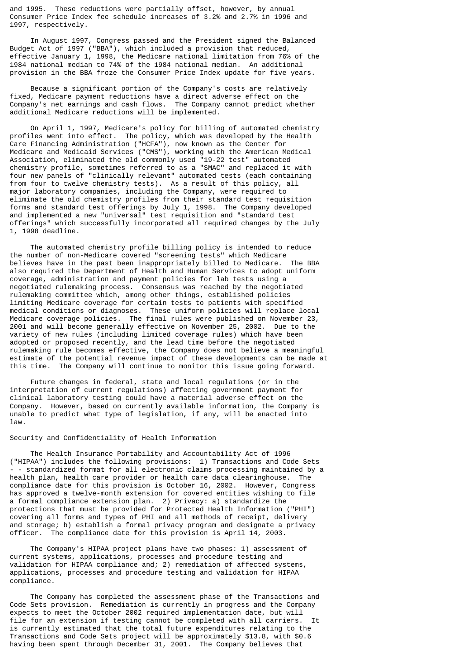and 1995. These reductions were partially offset, however, by annual Consumer Price Index fee schedule increases of 3.2% and 2.7% in 1996 and 1997, respectively.

 In August 1997, Congress passed and the President signed the Balanced Budget Act of 1997 ("BBA"), which included a provision that reduced, effective January 1, 1998, the Medicare national limitation from 76% of the 1984 national median to 74% of the 1984 national median. An additional provision in the BBA froze the Consumer Price Index update for five years.

 Because a significant portion of the Company's costs are relatively fixed, Medicare payment reductions have a direct adverse effect on the Company's net earnings and cash flows. The Company cannot predict whether additional Medicare reductions will be implemented.

 On April 1, 1997, Medicare's policy for billing of automated chemistry profiles went into effect. The policy, which was developed by the Health Care Financing Administration ("HCFA"), now known as the Center for Medicare and Medicaid Services ("CMS"), working with the American Medical Association, eliminated the old commonly used "19-22 test" automated chemistry profile, sometimes referred to as a "SMAC" and replaced it with four new panels of "clinically relevant" automated tests (each containing from four to twelve chemistry tests). As a result of this policy, all major laboratory companies, including the Company, were required to eliminate the old chemistry profiles from their standard test requisition forms and standard test offerings by July 1, 1998. The Company developed and implemented a new "universal" test requisition and "standard test offerings" which successfully incorporated all required changes by the July 1, 1998 deadline.

 The automated chemistry profile billing policy is intended to reduce the number of non-Medicare covered "screening tests" which Medicare believes have in the past been inappropriately billed to Medicare. The BBA also required the Department of Health and Human Services to adopt uniform coverage, administration and payment policies for lab tests using a negotiated rulemaking process. Consensus was reached by the negotiated rulemaking committee which, among other things, established policies limiting Medicare coverage for certain tests to patients with specified medical conditions or diagnoses. These uniform policies will replace local Medicare coverage policies. The final rules were published on November 23, 2001 and will become generally effective on November 25, 2002. Due to the variety of new rules (including limited coverage rules) which have been adopted or proposed recently, and the lead time before the negotiated rulemaking rule becomes effective, the Company does not believe a meaningful estimate of the potential revenue impact of these developments can be made at this time. The Company will continue to monitor this issue going forward.

 Future changes in federal, state and local regulations (or in the interpretation of current regulations) affecting government payment for clinical laboratory testing could have a material adverse effect on the Company. However, based on currently available information, the Company is unable to predict what type of legislation, if any, will be enacted into law.

#### Security and Confidentiality of Health Information

 The Health Insurance Portability and Accountability Act of 1996 ("HIPAA") includes the following provisions: 1) Transactions and Code Sets - - standardized format for all electronic claims processing maintained by a health plan, health care provider or health care data clearinghouse. The compliance date for this provision is October 16, 2002. However, Congress has approved a twelve-month extension for covered entities wishing to file a formal compliance extension plan. 2) Privacy: a) standardize the protections that must be provided for Protected Health Information ("PHI") covering all forms and types of PHI and all methods of receipt, delivery and storage; b) establish a formal privacy program and designate a privacy officer. The compliance date for this provision is April 14, 2003.

 The Company's HIPAA project plans have two phases: 1) assessment of current systems, applications, processes and procedure testing and validation for HIPAA compliance and; 2) remediation of affected systems, applications, processes and procedure testing and validation for HIPAA compliance.

 The Company has completed the assessment phase of the Transactions and Code Sets provision. Remediation is currently in progress and the Company expects to meet the October 2002 required implementation date, but will file for an extension if testing cannot be completed with all carriers. is currently estimated that the total future expenditures relating to the Transactions and Code Sets project will be approximately \$13.8, with \$0.6 having been spent through December 31, 2001. The Company believes that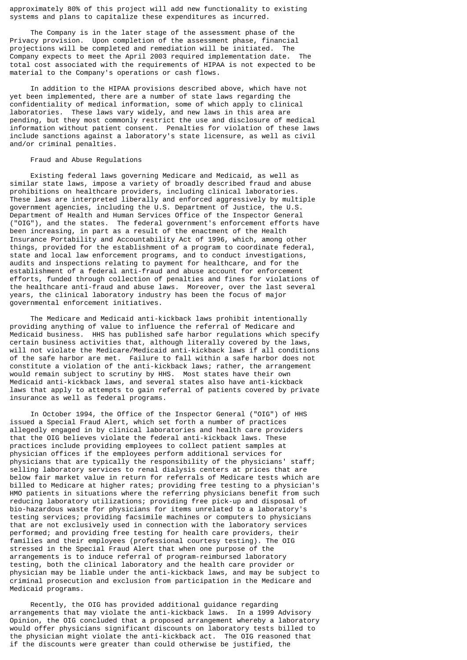approximately 80% of this project will add new functionality to existing systems and plans to capitalize these expenditures as incurred.

 The Company is in the later stage of the assessment phase of the Privacy provision. Upon completion of the assessment phase, financial projections will be completed and remediation will be initiated. The Company expects to meet the April 2003 required implementation date. The total cost associated with the requirements of HIPAA is not expected to be material to the Company's operations or cash flows.

 In addition to the HIPAA provisions described above, which have not yet been implemented, there are a number of state laws regarding the confidentiality of medical information, some of which apply to clinical laboratories. These laws vary widely, and new laws in this area are pending, but they most commonly restrict the use and disclosure of medical information without patient consent. Penalties for violation of these laws include sanctions against a laboratory's state licensure, as well as civil and/or criminal penalties.

#### Fraud and Abuse Regulations

 Existing federal laws governing Medicare and Medicaid, as well as similar state laws, impose a variety of broadly described fraud and abuse prohibitions on healthcare providers, including clinical laboratories. These laws are interpreted liberally and enforced aggressively by multiple government agencies, including the U.S. Department of Justice, the U.S. Department of Health and Human Services Office of the Inspector General ("OIG"), and the states. The federal government's enforcement efforts have been increasing, in part as a result of the enactment of the Health Insurance Portability and Accountability Act of 1996, which, among other things, provided for the establishment of a program to coordinate federal, state and local law enforcement programs, and to conduct investigations, audits and inspections relating to payment for healthcare, and for the establishment of a federal anti-fraud and abuse account for enforcement efforts, funded through collection of penalties and fines for violations of the healthcare anti-fraud and abuse laws. Moreover, over the last several years, the clinical laboratory industry has been the focus of major governmental enforcement initiatives.

 The Medicare and Medicaid anti-kickback laws prohibit intentionally providing anything of value to influence the referral of Medicare and Medicaid business. HHS has published safe harbor regulations which specify certain business activities that, although literally covered by the laws, will not violate the Medicare/Medicaid anti-kickback laws if all conditions of the safe harbor are met. Failure to fall within a safe harbor does not constitute a violation of the anti-kickback laws; rather, the arrangement would remain subject to scrutiny by HHS. Most states have their own Medicaid anti-kickback laws, and several states also have anti-kickback laws that apply to attempts to gain referral of patients covered by private insurance as well as federal programs.

 In October 1994, the Office of the Inspector General ("OIG") of HHS issued a Special Fraud Alert, which set forth a number of practices allegedly engaged in by clinical laboratories and health care providers that the OIG believes violate the federal anti-kickback laws. These practices include providing employees to collect patient samples at physician offices if the employees perform additional services for physicians that are typically the responsibility of the physicians' staff; selling laboratory services to renal dialysis centers at prices that are below fair market value in return for referrals of Medicare tests which are billed to Medicare at higher rates; providing free testing to a physician's HMO patients in situations where the referring physicians benefit from such reducing laboratory utilizations; providing free pick-up and disposal of bio-hazardous waste for physicians for items unrelated to a laboratory's testing services; providing facsimile machines or computers to physicians that are not exclusively used in connection with the laboratory services performed; and providing free testing for health care providers, their families and their employees (professional courtesy testing). The OIG stressed in the Special Fraud Alert that when one purpose of the arrangements is to induce referral of program-reimbursed laboratory testing, both the clinical laboratory and the health care provider or physician may be liable under the anti-kickback laws, and may be subject to criminal prosecution and exclusion from participation in the Medicare and Medicaid programs.

 Recently, the OIG has provided additional guidance regarding arrangements that may violate the anti-kickback laws. In a 1999 Advisory Opinion, the OIG concluded that a proposed arrangement whereby a laboratory would offer physicians significant discounts on laboratory tests billed to the physician might violate the anti-kickback act. The OIG reasoned that if the discounts were greater than could otherwise be justified, the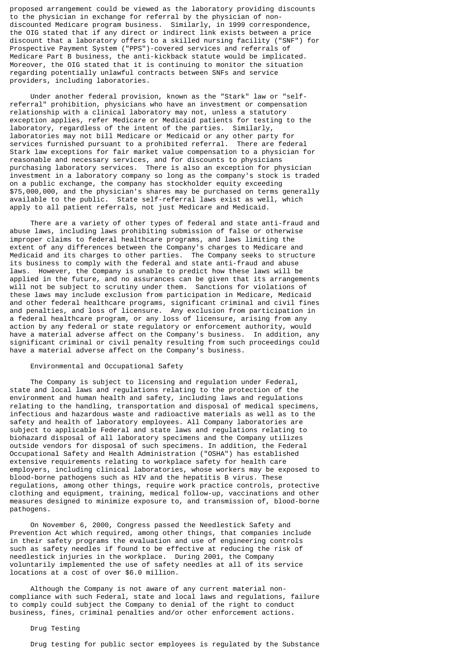proposed arrangement could be viewed as the laboratory providing discounts to the physician in exchange for referral by the physician of nondiscounted Medicare program business. Similarly, in 1999 correspondence, the OIG stated that if any direct or indirect link exists between a price discount that a laboratory offers to a skilled nursing facility ("SNF") for Prospective Payment System ("PPS")-covered services and referrals of Medicare Part B business, the anti-kickback statute would be implicated. Moreover, the OIG stated that it is continuing to monitor the situation regarding potentially unlawful contracts between SNFs and service providers, including laboratories.

 Under another federal provision, known as the "Stark" law or "selfreferral" prohibition, physicians who have an investment or compensation relationship with a clinical laboratory may not, unless a statutory exception applies, refer Medicare or Medicaid patients for testing to the laboratory, regardless of the intent of the parties. Similarly, laboratories may not bill Medicare or Medicaid or any other party for services furnished pursuant to a prohibited referral. There are federal Stark law exceptions for fair market value compensation to a physician for reasonable and necessary services, and for discounts to physicians purchasing laboratory services. There is also an exception for physician investment in a laboratory company so long as the company's stock is traded on a public exchange, the company has stockholder equity exceeding \$75,000,000, and the physician's shares may be purchased on terms generally available to the public. State self-referral laws exist as well, which apply to all patient referrals, not just Medicare and Medicaid.

 There are a variety of other types of federal and state anti-fraud and abuse laws, including laws prohibiting submission of false or otherwise improper claims to federal healthcare programs, and laws limiting the extent of any differences between the Company's charges to Medicare and Medicaid and its charges to other parties. The Company seeks to structure its business to comply with the federal and state anti-fraud and abuse laws. However, the Company is unable to predict how these laws will be applied in the future, and no assurances can be given that its arrangements will not be subject to scrutiny under them. Sanctions for violations of these laws may include exclusion from participation in Medicare, Medicaid and other federal healthcare programs, significant criminal and civil fines and penalties, and loss of licensure. Any exclusion from participation in a federal healthcare program, or any loss of licensure, arising from any action by any federal or state regulatory or enforcement authority, would have a material adverse affect on the Company's business. In addition, any significant criminal or civil penalty resulting from such proceedings could have a material adverse affect on the Company's business.

## Environmental and Occupational Safety

 The Company is subject to licensing and regulation under Federal, state and local laws and regulations relating to the protection of the environment and human health and safety, including laws and regulations relating to the handling, transportation and disposal of medical specimens, infectious and hazardous waste and radioactive materials as well as to the safety and health of laboratory employees. All Company laboratories are subject to applicable Federal and state laws and regulations relating to biohazard disposal of all laboratory specimens and the Company utilizes outside vendors for disposal of such specimens. In addition, the Federal Occupational Safety and Health Administration ("OSHA") has established extensive requirements relating to workplace safety for health care employers, including clinical laboratories, whose workers may be exposed to blood-borne pathogens such as HIV and the hepatitis B virus. These regulations, among other things, require work practice controls, protective clothing and equipment, training, medical follow-up, vaccinations and other measures designed to minimize exposure to, and transmission of, blood-borne pathogens.

 On November 6, 2000, Congress passed the Needlestick Safety and Prevention Act which required, among other things, that companies include in their safety programs the evaluation and use of engineering controls such as safety needles if found to be effective at reducing the risk of needlestick injuries in the workplace. During 2001, the Company voluntarily implemented the use of safety needles at all of its service locations at a cost of over \$6.0 million.

 Although the Company is not aware of any current material noncompliance with such Federal, state and local laws and regulations, failure to comply could subject the Company to denial of the right to conduct business, fines, criminal penalties and/or other enforcement actions.

#### Drug Testing

Drug testing for public sector employees is regulated by the Substance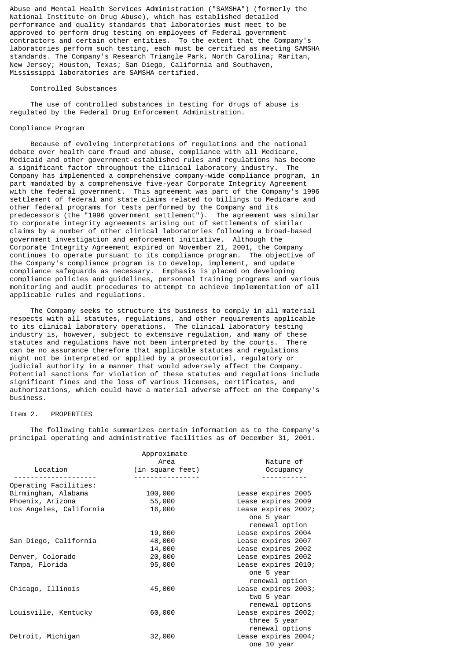Abuse and Mental Health Services Administration ("SAMSHA") (formerly the National Institute on Drug Abuse), which has established detailed performance and quality standards that laboratories must meet to be approved to perform drug testing on employees of Federal government contractors and certain other entities. To the extent that the Company's laboratories perform such testing, each must be certified as meeting SAMSHA standards. The Company's Research Triangle Park, North Carolina; Raritan, New Jersey; Houston, Texas; San Diego, California and Southaven, Mississippi laboratories are SAMSHA certified.

#### Controlled Substances

 The use of controlled substances in testing for drugs of abuse is regulated by the Federal Drug Enforcement Administration.

# Compliance Program

 Because of evolving interpretations of regulations and the national debate over health care fraud and abuse, compliance with all Medicare, Medicaid and other government-established rules and regulations has become a significant factor throughout the clinical laboratory industry. The Company has implemented a comprehensive company-wide compliance program, in part mandated by a comprehensive five-year Corporate Integrity Agreement with the federal government. This agreement was part of the Company's 1996 settlement of federal and state claims related to billings to Medicare and other federal programs for tests performed by the Company and its predecessors (the "1996 government settlement"). The agreement was similar to corporate integrity agreements arising out of settlements of similar claims by a number of other clinical laboratories following a broad-based government investigation and enforcement initiative. Although the Corporate Integrity Agreement expired on November 21, 2001, the Company continues to operate pursuant to its compliance program. The objective of the Company's compliance program is to develop, implement, and update compliance safeguards as necessary. Emphasis is placed on developing compliance policies and guidelines, personnel training programs and various monitoring and audit procedures to attempt to achieve implementation of all applicable rules and regulations.

 The Company seeks to structure its business to comply in all material respects with all statutes, regulations, and other requirements applicable to its clinical laboratory operations. The clinical laboratory testing industry is, however, subject to extensive regulation, and many of these statutes and regulations have not been interpreted by the courts. There can be no assurance therefore that applicable statutes and regulations might not be interpreted or applied by a prosecutorial, regulatory or judicial authority in a manner that would adversely affect the Company. Potential sanctions for violation of these statutes and regulations include significant fines and the loss of various licenses, certificates, and authorizations, which could have a material adverse affect on the Company's business.

# Item 2. PROPERTIES

 The following table summarizes certain information as to the Company's principal operating and administrative facilities as of December 31, 2001.

|                         | Approximate      |                     |
|-------------------------|------------------|---------------------|
|                         | Area             | Nature of           |
| Location                | (in square feet) | Occupancy           |
|                         |                  |                     |
| Operating Facilities:   |                  |                     |
| Birmingham, Alabama     | 100,000          | Lease expires 2005  |
| Phoenix, Arizona        | 55,000           | Lease expires 2009  |
| Los Angeles, California | 16,000           | Lease expires 2002; |
|                         |                  | one 5 year          |
|                         |                  | renewal option      |
|                         | 19,000           | Lease expires 2004  |
| San Diego, California   | 48,000           | Lease expires 2007  |
|                         | 14,000           | Lease expires 2002  |
| Denver, Colorado        | 20,000           | Lease expires 2002  |
| Tampa, Florida          | 95,000           | Lease expires 2010; |
|                         |                  | one 5 year          |
|                         |                  | renewal option      |
| Chicago, Illinois       | 45,000           | Lease expires 2003; |
|                         |                  | two 5 year          |
|                         |                  | renewal options     |
| Louisville, Kentucky    | 60,000           | Lease expires 2002; |
|                         |                  | three 5 year        |
|                         |                  | renewal options     |
| Detroit, Michigan       | 32,000           | Lease expires 2004; |
|                         |                  | one 10 year         |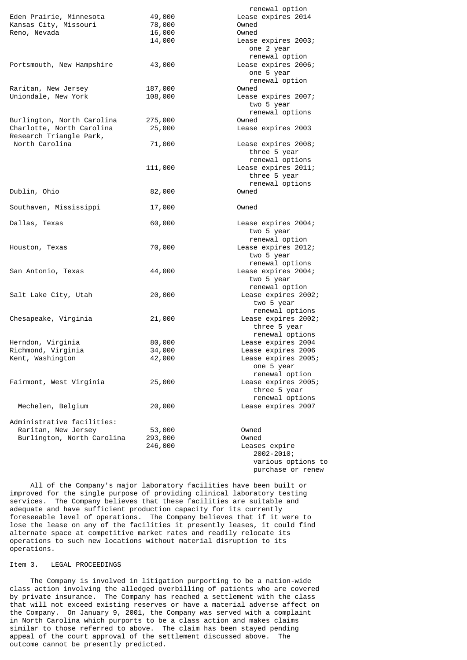|                            |         | renewal option                                       |
|----------------------------|---------|------------------------------------------------------|
| Eden Prairie, Minnesota    | 49,000  | Lease expires 2014                                   |
| Kansas City, Missouri      | 78,000  | Owned                                                |
| Reno, Nevada               | 16,000  | Owned                                                |
|                            | 14,000  | Lease expires 2003;<br>one 2 year                    |
|                            |         | renewal option                                       |
| Portsmouth, New Hampshire  | 43,000  | Lease expires 2006;                                  |
|                            |         | one 5 year                                           |
|                            |         | renewal option                                       |
| Raritan, New Jersey        | 187,000 | Owned                                                |
| Uniondale, New York        | 108,000 | Lease expires 2007;<br>two 5 year<br>renewal options |
| Burlington, North Carolina | 275,000 | Owned                                                |
| Charlotte, North Carolina  | 25,000  | Lease expires 2003                                   |
| Research Triangle Park,    |         |                                                      |
| North Carolina             | 71,000  | Lease expires 2008;                                  |
|                            |         | three 5 year                                         |
|                            |         | renewal options                                      |
|                            | 111,000 | Lease expires 2011;                                  |
|                            |         | three 5 year                                         |
|                            |         | renewal options                                      |
| Dublin, Ohio               | 82,000  | Owned                                                |
|                            |         |                                                      |
| Southaven, Mississippi     | 17,000  | Owned                                                |
|                            |         |                                                      |
| Dallas, Texas              | 60,000  | Lease expires 2004;                                  |
|                            |         | two 5 year                                           |
|                            |         | renewal option                                       |
| Houston, Texas             | 70,000  | Lease expires 2012;<br>two 5 year                    |
|                            |         | renewal options                                      |
| San Antonio, Texas         | 44,000  | Lease expires 2004;                                  |
|                            |         | two 5 year                                           |
|                            |         | renewal option                                       |
| Salt Lake City, Utah       | 20,000  | Lease expires 2002;                                  |
|                            |         | two 5 year                                           |
|                            |         | renewal options                                      |
| Chesapeake, Virginia       | 21,000  | Lease expires 2002;                                  |
|                            |         | three 5 year                                         |
|                            |         | renewal options                                      |
| Herndon, Virginia          | 80,000  | Lease expires 2004                                   |
| Richmond, Virginia         | 34,000  | Lease expires 2006                                   |
| Kent, Washington           | 42,000  | Lease expires 2005;                                  |
|                            |         | one 5 year                                           |
|                            |         | renewal option                                       |
| Fairmont, West Virginia    | 25,000  | Lease expires 2005;                                  |
|                            |         | three 5 year                                         |
|                            |         | renewal options                                      |
| Mechelen, Belgium          | 20,000  | Lease expires 2007                                   |
| Administrative facilities: |         |                                                      |
| Raritan, New Jersey        | 53,000  | Owned                                                |
| Burlington, North Carolina | 293,000 | Owned                                                |
|                            | 246,000 | Leases expire                                        |
|                            |         | 2002-2010;                                           |
|                            |         | various options to                                   |
|                            |         | purchase or renew                                    |

 All of the Company's major laboratory facilities have been built or improved for the single purpose of providing clinical laboratory testing services. The Company believes that these facilities are suitable and adequate and have sufficient production capacity for its currently foreseeable level of operations. The Company believes that if it were to lose the lease on any of the facilities it presently leases, it could find alternate space at competitive market rates and readily relocate its operations to such new locations without material disruption to its operations.

## Item 3. LEGAL PROCEEDINGS

 The Company is involved in litigation purporting to be a nation-wide class action involving the alledged overbilling of patients who are covered by private insurance. The Company has reached a settlement with the class that will not exceed existing reserves or have a material adverse affect on the Company. On January 9, 2001, the Company was served with a complaint in North Carolina which purports to be a class action and makes claims similar to those referred to above. The claim has been stayed pending appeal of the court approval of the settlement discussed above. The outcome cannot be presently predicted.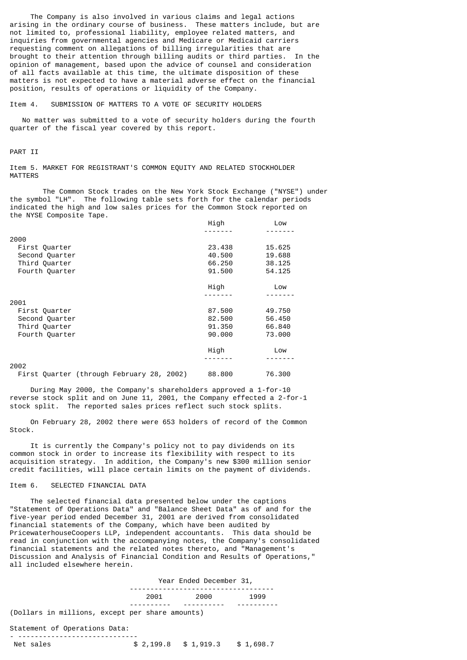The Company is also involved in various claims and legal actions arising in the ordinary course of business. These matters include, but are not limited to, professional liability, employee related matters, and inquiries from governmental agencies and Medicare or Medicaid carriers requesting comment on allegations of billing irregularities that are brought to their attention through billing audits or third parties. In the opinion of management, based upon the advice of counsel and consideration of all facts available at this time, the ultimate disposition of these matters is not expected to have a material adverse effect on the financial position, results of operations or liquidity of the Company.

## Item 4. SUBMISSION OF MATTERS TO A VOTE OF SECURITY HOLDERS

 No matter was submitted to a vote of security holders during the fourth quarter of the fiscal year covered by this report.

## PART II

Item 5. MARKET FOR REGISTRANT'S COMMON EQUITY AND RELATED STOCKHOLDER MATTERS

The Common Stock trades on the New York Stock Exchange ("NYSE") under the symbol "LH". The following table sets forth for the calendar periods indicated the high and low sales prices for the Common Stock reported on the NYSE Composite Tape.

|                                           | High   | Low    |
|-------------------------------------------|--------|--------|
| 2000                                      |        |        |
|                                           |        |        |
| First Quarter                             | 23,438 | 15.625 |
| Second Quarter                            | 40.500 | 19,688 |
| Third Quarter                             | 66.250 | 38,125 |
| Fourth Quarter                            | 91.500 | 54.125 |
|                                           | High   | Low    |
|                                           |        |        |
| 2001                                      |        |        |
| First Quarter                             | 87.500 | 49.750 |
| Second Quarter                            | 82.500 | 56,450 |
| Third Quarter                             | 91.350 | 66.840 |
| Fourth Quarter                            | 90.000 | 73.000 |
|                                           | High   | Low    |
|                                           |        |        |
| 2002                                      |        |        |
| First Quarter (through February 28, 2002) | 88,800 | 76.300 |

 During May 2000, the Company's shareholders approved a 1-for-10 reverse stock split and on June 11, 2001, the Company effected a 2-for-1 stock split. The reported sales prices reflect such stock splits.

 On February 28, 2002 there were 653 holders of record of the Common Stock.

 It is currently the Company's policy not to pay dividends on its common stock in order to increase its flexibility with respect to its acquisition strategy. In addition, the Company's new \$300 million senior credit facilities, will place certain limits on the payment of dividends.

## Item 6. SELECTED FINANCIAL DATA

 The selected financial data presented below under the captions "Statement of Operations Data" and "Balance Sheet Data" as of and for the five-year period ended December 31, 2001 are derived from consolidated financial statements of the Company, which have been audited by PricewaterhouseCoopers LLP, independent accountants. This data should be read in conjunction with the accompanying notes, the Company's consolidated financial statements and the related notes thereto, and "Management's Discussion and Analysis of Financial Condition and Results of Operations," all included elsewhere herein.

|                                                 | Year Ended December 31, |      |      |      |  |
|-------------------------------------------------|-------------------------|------|------|------|--|
|                                                 |                         | 2001 | 2000 | 1999 |  |
| (Dollars in millions, except per share amounts) |                         |      |      |      |  |

#### Statement of Operations Data:

| Net sales | $$2,199.8$ $$1,919.3$ $$1,698.7$ |  |
|-----------|----------------------------------|--|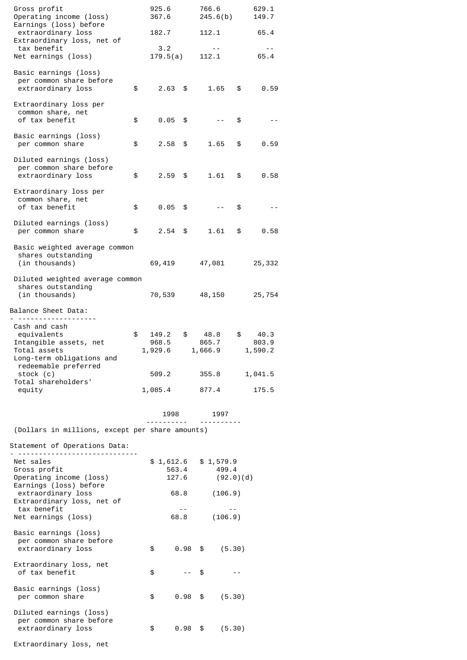| Gross profit<br>Operating income (loss)                                                             | 925.6<br>367.6                  |               | 766.6<br>245.6(b)                                   |      | 629.1<br>149.7           |  |
|-----------------------------------------------------------------------------------------------------|---------------------------------|---------------|-----------------------------------------------------|------|--------------------------|--|
| Earnings (loss) before<br>extraordinary loss<br>Extraordinary loss, net of                          | 182.7                           |               | 112.1                                               |      | 65.4                     |  |
| tax benefit<br>Net earnings (loss)                                                                  | 3.2<br>179.5(a)                 |               | $\sim$ $-$<br>112.1                                 |      | $ -$<br>65.4             |  |
| Basic earnings (loss)<br>per common share before<br>extraordinary loss                              | \$<br>$2.63$ \$                 |               | 1.65                                                | \$   | 0.59                     |  |
| Extraordinary loss per<br>common share, net<br>of tax benefit                                       | \$<br>$0.05$ \$                 |               | $ -$                                                | \$   |                          |  |
| Basic earnings (loss)<br>per common share                                                           | \$<br>$2.58$ \$                 |               | 1.65                                                | \$   | 0.59                     |  |
| Diluted earnings (loss)<br>per common share before<br>extraordinary loss                            | \$<br>$2.59$ \$                 |               | 1.61                                                | \$   | 0.58                     |  |
| Extraordinary loss per<br>common share, net<br>of tax benefit                                       | \$<br>0.05                      | \$            |                                                     | \$   |                          |  |
| Diluted earnings (loss)<br>per common share                                                         | \$<br>$2.54$ \$                 |               | 1.61                                                | \$   | 0.58                     |  |
| Basic weighted average common<br>shares outstanding<br>(in thousands)                               | 69,419                          |               | 47,081                                              |      | 25,332                   |  |
| Diluted weighted average common<br>shares outstanding<br>(in thousands)                             | 70,539                          |               | 48,150                                              |      | 25,754                   |  |
| Balance Sheet Data:                                                                                 |                                 |               |                                                     |      |                          |  |
| Cash and cash<br>equivalents<br>Intangible assets, net<br>Total assets<br>Long-term obligations and | \$<br>149.2<br>968.5<br>1,929.6 | \$            | 48.8<br>865.7<br>1,666.9                            | \$   | 40.3<br>803.9<br>1,590.2 |  |
| redeemable preferred<br>stock (c)<br>Total shareholders'                                            | 509.2                           |               | 355.8                                               |      | 1,041.5                  |  |
| equity                                                                                              | 1,085.4                         |               | 877.4                                               |      | 175.5                    |  |
|                                                                                                     | 1998<br>--------                |               | 1997                                                |      |                          |  |
| (Dollars in millions, except per share amounts)<br>Statement of Operations Data:                    |                                 |               |                                                     |      |                          |  |
| Net sales<br>Gross profit<br>Operating income (loss)<br>Earnings (loss) before                      |                                 | 563.4         | $$1,612.6$ $$1,579.9$<br>499.4<br>$127.6$ (92.0)(d) |      |                          |  |
| extraordinary loss<br>Extraordinary loss, net of<br>tax benefit<br>Net earnings (loss)              |                                 | 68.8<br>$- -$ | (106.9)<br>68.8 (106.9)                             |      |                          |  |
| Basic earnings (loss)<br>per common share before<br>extraordinary loss                              | \$                              |               | $0.98$ \$<br>(5.30)                                 |      |                          |  |
| Extraordinary loss, net<br>of tax benefit                                                           | \$                              | $- -$         | \$                                                  | $ -$ |                          |  |
| Basic earnings (loss)<br>per common share                                                           | \$                              |               | $0.98$ \$<br>(5.30)                                 |      |                          |  |
| Diluted earnings (loss)<br>per common share before<br>extraordinary loss                            | \$                              | $0.98$ \$     | (5.30)                                              |      |                          |  |
| Extraordinary loss, net                                                                             |                                 |               |                                                     |      |                          |  |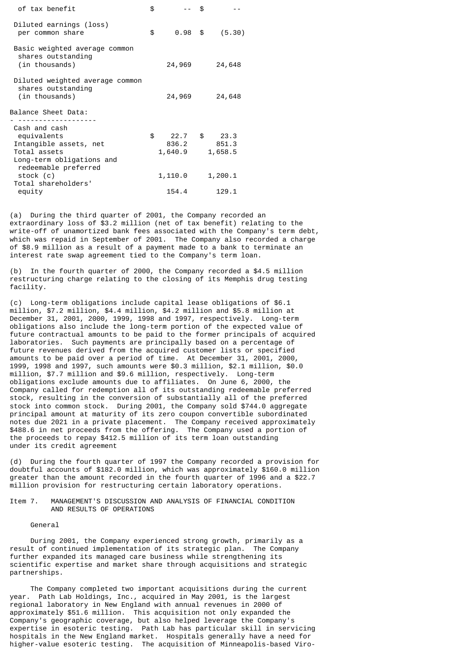| of tax benefit                                                                                      | \$  |                                  | \$. |                  |
|-----------------------------------------------------------------------------------------------------|-----|----------------------------------|-----|------------------|
| Diluted earnings (loss)<br>per common share                                                         | \$. | $0.98$ \$                        |     | (5.30)           |
| Basic weighted average common<br>shares outstanding<br>(in thousands)                               |     | 24,969                           |     | 24,648           |
| Diluted weighted average common<br>shares outstanding<br>(in thousands)                             |     | 24,969                           |     | 24,648           |
| Balance Sheet Data:                                                                                 |     |                                  |     |                  |
| Cash and cash<br>equivalents<br>Intangible assets, net<br>Total assets<br>Long-term obligations and | \$. | 22.7 \$ 23.3<br>836.2<br>1,640.9 |     | 851.3<br>1,658.5 |
| redeemable preferred<br>stock (c)<br>Total shareholders'                                            |     | 1,110.0                          |     | 1,200.1          |
| equity                                                                                              |     | 154.4                            |     | 129.1            |

(a) During the third quarter of 2001, the Company recorded an extraordinary loss of \$3.2 million (net of tax benefit) relating to the write-off of unamortized bank fees associated with the Company's term debt, which was repaid in September of 2001. The Company also recorded a charge of \$8.9 million as a result of a payment made to a bank to terminate an interest rate swap agreement tied to the Company's term loan.

(b) In the fourth quarter of 2000, the Company recorded a \$4.5 million restructuring charge relating to the closing of its Memphis drug testing facility.

(c) Long-term obligations include capital lease obligations of \$6.1 million, \$7.2 million, \$4.4 million, \$4.2 million and \$5.8 million at December 31, 2001, 2000, 1999, 1998 and 1997, respectively. Long-term obligations also include the long-term portion of the expected value of future contractual amounts to be paid to the former principals of acquired laboratories. Such payments are principally based on a percentage of future revenues derived from the acquired customer lists or specified amounts to be paid over a period of time. At December 31, 2001, 2000, 1999, 1998 and 1997, such amounts were \$0.3 million, \$2.1 million, \$0.0 million, \$7.7 million and \$9.6 million, respectively. Long-term obligations exclude amounts due to affiliates. On June 6, 2000, the Company called for redemption all of its outstanding redeemable preferred stock, resulting in the conversion of substantially all of the preferred stock into common stock. During 2001, the Company sold \$744.0 aggregate principal amount at maturity of its zero coupon convertible subordinated notes due 2021 in a private placement. The Company received approximately \$488.6 in net proceeds from the offering. The Company used a portion of the proceeds to repay \$412.5 million of its term loan outstanding under its credit agreement

(d) During the fourth quarter of 1997 the Company recorded a provision for doubtful accounts of \$182.0 million, which was approximately \$160.0 million greater than the amount recorded in the fourth quarter of 1996 and a \$22.7 million provision for restructuring certain laboratory operations.

## Item 7. MANAGEMENT'S DISCUSSION AND ANALYSIS OF FINANCIAL CONDITION AND RESULTS OF OPERATIONS

General

 During 2001, the Company experienced strong growth, primarily as a result of continued implementation of its strategic plan. The Company further expanded its managed care business while strengthening its scientific expertise and market share through acquisitions and strategic partnerships.

 The Company completed two important acquisitions during the current year. Path Lab Holdings, Inc., acquired in May 2001, is the largest regional laboratory in New England with annual revenues in 2000 of approximately \$51.6 million. This acquisition not only expanded the Company's geographic coverage, but also helped leverage the Company's expertise in esoteric testing. Path Lab has particular skill in servicing hospitals in the New England market. Hospitals generally have a need for higher-value esoteric testing. The acquisition of Minneapolis-based Viro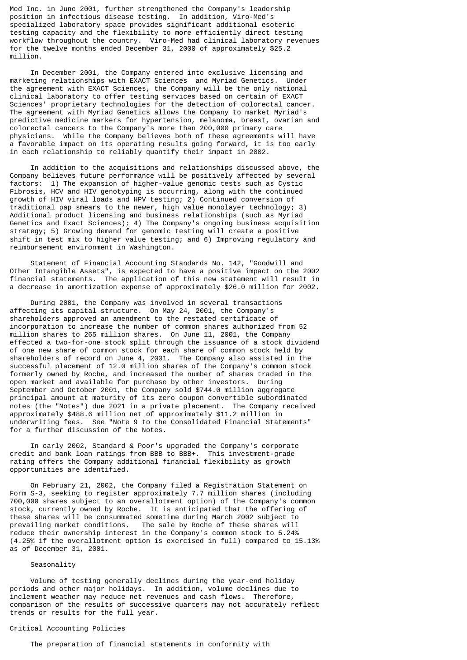Med Inc. in June 2001, further strengthened the Company's leadership position in infectious disease testing. In addition, Viro-Med's specialized laboratory space provides significant additional esoteric testing capacity and the flexibility to more efficiently direct testing workflow throughout the country. Viro-Med had clinical laboratory revenues for the twelve months ended December 31, 2000 of approximately \$25.2 million.

 In December 2001, the Company entered into exclusive licensing and marketing relationships with EXACT Sciences and Myriad Genetics. Under the agreement with EXACT Sciences, the Company will be the only national clinical laboratory to offer testing services based on certain of EXACT Sciences' proprietary technologies for the detection of colorectal cancer. The agreement with Myriad Genetics allows the Company to market Myriad's predictive medicine markers for hypertension, melanoma, breast, ovarian and colorectal cancers to the Company's more than 200,000 primary care physicians. While the Company believes both of these agreements will have a favorable impact on its operating results going forward, it is too early in each relationship to reliably quantify their impact in 2002.

 In addition to the acquisitions and relationships discussed above, the Company believes future performance will be positively affected by several factors: 1) The expansion of higher-value genomic tests such as Cystic Fibrosis, HCV and HIV genotyping is occurring, along with the continued growth of HIV viral loads and HPV testing; 2) Continued conversion of traditional pap smears to the newer, high value monolayer technology; 3) Additional product licensing and business relationships (such as Myriad Genetics and Exact Sciences); 4) The Company's ongoing business acquisition strategy; 5) Growing demand for genomic testing will create a positive shift in test mix to higher value testing; and 6) Improving regulatory and reimbursement environment in Washington.

 Statement of Financial Accounting Standards No. 142, "Goodwill and Other Intangible Assets", is expected to have a positive impact on the 2002 financial statements. The application of this new statement will result in a decrease in amortization expense of approximately \$26.0 million for 2002.

 During 2001, the Company was involved in several transactions affecting its capital structure. On May 24, 2001, the Company's shareholders approved an amendment to the restated certificate of incorporation to increase the number of common shares authorized from 52 million shares to 265 million shares. On June 11, 2001, the Company effected a two-for-one stock split through the issuance of a stock dividend of one new share of common stock for each share of common stock held by shareholders of record on June 4, 2001. The Company also assisted in the successful placement of 12.0 million shares of the Company's common stock formerly owned by Roche, and increased the number of shares traded in the open market and available for purchase by other investors. During September and October 2001, the Company sold \$744.0 million aggregate principal amount at maturity of its zero coupon convertible subordinated notes (the "Notes") due 2021 in a private placement. The Company received approximately \$488.6 million net of approximately \$11.2 million in underwriting fees. See "Note 9 to the Consolidated Financial Statements" for a further discussion of the Notes.

 In early 2002, Standard & Poor's upgraded the Company's corporate credit and bank loan ratings from BBB to BBB+. This investment-grade rating offers the Company additional financial flexibility as growth opportunities are identified.

 On February 21, 2002, the Company filed a Registration Statement on Form S-3, seeking to register approximately 7.7 million shares (including 700,000 shares subject to an overallotment option) of the Company's common stock, currently owned by Roche. It is anticipated that the offering of these shares will be consummated sometime during March 2002 subject to prevailing market conditions. The sale by Roche of these shares will reduce their ownership interest in the Company's common stock to 5.24% (4.25% if the overallotment option is exercised in full) compared to 15.13% as of December 31, 2001.

#### Seasonality

 Volume of testing generally declines during the year-end holiday periods and other major holidays. In addition, volume declines due to inclement weather may reduce net revenues and cash flows. Therefore, comparison of the results of successive quarters may not accurately reflect trends or results for the full year.

# Critical Accounting Policies

The preparation of financial statements in conformity with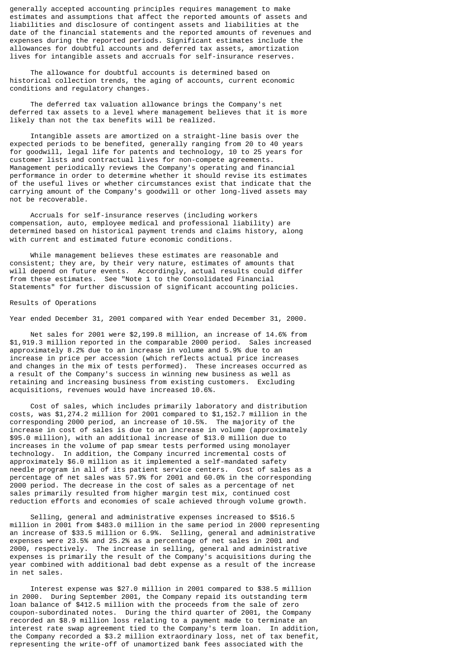generally accepted accounting principles requires management to make estimates and assumptions that affect the reported amounts of assets and liabilities and disclosure of contingent assets and liabilities at the date of the financial statements and the reported amounts of revenues and expenses during the reported periods. Significant estimates include the allowances for doubtful accounts and deferred tax assets, amortization lives for intangible assets and accruals for self-insurance reserves.

 The allowance for doubtful accounts is determined based on historical collection trends, the aging of accounts, current economic conditions and regulatory changes.

 The deferred tax valuation allowance brings the Company's net deferred tax assets to a level where management believes that it is more likely than not the tax benefits will be realized.

 Intangible assets are amortized on a straight-line basis over the expected periods to be benefited, generally ranging from 20 to 40 years for goodwill, legal life for patents and technology, 10 to 25 years for customer lists and contractual lives for non-compete agreements. Management periodically reviews the Company's operating and financial performance in order to determine whether it should revise its estimates of the useful lives or whether circumstances exist that indicate that the carrying amount of the Company's goodwill or other long-lived assets may not be recoverable.

 Accruals for self-insurance reserves (including workers compensation, auto, employee medical and professional liability) are determined based on historical payment trends and claims history, along with current and estimated future economic conditions.

 While management believes these estimates are reasonable and consistent; they are, by their very nature, estimates of amounts that will depend on future events. Accordingly, actual results could differ from these estimates. See "Note 1 to the Consolidated Financial Statements" for further discussion of significant accounting policies.

#### Results of Operations

Year ended December 31, 2001 compared with Year ended December 31, 2000.

 Net sales for 2001 were \$2,199.8 million, an increase of 14.6% from \$1,919.3 million reported in the comparable 2000 period. Sales increased approximately 8.2% due to an increase in volume and 5.9% due to an increase in price per accession (which reflects actual price increases and changes in the mix of tests performed). These increases occurred as a result of the Company's success in winning new business as well as retaining and increasing business from existing customers. Excluding acquisitions, revenues would have increased 10.6%.

 Cost of sales, which includes primarily laboratory and distribution costs, was \$1,274.2 million for 2001 compared to \$1,152.7 million in the corresponding 2000 period, an increase of 10.5%. The majority of the increase in cost of sales is due to an increase in volume (approximately \$95.0 million), with an additional increase of \$13.0 million due to increases in the volume of pap smear tests performed using monolayer technology. In addition, the Company incurred incremental costs of approximately \$6.0 million as it implemented a self-mandated safety needle program in all of its patient service centers. Cost of sales as a percentage of net sales was 57.9% for 2001 and 60.0% in the corresponding 2000 period. The decrease in the cost of sales as a percentage of net sales primarily resulted from higher margin test mix, continued cost reduction efforts and economies of scale achieved through volume growth.

 Selling, general and administrative expenses increased to \$516.5 million in 2001 from \$483.0 million in the same period in 2000 representing an increase of \$33.5 million or 6.9%. Selling, general and administrative expenses were 23.5% and 25.2% as a percentage of net sales in 2001 and 2000, respectively. The increase in selling, general and administrative expenses is primarily the result of the Company's acquisitions during the year combined with additional bad debt expense as a result of the increase in net sales.

 Interest expense was \$27.0 million in 2001 compared to \$38.5 million in 2000. During September 2001, the Company repaid its outstanding term loan balance of \$412.5 million with the proceeds from the sale of zero coupon-subordinated notes. During the third quarter of 2001, the Company recorded an \$8.9 million loss relating to a payment made to terminate an interest rate swap agreement tied to the Company's term loan. In addition, the Company recorded a \$3.2 million extraordinary loss, net of tax benefit, representing the write-off of unamortized bank fees associated with the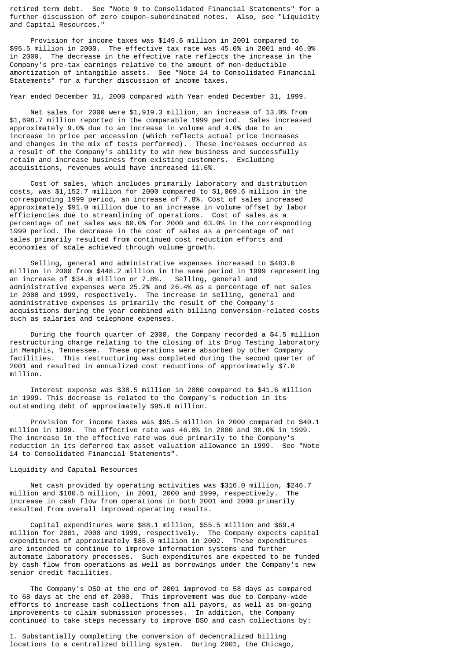retired term debt. See "Note 9 to Consolidated Financial Statements" for a further discussion of zero coupon-subordinated notes. Also, see "Liquidity and Capital Resources."

 Provision for income taxes was \$149.6 million in 2001 compared to \$95.5 million in 2000. The effective tax rate was 45.0% in 2001 and 46.0% in 2000. The decrease in the effective rate reflects the increase in the Company's pre-tax earnings relative to the amount of non-deductible amortization of intangible assets. See "Note 14 to Consolidated Financial Statements" for a further discussion of income taxes.

Year ended December 31, 2000 compared with Year ended December 31, 1999.

 Net sales for 2000 were \$1,919.3 million, an increase of 13.0% from \$1,698.7 million reported in the comparable 1999 period. Sales increased approximately 9.0% due to an increase in volume and 4.0% due to an increase in price per accession (which reflects actual price increases and changes in the mix of tests performed). These increases occurred as a result of the Company's ability to win new business and successfully retain and increase business from existing customers. Excluding acquisitions, revenues would have increased 11.6%.

 Cost of sales, which includes primarily laboratory and distribution costs, was \$1,152.7 million for 2000 compared to \$1,069.6 million in the corresponding 1999 period, an increase of 7.8%. Cost of sales increased approximately \$91.0 million due to an increase in volume offset by labor efficiencies due to streamlining of operations. Cost of sales as a percentage of net sales was 60.0% for 2000 and 63.0% in the corresponding 1999 period. The decrease in the cost of sales as a percentage of net sales primarily resulted from continued cost reduction efforts and economies of scale achieved through volume growth.

 Selling, general and administrative expenses increased to \$483.0 million in 2000 from \$448.2 million in the same period in 1999 representing<br>an increase of \$34.8 million or 7.8%. Selling, general and an increase of \$34.8 million or 7.8%. administrative expenses were 25.2% and 26.4% as a percentage of net sales in 2000 and 1999, respectively. The increase in selling, general and administrative expenses is primarily the result of the Company's acquisitions during the year combined with billing conversion-related costs such as salaries and telephone expenses.

 During the fourth quarter of 2000, the Company recorded a \$4.5 million restructuring charge relating to the closing of its Drug Testing laboratory in Memphis, Tennessee. These operations were absorbed by other Company facilities. This restructuring was completed during the second quarter of 2001 and resulted in annualized cost reductions of approximately \$7.0 million.

 Interest expense was \$38.5 million in 2000 compared to \$41.6 million in 1999. This decrease is related to the Company's reduction in its outstanding debt of approximately \$95.0 million.

 Provision for income taxes was \$95.5 million in 2000 compared to \$40.1 million in 1999. The effective rate was 46.0% in 2000 and 38.0% in 1999. The increase in the effective rate was due primarily to the Company's reduction in its deferred tax asset valuation allowance in 1999. See "Note 14 to Consolidated Financial Statements".

## Liquidity and Capital Resources

Net cash provided by operating activities was \$316.0 million, \$246.7<br>on and \$180.5 million, in 2001, 2000 and 1999, respectively. The million and \$180.5 million, in 2001, 2000 and 1999, respectively. increase in cash flow from operations in both 2001 and 2000 primarily resulted from overall improved operating results.

 Capital expenditures were \$88.1 million, \$55.5 million and \$69.4 million for 2001, 2000 and 1999, respectively. The Company expects capital expenditures of approximately \$85.0 million in 2002. These expenditures are intended to continue to improve information systems and further automate laboratory processes. Such expenditures are expected to be funded by cash flow from operations as well as borrowings under the Company's new senior credit facilities.

 The Company's DSO at the end of 2001 improved to 58 days as compared to 68 days at the end of 2000. This improvement was due to Company-wide efforts to increase cash collections from all payors, as well as on-going improvements to claim submission processes. In addition, the Company continued to take steps necessary to improve DSO and cash collections by:

1. Substantially completing the conversion of decentralized billing locations to a centralized billing system. During 2001, the Chicago,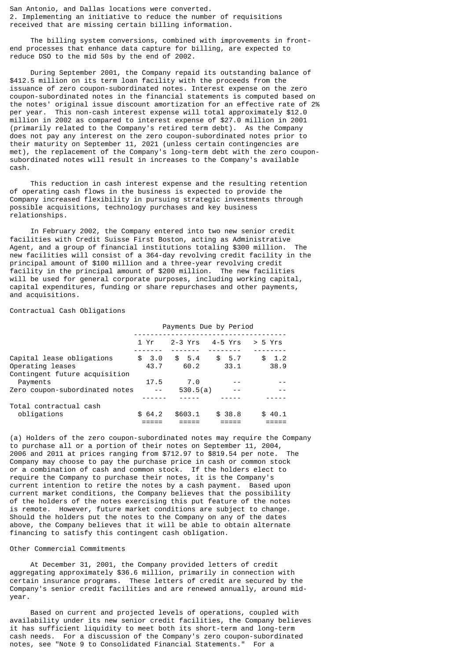San Antonio, and Dallas locations were converted. 2. Implementing an initiative to reduce the number of requisitions received that are missing certain billing information.

 The billing system conversions, combined with improvements in frontend processes that enhance data capture for billing, are expected to reduce DSO to the mid 50s by the end of 2002.

 During September 2001, the Company repaid its outstanding balance of \$412.5 million on its term loan facility with the proceeds from the issuance of zero coupon-subordinated notes. Interest expense on the zero coupon-subordinated notes in the financial statements is computed based on the notes' original issue discount amortization for an effective rate of 2% per year. This non-cash interest expense will total approximately \$12.0 million in 2002 as compared to interest expense of \$27.0 million in 2001 (primarily related to the Company's retired term debt). As the Company does not pay any interest on the zero coupon-subordinated notes prior to their maturity on September 11, 2021 (unless certain contingencies are met), the replacement of the Company's long-term debt with the zero couponsubordinated notes will result in increases to the Company's available cash.

 This reduction in cash interest expense and the resulting retention of operating cash flows in the business is expected to provide the Company increased flexibility in pursuing strategic investments through possible acquisitions, technology purchases and key business relationships.

 In February 2002, the Company entered into two new senior credit facilities with Credit Suisse First Boston, acting as Administrative Agent, and a group of financial institutions totaling \$300 million. The new facilities will consist of a 364-day revolving credit facility in the principal amount of \$100 million and a three-year revolving credit facility in the principal amount of \$200 million. The new facilities will be used for general corporate purposes, including working capital, capital expenditures, funding or share repurchases and other payments, and acquisitions.

## Contractual Cash Obligations

|                                                   | Payments Due by Period |        |  |           |         |    |         |
|---------------------------------------------------|------------------------|--------|--|-----------|---------|----|---------|
|                                                   |                        | 1 Yr   |  | $2-3$ Yrs | 4-5 Yrs |    | > 5 Yrs |
| Capital lease obligations                         |                        | \$3.0  |  | \$5.4     | \$5.7   | \$ | 1.2     |
| Operating leases<br>Contingent future acquisition |                        | 43.7   |  | 60.2      | 33.1    |    | 38.9    |
| Payments                                          |                        | 17.5   |  | 7.0       |         |    |         |
| Zero coupon-subordinated notes                    |                        |        |  | 530.5(a)  |         |    |         |
| Total contractual cash                            |                        |        |  |           |         |    |         |
| obligations                                       |                        | \$64.2 |  | \$603.1   | \$38.8  |    | \$40.1  |

(a) Holders of the zero coupon-subordinated notes may require the Company to purchase all or a portion of their notes on September 11, 2004, 2006 and 2011 at prices ranging from \$712.97 to \$819.54 per note. The Company may choose to pay the purchase price in cash or common stock or a combination of cash and common stock. If the holders elect to require the Company to purchase their notes, it is the Company's current intention to retire the notes by a cash payment. Based upon current market conditions, the Company believes that the possibility of the holders of the notes exercising this put feature of the notes is remote. However, future market conditions are subject to change. Should the holders put the notes to the Company on any of the dates above, the Company believes that it will be able to obtain alternate financing to satisfy this contingent cash obligation.

## Other Commercial Commitments

 At December 31, 2001, the Company provided letters of credit aggregating approximately \$36.6 million, primarily in connection with certain insurance programs. These letters of credit are secured by the Company's senior credit facilities and are renewed annually, around midyear.

 Based on current and projected levels of operations, coupled with availability under its new senior credit facilities, the Company believes it has sufficient liquidity to meet both its short-term and long-term cash needs. For a discussion of the Company's zero coupon-subordinated notes, see "Note 9 to Consolidated Financial Statements." For a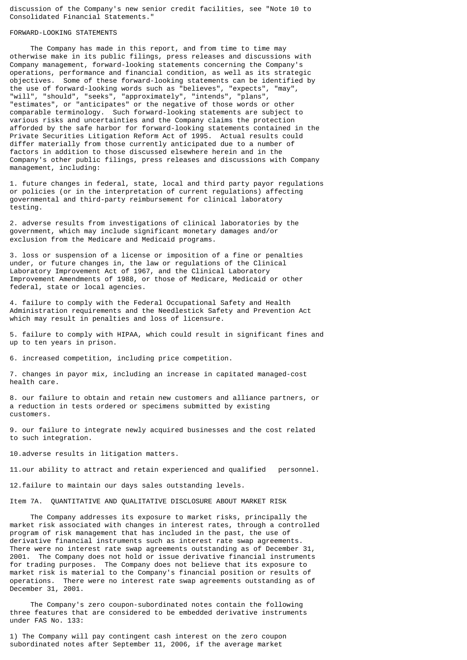discussion of the Company's new senior credit facilities, see "Note 10 to Consolidated Financial Statements."

#### FORWARD-LOOKING STATEMENTS

 The Company has made in this report, and from time to time may otherwise make in its public filings, press releases and discussions with Company management, forward-looking statements concerning the Company's operations, performance and financial condition, as well as its strategic objectives. Some of these forward-looking statements can be identified by the use of forward-looking words such as "believes", "expects", "may", the use of forward-looking words such as "believes", "expects", "may", "will", "should", "seeks", "approximately", "intends", "plans", "estimates", or "anticipates" or the negative of those words or other comparable terminology. Such forward-looking statements are subject to various risks and uncertainties and the Company claims the protection afforded by the safe harbor for forward-looking statements contained in the Private Securities Litigation Reform Act of 1995. Actual results could differ materially from those currently anticipated due to a number of factors in addition to those discussed elsewhere herein and in the Company's other public filings, press releases and discussions with Company management, including:

1. future changes in federal, state, local and third party payor regulations or policies (or in the interpretation of current regulations) affecting governmental and third-party reimbursement for clinical laboratory testing.

2. adverse results from investigations of clinical laboratories by the government, which may include significant monetary damages and/or exclusion from the Medicare and Medicaid programs.

3. loss or suspension of a license or imposition of a fine or penalties under, or future changes in, the law or regulations of the Clinical Laboratory Improvement Act of 1967, and the Clinical Laboratory Improvement Amendments of 1988, or those of Medicare, Medicaid or other federal, state or local agencies.

4. failure to comply with the Federal Occupational Safety and Health Administration requirements and the Needlestick Safety and Prevention Act which may result in penalties and loss of licensure.

5. failure to comply with HIPAA, which could result in significant fines and up to ten years in prison.

6. increased competition, including price competition.

7. changes in payor mix, including an increase in capitated managed-cost health care.

8. our failure to obtain and retain new customers and alliance partners, or a reduction in tests ordered or specimens submitted by existing customers.

9. our failure to integrate newly acquired businesses and the cost related to such integration.

10.adverse results in litigation matters.

11.our ability to attract and retain experienced and qualified personnel.

12.failure to maintain our days sales outstanding levels.

Item 7A. QUANTITATIVE AND QUALITATIVE DISCLOSURE ABOUT MARKET RISK

 The Company addresses its exposure to market risks, principally the market risk associated with changes in interest rates, through a controlled program of risk management that has included in the past, the use of derivative financial instruments such as interest rate swap agreements. There were no interest rate swap agreements outstanding as of December 31, 2001. The Company does not hold or issue derivative financial instruments for trading purposes. The Company does not believe that its exposure to market risk is material to the Company's financial position or results of operations. There were no interest rate swap agreements outstanding as of December 31, 2001.

 The Company's zero coupon-subordinated notes contain the following three features that are considered to be embedded derivative instruments under FAS No. 133:

1) The Company will pay contingent cash interest on the zero coupon subordinated notes after September 11, 2006, if the average market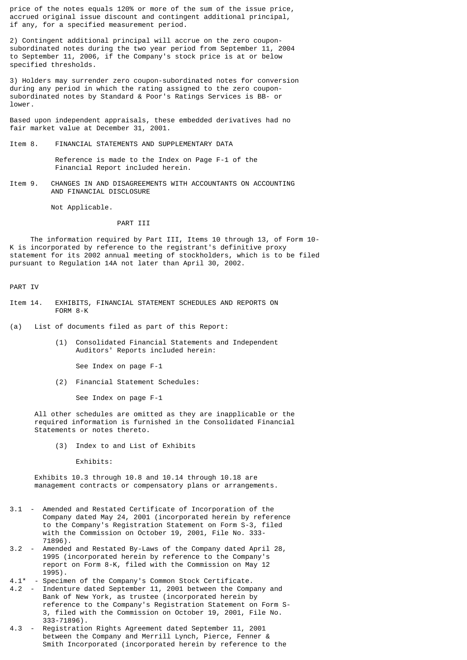price of the notes equals 120% or more of the sum of the issue price, accrued original issue discount and contingent additional principal, if any, for a specified measurement period.

2) Contingent additional principal will accrue on the zero couponsubordinated notes during the two year period from September 11, 2004 to September 11, 2006, if the Company's stock price is at or below specified thresholds.

3) Holders may surrender zero coupon-subordinated notes for conversion during any period in which the rating assigned to the zero couponsubordinated notes by Standard & Poor's Ratings Services is BB- or lower.

Based upon independent appraisals, these embedded derivatives had no fair market value at December 31, 2001.

Item 8. FINANCIAL STATEMENTS AND SUPPLEMENTARY DATA

 Reference is made to the Index on Page F-1 of the Financial Report included herein.

Item 9. CHANGES IN AND DISAGREEMENTS WITH ACCOUNTANTS ON ACCOUNTING AND FINANCIAL DISCLOSURE

Not Applicable.

#### PART III

 The information required by Part III, Items 10 through 13, of Form 10- K is incorporated by reference to the registrant's definitive proxy statement for its 2002 annual meeting of stockholders, which is to be filed pursuant to Regulation 14A not later than April 30, 2002.

# PART IV

- Item 14. EXHIBITS, FINANCIAL STATEMENT SCHEDULES AND REPORTS ON FORM 8-K
- (a) List of documents filed as part of this Report:
	- (1) Consolidated Financial Statements and Independent Auditors' Reports included herein:

See Index on page F-1

(2) Financial Statement Schedules:

See Index on page F-1

 All other schedules are omitted as they are inapplicable or the required information is furnished in the Consolidated Financial Statements or notes thereto.

(3) Index to and List of Exhibits

Exhibits:

 Exhibits 10.3 through 10.8 and 10.14 through 10.18 are management contracts or compensatory plans or arrangements.

- 3.1 Amended and Restated Certificate of Incorporation of the Company dated May 24, 2001 (incorporated herein by reference to the Company's Registration Statement on Form S-3, filed with the Commission on October 19, 2001, File No. 333- 71896).
- 3.2 Amended and Restated By-Laws of the Company dated April 28, 1995 (incorporated herein by reference to the Company's report on Form 8-K, filed with the Commission on May 12  $1995$ ).<br>4.1\* - Specim
- Specimen of the Company's Common Stock Certificate.
- 4.2 Indenture dated September 11, 2001 between the Company and Bank of New York, as trustee (incorporated herein by reference to the Company's Registration Statement on Form S- 3, filed with the Commission on October 19, 2001, File No. 333-71896).
- 4.3 Registration Rights Agreement dated September 11, 2001 between the Company and Merrill Lynch, Pierce, Fenner & Smith Incorporated (incorporated herein by reference to the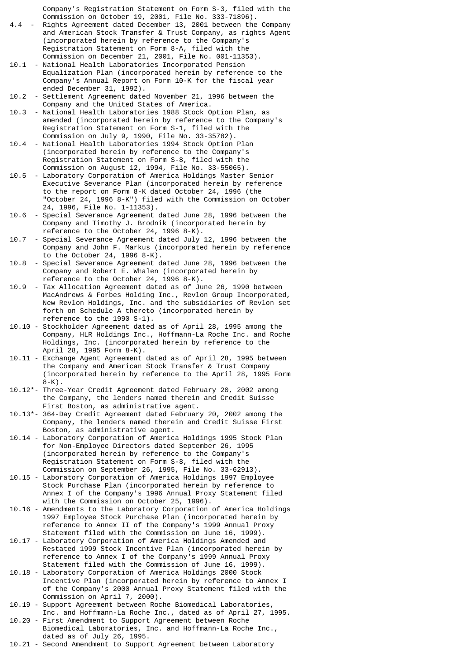Company's Registration Statement on Form S-3, filed with the Commission on October 19, 2001, File No. 333-71896).

- 4.4 Rights Agreement dated December 13, 2001 between the Company and American Stock Transfer & Trust Company, as rights Agent (incorporated herein by reference to the Company's Registration Statement on Form 8-A, filed with the Commission on December 21, 2001, File No. 001-11353).
- 10.1 National Health Laboratories Incorporated Pension Equalization Plan (incorporated herein by reference to the Company's Annual Report on Form 10-K for the fiscal year ended December 31, 1992).
- 10.2 Settlement Agreement dated November 21, 1996 between the Company and the United States of America.
- 10.3 National Health Laboratories 1988 Stock Option Plan, as amended (incorporated herein by reference to the Company's Registration Statement on Form S-1, filed with the Commission on July 9, 1990, File No. 33-35782).
- 10.4 National Health Laboratories 1994 Stock Option Plan (incorporated herein by reference to the Company's Registration Statement on Form S-8, filed with the Commission on August 12, 1994, File No. 33-55065).
- Laboratory Corporation of America Holdings Master Senior Executive Severance Plan (incorporated herein by reference to the report on Form 8-K dated October 24, 1996 (the "October 24, 1996 8-K") filed with the Commission on October 24, 1996, File No. 1-11353).
- 10.6 Special Severance Agreement dated June 28, 1996 between the Company and Timothy J. Brodnik (incorporated herein by reference to the October 24, 1996 8-K).
- 10.7 Special Severance Agreement dated July 12, 1996 between the Company and John F. Markus (incorporated herein by reference to the October 24, 1996 8-K).
- 10.8 Special Severance Agreement dated June 28, 1996 between the Company and Robert E. Whalen (incorporated herein by reference to the October 24, 1996 8-K).
- 10.9 Tax Allocation Agreement dated as of June 26, 1990 between MacAndrews & Forbes Holding Inc., Revlon Group Incorporated, New Revlon Holdings, Inc. and the subsidiaries of Revlon set forth on Schedule A thereto (incorporated herein by reference to the 1990 S-1).
- 10.10 Stockholder Agreement dated as of April 28, 1995 among the Company, HLR Holdings Inc., Hoffmann-La Roche Inc. and Roche Holdings, Inc. (incorporated herein by reference to the April 28, 1995 Form 8-K).
- 10.11 Exchange Agent Agreement dated as of April 28, 1995 between the Company and American Stock Transfer & Trust Company (incorporated herein by reference to the April 28, 1995 Form  $8-K$ ).
- 10.12\*- Three-Year Credit Agreement dated February 20, 2002 among the Company, the lenders named therein and Credit Suisse First Boston, as administrative agent.
- 10.13\*- 364-Day Credit Agreement dated February 20, 2002 among the Company, the lenders named therein and Credit Suisse First Boston, as administrative agent.
- 10.14 Laboratory Corporation of America Holdings 1995 Stock Plan for Non-Employee Directors dated September 26, 1995 (incorporated herein by reference to the Company's Registration Statement on Form S-8, filed with the Commission on September 26, 1995, File No. 33-62913).
- 10.15 Laboratory Corporation of America Holdings 1997 Employee Stock Purchase Plan (incorporated herein by reference to Annex I of the Company's 1996 Annual Proxy Statement filed with the Commission on October 25, 1996).
- 10.16 Amendments to the Laboratory Corporation of America Holdings 1997 Employee Stock Purchase Plan (incorporated herein by reference to Annex II of the Company's 1999 Annual Proxy Statement filed with the Commission on June 16, 1999).
- 10.17 Laboratory Corporation of America Holdings Amended and Restated 1999 Stock Incentive Plan (incorporated herein by reference to Annex I of the Company's 1999 Annual Proxy Statement filed with the Commission of June 16, 1999).
- 10.18 Laboratory Corporation of America Holdings 2000 Stock Incentive Plan (incorporated herein by reference to Annex I of the Company's 2000 Annual Proxy Statement filed with the Commission on April 7, 2000).
- 10.19 Support Agreement between Roche Biomedical Laboratories, Inc. and Hoffmann-La Roche Inc., dated as of April 27, 1995.
- 10.20 First Amendment to Support Agreement between Roche Biomedical Laboratories, Inc. and Hoffmann-La Roche Inc., dated as of July 26, 1995.
- 10.21 Second Amendment to Support Agreement between Laboratory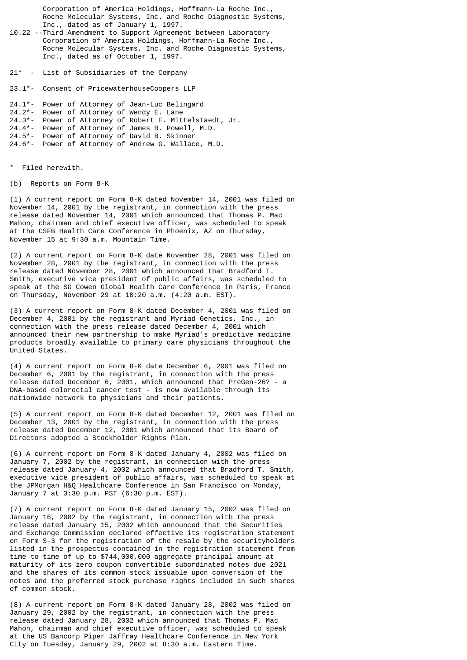Corporation of America Holdings, Hoffmann-La Roche Inc., Roche Molecular Systems, Inc. and Roche Diagnostic Systems, Inc., dated as of January 1, 1997.

10.22 --Third Amendment to Support Agreement between Laboratory Corporation of America Holdings, Hoffmann-La Roche Inc., Roche Molecular Systems, Inc. and Roche Diagnostic Systems, Inc., dated as of October 1, 1997.

21\* - List of Subsidiaries of the Company

23.1\*- Consent of PricewaterhouseCoopers LLP

24.1\*- Power of Attorney of Jean-Luc Belingard 24.2\*- Power of Attorney of Wendy E. Lane 24.3\*- Power of Attorney of Robert E. Mittelstaedt, Jr. 24.4\*- Power of Attorney of James B. Powell, M.D. 24.5\*- Power of Attorney of David B. Skinner 24.6\*- Power of Attorney of Andrew G. Wallace, M.D.

Filed herewith.

(b) Reports on Form 8-K

(1) A current report on Form 8-K dated November 14, 2001 was filed on November 14, 2001 by the registrant, in connection with the press release dated November 14, 2001 which announced that Thomas P. Mac Mahon, chairman and chief executive officer, was scheduled to speak at the CSFB Health Care Conference in Phoenix, AZ on Thursday, November 15 at 9:30 a.m. Mountain Time.

(2) A current report on Form 8-K date November 28, 2001 was filed on November 28, 2001 by the registrant, in connection with the press release dated November 28, 2001 which announced that Bradford T. Smith, executive vice president of public affairs, was scheduled to speak at the SG Cowen Global Health Care Conference in Paris, France on Thursday, November 29 at 10:20 a.m. (4:20 a.m. EST).

(3) A current report on Form 8-K dated December 4, 2001 was filed on December 4, 2001 by the registrant and Myriad Genetics, Inc., in connection with the press release dated December 4, 2001 which announced their new partnership to make Myriad's predictive medicine products broadly available to primary care physicians throughout the United States.

(4) A current report on Form 8-K date December 6, 2001 was filed on December 6, 2001 by the registrant, in connection with the press release dated December 6, 2001, which announced that PreGen-26? - a DNA-based colorectal cancer test - is now available through its nationwide network to physicians and their patients.

(5) A current report on Form 8-K dated December 12, 2001 was filed on December 13, 2001 by the registrant, in connection with the press release dated December 12, 2001 which announced that its Board of Directors adopted a Stockholder Rights Plan.

(6) A current report on Form 8-K dated January 4, 2002 was filed on January 7, 2002 by the registrant, in connection with the press release dated January 4, 2002 which announced that Bradford T. Smith, executive vice president of public affairs, was scheduled to speak at the JPMorgan H&Q Healthcare Conference in San Francisco on Monday, January 7 at 3:30 p.m. PST (6:30 p.m. EST).

(7) A current report on Form 8-K dated January 15, 2002 was filed on January 16, 2002 by the registrant, in connection with the press release dated January 15, 2002 which announced that the Securities and Exchange Commission declared effective its registration statement on Form S-3 for the registration of the resale by the securityholders listed in the prospectus contained in the registration statement from time to time of up to \$744,000,000 aggregate principal amount at maturity of its zero coupon convertible subordinated notes due 2021 and the shares of its common stock issuable upon conversion of the notes and the preferred stock purchase rights included in such shares of common stock.

(8) A current report on Form 8-K dated January 28, 2002 was filed on January 29, 2002 by the registrant, in connection with the press release dated January 28, 2002 which announced that Thomas P. Mac Mahon, chairman and chief executive officer, was scheduled to speak at the US Bancorp Piper Jaffray Healthcare Conference in New York City on Tuesday, January 29, 2002 at 8:30 a.m. Eastern Time.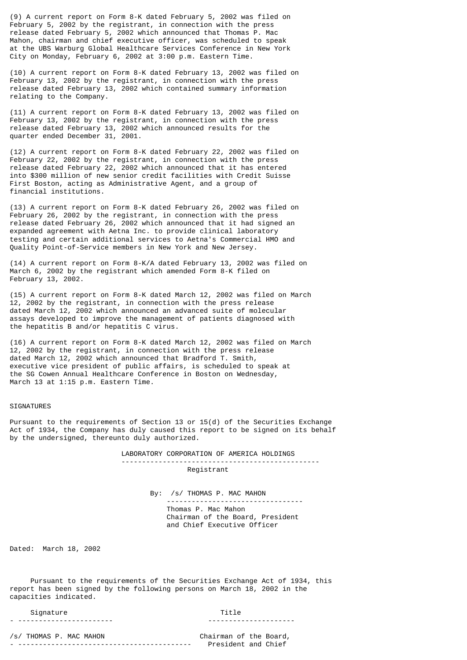(9) A current report on Form 8-K dated February 5, 2002 was filed on February 5, 2002 by the registrant, in connection with the press release dated February 5, 2002 which announced that Thomas P. Mac Mahon, chairman and chief executive officer, was scheduled to speak at the UBS Warburg Global Healthcare Services Conference in New York City on Monday, February 6, 2002 at 3:00 p.m. Eastern Time.

(10) A current report on Form 8-K dated February 13, 2002 was filed on February 13, 2002 by the registrant, in connection with the press release dated February 13, 2002 which contained summary information relating to the Company.

(11) A current report on Form 8-K dated February 13, 2002 was filed on February 13, 2002 by the registrant, in connection with the press release dated February 13, 2002 which announced results for the quarter ended December 31, 2001.

(12) A current report on Form 8-K dated February 22, 2002 was filed on February 22, 2002 by the registrant, in connection with the press release dated February 22, 2002 which announced that it has entered into \$300 million of new senior credit facilities with Credit Suisse First Boston, acting as Administrative Agent, and a group of financial institutions.

(13) A current report on Form 8-K dated February 26, 2002 was filed on February 26, 2002 by the registrant, in connection with the press release dated February 26, 2002 which announced that it had signed an expanded agreement with Aetna Inc. to provide clinical laboratory testing and certain additional services to Aetna's Commercial HMO and Quality Point-of-Service members in New York and New Jersey.

(14) A current report on Form 8-K/A dated February 13, 2002 was filed on March 6, 2002 by the registrant which amended Form 8-K filed on February 13, 2002.

(15) A current report on Form 8-K dated March 12, 2002 was filed on March 12, 2002 by the registrant, in connection with the press release dated March 12, 2002 which announced an advanced suite of molecular assays developed to improve the management of patients diagnosed with the hepatitis B and/or hepatitis C virus.

(16) A current report on Form 8-K dated March 12, 2002 was filed on March 12, 2002 by the registrant, in connection with the press release dated March 12, 2002 which announced that Bradford T. Smith, executive vice president of public affairs, is scheduled to speak at the SG Cowen Annual Healthcare Conference in Boston on Wednesday, March 13 at 1:15 p.m. Eastern Time.

#### SIGNATURES

Pursuant to the requirements of Section 13 or 15(d) of the Securities Exchange Act of 1934, the Company has duly caused this report to be signed on its behalf by the undersigned, thereunto duly authorized.

LABORATORY CORPORATION OF AMERICA HOLDINGS

 ------------------------------------------------ Registrant

> By: /s/ THOMAS P. MAC MAHON --------------------------------- Thomas P. Mac Mahon Chairman of the Board, President and Chief Executive Officer

Dated: March 18, 2002

 Pursuant to the requirements of the Securities Exchange Act of 1934, this report has been signed by the following persons on March 18, 2002 in the capacities indicated.

## Signature Title

- ----------------------- ---------------------

/s/ THOMAS P. MAC MAHON Chairman of the Board, - ------------------------------------------ President and Chief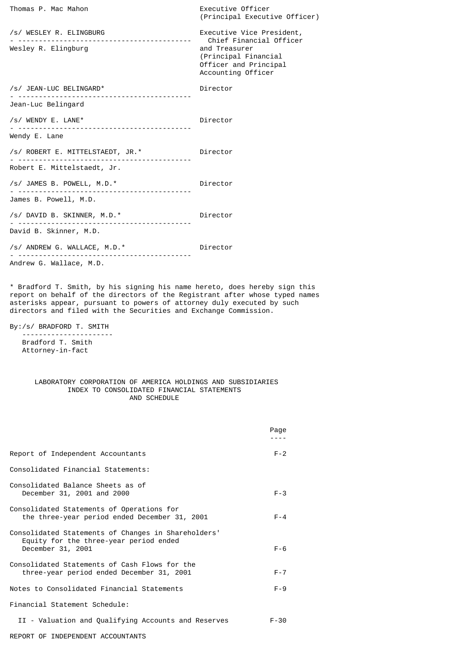| Thomas P. Mac Mahon                                                   | Executive Officer<br>(Principal Executive Officer)                                                                                           |
|-----------------------------------------------------------------------|----------------------------------------------------------------------------------------------------------------------------------------------|
| /s/ WESLEY R. ELINGBURG<br>Wesley R. Elingburg                        | Executive Vice President,<br>Chief Financial Officer<br>and Treasurer<br>(Principal Financial<br>Officer and Principal<br>Accounting Officer |
| /s/ JEAN-LUC BELINGARD*                                               | Director                                                                                                                                     |
| Jean-Luc Belingard                                                    |                                                                                                                                              |
| $/s/$ WENDY E. LANE*                                                  | Director                                                                                                                                     |
| Wendy E. Lane                                                         |                                                                                                                                              |
| /s/ ROBERT E. MITTELSTAEDT, JR.*                                      | Director                                                                                                                                     |
| Robert E. Mittelstaedt, Jr.                                           |                                                                                                                                              |
| /s/ JAMES B. POWELL, M.D.*                                            | Director                                                                                                                                     |
| James B. Powell, M.D.                                                 |                                                                                                                                              |
| /s/ DAVID B. SKINNER, M.D.*<br>.                                      | Director                                                                                                                                     |
| David B. Skinner, M.D.                                                |                                                                                                                                              |
| /s/ ANDREW G. WALLACE, M.D.*<br><u> - - - - - - - - - - - - - - -</u> | Director                                                                                                                                     |
| Andrew G. Wallace, M.D.                                               |                                                                                                                                              |
|                                                                       |                                                                                                                                              |

\* Bradford T. Smith, by his signing his name hereto, does hereby sign this report on behalf of the directors of the Registrant after whose typed names asterisks appear, pursuant to powers of attorney duly executed by such directors and filed with the Securities and Exchange Commission.

By:/s/ BRADFORD T. SMITH

 ---------------------- Bradford T. Smith Attorney-in-fact

# LABORATORY CORPORATION OF AMERICA HOLDINGS AND SUBSIDIARIES INDEX TO CONSOLIDATED FINANCIAL STATEMENTS AND SCHEDULE

|                                                                                                                    | Page     |
|--------------------------------------------------------------------------------------------------------------------|----------|
| Report of Independent Accountants                                                                                  | $F - 2$  |
| Consolidated Financial Statements:                                                                                 |          |
| Consolidated Balance Sheets as of<br>December 31, 2001 and 2000                                                    | $F - 3$  |
| Consolidated Statements of Operations for<br>the three-year period ended December 31, 2001                         | $F - 4$  |
| Consolidated Statements of Changes in Shareholders'<br>Equity for the three-year period ended<br>December 31, 2001 | $F - 6$  |
| Consolidated Statements of Cash Flows for the<br>three-year period ended December 31, 2001                         | $F - 7$  |
| Notes to Consolidated Financial Statements                                                                         | $F - 9$  |
| Financial Statement Schedule:                                                                                      |          |
| II - Valuation and Qualifying Accounts and Reserves                                                                | $F - 30$ |
| REPORT OF INDEPENDENT ACCOUNTANTS                                                                                  |          |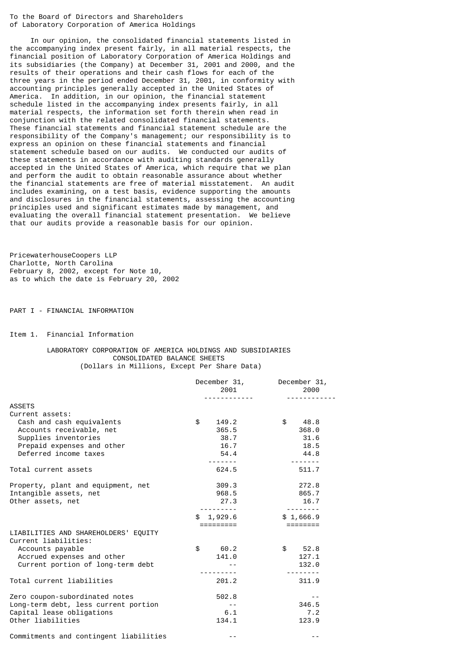To the Board of Directors and Shareholders of Laboratory Corporation of America Holdings

 In our opinion, the consolidated financial statements listed in the accompanying index present fairly, in all material respects, the financial position of Laboratory Corporation of America Holdings and its subsidiaries (the Company) at December 31, 2001 and 2000, and the results of their operations and their cash flows for each of the three years in the period ended December 31, 2001, in conformity with accounting principles generally accepted in the United States of America. In addition, in our opinion, the financial statement schedule listed in the accompanying index presents fairly, in all material respects, the information set forth therein when read in conjunction with the related consolidated financial statements. These financial statements and financial statement schedule are the responsibility of the Company's management; our responsibility is to express an opinion on these financial statements and financial statement schedule based on our audits. We conducted our audits of these statements in accordance with auditing standards generally accepted in the United States of America, which require that we plan and perform the audit to obtain reasonable assurance about whether the financial statements are free of material misstatement. An audit includes examining, on a test basis, evidence supporting the amounts and disclosures in the financial statements, assessing the accounting principles used and significant estimates made by management, and evaluating the overall financial statement presentation. We believe that our audits provide a reasonable basis for our opinion.

PricewaterhouseCoopers LLP Charlotte, North Carolina February 8, 2002, except for Note 10, as to which the date is February 20, 2002

PART I - FINANCIAL INFORMATION

Item 1. Financial Information

# LABORATORY CORPORATION OF AMERICA HOLDINGS AND SUBSIDIARIES CONSOLIDATED BALANCE SHEETS (Dollars in Millions, Except Per Share Data)

|                                        | December 31,<br>2001<br>. | December 31,<br>2000 |
|----------------------------------------|---------------------------|----------------------|
| <b>ASSETS</b>                          |                           |                      |
| Current assets:                        |                           |                      |
| Cash and cash equivalents              | \$<br>149.2               | \$<br>48.8           |
| Accounts receivable, net               | 365.5                     | 368.0                |
| Supplies inventories                   | 38.7                      | 31.6                 |
| Prepaid expenses and other             | 16.7                      | 18.5                 |
| Deferred income taxes                  | 54.4                      | 44.8                 |
|                                        |                           | $- - - - - - - -$    |
| Total current assets                   | 624.5                     | 511.7                |
| Property, plant and equipment, net     | 309.3                     | 272.8                |
| Intangible assets, net                 | 968.5                     | 865.7                |
| Other assets, net                      | 27.3                      | 16.7                 |
|                                        | \$1,929.6                 | \$1,666.9            |
|                                        | =========                 |                      |
| LIABILITIES AND SHAREHOLDERS' EQUITY   |                           |                      |
| Current liabilities:                   |                           |                      |
| Accounts payable                       | \$<br>60.2                | \$52.8               |
| Accrued expenses and other             | 141.0                     | 127.1                |
| Current portion of long-term debt      |                           | 132.0                |
|                                        | ----------                |                      |
| Total current liabilities              | 201.2                     | 311.9                |
| Zero coupon-subordinated notes         | 502.8                     | $- -$                |
| Long-term debt, less current portion   | $- -$                     | 346.5                |
| Capital lease obligations              | 6.1                       | 7.2                  |
| Other liabilities                      | 134.1                     | 123.9                |
| Commitments and contingent liabilities |                           |                      |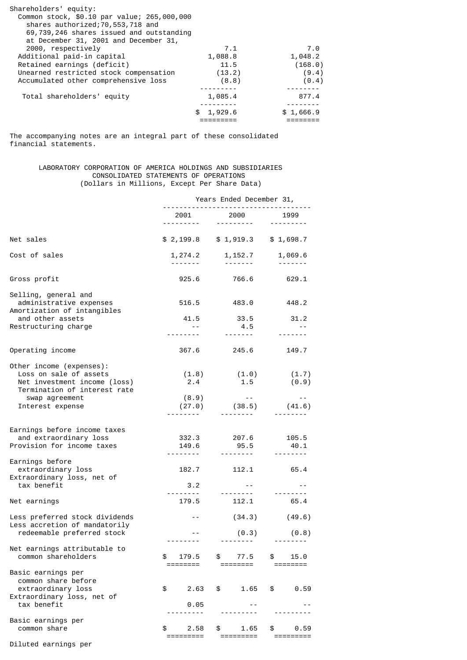| Shareholders' equity:                       |           |           |
|---------------------------------------------|-----------|-----------|
| Common stock, \$0.10 par value; 265,000,000 |           |           |
| shares authorized; 70, 553, 718 and         |           |           |
| 69,739,246 shares issued and outstanding    |           |           |
| at December 31, 2001 and December 31,       |           |           |
| 2000, respectively                          | 7.1       | 7.0       |
| Additional paid-in capital                  | 1,088.8   | 1,048.2   |
| Retained earnings (deficit)                 | 11.5      | (168.0)   |
| Unearned restricted stock compensation      | (13.2)    | (9.4)     |
| Accumulated other comprehensive loss        | (8.8)     | (0.4)     |
|                                             |           |           |
| Total shareholders' equity                  | 1,085.4   | 877.4     |
|                                             |           |           |
|                                             | \$1,929.6 | \$1,666.9 |
|                                             |           |           |

The accompanying notes are an integral part of these consolidated financial statements.

# LABORATORY CORPORATION OF AMERICA HOLDINGS AND SUBSIDIARIES CONSOLIDATED STATEMENTS OF OPERATIONS (Dollars in Millions, Except Per Share Data)

|                                                                                                                    | Years Ended December 31,           |                                                                                                                                                                                                                                                                                                                                                                                                                                                                                                               |                                      |  |  |  |
|--------------------------------------------------------------------------------------------------------------------|------------------------------------|---------------------------------------------------------------------------------------------------------------------------------------------------------------------------------------------------------------------------------------------------------------------------------------------------------------------------------------------------------------------------------------------------------------------------------------------------------------------------------------------------------------|--------------------------------------|--|--|--|
|                                                                                                                    | 2001                               | 2000<br><u> - - - - - - - - -</u>                                                                                                                                                                                                                                                                                                                                                                                                                                                                             | 1999                                 |  |  |  |
| Net sales                                                                                                          |                                    | $$2,199.8$ $$1,919.3$ $$1,698.7$                                                                                                                                                                                                                                                                                                                                                                                                                                                                              |                                      |  |  |  |
| Cost of sales                                                                                                      |                                    | $1,274.2$ $1,152.7$<br>$\begin{array}{cccccccccccccc} \multicolumn{2}{c}{} & \multicolumn{2}{c}{} & \multicolumn{2}{c}{} & \multicolumn{2}{c}{} & \multicolumn{2}{c}{} & \multicolumn{2}{c}{} & \multicolumn{2}{c}{} & \multicolumn{2}{c}{} & \multicolumn{2}{c}{} & \multicolumn{2}{c}{} & \multicolumn{2}{c}{} & \multicolumn{2}{c}{} & \multicolumn{2}{c}{} & \multicolumn{2}{c}{} & \multicolumn{2}{c}{} & \multicolumn{2}{c}{} & \multicolumn{2}{c}{} & \multicolumn{2}{c}{} & \multicolumn{2}{c}{} & \$ | 1,069.6                              |  |  |  |
| Gross profit                                                                                                       | 925.6                              | 766.6                                                                                                                                                                                                                                                                                                                                                                                                                                                                                                         | 629.1                                |  |  |  |
| Selling, general and<br>administrative expenses                                                                    | 516.5                              | 483.0                                                                                                                                                                                                                                                                                                                                                                                                                                                                                                         | 448.2                                |  |  |  |
| Amortization of intangibles<br>and other assets<br>Restructuring charge                                            | 41.5<br>$\sim$ $-$                 | 33.5<br>4.5                                                                                                                                                                                                                                                                                                                                                                                                                                                                                                   | 31.2<br>$\sim$ $-$                   |  |  |  |
|                                                                                                                    |                                    | $\begin{array}{cccccccccc} \multicolumn{2}{c}{} & \multicolumn{2}{c}{} & \multicolumn{2}{c}{} & \multicolumn{2}{c}{} & \multicolumn{2}{c}{} & \multicolumn{2}{c}{} & \multicolumn{2}{c}{} & \multicolumn{2}{c}{} & \multicolumn{2}{c}{} & \multicolumn{2}{c}{} & \multicolumn{2}{c}{} & \multicolumn{2}{c}{} & \multicolumn{2}{c}{} & \multicolumn{2}{c}{} & \multicolumn{2}{c}{} & \multicolumn{2}{c}{} & \multicolumn{2}{c}{} & \multicolumn{2}{c}{} & \multicolumn{2}{c}{} & \mult$                        |                                      |  |  |  |
| Operating income                                                                                                   |                                    | 367.6 245.6                                                                                                                                                                                                                                                                                                                                                                                                                                                                                                   | 149.7                                |  |  |  |
| Other income (expenses):<br>Loss on sale of assets<br>Net investment income (loss)<br>Termination of interest rate | 2.4                                | $(1.8)$ $(1.0)$<br>1.5                                                                                                                                                                                                                                                                                                                                                                                                                                                                                        | (1.7)<br>(0.9)                       |  |  |  |
| swap agreement<br>Interest expense                                                                                 | (8.9)                              | $\sim 100$ km s $^{-1}$<br>$(27.0)$ $(38.5)$ $(41.6)$<br><u> 22222220</u>                                                                                                                                                                                                                                                                                                                                                                                                                                     | $- - -$                              |  |  |  |
| Earnings before income taxes<br>and extraordinary loss<br>Provision for income taxes                               | 149.6                              | 332.3 207.6 105.5<br>95.5                                                                                                                                                                                                                                                                                                                                                                                                                                                                                     | 40.1                                 |  |  |  |
| Earnings before<br>extraordinary loss<br>Extraordinary loss, net of<br>tax benefit                                 | ---------<br>3.2                   | ---------<br>182.7 112.1<br>$\sim$ $-$                                                                                                                                                                                                                                                                                                                                                                                                                                                                        | 65.4                                 |  |  |  |
|                                                                                                                    | 179.5                              | <u> - - - - - - - - -</u><br>112.1                                                                                                                                                                                                                                                                                                                                                                                                                                                                            | $- - - - - -$<br>65.4                |  |  |  |
| Net earnings                                                                                                       |                                    |                                                                                                                                                                                                                                                                                                                                                                                                                                                                                                               |                                      |  |  |  |
| Less preferred stock dividends<br>Less accretion of mandatorily<br>redeemable preferred stock                      | $\sim$ $-$                         |                                                                                                                                                                                                                                                                                                                                                                                                                                                                                                               | $(34.3)$ $(49.6)$<br>$(0.3)$ $(0.8)$ |  |  |  |
|                                                                                                                    | ---------                          |                                                                                                                                                                                                                                                                                                                                                                                                                                                                                                               | .                                    |  |  |  |
| Net earnings attributable to<br>common shareholders                                                                | \$<br>179.5<br>$=$ $=$ $=$ $=$ $=$ | 77.5<br>\$                                                                                                                                                                                                                                                                                                                                                                                                                                                                                                    | 15.0<br>£.                           |  |  |  |
| Basic earnings per<br>common share before<br>extraordinary loss<br>Extraordinary loss, net of                      | \$<br>2.63                         | \$<br>1.65                                                                                                                                                                                                                                                                                                                                                                                                                                                                                                    | \$<br>0.59                           |  |  |  |
| tax benefit                                                                                                        | 0.05                               |                                                                                                                                                                                                                                                                                                                                                                                                                                                                                                               |                                      |  |  |  |
| Basic earnings per<br>common share                                                                                 | \$<br>2.58<br>:=======             | \$<br>1.65<br>========                                                                                                                                                                                                                                                                                                                                                                                                                                                                                        | \$<br>0.59<br>=======                |  |  |  |
|                                                                                                                    |                                    |                                                                                                                                                                                                                                                                                                                                                                                                                                                                                                               |                                      |  |  |  |

Diluted earnings per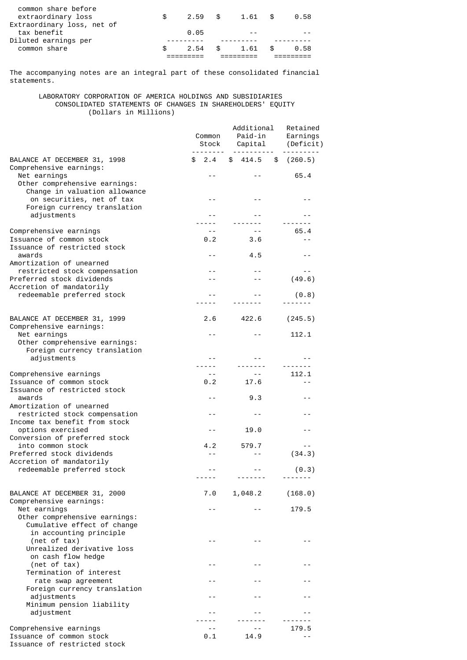| common share               | \$. | 2.54      | - \$ | 1.61 | £. | 0.58 |
|----------------------------|-----|-----------|------|------|----|------|
| Diluted earnings per       |     |           |      |      |    |      |
| tax benefit                |     | 0.05      |      | $ -$ |    |      |
| Extraordinary loss, net of |     |           |      |      |    |      |
| extraordinary loss         | æ.  | $2.59$ \$ |      | 1.61 | \$ | 0.58 |
| common share before        |     |           |      |      |    |      |

The accompanying notes are an integral part of these consolidated financial statements.

 LABORATORY CORPORATION OF AMERICA HOLDINGS AND SUBSIDIARIES CONSOLIDATED STATEMENTS OF CHANGES IN SHAREHOLDERS' EQUITY (Dollars in Millions)

|                                                                                                         | Common<br>Stock   | Additional<br>Paid-in<br>Capital |                | Retained<br>Earnings<br>(Deficit) |  |
|---------------------------------------------------------------------------------------------------------|-------------------|----------------------------------|----------------|-----------------------------------|--|
| BALANCE AT DECEMBER 31, 1998<br>Comprehensive earnings:                                                 | --------<br>\$2.4 | ----------<br>\$414.5            | \$             | ---------<br>(260.5)              |  |
| Net earnings<br>Other comprehensive earnings:<br>Change in valuation allowance                          |                   |                                  |                | 65.4                              |  |
| on securities, net of tax<br>Foreign currency translation                                               | $ -$              | $-$                              |                | - -                               |  |
| adjustments                                                                                             | $ -$              |                                  |                |                                   |  |
| Comprehensive earnings<br>Issuance of common stock<br>Issuance of restricted stock                      | $- -$<br>0.2      | 3.6                              | $- -$          | 65.4<br>$ -$                      |  |
| awards<br>Amortization of unearned                                                                      | $ -$              | 4.5                              |                | $ -$                              |  |
| restricted stock compensation<br>Preferred stock dividends<br>Accretion of mandatorily                  | $ -$              |                                  | $- -$<br>$- -$ | (49.6)                            |  |
| redeemable preferred stock                                                                              |                   |                                  |                | (0.8)                             |  |
| BALANCE AT DECEMBER 31, 1999<br>Comprehensive earnings:                                                 | 2.6               | 422.6                            |                | (245.5)                           |  |
| Net earnings<br>Other comprehensive earnings:<br>Foreign currency translation                           | $ -$              |                                  | $- -$          | 112.1                             |  |
| adjustments                                                                                             | $ -$              |                                  |                |                                   |  |
| Comprehensive earnings                                                                                  | $- -$             |                                  | $\sim$ $\sim$  | 112.1                             |  |
| Issuance of common stock                                                                                | 0.2               | 17.6                             |                | $ -$                              |  |
| Issuance of restricted stock<br>awards<br>Amortization of unearned                                      | $-$               | 9.3                              |                | $ -$                              |  |
| restricted stock compensation<br>Income tax benefit from stock                                          | - -               |                                  | $- -$          | - -                               |  |
| options exercised<br>Conversion of preferred stock                                                      | $ -$              | 19.0                             |                | $ -$                              |  |
| into common stock<br>Preferred stock dividends<br>Accretion of mandatorily                              | 4.2<br>$ -$       | 579.7                            | $ -$           | (34.3)                            |  |
| redeemable preferred stock                                                                              | -----             | -------                          | - -            | (0.3)                             |  |
| BALANCE AT DECEMBER 31, 2000<br>Comprehensive earnings:                                                 | 7.0               | 1,048.2                          |                | (168.0)                           |  |
| Net earnings<br>Other comprehensive earnings:<br>Cumulative effect of change<br>in accounting principle |                   |                                  | $- -$          | 179.5                             |  |
| (net of tax)<br>Unrealized derivative loss<br>on cash flow hedge                                        | $ -$              |                                  | $- -$          |                                   |  |
| (net of tax)<br>Termination of interest                                                                 | $ -$              |                                  | $- -$          |                                   |  |
| rate swap agreement<br>Foreign currency translation<br>adjustments                                      | - -<br>- -        |                                  | $ -$           |                                   |  |
| Minimum pension liability<br>adjustment                                                                 |                   |                                  |                |                                   |  |
|                                                                                                         |                   |                                  |                |                                   |  |
| Comprehensive earnings<br>Issuance of common stock<br>Issuance of restricted stock                      | 0.1               | 14.9                             |                | 179.5<br>$ -$                     |  |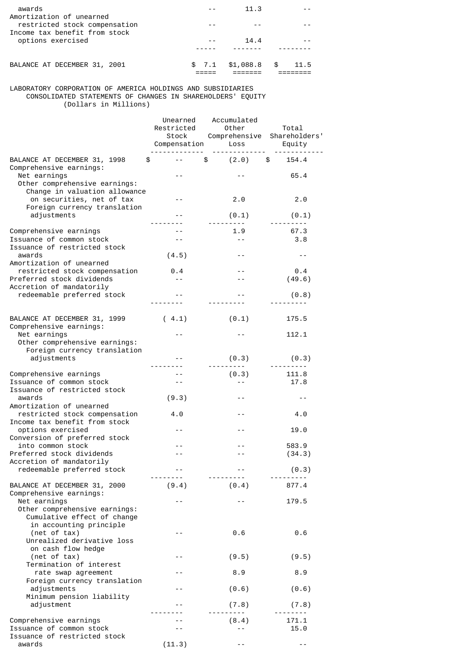| awards                                                                                     |       | 11.3      |      |      |
|--------------------------------------------------------------------------------------------|-------|-----------|------|------|
| Amortization of unearned<br>restricted stock compensation<br>Income tax benefit from stock |       |           |      |      |
| options exercised                                                                          |       | 14.4      |      |      |
|                                                                                            |       |           |      |      |
| BALANCE AT DECEMBER 31, 2001                                                               | \$7.1 | \$1,088.8 | - \$ | 11.5 |

LABORATORY CORPORATION OF AMERICA HOLDINGS AND SUBSIDIARIES CONSOLIDATED STATEMENTS OF CHANGES IN SHAREHOLDERS' EQUITY (Dollars in Millions)

|                                                                                                         | Unearned<br>Restricted<br>Stock<br>Compensation<br>. <u>.</u> | Accumulated<br>Other<br>Loss<br><u>.</u> . | Total<br>Comprehensive Shareholders'<br>Equity |
|---------------------------------------------------------------------------------------------------------|---------------------------------------------------------------|--------------------------------------------|------------------------------------------------|
| BALANCE AT DECEMBER 31, 1998<br>Comprehensive earnings:                                                 | \$                                                            | $\frac{1}{2}$ (2.0) \$                     | 154.4                                          |
| Net earnings<br>Other comprehensive earnings:<br>Change in valuation allowance                          | $- -$                                                         |                                            | 65.4                                           |
| on securities, net of tax<br>Foreign currency translation                                               | $ -$                                                          | 2.0                                        | 2.0                                            |
| adjustments                                                                                             | $- -$<br>--------                                             | (0.1)<br><u> - - - - - - - - - -</u>       | (0.1)                                          |
| Comprehensive earnings<br>Issuance of common stock                                                      | $- -$<br>$- -$                                                | 1.9<br>$- -$                               | 67.3<br>3.8                                    |
| Issuance of restricted stock<br>awards                                                                  | (4.5)                                                         | $- -$                                      | $- -$                                          |
| Amortization of unearned<br>restricted stock compensation                                               | $\odot$ . 4                                                   | $\sim$ $-$                                 | $\theta$ .4                                    |
| Preferred stock dividends<br>Accretion of mandatorily<br>redeemable preferred stock                     | $- -$<br>$- -$                                                | $ -$                                       | (49.6)<br>(0.8)                                |
|                                                                                                         | <u>.</u> .                                                    | <u> - - - - - - - - - -</u>                |                                                |
| BALANCE AT DECEMBER 31, 1999<br>Comprehensive earnings:                                                 | (4.1)                                                         | (0.1)                                      | 175.5                                          |
| Net earnings<br>Other comprehensive earnings:<br>Foreign currency translation                           |                                                               |                                            | 112.1                                          |
| adjustments                                                                                             | $ -$<br><u> - - - - - - - -</u>                               | (0.3)                                      | (0.3)                                          |
| Comprehensive earnings<br>Issuance of common stock<br>Issuance of restricted stock                      | $- -$<br>$- -$                                                | (0.3)<br>$- -$                             | 111.8<br>17.8                                  |
| awards<br>Amortization of unearned                                                                      | (9.3)                                                         | $- -$                                      | $ -$                                           |
| restricted stock compensation<br>Income tax benefit from stock                                          | 4.0                                                           | $\sim$ $-$                                 | 4.0                                            |
| options exercised<br>Conversion of preferred stock                                                      | - -                                                           |                                            | 19.0                                           |
| into common stock<br>Preferred stock dividends<br>Accretion of mandatorily                              | $ -$                                                          | $ -$                                       | 583.9<br>(34.3)                                |
| redeemable preferred stock                                                                              | ---------                                                     | ---------                                  | (0.3)                                          |
| BALANCE AT DECEMBER 31, 2000<br>Comprehensive earnings:                                                 | (9.4)                                                         | (0.4)                                      | 877.4                                          |
| Net earnings<br>Other comprehensive earnings:<br>Cumulative effect of change<br>in accounting principle | - -                                                           | $- -$                                      | 179.5                                          |
| (net of tax)<br>Unrealized derivative loss<br>on cash flow hedge                                        |                                                               | 0.6                                        | 0.6                                            |
| (net of tax)<br>Termination of interest                                                                 | - -                                                           | (9.5)                                      | (9.5)                                          |
| rate swap agreement<br>Foreign currency translation                                                     | - -                                                           | 8.9                                        | 8.9                                            |
| adjustments<br>Minimum pension liability                                                                | - -                                                           | (0.6)                                      | (0.6)                                          |
| adjustment                                                                                              |                                                               | (7.8)<br><u>.</u> .                        | (7.8)                                          |
| Comprehensive earnings<br>Issuance of common stock<br>Issuance of restricted stock                      |                                                               | (8.4)<br>$\sim$ $-$                        | 171.1<br>15.0                                  |
| awards                                                                                                  | (11.3)                                                        | $- -$                                      | $ -$                                           |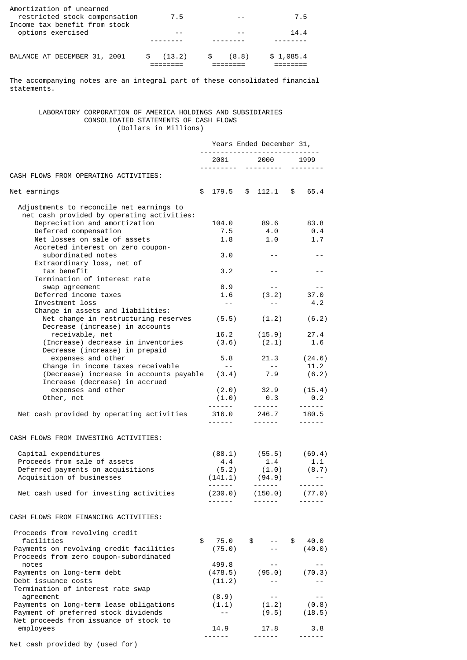| Amortization of unearned<br>restricted stock compensation |    | 7.5    |      |       | 7.5       |
|-----------------------------------------------------------|----|--------|------|-------|-----------|
| Income tax benefit from stock                             |    |        |      | $ -$  |           |
| options exercised                                         |    |        |      |       | 14.4      |
|                                                           |    |        |      |       |           |
| BALANCE AT DECEMBER 31, 2001                              | S. | (13.2) | - \$ | (8.8) | \$1,085.4 |

The accompanying notes are an integral part of these consolidated financial statements.

# LABORATORY CORPORATION OF AMERICA HOLDINGS AND SUBSIDIARIES CONSOLIDATED STATEMENTS OF CASH FLOWS (Dollars in Millions)

|                                                                                        | Years Ended December 31,<br>--------------------------- |                         |  |                                          |    |                                                                                                                                                                                                                                                                                                                                                                                                                                                                            |
|----------------------------------------------------------------------------------------|---------------------------------------------------------|-------------------------|--|------------------------------------------|----|----------------------------------------------------------------------------------------------------------------------------------------------------------------------------------------------------------------------------------------------------------------------------------------------------------------------------------------------------------------------------------------------------------------------------------------------------------------------------|
|                                                                                        |                                                         |                         |  | 2001 2000 1999                           |    |                                                                                                                                                                                                                                                                                                                                                                                                                                                                            |
| CASH FLOWS FROM OPERATING ACTIVITIES:                                                  |                                                         |                         |  |                                          |    |                                                                                                                                                                                                                                                                                                                                                                                                                                                                            |
| Net earnings                                                                           | \$                                                      |                         |  | $179.5$ \$ $112.1$ \$                    |    | 65.4                                                                                                                                                                                                                                                                                                                                                                                                                                                                       |
| Adjustments to reconcile net earnings to<br>net cash provided by operating activities: |                                                         |                         |  |                                          |    |                                                                                                                                                                                                                                                                                                                                                                                                                                                                            |
| Depreciation and amortization                                                          |                                                         | 104.0                   |  | 89.6                                     |    | 83.8                                                                                                                                                                                                                                                                                                                                                                                                                                                                       |
| Deferred compensation                                                                  |                                                         | 7.5                     |  | 4.0                                      |    | 0.4                                                                                                                                                                                                                                                                                                                                                                                                                                                                        |
| Net losses on sale of assets                                                           |                                                         | 1.8                     |  | 1.0                                      |    | 1.7                                                                                                                                                                                                                                                                                                                                                                                                                                                                        |
| Accreted interest on zero coupon-                                                      |                                                         |                         |  |                                          |    |                                                                                                                                                                                                                                                                                                                                                                                                                                                                            |
| subordinated notes                                                                     |                                                         | 3.0                     |  | $- -$                                    |    |                                                                                                                                                                                                                                                                                                                                                                                                                                                                            |
| Extraordinary loss, net of<br>tax benefit                                              |                                                         | 3.2                     |  | $- -$                                    |    | $- -$                                                                                                                                                                                                                                                                                                                                                                                                                                                                      |
| Termination of interest rate                                                           |                                                         |                         |  |                                          |    |                                                                                                                                                                                                                                                                                                                                                                                                                                                                            |
| swap agreement                                                                         |                                                         | 8.9                     |  | $- -$                                    |    | $\sim$ $-$                                                                                                                                                                                                                                                                                                                                                                                                                                                                 |
| Deferred income taxes                                                                  |                                                         | 1.6                     |  | (3.2)                                    |    | 37.0                                                                                                                                                                                                                                                                                                                                                                                                                                                                       |
| Investment loss                                                                        |                                                         | $\sim$ $\sim$           |  | $- -$                                    |    | 4.2                                                                                                                                                                                                                                                                                                                                                                                                                                                                        |
| Change in assets and liabilities:                                                      |                                                         |                         |  |                                          |    |                                                                                                                                                                                                                                                                                                                                                                                                                                                                            |
| Net change in restructuring reserves                                                   |                                                         |                         |  | $(5.5)$ $(1.2)$                          |    | (6.2)                                                                                                                                                                                                                                                                                                                                                                                                                                                                      |
| Decrease (increase) in accounts<br>receivable, net                                     |                                                         |                         |  | $16.2$ $(15.9)$                          |    | 27.4                                                                                                                                                                                                                                                                                                                                                                                                                                                                       |
| (Increase) decrease in inventories                                                     |                                                         |                         |  | $(3.6)$ $(2.1)$                          |    | 1.6                                                                                                                                                                                                                                                                                                                                                                                                                                                                        |
| Decrease (increase) in prepaid                                                         |                                                         |                         |  |                                          |    |                                                                                                                                                                                                                                                                                                                                                                                                                                                                            |
| expenses and other                                                                     |                                                         | 5.8                     |  | 21.3 (24.6)                              |    |                                                                                                                                                                                                                                                                                                                                                                                                                                                                            |
| Change in income taxes receivable                                                      |                                                         | $\sim$ $ \sim$          |  | $\sim$ $-$                               |    | 11.2                                                                                                                                                                                                                                                                                                                                                                                                                                                                       |
| (Decrease) increase in accounts payable                                                |                                                         |                         |  | $(3.4)$ 7.9                              |    | (6.2)                                                                                                                                                                                                                                                                                                                                                                                                                                                                      |
| Increase (decrease) in accrued<br>expenses and other                                   |                                                         |                         |  | $(2.0)$ 32.9 $(15.4)$                    |    |                                                                                                                                                                                                                                                                                                                                                                                                                                                                            |
| Other, net                                                                             |                                                         | (1.0)                   |  | 0.3                                      |    | $\theta$ .2                                                                                                                                                                                                                                                                                                                                                                                                                                                                |
|                                                                                        |                                                         |                         |  |                                          |    | $\frac{1}{2} \left( \frac{1}{2} \right) \left( \frac{1}{2} \right) \left( \frac{1}{2} \right) \left( \frac{1}{2} \right) \left( \frac{1}{2} \right) \left( \frac{1}{2} \right) \left( \frac{1}{2} \right) \left( \frac{1}{2} \right) \left( \frac{1}{2} \right) \left( \frac{1}{2} \right) \left( \frac{1}{2} \right) \left( \frac{1}{2} \right) \left( \frac{1}{2} \right) \left( \frac{1}{2} \right) \left( \frac{1}{2} \right) \left( \frac{1}{2} \right) \left( \frac$ |
| Net cash provided by operating activities                                              |                                                         | 316.0                   |  | 246.7                                    |    | 180.5                                                                                                                                                                                                                                                                                                                                                                                                                                                                      |
|                                                                                        |                                                         |                         |  |                                          |    | $- - - - - -$                                                                                                                                                                                                                                                                                                                                                                                                                                                              |
| CASH FLOWS FROM INVESTING ACTIVITIES:                                                  |                                                         |                         |  |                                          |    |                                                                                                                                                                                                                                                                                                                                                                                                                                                                            |
| Capital expenditures                                                                   |                                                         |                         |  |                                          |    |                                                                                                                                                                                                                                                                                                                                                                                                                                                                            |
| Proceeds from sale of assets                                                           |                                                         | 4.4                     |  | $(88.1)$ $(55.5)$ $(69.4)$<br>1.4        |    | 1.1                                                                                                                                                                                                                                                                                                                                                                                                                                                                        |
| Deferred payments on acquisitions                                                      |                                                         | $(5.2)$ $(1.0)$ $(8.7)$ |  |                                          |    |                                                                                                                                                                                                                                                                                                                                                                                                                                                                            |
| Acquisition of businesses                                                              |                                                         | $(141.1)$ $(94.9)$      |  |                                          |    |                                                                                                                                                                                                                                                                                                                                                                                                                                                                            |
|                                                                                        |                                                         |                         |  | <b><i><u><u> - - - - - 1</u></u></i></b> |    | $- - - - - -$                                                                                                                                                                                                                                                                                                                                                                                                                                                              |
| Net cash used for investing activities                                                 |                                                         | (230.0)                 |  | (150.0)                                  |    | (77.0)                                                                                                                                                                                                                                                                                                                                                                                                                                                                     |
|                                                                                        |                                                         |                         |  |                                          |    |                                                                                                                                                                                                                                                                                                                                                                                                                                                                            |
| CASH FLOWS FROM FINANCING ACTIVITIES:                                                  |                                                         |                         |  |                                          |    |                                                                                                                                                                                                                                                                                                                                                                                                                                                                            |
| Proceeds from revolving credit                                                         |                                                         |                         |  |                                          |    |                                                                                                                                                                                                                                                                                                                                                                                                                                                                            |
| facilities                                                                             | \$                                                      | 75.0                    |  | \$                                       | \$ | 40.0                                                                                                                                                                                                                                                                                                                                                                                                                                                                       |
| Payments on revolving credit facilities                                                |                                                         | (75.0)                  |  |                                          |    | (40.0)                                                                                                                                                                                                                                                                                                                                                                                                                                                                     |
| Proceeds from zero coupon-subordinated                                                 |                                                         |                         |  |                                          |    |                                                                                                                                                                                                                                                                                                                                                                                                                                                                            |
| notes<br>Payments on long-term debt                                                    |                                                         | 499.8<br>(478.5)        |  | (95.0)                                   |    | $- -$<br>(70.3)                                                                                                                                                                                                                                                                                                                                                                                                                                                            |
| Debt issuance costs                                                                    |                                                         | (11.2)                  |  | $- -$                                    |    |                                                                                                                                                                                                                                                                                                                                                                                                                                                                            |
| Termination of interest rate swap                                                      |                                                         |                         |  |                                          |    |                                                                                                                                                                                                                                                                                                                                                                                                                                                                            |
| agreement                                                                              |                                                         | (8.9)                   |  | $- -$                                    |    | $ -$                                                                                                                                                                                                                                                                                                                                                                                                                                                                       |
| Payments on long-term lease obligations                                                |                                                         | (1.1)                   |  | (1.2)                                    |    | (0.8)                                                                                                                                                                                                                                                                                                                                                                                                                                                                      |
| Payment of preferred stock dividends                                                   |                                                         | $- -$                   |  | (9.5)                                    |    | (18.5)                                                                                                                                                                                                                                                                                                                                                                                                                                                                     |
| Net proceeds from issuance of stock to                                                 |                                                         |                         |  |                                          |    |                                                                                                                                                                                                                                                                                                                                                                                                                                                                            |
| employees                                                                              |                                                         | 14.9<br>.               |  | 17.8<br>------                           |    | 3.8<br>.                                                                                                                                                                                                                                                                                                                                                                                                                                                                   |
|                                                                                        |                                                         |                         |  |                                          |    |                                                                                                                                                                                                                                                                                                                                                                                                                                                                            |

Net cash provided by (used for)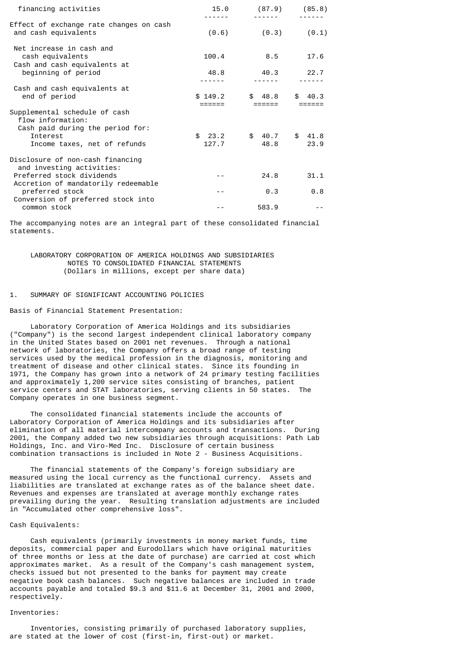| financing activities                                                         | - - - - -       | $15.0$ (87.9) (85.8) |                |
|------------------------------------------------------------------------------|-----------------|----------------------|----------------|
| Effect of exchange rate changes on cash<br>and cash equivalents              | (0.6)           | (0.3)                | (0.1)          |
| Net increase in cash and<br>cash equivalents<br>Cash and cash equivalents at | 100.4           | 8.5                  | 17.6           |
| beginning of period                                                          | 48.8            | 40.3                 | 22.7           |
| Cash and cash equivalents at<br>end of period                                | \$149.2         | \$48.8               | \$40.3         |
| Supplemental schedule of cash<br>flow information:                           |                 |                      |                |
| Cash paid during the period for:<br>Interest<br>Income taxes, net of refunds | \$23.2<br>127.7 | \$40.7<br>48.8       | \$41.8<br>23.9 |
| Disclosure of non-cash financing<br>and investing activities:                |                 |                      |                |
| Preferred stock dividends<br>Accretion of mandatorily redeemable             | $- -$           | 24.8                 | 31.1           |
| preferred stock                                                              |                 | 0.3                  | 0.8            |
| Conversion of preferred stock into<br>common stock                           |                 | 583.9                |                |

The accompanying notes are an integral part of these consolidated financial statements.

 LABORATORY CORPORATION OF AMERICA HOLDINGS AND SUBSIDIARIES NOTES TO CONSOLIDATED FINANCIAL STATEMENTS (Dollars in millions, except per share data)

# 1. SUMMARY OF SIGNIFICANT ACCOUNTING POLICIES

Basis of Financial Statement Presentation:

 Laboratory Corporation of America Holdings and its subsidiaries ("Company") is the second largest independent clinical laboratory company in the United States based on 2001 net revenues. Through a national network of laboratories, the Company offers a broad range of testing services used by the medical profession in the diagnosis, monitoring and treatment of disease and other clinical states. Since its founding in 1971, the Company has grown into a network of 24 primary testing facilities and approximately 1,200 service sites consisting of branches, patient service centers and STAT laboratories, serving clients in 50 states. The Company operates in one business segment.

 The consolidated financial statements include the accounts of Laboratory Corporation of America Holdings and its subsidiaries after elimination of all material intercompany accounts and transactions. During 2001, the Company added two new subsidiaries through acquisitions: Path Lab Holdings, Inc. and Viro-Med Inc. Disclosure of certain business combination transactions is included in Note 2 - Business Acquisitions.

 The financial statements of the Company's foreign subsidiary are measured using the local currency as the functional currency. Assets and liabilities are translated at exchange rates as of the balance sheet date. Revenues and expenses are translated at average monthly exchange rates prevailing during the year. Resulting translation adjustments are included in "Accumulated other comprehensive loss".

#### Cash Equivalents:

 Cash equivalents (primarily investments in money market funds, time deposits, commercial paper and Eurodollars which have original maturities of three months or less at the date of purchase) are carried at cost which approximates market. As a result of the Company's cash management system, checks issued but not presented to the banks for payment may create negative book cash balances. Such negative balances are included in trade accounts payable and totaled \$9.3 and \$11.6 at December 31, 2001 and 2000, respectively.

### Inventories:

 Inventories, consisting primarily of purchased laboratory supplies, are stated at the lower of cost (first-in, first-out) or market.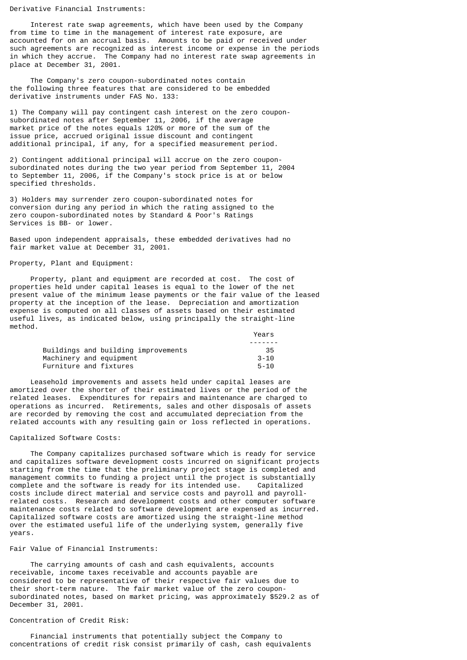#### Derivative Financial Instruments:

 Interest rate swap agreements, which have been used by the Company from time to time in the management of interest rate exposure, are accounted for on an accrual basis. Amounts to be paid or received under such agreements are recognized as interest income or expense in the periods in which they accrue. The Company had no interest rate swap agreements in place at December 31, 2001.

 The Company's zero coupon-subordinated notes contain the following three features that are considered to be embedded derivative instruments under FAS No. 133:

1) The Company will pay contingent cash interest on the zero couponsubordinated notes after September 11, 2006, if the average market price of the notes equals 120% or more of the sum of the issue price, accrued original issue discount and contingent additional principal, if any, for a specified measurement period.

2) Contingent additional principal will accrue on the zero couponsubordinated notes during the two year period from September 11, 2004 to September 11, 2006, if the Company's stock price is at or below specified thresholds.

3) Holders may surrender zero coupon-subordinated notes for conversion during any period in which the rating assigned to the zero coupon-subordinated notes by Standard & Poor's Ratings Services is BB- or lower.

Based upon independent appraisals, these embedded derivatives had no fair market value at December 31, 2001.

## Property, Plant and Equipment:

 Property, plant and equipment are recorded at cost. The cost of properties held under capital leases is equal to the lower of the net present value of the minimum lease payments or the fair value of the leased property at the inception of the lease. Depreciation and amortization expense is computed on all classes of assets based on their estimated useful lives, as indicated below, using principally the straight-line method.

|                                     | Years    |
|-------------------------------------|----------|
|                                     |          |
| Buildings and building improvements | -35      |
| Machinery and equipment             | $3 - 10$ |
| Furniture and fixtures              | $5 - 10$ |

 Leasehold improvements and assets held under capital leases are amortized over the shorter of their estimated lives or the period of the related leases. Expenditures for repairs and maintenance are charged to operations as incurred. Retirements, sales and other disposals of assets are recorded by removing the cost and accumulated depreciation from the related accounts with any resulting gain or loss reflected in operations.

## Capitalized Software Costs:

 The Company capitalizes purchased software which is ready for service and capitalizes software development costs incurred on significant projects starting from the time that the preliminary project stage is completed and management commits to funding a project until the project is substantially complete and the software is ready for its intended use. Capitalized costs include direct material and service costs and payroll and payrollrelated costs. Research and development costs and other computer software maintenance costs related to software development are expensed as incurred. Capitalized software costs are amortized using the straight-line method over the estimated useful life of the underlying system, generally five years.

# Fair Value of Financial Instruments:

 The carrying amounts of cash and cash equivalents, accounts receivable, income taxes receivable and accounts payable are considered to be representative of their respective fair values due to their short-term nature. The fair market value of the zero couponsubordinated notes, based on market pricing, was approximately \$529.2 as of December 31, 2001.

# Concentration of Credit Risk:

 Financial instruments that potentially subject the Company to concentrations of credit risk consist primarily of cash, cash equivalents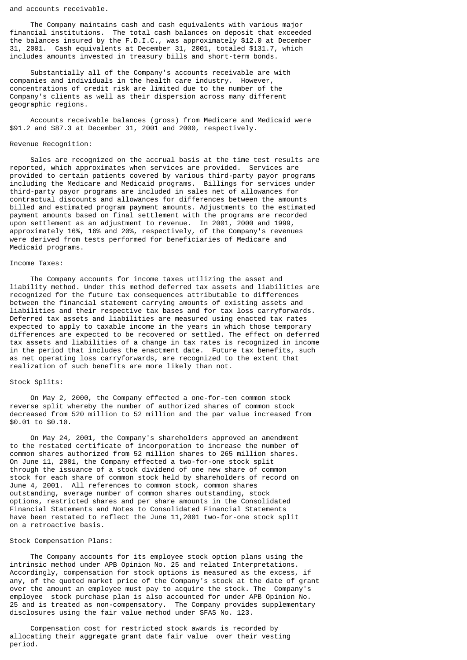and accounts receivable.

 The Company maintains cash and cash equivalents with various major financial institutions. The total cash balances on deposit that exceeded the balances insured by the F.D.I.C., was approximately \$12.0 at December 31, 2001. Cash equivalents at December 31, 2001, totaled \$131.7, which includes amounts invested in treasury bills and short-term bonds.

 Substantially all of the Company's accounts receivable are with companies and individuals in the health care industry. However, concentrations of credit risk are limited due to the number of the Company's clients as well as their dispersion across many different geographic regions.

 Accounts receivable balances (gross) from Medicare and Medicaid were \$91.2 and \$87.3 at December 31, 2001 and 2000, respectively.

#### Revenue Recognition:

 Sales are recognized on the accrual basis at the time test results are reported, which approximates when services are provided. Services are provided to certain patients covered by various third-party payor programs including the Medicare and Medicaid programs. Billings for services under third-party payor programs are included in sales net of allowances for contractual discounts and allowances for differences between the amounts billed and estimated program payment amounts. Adjustments to the estimated payment amounts based on final settlement with the programs are recorded upon settlement as an adjustment to revenue. In 2001, 2000 and 1999, approximately 16%, 16% and 20%, respectively, of the Company's revenues were derived from tests performed for beneficiaries of Medicare and Medicaid programs.

#### Income Taxes:

 The Company accounts for income taxes utilizing the asset and liability method. Under this method deferred tax assets and liabilities are recognized for the future tax consequences attributable to differences between the financial statement carrying amounts of existing assets and liabilities and their respective tax bases and for tax loss carryforwards. Deferred tax assets and liabilities are measured using enacted tax rates expected to apply to taxable income in the years in which those temporary differences are expected to be recovered or settled. The effect on deferred tax assets and liabilities of a change in tax rates is recognized in income in the period that includes the enactment date. Future tax benefits, such as net operating loss carryforwards, are recognized to the extent that realization of such benefits are more likely than not.

#### Stock Splits:

 On May 2, 2000, the Company effected a one-for-ten common stock reverse split whereby the number of authorized shares of common stock decreased from 520 million to 52 million and the par value increased from \$0.01 to \$0.10.

 On May 24, 2001, the Company's shareholders approved an amendment to the restated certificate of incorporation to increase the number of common shares authorized from 52 million shares to 265 million shares. On June 11, 2001, the Company effected a two-for-one stock split through the issuance of a stock dividend of one new share of common stock for each share of common stock held by shareholders of record on June 4, 2001. All references to common stock, common shares outstanding, average number of common shares outstanding, stock options, restricted shares and per share amounts in the Consolidated Financial Statements and Notes to Consolidated Financial Statements have been restated to reflect the June 11,2001 two-for-one stock split on a retroactive basis.

#### Stock Compensation Plans:

 The Company accounts for its employee stock option plans using the intrinsic method under APB Opinion No. 25 and related Interpretations. Accordingly, compensation for stock options is measured as the excess, if any, of the quoted market price of the Company's stock at the date of grant over the amount an employee must pay to acquire the stock. The Company's employee stock purchase plan is also accounted for under APB Opinion No. 25 and is treated as non-compensatory. The Company provides supplementary disclosures using the fair value method under SFAS No. 123.

 Compensation cost for restricted stock awards is recorded by allocating their aggregate grant date fair value over their vesting period.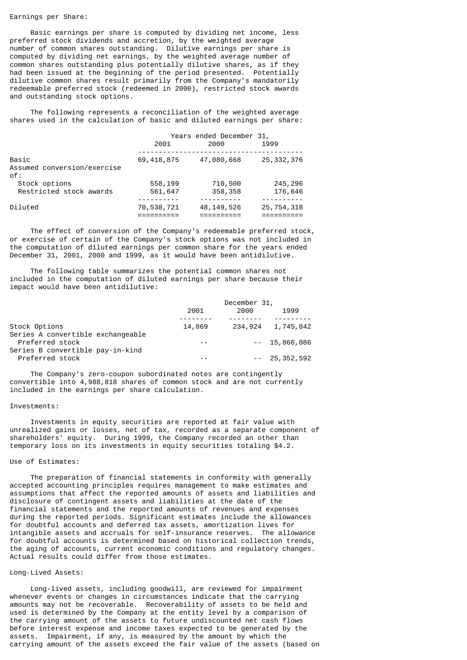#### Earnings per Share:

 Basic earnings per share is computed by dividing net income, less preferred stock dividends and accretion, by the weighted average number of common shares outstanding. Dilutive earnings per share is computed by dividing net earnings, by the weighted average number of common shares outstanding plus potentially dilutive shares, as if they had been issued at the beginning of the period presented. Potentially dilutive common shares result primarily from the Company's mandatorily redeemable preferred stock (redeemed in 2000), restricted stock awards and outstanding stock options.

 The following represents a reconciliation of the weighted average shares used in the calculation of basic and diluted earnings per share:

|                                    | Years ended December 31, |              |              |
|------------------------------------|--------------------------|--------------|--------------|
|                                    | 2001                     | 2000         | 1999         |
| Basic                              | 69, 418, 875             | 47,080,668   | 25, 332, 376 |
| Assumed conversion/exercise<br>of: |                          |              |              |
| Stock options                      | 558,199                  | 710,500      | 245,296      |
| Restricted stock awards            | 561,647                  | 358,358      | 176,646      |
| Diluted                            | 70,538,721               | 48, 149, 526 | 25,754,318   |

 The effect of conversion of the Company's redeemable preferred stock, or exercise of certain of the Company's stock options was not included in the computation of diluted earnings per common share for the years ended December 31, 2001, 2000 and 1999, as it would have been antidilutive.

 The following table summarizes the potential common shares not included in the computation of diluted earnings per share because their impact would have been antidilutive:

|                                                      | December 31, |      |                   |
|------------------------------------------------------|--------------|------|-------------------|
|                                                      | 2001         | 2000 | 1999              |
| Stock Options                                        | 14,869       |      | 234,924 1,745,842 |
| Series A convertible exchangeable<br>Preferred stock |              |      | $-- 15,866,086$   |
| Series B convertible pay-in-kind<br>Preferred stock  |              |      | $- - 25,352,592$  |

 The Company's zero-coupon subordinated notes are contingently convertible into 4,988,818 shares of common stock and are not currently included in the earnings per share calculation.

#### Investments:

 Investments in equity securities are reported at fair value with unrealized gains or losses, net of tax, recorded as a separate component of shareholders' equity. During 1999, the Company recorded an other than temporary loss on its investments in equity securities totaling \$4.2.

# Use of Estimates:

 The preparation of financial statements in conformity with generally accepted accounting principles requires management to make estimates and assumptions that affect the reported amounts of assets and liabilities and disclosure of contingent assets and liabilities at the date of the financial statements and the reported amounts of revenues and expenses during the reported periods. Significant estimates include the allowances for doubtful accounts and deferred tax assets, amortization lives for intangible assets and accruals for self-insurance reserves. The allowance for doubtful accounts is determined based on historical collection trends, the aging of accounts, current economic conditions and regulatory changes. Actual results could differ from those estimates.

# Long-Lived Assets:

 Long-lived assets, including goodwill, are reviewed for impairment whenever events or changes in circumstances indicate that the carrying amounts may not be recoverable. Recoverability of assets to be held and used is determined by the Company at the entity level by a comparison of the carrying amount of the assets to future undiscounted net cash flows before interest expense and income taxes expected to be generated by the assets. Impairment, if any, is measured by the amount by which the carrying amount of the assets exceed the fair value of the assets (based on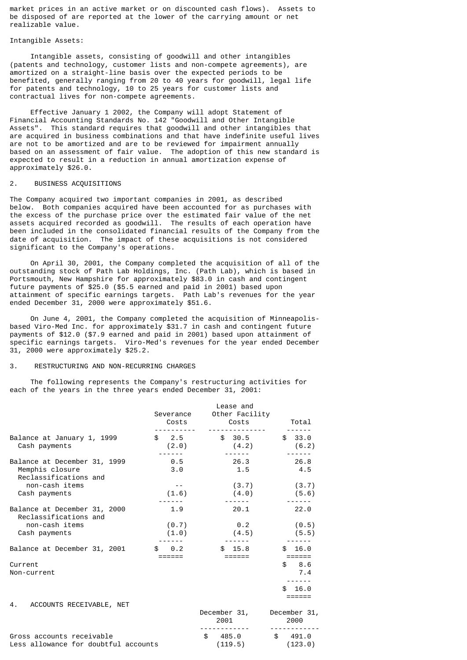market prices in an active market or on discounted cash flows). Assets to be disposed of are reported at the lower of the carrying amount or net realizable value.

### Intangible Assets:

 Intangible assets, consisting of goodwill and other intangibles (patents and technology, customer lists and non-compete agreements), are amortized on a straight-line basis over the expected periods to be benefited, generally ranging from 20 to 40 years for goodwill, legal life for patents and technology, 10 to 25 years for customer lists and contractual lives for non-compete agreements.

 Effective January 1 2002, the Company will adopt Statement of Financial Accounting Standards No. 142 "Goodwill and Other Intangible Assets". This standard requires that goodwill and other intangibles that are acquired in business combinations and that have indefinite useful lives are not to be amortized and are to be reviewed for impairment annually based on an assessment of fair value. The adoption of this new standard is expected to result in a reduction in annual amortization expense of approximately \$26.0.

# 2. BUSINESS ACQUISITIONS

The Company acquired two important companies in 2001, as described below. Both companies acquired have been accounted for as purchases with the excess of the purchase price over the estimated fair value of the net assets acquired recorded as goodwill. The results of each operation have been included in the consolidated financial results of the Company from the date of acquisition. The impact of these acquisitions is not considered significant to the Company's operations.

 On April 30, 2001, the Company completed the acquisition of all of the outstanding stock of Path Lab Holdings, Inc. (Path Lab), which is based in Portsmouth, New Hampshire for approximately \$83.0 in cash and contingent future payments of \$25.0 (\$5.5 earned and paid in 2001) based upon attainment of specific earnings targets. Path Lab's revenues for the year ended December 31, 2000 were approximately \$51.6.

 On June 4, 2001, the Company completed the acquisition of Minneapolisbased Viro-Med Inc. for approximately \$31.7 in cash and contingent future payments of \$12.0 (\$7.9 earned and paid in 2001) based upon attainment of specific earnings targets. Viro-Med's revenues for the year ended December 31, 2000 were approximately \$25.2.

## 3. RESTRUCTURING AND NON-RECURRING CHARGES

 The following represents the Company's restructuring activities for each of the years in the three years ended December 31, 2001:

|                                                                          | Severance<br>Costs          | Lease and<br>Other Facility<br>Costs     | Total                                 |
|--------------------------------------------------------------------------|-----------------------------|------------------------------------------|---------------------------------------|
| Balance at January 1, 1999<br>Cash payments                              | \$2.5                       | \$30.5<br>$(2.0)$ $(4.2)$                | \$33.0<br>(6.2)                       |
| Balance at December 31, 1999<br>Memphis closure<br>Reclassifications and | 0.5<br>3.0                  | 26.3<br>1.5                              | 26.8<br>4.5                           |
| non-cash items<br>Cash payments                                          | $- -$<br>(1.6)              | (3.7)<br>(4.0)                           | (3.7)<br>(5.6)                        |
| Balance at December 31, 2000<br>Reclassifications and                    | 1.9                         | 20.1                                     | 22.0                                  |
| non-cash items<br>Cash payments                                          | (0.7)<br>(1.0)              | 0.2<br>(4.5)                             | (0.5)<br>(5.5)                        |
| Balance at December 31, 2001                                             | $\frac{1}{2}$ 0.2<br>====== | \$15.8<br>======                         | \$16.0<br>$=$ $=$ $=$ $=$ $=$ $=$     |
| Current<br>Non-current                                                   |                             |                                          | \$8.6<br>7.4<br>16.0<br>\$.<br>====== |
| 4. ACCOUNTS RECEIVABLE, NET                                              |                             | December 31, December 31,<br>2001        | 2000                                  |
| Gross accounts receivable<br>Less allowance for doubtful accounts        |                             | $$485.0$ $$491.0$<br>$(119.5)$ $(123.0)$ |                                       |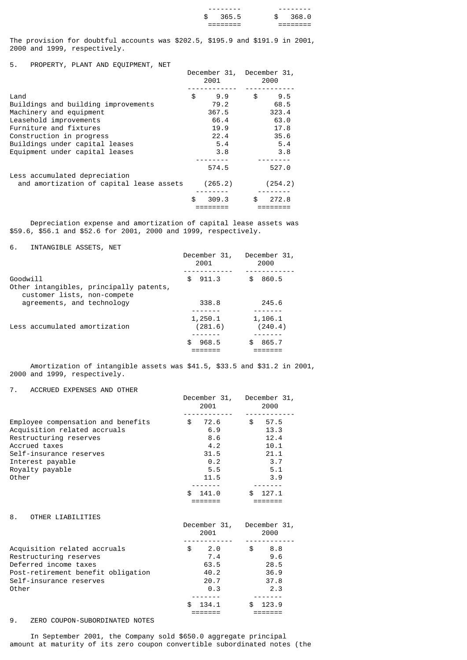|        | --------               | ----- | - - -                  |
|--------|------------------------|-------|------------------------|
| œ<br>ъ | ൳<br>-66<br>D          |       |                        |
|        | _________<br>--------- |       | ________<br>---------- |

The provision for doubtful accounts was \$202.5, \$195.9 and \$191.9 in 2001, 2000 and 1999, respectively.

5. PROPERTY, PLANT AND EQUIPMENT, NET

| 5.<br>PROPERTY, PLANT AND EQUIPMENT, NET |              |              |
|------------------------------------------|--------------|--------------|
|                                          | December 31, | December 31, |
|                                          | 2001         | 2000         |
|                                          |              |              |
| Land                                     | \$<br>9.9    | \$<br>9.5    |
| Buildings and building improvements      | 79.2         | 68.5         |
| Machinery and equipment                  | 367.5        | 323.4        |
|                                          |              |              |
| Leasehold improvements                   | 66.4         | 63.0         |
| Furniture and fixtures                   | 19.9         | 17.8         |
| Construction in progress                 | 22.4         | 35.6         |
| Buildings under capital leases           | 5.4          | 5.4          |
| Equipment under capital leases           | 3.8          | 3.8          |
|                                          |              |              |
|                                          | 574.5        | 527.0        |
| Less accumulated depreciation            |              |              |
| and amortization of capital lease assets | (265.2)      | (254.2)      |
|                                          |              |              |
|                                          | \$<br>309.3  | \$<br>272.8  |
|                                          |              |              |
|                                          |              |              |

 Depreciation expense and amortization of capital lease assets was \$59.6, \$56.1 and \$52.6 for 2001, 2000 and 1999, respectively.

6. INTANGIBLE ASSETS, NET

|                                                                                    | December 31,<br>2001 | December 31,<br>2000 |
|------------------------------------------------------------------------------------|----------------------|----------------------|
| Goodwill<br>Other intangibles, principally patents,<br>customer lists, non-compete | 911.3<br>£.          | 860.5                |
| agreements, and technology                                                         | 338.8                | 245.6                |
| Less accumulated amortization                                                      | 1,250.1<br>(281.6)   | 1,106.1<br>(240.4)   |
|                                                                                    | 968.5<br>£.          | 865.7                |

 Amortization of intangible assets was \$41.5, \$33.5 and \$31.2 in 2001, 2000 and 1999, respectively.

7. ACCRUED EXPENSES AND OTHER

|                                                                                                                                                                                          | December 31,<br>2001                                                                | December 31,<br>2000                                                          |
|------------------------------------------------------------------------------------------------------------------------------------------------------------------------------------------|-------------------------------------------------------------------------------------|-------------------------------------------------------------------------------|
| Employee compensation and benefits<br>Acquisition related accruals<br>Restructuring reserves<br>Accrued taxes<br>Self-insurance reserves<br>Interest payable<br>Royalty payable<br>Other | \$72.6<br>6.9<br>8.6<br>4.2<br>31.5<br>0.2<br>5.5<br>11.5<br>141.0<br>\$.<br>====== | \$57.5<br>13.3<br>12.4<br>10.1<br>21.1<br>3.7<br>5.1<br>3.9<br>\$.<br>127.1   |
| 8.<br>OTHER LIABILITIES                                                                                                                                                                  | December 31,<br>2001                                                                | December 31,<br>2000                                                          |
| Acquisition related accruals<br>Restructuring reserves<br>Deferred income taxes<br>Post-retirement benefit obligation<br>Self-insurance reserves<br>Other                                | \$<br>2.0<br>7.4<br>63.5<br>40.2<br>20.7<br>0.3<br>134.1<br>=======                 | $\mathbb{S}$<br>8.8<br>9.6<br>28.5<br>36.9<br>37.8<br>2.3<br>123.9<br>======= |

### 9. ZERO COUPON-SUBORDINATED NOTES

 In September 2001, the Company sold \$650.0 aggregate principal amount at maturity of its zero coupon convertible subordinated notes (the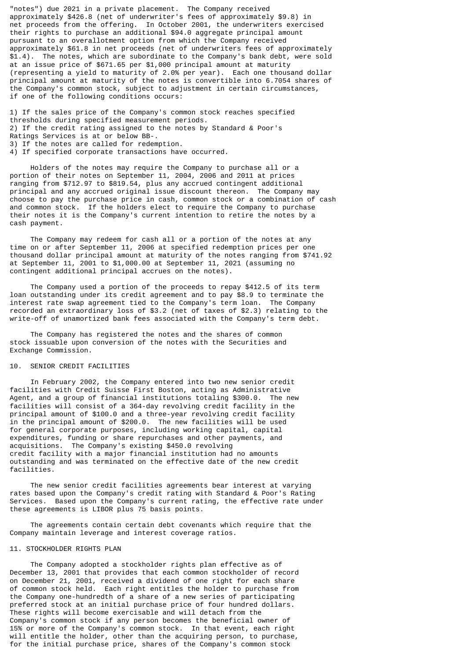"notes") due 2021 in a private placement. The Company received approximately \$426.8 (net of underwriter's fees of approximately \$9.8) in net proceeds from the offering. In October 2001, the underwriters exercised their rights to purchase an additional \$94.0 aggregate principal amount pursuant to an overallotment option from which the Company received approximately \$61.8 in net proceeds (net of underwriters fees of approximately \$1.4). The notes, which are subordinate to the Company's bank debt, were sold at an issue price of \$671.65 per \$1,000 principal amount at maturity (representing a yield to maturity of 2.0% per year). Each one thousand dollar principal amount at maturity of the notes is convertible into 6.7054 shares of the Company's common stock, subject to adjustment in certain circumstances, if one of the following conditions occurs:

1) If the sales price of the Company's common stock reaches specified thresholds during specified measurement periods. 2) If the credit rating assigned to the notes by Standard & Poor's Ratings Services is at or below BB-. 3) If the notes are called for redemption. 4) If specified corporate transactions have occurred.

 Holders of the notes may require the Company to purchase all or a portion of their notes on September 11, 2004, 2006 and 2011 at prices ranging from \$712.97 to \$819.54, plus any accrued contingent additional principal and any accrued original issue discount thereon. The Company may choose to pay the purchase price in cash, common stock or a combination of cash and common stock. If the holders elect to require the Company to purchase their notes it is the Company's current intention to retire the notes by a cash payment.

 The Company may redeem for cash all or a portion of the notes at any time on or after September 11, 2006 at specified redemption prices per one thousand dollar principal amount at maturity of the notes ranging from \$741.92 at September 11, 2001 to \$1,000.00 at September 11, 2021 (assuming no contingent additional principal accrues on the notes).

 The Company used a portion of the proceeds to repay \$412.5 of its term loan outstanding under its credit agreement and to pay \$8.9 to terminate the interest rate swap agreement tied to the Company's term loan. The Company recorded an extraordinary loss of \$3.2 (net of taxes of \$2.3) relating to the write-off of unamortized bank fees associated with the Company's term debt.

 The Company has registered the notes and the shares of common stock issuable upon conversion of the notes with the Securities and Exchange Commission.

# 10. SENIOR CREDIT FACILITIES

 In February 2002, the Company entered into two new senior credit facilities with Credit Suisse First Boston, acting as Administrative Agent, and a group of financial institutions totaling \$300.0. The new facilities will consist of a 364-day revolving credit facility in the principal amount of \$100.0 and a three-year revolving credit facility in the principal amount of \$200.0. The new facilities will be used for general corporate purposes, including working capital, capital expenditures, funding or share repurchases and other payments, and acquisitions. The Company's existing \$450.0 revolving credit facility with a major financial institution had no amounts outstanding and was terminated on the effective date of the new credit facilities.

 The new senior credit facilities agreements bear interest at varying rates based upon the Company's credit rating with Standard & Poor's Rating Services. Based upon the Company's current rating, the effective rate under these agreements is LIBOR plus 75 basis points.

 The agreements contain certain debt covenants which require that the Company maintain leverage and interest coverage ratios.

#### 11. STOCKHOLDER RIGHTS PLAN

 The Company adopted a stockholder rights plan effective as of December 13, 2001 that provides that each common stockholder of record on December 21, 2001, received a dividend of one right for each share of common stock held. Each right entitles the holder to purchase from the Company one-hundredth of a share of a new series of participating preferred stock at an initial purchase price of four hundred dollars. These rights will become exercisable and will detach from the Company's common stock if any person becomes the beneficial owner of 15% or more of the Company's common stock. In that event, each right will entitle the holder, other than the acquiring person, to purchase, for the initial purchase price, shares of the Company's common stock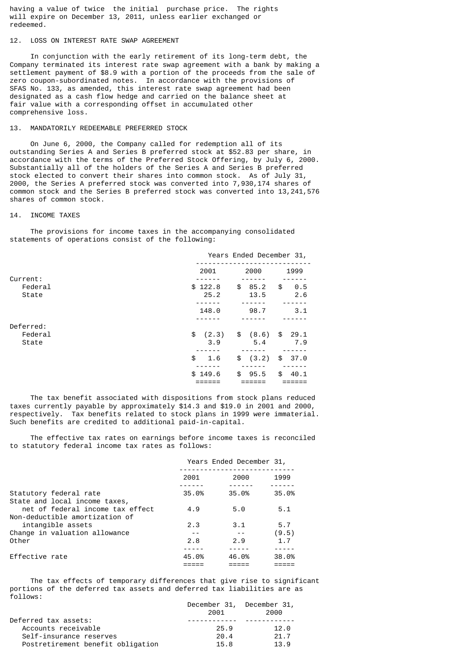having a value of twice the initial purchase price. The rights will expire on December 13, 2011, unless earlier exchanged or redeemed.

## 12. LOSS ON INTEREST RATE SWAP AGREEMENT

 In conjunction with the early retirement of its long-term debt, the Company terminated its interest rate swap agreement with a bank by making a settlement payment of \$8.9 with a portion of the proceeds from the sale of zero coupon-subordinated notes. In accordance with the provisions of SFAS No. 133, as amended, this interest rate swap agreement had been designated as a cash flow hedge and carried on the balance sheet at fair value with a corresponding offset in accumulated other comprehensive loss.

# 13. MANDATORILY REDEEMABLE PREFERRED STOCK

 On June 6, 2000, the Company called for redemption all of its outstanding Series A and Series B preferred stock at \$52.83 per share, in accordance with the terms of the Preferred Stock Offering, by July 6, 2000. Substantially all of the holders of the Series A and Series B preferred stock elected to convert their shares into common stock. As of July 31, 2000, the Series A preferred stock was converted into 7,930,174 shares of common stock and the Series B preferred stock was converted into 13,241,576 shares of common stock.

#### 14. INCOME TAXES

 The provisions for income taxes in the accompanying consolidated statements of operations consist of the following:

|                  | Years Ended December 31, |                    |                   |
|------------------|--------------------------|--------------------|-------------------|
| Current:         | 2001                     | 2000               | 1999              |
| Federal<br>State | \$122.8<br>25.2          | \$<br>85.2<br>13.5 | \$<br>0.5<br>2.6  |
|                  | 148.0                    | 98.7               | 3.1               |
| Deferred:        |                          |                    |                   |
| Federal<br>State | \$(2.3)<br>3.9           | (8.6)<br>\$<br>5.4 | 29.1<br>\$<br>7.9 |
|                  | \$<br>1.6                | \$<br>(3.2)        | \$37.0            |
|                  | \$149.6                  | \$<br>95.5         | \$<br>40.1        |

 The tax benefit associated with dispositions from stock plans reduced taxes currently payable by approximately \$14.3 and \$19.0 in 2001 and 2000, respectively. Tax benefits related to stock plans in 1999 were immaterial. Such benefits are credited to additional paid-in-capital.

 The effective tax rates on earnings before income taxes is reconciled to statutory federal income tax rates as follows:

|                                                                    | Years Ended December 31, |       |       |
|--------------------------------------------------------------------|--------------------------|-------|-------|
|                                                                    | 2001                     | 2000  | 1999  |
| Statutory federal rate<br>State and local income taxes,            | 35.0%                    | 35.0% | 35.0% |
| net of federal income tax effect<br>Non-deductible amortization of | 4.9                      | 5.0   | 5.1   |
| intangible assets                                                  | 2.3                      | 3.1   | 5.7   |
| Change in valuation allowance                                      |                          |       | (9.5) |
| Other                                                              | 2.8                      | 2.9   | 1.7   |
|                                                                    |                          |       |       |
| Effective rate                                                     | 45.0%                    | 46.0% | 38.0% |
|                                                                    |                          |       |       |

 The tax effects of temporary differences that give rise to significant portions of the deferred tax assets and deferred tax liabilities are as follows:

|                                   |      | December 31, December 31, |
|-----------------------------------|------|---------------------------|
|                                   | 2001 | 2000                      |
| Deferred tax assets:              |      |                           |
| Accounts receivable               | 25.9 | 12.0                      |
| Self-insurance reserves           | 20.4 | 21.7                      |
| Postretirement benefit obligation | 15.8 | 13.9                      |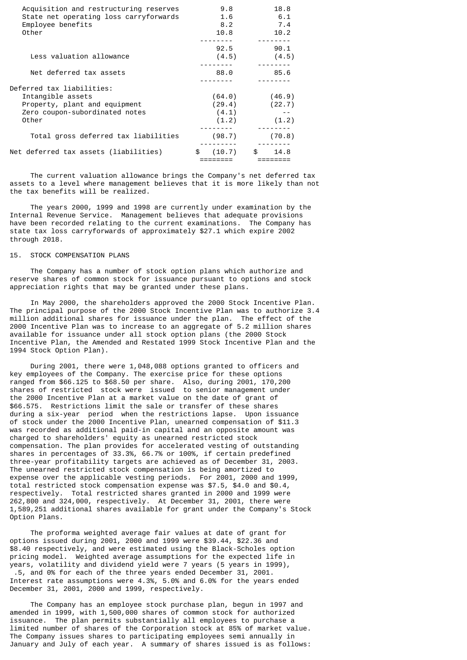| Acquisition and restructuring reserves<br>State net operating loss carryforwards<br>Employee benefits<br>Other             | 9.8<br>1.6<br>8.2<br>10.8          | 18.8<br>6.1<br>7.4<br>10.2 |
|----------------------------------------------------------------------------------------------------------------------------|------------------------------------|----------------------------|
| Less valuation allowance                                                                                                   | 92.5<br>(4.5)                      | 90.1<br>(4.5)              |
| Net deferred tax assets                                                                                                    | 88.0                               | 85.6                       |
| Deferred tax liabilities:<br>Intangible assets<br>Property, plant and equipment<br>Zero coupon-subordinated notes<br>Other | (64.0)<br>(29.4)<br>(4.1)<br>(1.2) | (46.9)<br>(22.7)<br>(1.2)  |
| Total gross deferred tax liabilities                                                                                       | (98.7)                             | (70.8)                     |
| Net deferred tax assets (liabilities)                                                                                      | \$ (10.7)                          | $\mathbb S$ .<br>14.8      |

 The current valuation allowance brings the Company's net deferred tax assets to a level where management believes that it is more likely than not the tax benefits will be realized.

 The years 2000, 1999 and 1998 are currently under examination by the Internal Revenue Service. Management believes that adequate provisions have been recorded relating to the current examinations. The Company has state tax loss carryforwards of approximately \$27.1 which expire 2002 through 2018.

### 15. STOCK COMPENSATION PLANS

 The Company has a number of stock option plans which authorize and reserve shares of common stock for issuance pursuant to options and stock appreciation rights that may be granted under these plans.

 In May 2000, the shareholders approved the 2000 Stock Incentive Plan. The principal purpose of the 2000 Stock Incentive Plan was to authorize 3.4 million additional shares for issuance under the plan. The effect of the 2000 Incentive Plan was to increase to an aggregate of 5.2 million shares available for issuance under all stock option plans (the 2000 Stock Incentive Plan, the Amended and Restated 1999 Stock Incentive Plan and the 1994 Stock Option Plan).

 During 2001, there were 1,048,088 options granted to officers and key employees of the Company. The exercise price for these options ranged from \$66.125 to \$68.50 per share. Also, during 2001, 170,200 shares of restricted stock were issued to senior management under the 2000 Incentive Plan at a market value on the date of grant of \$66.575. Restrictions limit the sale or transfer of these shares during a six-year period when the restrictions lapse. Upon issuance of stock under the 2000 Incentive Plan, unearned compensation of \$11.3 was recorded as additional paid-in capital and an opposite amount was charged to shareholders' equity as unearned restricted stock compensation. The plan provides for accelerated vesting of outstanding shares in percentages of 33.3%, 66.7% or 100%, if certain predefined three-year profitability targets are achieved as of December 31, 2003. The unearned restricted stock compensation is being amortized to expense over the applicable vesting periods. For 2001, 2000 and 1999, total restricted stock compensation expense was \$7.5, \$4.0 and \$0.4, respectively. Total restricted shares granted in 2000 and 1999 were 262,800 and 324,000, respectively. At December 31, 2001, there were 1,589,251 additional shares available for grant under the Company's Stock Option Plans.

 The proforma weighted average fair values at date of grant for options issued during 2001, 2000 and 1999 were \$39.44, \$22.36 and \$8.40 respectively, and were estimated using the Black-Scholes option pricing model. Weighted average assumptions for the expected life in years, volatility and dividend yield were 7 years (5 years in 1999), .5, and 0% for each of the three years ended December 31, 2001. Interest rate assumptions were 4.3%, 5.0% and 6.0% for the years ended December 31, 2001, 2000 and 1999, respectively.

 The Company has an employee stock purchase plan, begun in 1997 and amended in 1999, with 1,500,000 shares of common stock for authorized issuance. The plan permits substantially all employees to purchase a limited number of shares of the Corporation stock at 85% of market value. The Company issues shares to participating employees semi annually in January and July of each year. A summary of shares issued is as follows: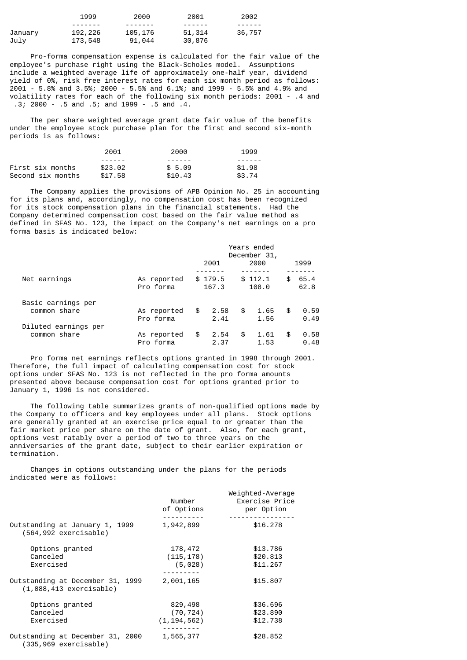|         | 1999    | 2000    | 2001    | 2002   |
|---------|---------|---------|---------|--------|
|         |         |         | ------- | ------ |
| January | 192,226 | 105,176 | 51,314  | 36,757 |
| Julv    | 173,548 | 91,044  | 30,876  |        |

 Pro-forma compensation expense is calculated for the fair value of the employee's purchase right using the Black-Scholes model. Assumptions include a weighted average life of approximately one-half year, dividend yield of 0%, risk free interest rates for each six month period as follows: 2001 - 5.8% and 3.5%; 2000 - 5.5% and 6.1%; and 1999 - 5.5% and 4.9% and volatility rates for each of the following six month periods: 2001 - .4 and .3; 2000 - .5 and .5; and 1999 - .5 and .4.

 The per share weighted average grant date fair value of the benefits under the employee stock purchase plan for the first and second six-month periods is as follows:

|                   | 2001    | 2000    | 1999   |
|-------------------|---------|---------|--------|
|                   |         |         |        |
| First six months  | \$23.02 | \$5.09  | \$1.98 |
| Second six months | \$17.58 | \$10.43 | \$3.74 |

 The Company applies the provisions of APB Opinion No. 25 in accounting for its plans and, accordingly, no compensation cost has been recognized for its stock compensation plans in the financial statements. Had the Company determined compensation cost based on the fair value method as defined in SFAS No. 123, the impact on the Company's net earnings on a pro forma basis is indicated below:

|                      |             | Years ended<br>December 31, |         |    |         |    |      |
|----------------------|-------------|-----------------------------|---------|----|---------|----|------|
|                      |             |                             | 2001    |    | 2000    |    | 1999 |
|                      |             |                             |         |    |         |    |      |
| Net earnings         | As reported |                             | \$179.5 |    | \$112.1 | \$ | 65.4 |
|                      | Pro forma   |                             | 167.3   |    | 108.0   |    | 62.8 |
| Basic earnings per   |             |                             |         |    |         |    |      |
| common share         | As reported | \$                          | 2.58    | \$ | 1.65    | \$ | 0.59 |
|                      | Pro forma   |                             | 2.41    |    | 1.56    |    | 0.49 |
| Diluted earnings per |             |                             |         |    |         |    |      |
| common share         | As reported | \$                          | 2.54    | \$ | 1.61    | \$ | 0.58 |
|                      | Pro forma   |                             | 2.37    |    | 1.53    |    | 0.48 |

 Pro forma net earnings reflects options granted in 1998 through 2001. Therefore, the full impact of calculating compensation cost for stock options under SFAS No. 123 is not reflected in the pro forma amounts presented above because compensation cost for options granted prior to January 1, 1996 is not considered.

 The following table summarizes grants of non-qualified options made by the Company to officers and key employees under all plans. Stock options are generally granted at an exercise price equal to or greater than the fair market price per share on the date of grant. Also, for each grant, options vest ratably over a period of two to three years on the anniversaries of the grant date, subject to their earlier expiration or termination.

 Changes in options outstanding under the plans for the periods indicated were as follows:

|                                                               | Number<br>of Options | Weighted-Average<br>Exercise Price<br>per Option |
|---------------------------------------------------------------|----------------------|--------------------------------------------------|
|                                                               |                      |                                                  |
| Outstanding at January 1, 1999<br>$(564, 992$ exercisable)    | 1,942,899            | \$16.278                                         |
| Options granted                                               | 178,472              | \$13.786                                         |
| Canceled                                                      | (115, 178)           | \$20,813                                         |
| Exercised                                                     | (5,028)              | \$11,267                                         |
| Outstanding at December 31, 1999<br>$(1,088,413$ exercisable) | 2,001,165            | \$15,807                                         |
| Options granted                                               | 829,498              | \$36,696                                         |
| Canceled                                                      | (70, 724)            | \$23,890                                         |
| Exercised                                                     | (1, 194, 562)        | \$12.738                                         |
| Outstanding at December 31, 2000<br>(335,969 exercisable)     | 1,565,377            | \$28,852                                         |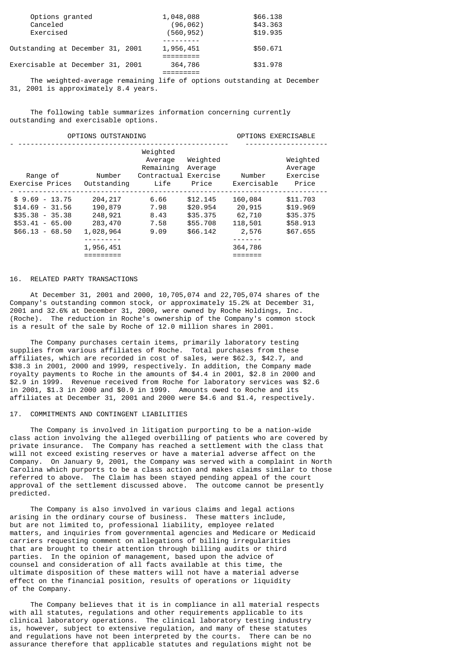| Options granted                  | 1,048,088  | \$66,138 |
|----------------------------------|------------|----------|
| Canceled                         | (96, 062)  | \$43,363 |
| Exercised                        | (560, 952) | \$19,935 |
|                                  |            |          |
| Outstanding at December 31, 2001 | 1,956,451  | \$50.671 |
|                                  |            |          |
| Exercisable at December 31, 2001 | 364,786    | \$31,978 |
|                                  |            |          |

 The weighted-average remaining life of options outstanding at December 31, 2001 is approximately 8.4 years.

 The following table summarizes information concerning currently outstanding and exercisable options.

## OPTIONS OUTSTANDING OPTIONS EXERCISABLE - --------------------------------------------------- -------------------- Weighted Average Weighted Weighted Remaining Average and Average the Average of the Remaining Average  $\sim$  Range of Number Contractual Exercise Number Exercise Exercise Prices Outstanding Life Price Exercisable Price - --------------------------------------------------------------------------- \$ 9.69 - 13.75 204,217 6.66 \$12.145 160,084 \$11.703 \$14.69 - 31.56 190,879 7.98 \$20.954 20,915 \$19.969 \$35.38 - 35.38 248,921 8.43 \$35.375 62,710 \$35.375 \$53.41 - 65.00 283,470 7.58 \$55.708 118,501 \$58.913 \$66.13 - 68.50 1,028,964 9.09 \$66.142 2,576 \$67.655 --------- ------- 1,956,451 364,786 ========= =======

## 16. RELATED PARTY TRANSACTIONS

 At December 31, 2001 and 2000, 10,705,074 and 22,705,074 shares of the Company's outstanding common stock, or approximately 15.2% at December 31, 2001 and 32.6% at December 31, 2000, were owned by Roche Holdings, Inc. (Roche). The reduction in Roche's ownership of the Company's common stock is a result of the sale by Roche of 12.0 million shares in 2001.

 The Company purchases certain items, primarily laboratory testing supplies from various affiliates of Roche. Total purchases from these affiliates, which are recorded in cost of sales, were \$62.3, \$42.7, and \$38.3 in 2001, 2000 and 1999, respectively. In addition, the Company made royalty payments to Roche in the amounts of \$4.4 in 2001, \$2.8 in 2000 and \$2.9 in 1999. Revenue received from Roche for laboratory services was \$2.6 in 2001, \$1.3 in 2000 and \$0.9 in 1999. Amounts owed to Roche and its affiliates at December 31, 2001 and 2000 were \$4.6 and \$1.4, respectively.

### 17. COMMITMENTS AND CONTINGENT LIABILITIES

 The Company is involved in litigation purporting to be a nation-wide class action involving the alleged overbilling of patients who are covered by private insurance. The Company has reached a settlement with the class that will not exceed existing reserves or have a material adverse affect on the Company. On January 9, 2001, the Company was served with a complaint in North Carolina which purports to be a class action and makes claims similar to those referred to above. The Claim has been stayed pending appeal of the court approval of the settlement discussed above. The outcome cannot be presently predicted.

 The Company is also involved in various claims and legal actions arising in the ordinary course of business. These matters include, but are not limited to, professional liability, employee related matters, and inquiries from governmental agencies and Medicare or Medicaid carriers requesting comment on allegations of billing irregularities that are brought to their attention through billing audits or third parties. In the opinion of management, based upon the advice of counsel and consideration of all facts available at this time, the ultimate disposition of these matters will not have a material adverse effect on the financial position, results of operations or liquidity of the Company.

 The Company believes that it is in compliance in all material respects with all statutes, regulations and other requirements applicable to its clinical laboratory operations. The clinical laboratory testing industry is, however, subject to extensive regulation, and many of these statutes and regulations have not been interpreted by the courts. There can be no assurance therefore that applicable statutes and regulations might not be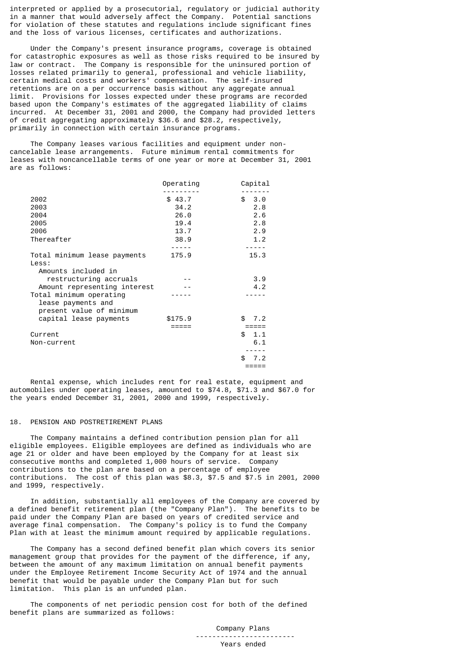interpreted or applied by a prosecutorial, regulatory or judicial authority in a manner that would adversely affect the Company. Potential sanctions for violation of these statutes and regulations include significant fines and the loss of various licenses, certificates and authorizations.

 Under the Company's present insurance programs, coverage is obtained for catastrophic exposures as well as those risks required to be insured by law or contract. The Company is responsible for the uninsured portion of losses related primarily to general, professional and vehicle liability, certain medical costs and workers' compensation. The self-insured retentions are on a per occurrence basis without any aggregate annual limit. Provisions for losses expected under these programs are recorded based upon the Company's estimates of the aggregated liability of claims incurred. At December 31, 2001 and 2000, the Company had provided letters of credit aggregating approximately \$36.6 and \$28.2, respectively, primarily in connection with certain insurance programs.

 The Company leases various facilities and equipment under noncancelable lease arrangements. Future minimum rental commitments for leases with noncancellable terms of one year or more at December 31, 2001 are as follows:

|                              | Operating | Capital    |
|------------------------------|-----------|------------|
|                              |           |            |
| 2002                         | \$43.7    | \$3.0      |
| 2003                         | 34.2      | 2.8        |
| 2004                         | 26.0      | 2.6        |
| 2005                         | 19.4      | 2.8        |
| 2006                         | 13.7      | 2.9        |
| Thereafter                   | 38.9      | 1.2        |
|                              |           |            |
| Total minimum lease payments | 175.9     | 15.3       |
| Less:                        |           |            |
| Amounts included in          |           |            |
| restructuring accruals       |           | 3.9        |
| Amount representing interest |           | 4.2        |
| Total minimum operating      |           |            |
| lease payments and           |           |            |
| present value of minimum     |           |            |
| capital lease payments       | \$175.9   | \$.<br>7.2 |
|                              |           |            |
| Current                      |           | \$<br>1.1  |
| Non-current                  |           | 6.1        |
|                              |           |            |
|                              |           | \$.<br>7.2 |
|                              |           |            |
|                              |           |            |

 Rental expense, which includes rent for real estate, equipment and automobiles under operating leases, amounted to \$74.8, \$71.3 and \$67.0 for the years ended December 31, 2001, 2000 and 1999, respectively.

#### 18. PENSION AND POSTRETIREMENT PLANS

 The Company maintains a defined contribution pension plan for all eligible employees. Eligible employees are defined as individuals who are age 21 or older and have been employed by the Company for at least six consecutive months and completed 1,000 hours of service. Company contributions to the plan are based on a percentage of employee contributions. The cost of this plan was \$8.3, \$7.5 and \$7.5 in 2001, 2000 and 1999, respectively.

 In addition, substantially all employees of the Company are covered by a defined benefit retirement plan (the "Company Plan"). The benefits to be paid under the Company Plan are based on years of credited service and average final compensation. The Company's policy is to fund the Company Plan with at least the minimum amount required by applicable regulations.

 The Company has a second defined benefit plan which covers its senior management group that provides for the payment of the difference, if any, between the amount of any maximum limitation on annual benefit payments under the Employee Retirement Income Security Act of 1974 and the annual benefit that would be payable under the Company Plan but for such limitation. This plan is an unfunded plan.

 The components of net periodic pension cost for both of the defined benefit plans are summarized as follows:

> Company Plans ------------------------ Years ended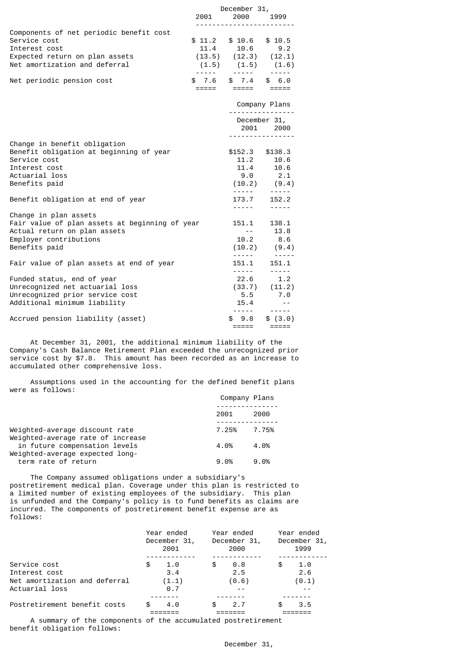|                                                                                                                                                    |        | December 31,                                                                                                                                                     |                                                                                |
|----------------------------------------------------------------------------------------------------------------------------------------------------|--------|------------------------------------------------------------------------------------------------------------------------------------------------------------------|--------------------------------------------------------------------------------|
|                                                                                                                                                    | 2001   | 2000 - 100                                                                                                                                                       | 1999                                                                           |
| Components of net periodic benefit cost<br>Service cost<br>Interest cost<br>Expected return on plan assets<br>Net amortization and deferral        | \$11.2 | $$10.6$ $$10.5$<br>$\begin{array}{cccc} 11.4 & 10.6 & 9.2 \\ (13.5) & (12.3) & (12.1) \\ (1.5) & (1.5) & (1.6) \\ \ldots & \ldots & \ldots & \ldots \end{array}$ |                                                                                |
| Net periodic pension cost                                                                                                                          | \$7.6  | $$7.4$ \$6.0<br>=====         =====          =====                                                                                                               |                                                                                |
|                                                                                                                                                    |        |                                                                                                                                                                  | Company Plans                                                                  |
|                                                                                                                                                    |        |                                                                                                                                                                  | - - - - - - - - - - - - - - - -<br>December 31,<br>2001 2000<br>.              |
| Change in benefit obligation<br>Benefit obligation at beginning of year<br>Service cost<br>Interest cost<br>Actuarial loss<br>Benefits paid        |        | $$152.3$ $$138.3$                                                                                                                                                | 11.2 10.6<br>11.4 10.6<br>9.0 2.1<br>$(10.2)$ $(9.4)$<br>$\frac{1}{2}$         |
| Benefit obligation at end of year                                                                                                                  |        | 173.7<br>------                                                                                                                                                  | 152.2<br>$- - - - -$                                                           |
| Change in plan assets<br>Fair value of plan assets at beginning of year<br>Actual return on plan assets<br>Employer contributions<br>Benefits paid |        | 151.1<br>$\sim 10^{-1}$ .<br>10.2<br>------                                                                                                                      | 138.1<br>13.8<br>8.6<br>$(10.2)$ $(9.4)$<br>------                             |
| Fair value of plan assets at end of year                                                                                                           |        | 151.1                                                                                                                                                            | 151.1                                                                          |
| Funded status, end of year<br>Unrecognized net actuarial loss<br>Unrecognized prior service cost<br>Additional minimum liability                   |        | 15.4<br>$\omega$ is $\omega$ and $\omega$ .                                                                                                                      | $\frac{1}{2}$<br>$(33.7)$ $(11.2)$<br>$(5.5)$ $(7.0)$<br>$\sim$ $ -$<br>------ |
| Accrued pension liability (asset)                                                                                                                  |        | \$9.8<br>=====                                                                                                                                                   | \$(3.0)<br>$=$ $=$ $=$ $=$ $=$                                                 |

 At December 31, 2001, the additional minimum liability of the Company's Cash Balance Retirement Plan exceeded the unrecognized prior service cost by \$7.8. This amount has been recorded as an increase to accumulated other comprehensive loss.

 Assumptions used in the accounting for the defined benefit plans were as follows:

|                                                                     |       | Company Plans |  |  |
|---------------------------------------------------------------------|-------|---------------|--|--|
|                                                                     | 2001  | 2000          |  |  |
| Weighted-average discount rate<br>Weighted-average rate of increase | 7.25% | 7.75%         |  |  |
| in future compensation levels<br>Weighted-average expected long-    | 4.0%  | 4.0%          |  |  |
| term rate of return                                                 | 9.0%  | 9.0%          |  |  |

 The Company assumed obligations under a subsidiary's postretirement medical plan. Coverage under this plan is restricted to a limited number of existing employees of the subsidiary. This plan is unfunded and the Company's policy is to fund benefits as claims are incurred. The components of postretirement benefit expense are as follows:

|                                                                                  | Year ended<br>December 31,<br>2001        | Year ended<br>December 31,<br>2000 | Year ended<br>December 31,<br>1999 |
|----------------------------------------------------------------------------------|-------------------------------------------|------------------------------------|------------------------------------|
| Service cost<br>Interest cost<br>Net amortization and deferral<br>Actuarial loss | 1.0<br>\$<br>3.4<br>(1.1)<br>$\theta$ . 7 | 0.8<br>S<br>2.5<br>(0.6)           | 1.0<br>\$<br>2.6<br>(0.1)          |
| Postretirement benefit costs                                                     | 4.0<br>\$.                                | 2.7<br>æ.                          | 3.5                                |

 A summary of the components of the accumulated postretirement benefit obligation follows: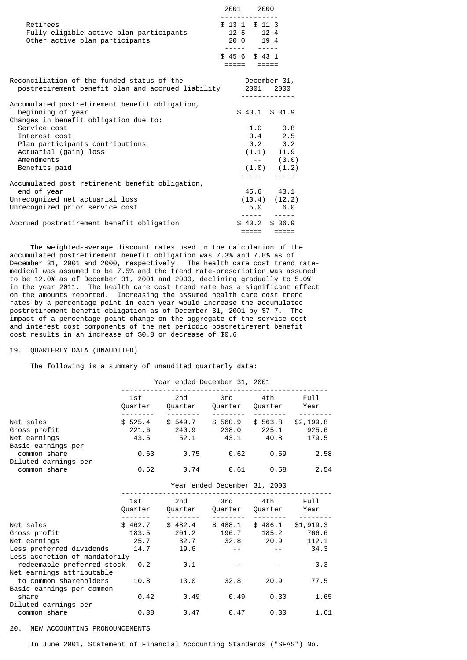|                                                                                                              | 2001 2000                                                                  |           |                     |  |
|--------------------------------------------------------------------------------------------------------------|----------------------------------------------------------------------------|-----------|---------------------|--|
| Retirees<br>Fully eligible active plan participants<br>Other active plan participants                        | - - - - - - - - - - - - -<br>$$13.1$ $$11.3$<br>$12.5$ $12.4$<br>20.0 19.4 |           |                     |  |
|                                                                                                              | $$45.6$ $$43.1$                                                            |           |                     |  |
| Reconciliation of the funded status of the<br>postretirement benefit plan and accrued liability 2001 2000    |                                                                            |           | December 31,        |  |
| Accumulated postretirement benefit obligation,<br>beginning of year<br>Changes in benefit obligation due to: |                                                                            |           | $$43.1$ $$31.9$     |  |
| Service cost                                                                                                 |                                                                            |           | $1.0 \t 0.8$        |  |
| Interest cost                                                                                                |                                                                            |           | $3.4$ 2.5           |  |
| Plan participants contributions                                                                              |                                                                            |           | $0.2$ 0.2           |  |
| Actuarial (gain) loss                                                                                        |                                                                            |           | $(1.1)$ 11.9        |  |
| Amendments                                                                                                   |                                                                            |           | $--$ (3.0)          |  |
| Benefits paid                                                                                                |                                                                            |           | $(1.0)$ $(1.2)$     |  |
|                                                                                                              |                                                                            | - - - - - |                     |  |
| Accumulated post retirement benefit obligation,<br>end of year                                               |                                                                            |           | 45.6 43.1           |  |
| Unrecognized net actuarial loss                                                                              |                                                                            |           | $(10.4)$ $(12.2)$   |  |
| Unrecognized prior service cost                                                                              |                                                                            |           | 5.0 6.0             |  |
|                                                                                                              |                                                                            |           | .                   |  |
| Accrued postretirement benefit obligation                                                                    |                                                                            |           | $$40.2$ \$ 36.9     |  |
|                                                                                                              |                                                                            | =====     | $=$ $=$ $=$ $=$ $=$ |  |

 The weighted-average discount rates used in the calculation of the accumulated postretirement benefit obligation was 7.3% and 7.8% as of December 31, 2001 and 2000, respectively. The health care cost trend ratemedical was assumed to be 7.5% and the trend rate-prescription was assumed to be 12.0% as of December 31, 2001 and 2000, declining gradually to 5.0% in the year 2011. The health care cost trend rate has a significant effect on the amounts reported. Increasing the assumed health care cost trend rates by a percentage point in each year would increase the accumulated postretirement benefit obligation as of December 31, 2001 by \$7.7. The impact of a percentage point change on the aggregate of the service cost and interest cost components of the net periodic postretirement benefit cost results in an increase of \$0.8 or decrease of \$0.6.

### 19. QUARTERLY DATA (UNAUDITED)

The following is a summary of unaudited quarterly data:

|                                    |                                                                                                                | Year ended December 31, 2001                   |                              |      |               |
|------------------------------------|----------------------------------------------------------------------------------------------------------------|------------------------------------------------|------------------------------|------|---------------|
|                                    | 1st and the set of the set of the set of the set of the set of the set of the set of the set of the set of the | 2nd<br>Quarter Quarter Quarter Quarter Year    | 3rd 4th                      |      | Full          |
| Net sales                          |                                                                                                                | $$525.4$ $$549.7$ $$560.9$ $$563.8$ $$2,199.8$ |                              |      |               |
| Gross profit                       |                                                                                                                | 221.6 240.9 238.0 225.1 925.6                  |                              |      |               |
| Net earnings                       |                                                                                                                | 43.5 52.1 43.1 40.8 179.5                      |                              |      |               |
| Basic earnings per                 |                                                                                                                |                                                |                              |      |               |
| common share                       |                                                                                                                | $0.63$ 0.75 0.62 0.59 2.58                     |                              |      |               |
| Diluted earnings per               |                                                                                                                |                                                |                              |      |               |
| common share                       | 0.62                                                                                                           |                                                | $0.74$ 0.61 0.58 2.54        |      |               |
|                                    |                                                                                                                |                                                | Year ended December 31, 2000 |      |               |
|                                    | 1st -                                                                                                          |                                                | 2nd 3rd 4th                  |      | Full          |
|                                    |                                                                                                                | Quarter Quarter Quarter Quarter Year           |                              |      |               |
|                                    |                                                                                                                |                                                |                              |      | $- - - - - -$ |
| Net sales                          |                                                                                                                | $$462.7$ $$482.4$ $$488.1$ $$486.1$ $$1,919.3$ |                              |      |               |
| Gross profit                       |                                                                                                                | 183.5 201.2 196.7 185.2 766.6                  |                              |      |               |
| Net earnings                       |                                                                                                                | 25.7 32.7 32.8 20.9 112.1                      |                              |      |               |
| Less preferred dividends           |                                                                                                                | $14.7$ 19.6 -- -- 34.3                         |                              |      |               |
| Less accretion of mandatorily      |                                                                                                                |                                                |                              |      |               |
| redeemable preferred stock 0.2 0.1 |                                                                                                                |                                                |                              |      | 0.3           |
| Net earnings attributable          |                                                                                                                |                                                |                              |      |               |
| to common shareholders             | 10.8                                                                                                           | 13.0                                           | 32.8                         | 20.9 | 77.5          |
| Basic earnings per common          |                                                                                                                |                                                |                              |      |               |
| share                              | 0.42                                                                                                           | 0.49                                           | 0.49                         | 0.30 | 1.65          |
| Diluted earnings per               |                                                                                                                |                                                |                              |      |               |
| common share                       | 0.38                                                                                                           | 0.47                                           | 0.47                         | 0.30 | 1.61          |

# 20. NEW ACCOUNTING PRONOUNCEMENTS

In June 2001, Statement of Financial Accounting Standards ("SFAS") No.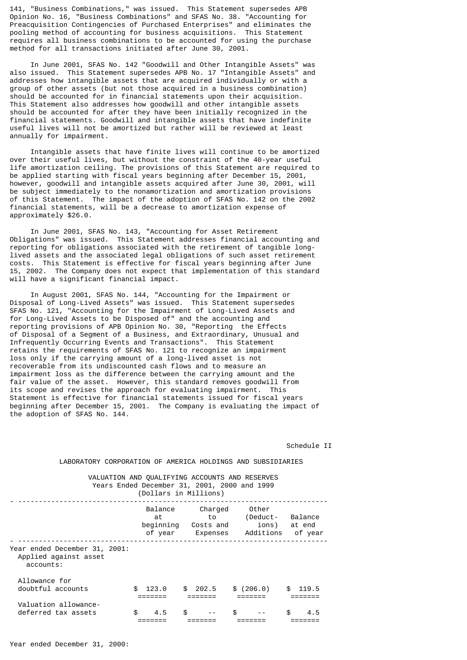141, "Business Combinations," was issued. This Statement supersedes APB Opinion No. 16, "Business Combinations" and SFAS No. 38. "Accounting for Preacquisition Contingencies of Purchased Enterprises" and eliminates the pooling method of accounting for business acquisitions. This Statement requires all business combinations to be accounted for using the purchase method for all transactions initiated after June 30, 2001.

 In June 2001, SFAS No. 142 "Goodwill and Other Intangible Assets" was also issued. This Statement supersedes APB No. 17 "Intangible Assets" and addresses how intangible assets that are acquired individually or with a group of other assets (but not those acquired in a business combination) should be accounted for in financial statements upon their acquisition. This Statement also addresses how goodwill and other intangible assets should be accounted for after they have been initially recognized in the financial statements. Goodwill and intangible assets that have indefinite useful lives will not be amortized but rather will be reviewed at least annually for impairment.

 Intangible assets that have finite lives will continue to be amortized over their useful lives, but without the constraint of the 40-year useful life amortization ceiling. The provisions of this Statement are required to be applied starting with fiscal years beginning after December 15, 2001, however, goodwill and intangible assets acquired after June 30, 2001, will be subject immediately to the nonamortization and amortization provisions of this Statement. The impact of the adoption of SFAS No. 142 on the 2002 financial statements, will be a decrease to amortization expense of approximately \$26.0.

 In June 2001, SFAS No. 143, "Accounting for Asset Retirement Obligations" was issued. This Statement addresses financial accounting and reporting for obligations associated with the retirement of tangible longlived assets and the associated legal obligations of such asset retirement costs. This Statement is effective for fiscal years beginning after June 15, 2002. The Company does not expect that implementation of this standard will have a significant financial impact.

 In August 2001, SFAS No. 144, "Accounting for the Impairment or Disposal of Long-Lived Assets" was issued. This Statement supersedes SFAS No. 121, "Accounting for the Impairment of Long-Lived Assets and for Long-Lived Assets to be Disposed of" and the accounting and reporting provisions of APB Opinion No. 30, "Reporting the Effects of Disposal of a Segment of a Business, and Extraordinary, Unusual and Infrequently Occurring Events and Transactions". This Statement retains the requirements of SFAS No. 121 to recognize an impairment loss only if the carrying amount of a long-lived asset is not recoverable from its undiscounted cash flows and to measure an impairment loss as the difference between the carrying amount and the fair value of the asset. However, this standard removes goodwill from its scope and revises the approach for evaluating impairment. This Statement is effective for financial statements issued for fiscal years beginning after December 15, 2001. The Company is evaluating the impact of the adoption of SFAS No. 144.

# Schedule II

| VALUATION AND OUALIFYING ACCOUNTS AND RESERVES<br>Years Ended December 31, 2001, 2000 and 1999 |     | (Dollars in Millions)    |                                                   |           |                                         |     |                              |
|------------------------------------------------------------------------------------------------|-----|--------------------------|---------------------------------------------------|-----------|-----------------------------------------|-----|------------------------------|
|                                                                                                |     | Balance<br>at<br>of year | Charged<br>t o<br>beginning Costs and<br>Expenses |           | Other<br>(Deduct-<br>ions)<br>Additions |     | Balance<br>at end<br>of year |
| Year ended December 31, 2001:<br>Applied against asset<br>accounts:                            |     |                          |                                                   |           |                                         |     |                              |
| Allowance for                                                                                  |     |                          |                                                   |           |                                         |     |                              |
| doubtful accounts                                                                              | \$  | 123.0                    | \$202.5                                           | \$(206.0) |                                         | \$. | 119.5                        |
| Valuation allowance-                                                                           |     |                          |                                                   |           |                                         |     |                              |
| deferred tax assets                                                                            | \$. | 4.5                      | \$                                                | \$.       |                                         | \$. | 4.5                          |

LABORATORY CORPORATION OF AMERICA HOLDINGS AND SUBSIDIARIES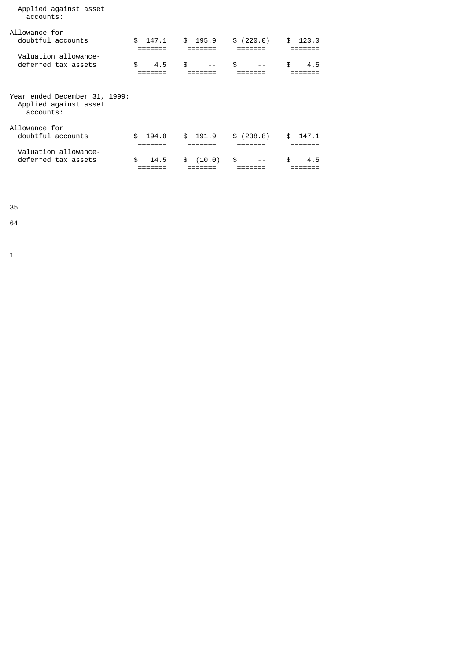| accounts:                                                           |             |              |             |             |
|---------------------------------------------------------------------|-------------|--------------|-------------|-------------|
| Allowance for<br>doubtful accounts                                  | \$<br>147.1 | \$195.9      | \$(220.0)   | \$<br>123.0 |
| Valuation allowance-                                                |             |              |             |             |
| deferred tax assets                                                 | \$<br>4.5   | \$<br>$- -$  | \$<br>$- -$ | \$<br>4.5   |
| Year ended December 31, 1999:<br>Applied against asset<br>accounts: |             |              |             |             |
| Allowance for<br>doubtful accounts                                  | \$<br>194.0 | \$191.9      | \$(238.8)   | \$<br>147.1 |
| Valuation allowance-<br>deferred tax assets                         | \$<br>14.5  | (10.0)<br>\$ | \$          | \$<br>4.5   |

35

Applied against asset

64

1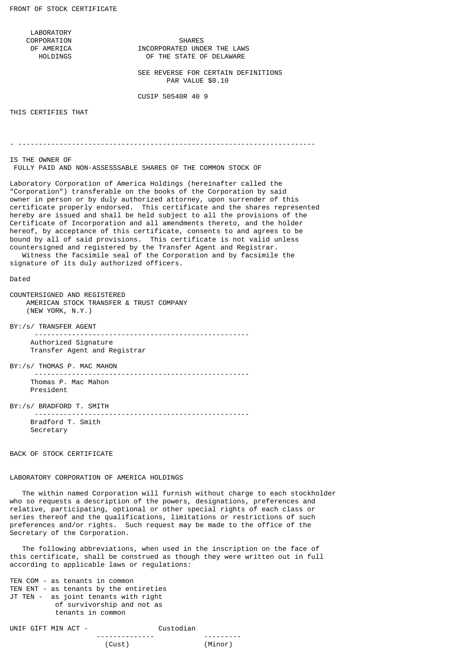LABORATORY

CORPORATION SHARES<br>OF AMERICA SANGERED UND AMERICA INCORPORATED UNDER THE LAWS<br>THE STATE OF DELAWARE OF THE STATE OF DELAWARE

> SEE REVERSE FOR CERTAIN DEFINITIONS PAR VALUE \$0.10

CUSIP 50540R 40 9

THIS CERTIFIES THAT

- ------------------------------------------------------------------------

IS THE OWNER OF FULLY PAID AND NON-ASSESSSABLE SHARES OF THE COMMON STOCK OF

Laboratory Corporation of America Holdings (hereinafter called the "Corporation") transferable on the books of the Corporation by said owner in person or by duly authorized attorney, upon surrender of this certificate properly endorsed. This certificate and the shares represented hereby are issued and shall be held subject to all the provisions of the Certificate of Incorporation and all amendments thereto, and the holder hereof, by acceptance of this certificate, consents to and agrees to be bound by all of said provisions. This certificate is not valid unless countersigned and registered by the Transfer Agent and Registrar.

 Witness the facsimile seal of the Corporation and by facsimile the signature of its duly authorized officers.

#### Dated

COUNTERSIGNED AND REGISTERED AMERICAN STOCK TRANSFER & TRUST COMPANY (NEW YORK, N.Y.)

BY:/s/ TRANSFER AGENT

 ---------------------------------------------------- Authorized Signature Transfer Agent and Registrar

BY:/s/ THOMAS P. MAC MAHON

 ---------------------------------------------------- Thomas P. Mac Mahon President

BY:/s/ BRADFORD T. SMITH

 Bradford T. Smith Secretary

BACK OF STOCK CERTIFICATE

# LABORATORY CORPORATION OF AMERICA HOLDINGS

 The within named Corporation will furnish without charge to each stockholder who so requests a description of the powers, designations, preferences and relative, participating, optional or other special rights of each class or series thereof and the qualifications, limitations or restrictions of such preferences and/or rights. Such request may be made to the office of the Secretary of the Corporation.

----------------------------------------------------

 The following abbreviations, when used in the inscription on the face of this certificate, shall be construed as though they were written out in full according to applicable laws or regulations:

TEN COM - as tenants in common TEN ENT - as tenants by the entireties JT TEN - as joint tenants with right of survivorship and not as tenants in common

UNIF GIFT MIN ACT - Custodian -------------- --------- (Cust) (Minor)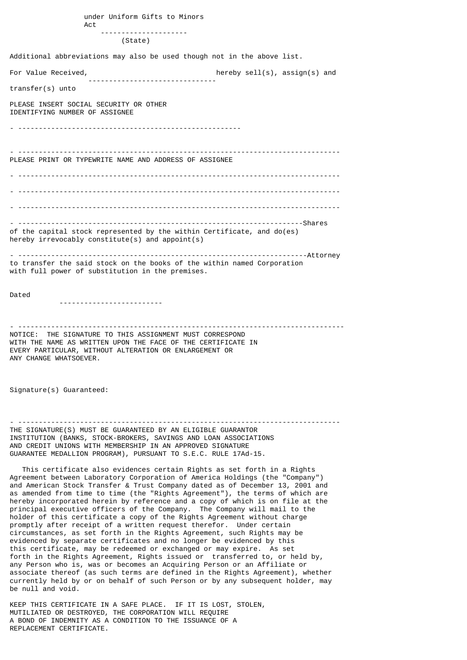under Uniform Gifts to Minors Act --------------------- (State) Additional abbreviations may also be used though not in the above list. For Value Received, the contraction of the hereby sell(s), assign(s) and ------------------------------ transfer(s) unto PLEASE INSERT SOCIAL SECURITY OR OTHER IDENTIFYING NUMBER OF ASSIGNEE - ------------------------------------------------------ - ------------------------------------------------------------------------------ PLEASE PRINT OR TYPEWRITE NAME AND ADDRESS OF ASSIGNEE - ------------------------------------------------------------------------------ - ------------------------------------------------------------------------------ - ------------------------------------------------------------------------------ - ---------------------------------------------------------------------Shares of the capital stock represented by the within Certificate, and do(es) hereby irrevocably constitute(s) and appoint(s) - ----------------------------------------------------------------------Attorney to transfer the said stock on the books of the within named Corporation with full power of substitution in the premises.

Dated

-------------------------

- ------------------------------------------------------------------------------- NOTICE: THE SIGNATURE TO THIS ASSIGNMENT MUST CORRESPOND WITH THE NAME AS WRITTEN UPON THE FACE OF THE CERTIFICATE IN EVERY PARTICULAR, WITHOUT ALTERATION OR ENLARGEMENT OR ANY CHANGE WHATSOEVER.

Signature(s) Guaranteed:

- ------------------------------------------------------------------------------ THE SIGNATURE(S) MUST BE GUARANTEED BY AN ELIGIBLE GUARANTOR INSTITUTION (BANKS, STOCK-BROKERS, SAVINGS AND LOAN ASSOCIATIONS AND CREDIT UNIONS WITH MEMBERSHIP IN AN APPROVED SIGNATURE GUARANTEE MEDALLION PROGRAM), PURSUANT TO S.E.C. RULE 17Ad-15.

 This certificate also evidences certain Rights as set forth in a Rights Agreement between Laboratory Corporation of America Holdings (the "Company") and American Stock Transfer & Trust Company dated as of December 13, 2001 and as amended from time to time (the "Rights Agreement"), the terms of which are hereby incorporated herein by reference and a copy of which is on file at the principal executive officers of the Company. The Company will mail to the holder of this certificate a copy of the Rights Agreement without charge promptly after receipt of a written request therefor. Under certain circumstances, as set forth in the Rights Agreement, such Rights may be evidenced by separate certificates and no longer be evidenced by this this certificate, may be redeemed or exchanged or may expire. As set forth in the Rights Agreement, Rights issued or transferred to, or held by, any Person who is, was or becomes an Acquiring Person or an Affiliate or associate thereof (as such terms are defined in the Rights Agreement), whether currently held by or on behalf of such Person or by any subsequent holder, may be null and void.

KEEP THIS CERTIFICATE IN A SAFE PLACE. IF IT IS LOST, STOLEN, MUTILIATED OR DESTROYED, THE CORPORATION WILL REQUIRE A BOND OF INDEMNITY AS A CONDITION TO THE ISSUANCE OF A REPLACEMENT CERTIFICATE.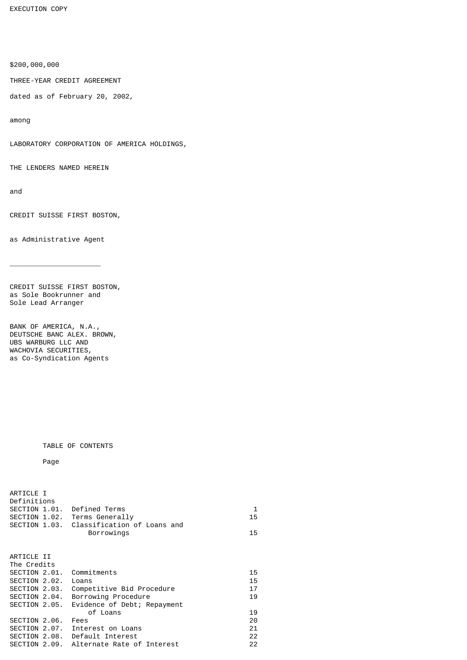EXECUTION COPY

\$200,000,000

THREE-YEAR CREDIT AGREEMENT

dated as of February 20, 2002,

among

LABORATORY CORPORATION OF AMERICA HOLDINGS,

THE LENDERS NAMED HEREIN

and

CREDIT SUISSE FIRST BOSTON,

as Administrative Agent

\_\_\_\_\_\_\_\_\_\_\_\_\_\_\_\_\_\_\_\_\_\_

CREDIT SUISSE FIRST BOSTON, as Sole Bookrunner and Sole Lead Arranger

BANK OF AMERICA, N.A., DEUTSCHE BANC ALEX. BROWN, UBS WARBURG LLC AND WACHOVIA SECURITIES, as Co-Syndication Agents

# TABLE OF CONTENTS

Page

ARTICLE I

| Definitions<br>SECTION 1.01. Defined Terms | SECTION 1.02. Terms Generally<br>SECTION 1.03. Classification of Loans and<br>Borrowings | 1<br>15<br>15 |
|--------------------------------------------|------------------------------------------------------------------------------------------|---------------|
|                                            |                                                                                          |               |
| ARTICLE II                                 |                                                                                          |               |
| The Credits                                |                                                                                          |               |
| SECTION 2.01. Commitments                  |                                                                                          | 15            |
| SECTION 2.02. Loans                        |                                                                                          | 15            |
| SECTION 2.03.                              | Competitive Bid Procedure                                                                | 17            |
| SECTION 2.04.                              | Borrowing Procedure                                                                      | 19            |
| SECTION 2.05.                              | Evidence of Debt; Repayment                                                              |               |
|                                            | of Loans                                                                                 | 19            |
| SECTION 2.06.                              | Fees                                                                                     | 20            |
|                                            | SECTION 2.07. Interest on Loans                                                          | 21            |
|                                            | SECTION 2.08. Default Interest                                                           | 22            |
|                                            | SECTION 2.09. Alternate Rate of Interest                                                 | 22            |
|                                            |                                                                                          |               |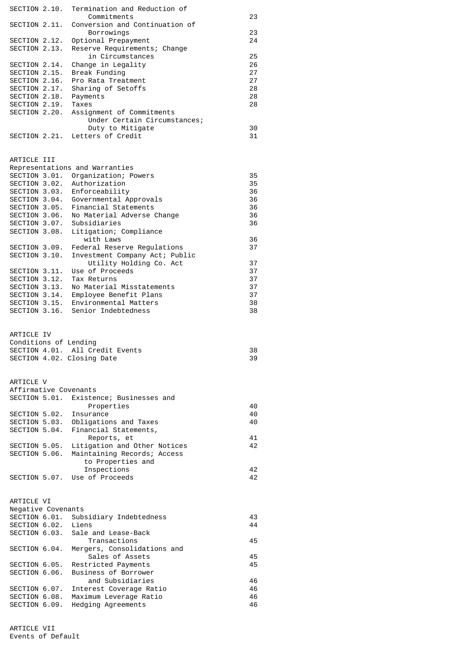| SECTION 2.10.                       | Termination and Reduction of<br>Commitments                   | 23       |
|-------------------------------------|---------------------------------------------------------------|----------|
| SECTION 2.11.                       | Conversion and Continuation of                                |          |
|                                     | Borrowings                                                    | 23       |
| SECTION 2.12.                       | Optional Prepayment                                           | 24       |
| SECTION 2.13.                       | Reserve Requirements; Change<br>in Circumstances              | 25       |
| SECTION 2.14.                       | Change in Legality                                            | 26       |
| SECTION 2.15.                       | Break Funding                                                 | 27       |
| SECTION 2.16.                       | Pro Rata Treatment                                            | 27       |
| SECTION 2.17.<br>SECTION 2.18.      | Sharing of Setoffs<br>Payments                                | 28<br>28 |
| SECTION 2.19.                       | Taxes                                                         | 28       |
| SECTION 2.20.                       | Assignment of Commitments                                     |          |
|                                     | Under Certain Circumstances;                                  |          |
| SECTION 2.21.                       | Duty to Mitigate<br>Letters of Credit                         | 30<br>31 |
|                                     |                                                               |          |
|                                     |                                                               |          |
| ARTICLE III                         |                                                               |          |
| SECTION 3.01.                       | Representations and Warranties                                | 35       |
| SECTION 3.02.                       | Organization; Powers<br>Authorization                         | 35       |
| SECTION 3.03.                       | Enforceability                                                | 36       |
| SECTION 3.04.                       | Governmental Approvals                                        | 36       |
| SECTION 3.05.                       | Financial Statements                                          | 36       |
| SECTION 3.06.                       | No Material Adverse Change<br>Subsidiaries                    | 36<br>36 |
| SECTION 3.07.<br>SECTION 3.08.      | Litigation; Compliance                                        |          |
|                                     | with Laws                                                     | 36       |
| SECTION 3.09.                       | Federal Reserve Regulations                                   | 37       |
| SECTION 3.10.                       | Investment Company Act; Public                                |          |
|                                     | Utility Holding Co. Act<br>Use of Proceeds                    | 37<br>37 |
| SECTION 3.11.<br>SECTION 3.12.      | Tax Returns                                                   | 37       |
| SECTION 3.13.                       | No Material Misstatements                                     | 37       |
| SECTION 3.14.                       | Employee Benefit Plans                                        | 37       |
| SECTION 3.15.                       | Environmental Matters                                         | 38       |
| SECTION 3.16.                       | Senior Indebtedness                                           | 38       |
|                                     |                                                               |          |
| ARTICLE IV                          |                                                               |          |
|                                     | Conditions of Lending                                         |          |
|                                     | SECTION 4.01. All Credit Events<br>SECTION 4.02. Closing Date | 38<br>39 |
|                                     |                                                               |          |
|                                     |                                                               |          |
| ARTICLE V                           | Affirmative Covenants                                         |          |
| SECTION 5.01.                       | Existence; Businesses and                                     |          |
|                                     | Properties                                                    | 40       |
| SECTION 5.02.                       | Insurance                                                     | 40       |
| SECTION 5.03.                       | Obligations and Taxes                                         | 40       |
| SECTION 5.04.                       | Financial Statements,<br>Reports, et                          | 41       |
| SECTION 5.05.                       | Litigation and Other Notices                                  | 42       |
| SECTION 5.06.                       | Maintaining Records; Access                                   |          |
|                                     | to Properties and                                             |          |
|                                     | Inspections<br>SECTION 5.07. Use of Proceeds                  | 42<br>42 |
|                                     |                                                               |          |
|                                     |                                                               |          |
| ARTICLE VI                          |                                                               |          |
| Negative Covenants<br>SECTION 6.01. | Subsidiary Indebtedness                                       | 43       |
| SECTION 6.02.                       | Liens                                                         | 44       |
| SECTION 6.03.                       | Sale and Lease-Back                                           |          |
|                                     | Transactions                                                  | 45       |
| SECTION 6.04.                       | Mergers, Consolidations and                                   |          |
| SECTION 6.05.                       | Sales of Assets<br>Restricted Payments                        | 45<br>45 |
| SECTION 6.06.                       | Business of Borrower                                          |          |
|                                     | and Subsidiaries                                              | 46       |
| SECTION 6.07.                       | Interest Coverage Ratio                                       | 46       |
| SECTION 6.08.<br>SECTION 6.09.      | Maximum Leverage Ratio<br>Hedging Agreements                  | 46<br>46 |
|                                     |                                                               |          |

ARTICLE VII Events of Default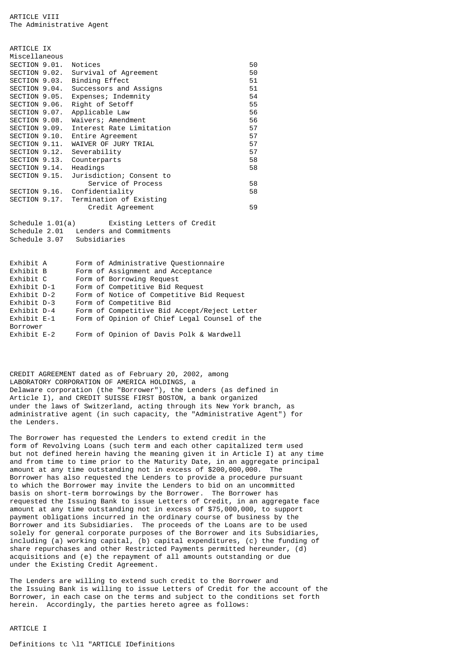| ARTICLE IX                 |                                                    |    |
|----------------------------|----------------------------------------------------|----|
| Miscellaneous              |                                                    |    |
| SECTION 9.01.              | Notices                                            | 50 |
| SECTION 9.02.              | Survival of Agreement                              | 50 |
| SECTION 9.03.              | Binding Effect                                     | 51 |
|                            | SECTION 9.04. Successors and Assigns               | 51 |
| SECTION 9.05.              | Expenses; Indemnity                                | 54 |
| SECTION 9.06.              | Right of Setoff                                    | 55 |
| SECTION 9.07.              | Applicable Law                                     | 56 |
| SECTION 9.08.              | Waivers; Amendment                                 | 56 |
| SECTION 9.09.              | Interest Rate Limitation                           | 57 |
|                            | SECTION 9.10. Entire Agreement                     | 57 |
|                            | SECTION 9.11. WAIVER OF JURY TRIAL                 | 57 |
| SECTION 9.12. Severability |                                                    | 57 |
| SECTION 9.13.              | Counterparts                                       | 58 |
| SECTION 9.14. Headings     |                                                    | 58 |
|                            | SECTION 9.15. Jurisdiction; Consent to             |    |
|                            | Service of Process                                 | 58 |
|                            | SECTION 9.16. Confidentiality                      | 58 |
|                            | SECTION 9.17. Termination of Existing              |    |
|                            | Credit Agreement                                   | 59 |
|                            |                                                    |    |
| Schedule $1.01(a)$         | Existing Letters of Credit                         |    |
|                            | Schedule 2.01 Lenders and Commitments              |    |
| Schedule 3.07 Subsidiaries |                                                    |    |
|                            |                                                    |    |
|                            |                                                    |    |
| Exhibit A                  | Form of Administrative Questionnaire               |    |
| Exhibit B                  | Form of Assignment and Acceptance<br>_____________ |    |

| Exhibit C   | Form of Borrowing Request                     |
|-------------|-----------------------------------------------|
| Exhibit D-1 | Form of Competitive Bid Request               |
| Exhibit D-2 | Form of Notice of Competitive Bid Request     |
| Exhibit D-3 | Form of Competitive Bid                       |
| Exhibit D-4 | Form of Competitive Bid Accept/Reject Letter  |
| Exhibit E-1 | Form of Opinion of Chief Legal Counsel of the |
| Borrower    |                                               |
| Exhibit E-2 | Form of Opinion of Davis Polk & Wardwell      |
|             |                                               |

CREDIT AGREEMENT dated as of February 20, 2002, among LABORATORY CORPORATION OF AMERICA HOLDINGS, a Delaware corporation (the "Borrower"), the Lenders (as defined in Article I), and CREDIT SUISSE FIRST BOSTON, a bank organized under the laws of Switzerland, acting through its New York branch, as administrative agent (in such capacity, the "Administrative Agent") for the Lenders.

The Borrower has requested the Lenders to extend credit in the form of Revolving Loans (such term and each other capitalized term used but not defined herein having the meaning given it in Article I) at any time and from time to time prior to the Maturity Date, in an aggregate principal amount at any time outstanding not in excess of \$200,000,000. The Borrower has also requested the Lenders to provide a procedure pursuant to which the Borrower may invite the Lenders to bid on an uncommitted basis on short-term borrowings by the Borrower. The Borrower has requested the Issuing Bank to issue Letters of Credit, in an aggregate face amount at any time outstanding not in excess of \$75,000,000, to support payment obligations incurred in the ordinary course of business by the Borrower and its Subsidiaries. The proceeds of the Loans are to be used solely for general corporate purposes of the Borrower and its Subsidiaries, including (a) working capital, (b) capital expenditures, (c) the funding of share repurchases and other Restricted Payments permitted hereunder, (d) acquisitions and (e) the repayment of all amounts outstanding or due under the Existing Credit Agreement.

The Lenders are willing to extend such credit to the Borrower and the Issuing Bank is willing to issue Letters of Credit for the account of the Borrower, in each case on the terms and subject to the conditions set forth herein. Accordingly, the parties hereto agree as follows:

### ARTICLE I

Definitions tc \l1 "ARTICLE IDefinitions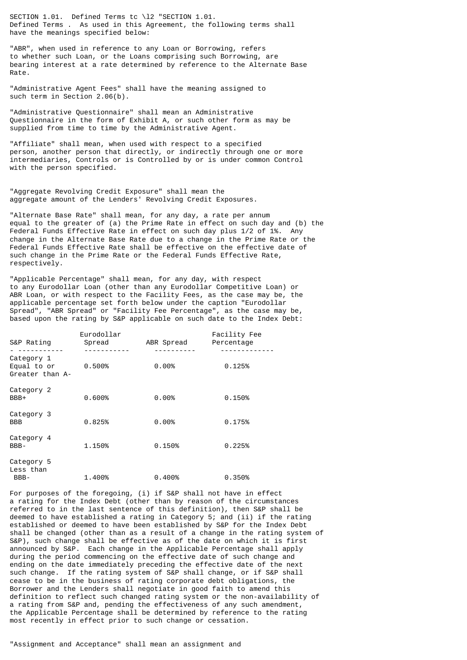SECTION 1.01. Defined Terms tc \l2 "SECTION 1.01. Defined Terms . As used in this Agreement, the following terms shall have the meanings specified below:

"ABR", when used in reference to any Loan or Borrowing, refers to whether such Loan, or the Loans comprising such Borrowing, are bearing interest at a rate determined by reference to the Alternate Base Rate.

"Administrative Agent Fees" shall have the meaning assigned to such term in Section 2.06(b).

"Administrative Questionnaire" shall mean an Administrative Questionnaire in the form of Exhibit A, or such other form as may be supplied from time to time by the Administrative Agent.

"Affiliate" shall mean, when used with respect to a specified person, another person that directly, or indirectly through one or more intermediaries, Controls or is Controlled by or is under common Control with the person specified.

"Aggregate Revolving Credit Exposure" shall mean the aggregate amount of the Lenders' Revolving Credit Exposures.

"Alternate Base Rate" shall mean, for any day, a rate per annum equal to the greater of (a) the Prime Rate in effect on such day and (b) the Federal Funds Effective Rate in effect on such day plus 1/2 of 1%. Any change in the Alternate Base Rate due to a change in the Prime Rate or the Federal Funds Effective Rate shall be effective on the effective date of such change in the Prime Rate or the Federal Funds Effective Rate, respectively.

"Applicable Percentage" shall mean, for any day, with respect to any Eurodollar Loan (other than any Eurodollar Competitive Loan) or ABR Loan, or with respect to the Facility Fees, as the case may be, the applicable percentage set forth below under the caption "Eurodollar Spread", "ABR Spread" or "Facility Fee Percentage", as the case may be, based upon the rating by S&P applicable on such date to the Index Debt:

| S&P Rating                                   | Eurodollar<br>Spread | ABR Spread | Facility Fee<br>Percentage |
|----------------------------------------------|----------------------|------------|----------------------------|
| Category 1<br>Equal to or<br>Greater than A- | 0.500%               | $0.00\%$   | 0.125%                     |
| Category 2<br>BBB+                           | 0.600%               | $0.00\%$   | 0.150%                     |
| Category 3<br><b>BBB</b>                     | 0.825%               | $0.00\%$   | 0.175%                     |
| Category 4<br>BBB-                           | 1.150%               | 0.150%     | 0.225%                     |
| Category 5<br>Less than<br>BBB-              | 1.400%               | 0.400%     | 0.350%                     |

For purposes of the foregoing, (i) if S&P shall not have in effect a rating for the Index Debt (other than by reason of the circumstances referred to in the last sentence of this definition), then S&P shall be deemed to have established a rating in Category 5; and (ii) if the rating established or deemed to have been established by S&P for the Index Debt shall be changed (other than as a result of a change in the rating system of S&P), such change shall be effective as of the date on which it is first announced by S&P. Each change in the Applicable Percentage shall apply during the period commencing on the effective date of such change and ending on the date immediately preceding the effective date of the next such change. If the rating system of S&P shall change, or if S&P shall cease to be in the business of rating corporate debt obligations, the Borrower and the Lenders shall negotiate in good faith to amend this definition to reflect such changed rating system or the non-availability of a rating from S&P and, pending the effectiveness of any such amendment, the Applicable Percentage shall be determined by reference to the rating most recently in effect prior to such change or cessation.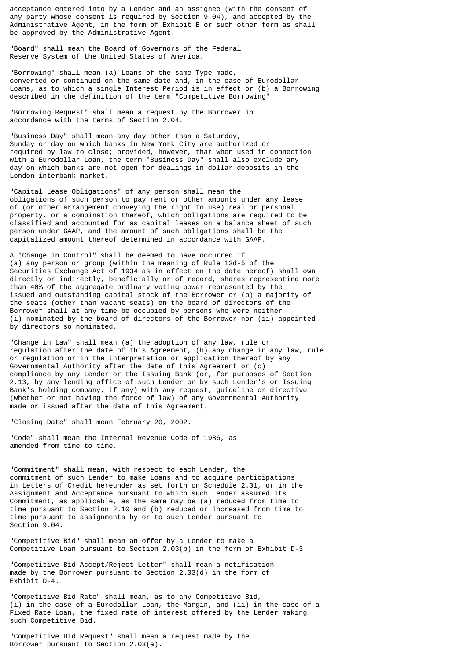acceptance entered into by a Lender and an assignee (with the consent of any party whose consent is required by Section 9.04), and accepted by the Administrative Agent, in the form of Exhibit B or such other form as shall be approved by the Administrative Agent.

"Board" shall mean the Board of Governors of the Federal Reserve System of the United States of America.

"Borrowing" shall mean (a) Loans of the same Type made, converted or continued on the same date and, in the case of Eurodollar Loans, as to which a single Interest Period is in effect or (b) a Borrowing described in the definition of the term "Competitive Borrowing".

"Borrowing Request" shall mean a request by the Borrower in accordance with the terms of Section 2.04.

"Business Day" shall mean any day other than a Saturday, Sunday or day on which banks in New York City are authorized or required by law to close; provided, however, that when used in connection with a Eurodollar Loan, the term "Business Day" shall also exclude any day on which banks are not open for dealings in dollar deposits in the London interbank market.

"Capital Lease Obligations" of any person shall mean the obligations of such person to pay rent or other amounts under any lease of (or other arrangement conveying the right to use) real or personal property, or a combination thereof, which obligations are required to be classified and accounted for as capital leases on a balance sheet of such person under GAAP, and the amount of such obligations shall be the capitalized amount thereof determined in accordance with GAAP.

A "Change in Control" shall be deemed to have occurred if (a) any person or group (within the meaning of Rule 13d-5 of the Securities Exchange Act of 1934 as in effect on the date hereof) shall own directly or indirectly, beneficially or of record, shares representing more than 40% of the aggregate ordinary voting power represented by the issued and outstanding capital stock of the Borrower or (b) a majority of the seats (other than vacant seats) on the board of directors of the Borrower shall at any time be occupied by persons who were neither (i) nominated by the board of directors of the Borrower nor (ii) appointed by directors so nominated.

"Change in Law" shall mean (a) the adoption of any law, rule or regulation after the date of this Agreement, (b) any change in any law, rule or regulation or in the interpretation or application thereof by any Governmental Authority after the date of this Agreement or (c) compliance by any Lender or the Issuing Bank (or, for purposes of Section 2.13, by any lending office of such Lender or by such Lender's or Issuing Bank's holding company, if any) with any request, guideline or directive (whether or not having the force of law) of any Governmental Authority made or issued after the date of this Agreement.

"Closing Date" shall mean February 20, 2002.

"Code" shall mean the Internal Revenue Code of 1986, as amended from time to time.

"Commitment" shall mean, with respect to each Lender, the commitment of such Lender to make Loans and to acquire participations in Letters of Credit hereunder as set forth on Schedule 2.01, or in the Assignment and Acceptance pursuant to which such Lender assumed its Commitment, as applicable, as the same may be (a) reduced from time to time pursuant to Section 2.10 and (b) reduced or increased from time to time pursuant to assignments by or to such Lender pursuant to Section 9.04.

"Competitive Bid" shall mean an offer by a Lender to make a Competitive Loan pursuant to Section 2.03(b) in the form of Exhibit D-3.

"Competitive Bid Accept/Reject Letter" shall mean a notification made by the Borrower pursuant to Section 2.03(d) in the form of Exhibit D-4.

"Competitive Bid Rate" shall mean, as to any Competitive Bid, (i) in the case of a Eurodollar Loan, the Margin, and (ii) in the case of a Fixed Rate Loan, the fixed rate of interest offered by the Lender making such Competitive Bid.

"Competitive Bid Request" shall mean a request made by the Borrower pursuant to Section 2.03(a).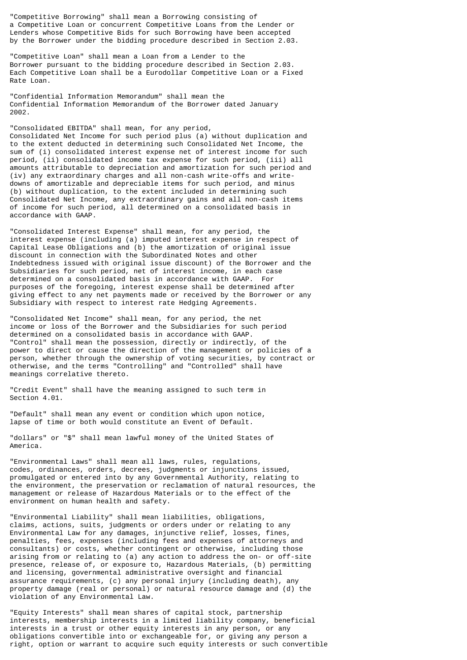"Competitive Borrowing" shall mean a Borrowing consisting of a Competitive Loan or concurrent Competitive Loans from the Lender or Lenders whose Competitive Bids for such Borrowing have been accepted by the Borrower under the bidding procedure described in Section 2.03.

"Competitive Loan" shall mean a Loan from a Lender to the Borrower pursuant to the bidding procedure described in Section 2.03. Each Competitive Loan shall be a Eurodollar Competitive Loan or a Fixed Rate Loan.

"Confidential Information Memorandum" shall mean the Confidential Information Memorandum of the Borrower dated January 2002.

"Consolidated EBITDA" shall mean, for any period, Consolidated Net Income for such period plus (a) without duplication and to the extent deducted in determining such Consolidated Net Income, the sum of (i) consolidated interest expense net of interest income for such period, (ii) consolidated income tax expense for such period, (iii) all amounts attributable to depreciation and amortization for such period and (iv) any extraordinary charges and all non-cash write-offs and writedowns of amortizable and depreciable items for such period, and minus (b) without duplication, to the extent included in determining such Consolidated Net Income, any extraordinary gains and all non-cash items of income for such period, all determined on a consolidated basis in accordance with GAAP.

"Consolidated Interest Expense" shall mean, for any period, the interest expense (including (a) imputed interest expense in respect of Capital Lease Obligations and (b) the amortization of original issue discount in connection with the Subordinated Notes and other Indebtedness issued with original issue discount) of the Borrower and the Subsidiaries for such period, net of interest income, in each case determined on a consolidated basis in accordance with GAAP. For purposes of the foregoing, interest expense shall be determined after giving effect to any net payments made or received by the Borrower or any Subsidiary with respect to interest rate Hedging Agreements.

"Consolidated Net Income" shall mean, for any period, the net income or loss of the Borrower and the Subsidiaries for such period determined on a consolidated basis in accordance with GAAP. "Control" shall mean the possession, directly or indirectly, of the power to direct or cause the direction of the management or policies of a person, whether through the ownership of voting securities, by contract or otherwise, and the terms "Controlling" and "Controlled" shall have meanings correlative thereto.

"Credit Event" shall have the meaning assigned to such term in Section 4.01.

"Default" shall mean any event or condition which upon notice, lapse of time or both would constitute an Event of Default.

"dollars" or "\$" shall mean lawful money of the United States of America.

"Environmental Laws" shall mean all laws, rules, regulations, codes, ordinances, orders, decrees, judgments or injunctions issued, promulgated or entered into by any Governmental Authority, relating to the environment, the preservation or reclamation of natural resources, the management or release of Hazardous Materials or to the effect of the environment on human health and safety.

"Environmental Liability" shall mean liabilities, obligations, claims, actions, suits, judgments or orders under or relating to any Environmental Law for any damages, injunctive relief, losses, fines, penalties, fees, expenses (including fees and expenses of attorneys and consultants) or costs, whether contingent or otherwise, including those arising from or relating to (a) any action to address the on- or off-site presence, release of, or exposure to, Hazardous Materials, (b) permitting and licensing, governmental administrative oversight and financial assurance requirements, (c) any personal injury (including death), any property damage (real or personal) or natural resource damage and (d) the violation of any Environmental Law.

"Equity Interests" shall mean shares of capital stock, partnership interests, membership interests in a limited liability company, beneficial interests in a trust or other equity interests in any person, or any obligations convertible into or exchangeable for, or giving any person a right, option or warrant to acquire such equity interests or such convertible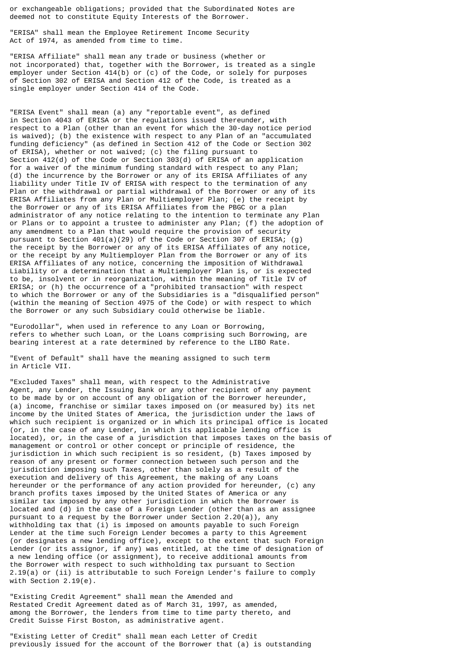or exchangeable obligations; provided that the Subordinated Notes are deemed not to constitute Equity Interests of the Borrower.

"ERISA" shall mean the Employee Retirement Income Security Act of 1974, as amended from time to time.

"ERISA Affiliate" shall mean any trade or business (whether or not incorporated) that, together with the Borrower, is treated as a single employer under Section 414(b) or (c) of the Code, or solely for purposes of Section 302 of ERISA and Section 412 of the Code, is treated as a single employer under Section 414 of the Code.

"ERISA Event" shall mean (a) any "reportable event", as defined in Section 4043 of ERISA or the regulations issued thereunder, with respect to a Plan (other than an event for which the 30-day notice period is waived); (b) the existence with respect to any Plan of an "accumulated funding deficiency" (as defined in Section 412 of the Code or Section 302 of ERISA), whether or not waived; (c) the filing pursuant to Section 412(d) of the Code or Section 303(d) of ERISA of an application for a waiver of the minimum funding standard with respect to any Plan; (d) the incurrence by the Borrower or any of its ERISA Affiliates of any liability under Title IV of ERISA with respect to the termination of any Plan or the withdrawal or partial withdrawal of the Borrower or any of its ERISA Affiliates from any Plan or Multiemployer Plan; (e) the receipt by the Borrower or any of its ERISA Affiliates from the PBGC or a plan administrator of any notice relating to the intention to terminate any Plan or Plans or to appoint a trustee to administer any Plan; (f) the adoption of any amendment to a Plan that would require the provision of security pursuant to Section 401(a)(29) of the Code or Section 307 of ERISA; (g) the receipt by the Borrower or any of its ERISA Affiliates of any notice, or the receipt by any Multiemployer Plan from the Borrower or any of its ERISA Affiliates of any notice, concerning the imposition of Withdrawal Liability or a determination that a Multiemployer Plan is, or is expected to be, insolvent or in reorganization, within the meaning of Title IV of ERISA; or (h) the occurrence of a "prohibited transaction" with respect to which the Borrower or any of the Subsidiaries is a "disqualified person" (within the meaning of Section 4975 of the Code) or with respect to which the Borrower or any such Subsidiary could otherwise be liable.

"Eurodollar", when used in reference to any Loan or Borrowing, refers to whether such Loan, or the Loans comprising such Borrowing, are bearing interest at a rate determined by reference to the LIBO Rate.

"Event of Default" shall have the meaning assigned to such term in Article VII.

"Excluded Taxes" shall mean, with respect to the Administrative Agent, any Lender, the Issuing Bank or any other recipient of any payment to be made by or on account of any obligation of the Borrower hereunder, (a) income, franchise or similar taxes imposed on (or measured by) its net income by the United States of America, the jurisdiction under the laws of which such recipient is organized or in which its principal office is located (or, in the case of any Lender, in which its applicable lending office is located), or, in the case of a jurisdiction that imposes taxes on the basis of management or control or other concept or principle of residence, the jurisdiction in which such recipient is so resident, (b) Taxes imposed by reason of any present or former connection between such person and the jurisdiction imposing such Taxes, other than solely as a result of the execution and delivery of this Agreement, the making of any Loans hereunder or the performance of any action provided for hereunder, (c) any branch profits taxes imposed by the United States of America or any similar tax imposed by any other jurisdiction in which the Borrower is located and  $(d)$  in the case of a Foreign Lender (other than as an assignee pursuant to a request by the Borrower under Section 2.20(a)), any withholding tax that (i) is imposed on amounts payable to such Foreign Lender at the time such Foreign Lender becomes a party to this Agreement (or designates a new lending office), except to the extent that such Foreign Lender (or its assignor, if any) was entitled, at the time of designation of a new lending office (or assignment), to receive additional amounts from the Borrower with respect to such withholding tax pursuant to Section 2.19(a) or (ii) is attributable to such Foreign Lender's failure to comply with Section 2.19(e).

"Existing Credit Agreement" shall mean the Amended and Restated Credit Agreement dated as of March 31, 1997, as amended, among the Borrower, the lenders from time to time party thereto, and Credit Suisse First Boston, as administrative agent.

"Existing Letter of Credit" shall mean each Letter of Credit previously issued for the account of the Borrower that (a) is outstanding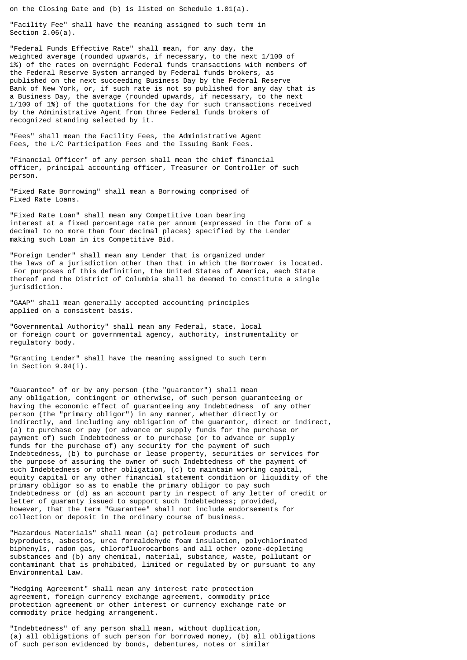on the Closing Date and (b) is listed on Schedule 1.01(a).

"Facility Fee" shall have the meaning assigned to such term in Section 2.06(a).

"Federal Funds Effective Rate" shall mean, for any day, the weighted average (rounded upwards, if necessary, to the next 1/100 of 1%) of the rates on overnight Federal funds transactions with members of the Federal Reserve System arranged by Federal funds brokers, as published on the next succeeding Business Day by the Federal Reserve Bank of New York, or, if such rate is not so published for any day that is a Business Day, the average (rounded upwards, if necessary, to the next 1/100 of 1%) of the quotations for the day for such transactions received by the Administrative Agent from three Federal funds brokers of recognized standing selected by it.

"Fees" shall mean the Facility Fees, the Administrative Agent Fees, the L/C Participation Fees and the Issuing Bank Fees.

"Financial Officer" of any person shall mean the chief financial officer, principal accounting officer, Treasurer or Controller of such person.

"Fixed Rate Borrowing" shall mean a Borrowing comprised of Fixed Rate Loans.

"Fixed Rate Loan" shall mean any Competitive Loan bearing interest at a fixed percentage rate per annum (expressed in the form of a decimal to no more than four decimal places) specified by the Lender making such Loan in its Competitive Bid.

"Foreign Lender" shall mean any Lender that is organized under the laws of a jurisdiction other than that in which the Borrower is located. For purposes of this definition, the United States of America, each State thereof and the District of Columbia shall be deemed to constitute a single jurisdiction.

"GAAP" shall mean generally accepted accounting principles applied on a consistent basis.

"Governmental Authority" shall mean any Federal, state, local or foreign court or governmental agency, authority, instrumentality or regulatory body.

"Granting Lender" shall have the meaning assigned to such term in Section 9.04(i).

"Guarantee" of or by any person (the "guarantor") shall mean any obligation, contingent or otherwise, of such person guaranteeing or having the economic effect of guaranteeing any Indebtedness of any other person (the "primary obligor") in any manner, whether directly or indirectly, and including any obligation of the guarantor, direct or indirect, (a) to purchase or pay (or advance or supply funds for the purchase or payment of) such Indebtedness or to purchase (or to advance or supply funds for the purchase of) any security for the payment of such Indebtedness, (b) to purchase or lease property, securities or services for the purpose of assuring the owner of such Indebtedness of the payment of such Indebtedness or other obligation, (c) to maintain working capital, equity capital or any other financial statement condition or liquidity of the primary obligor so as to enable the primary obligor to pay such Indebtedness or (d) as an account party in respect of any letter of credit or letter of guaranty issued to support such Indebtedness; provided, however, that the term "Guarantee" shall not include endorsements for collection or deposit in the ordinary course of business.

"Hazardous Materials" shall mean (a) petroleum products and byproducts, asbestos, urea formaldehyde foam insulation, polychlorinated biphenyls, radon gas, chlorofluorocarbons and all other ozone-depleting substances and (b) any chemical, material, substance, waste, pollutant or contaminant that is prohibited, limited or regulated by or pursuant to any Environmental Law.

"Hedging Agreement" shall mean any interest rate protection agreement, foreign currency exchange agreement, commodity price protection agreement or other interest or currency exchange rate or commodity price hedging arrangement.

"Indebtedness" of any person shall mean, without duplication, (a) all obligations of such person for borrowed money, (b) all obligations of such person evidenced by bonds, debentures, notes or similar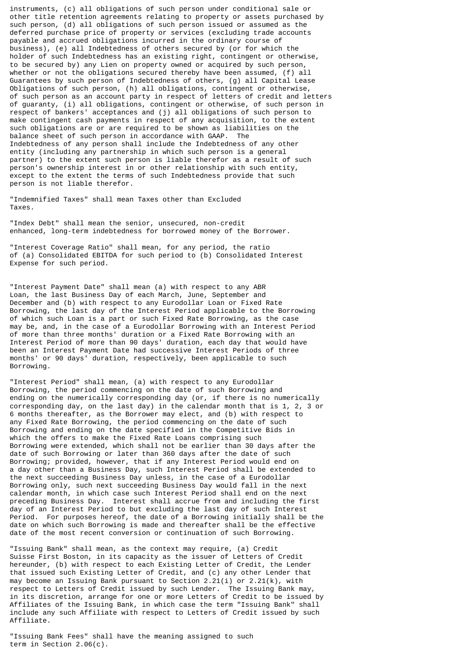instruments, (c) all obligations of such person under conditional sale or other title retention agreements relating to property or assets purchased by such person, (d) all obligations of such person issued or assumed as the deferred purchase price of property or services (excluding trade accounts payable and accrued obligations incurred in the ordinary course of business), (e) all Indebtedness of others secured by (or for which the holder of such Indebtedness has an existing right, contingent or otherwise, to be secured by) any Lien on property owned or acquired by such person, whether or not the obligations secured thereby have been assumed, (f) all Guarantees by such person of Indebtedness of others, (g) all Capital Lease Obligations of such person, (h) all obligations, contingent or otherwise, of such person as an account party in respect of letters of credit and letters of guaranty, (i) all obligations, contingent or otherwise, of such person in respect of bankers' acceptances and (j) all obligations of such person to make contingent cash payments in respect of any acquisition, to the extent such obligations are or are required to be shown as liabilities on the balance sheet of such person in accordance with GAAP. The Indebtedness of any person shall include the Indebtedness of any other entity (including any partnership in which such person is a general partner) to the extent such person is liable therefor as a result of such person's ownership interest in or other relationship with such entity, except to the extent the terms of such Indebtedness provide that such person is not liable therefor.

"Indemnified Taxes" shall mean Taxes other than Excluded Taxes.

"Index Debt" shall mean the senior, unsecured, non-credit enhanced, long-term indebtedness for borrowed money of the Borrower.

"Interest Coverage Ratio" shall mean, for any period, the ratio of (a) Consolidated EBITDA for such period to (b) Consolidated Interest Expense for such period.

"Interest Payment Date" shall mean (a) with respect to any ABR Loan, the last Business Day of each March, June, September and December and (b) with respect to any Eurodollar Loan or Fixed Rate Borrowing, the last day of the Interest Period applicable to the Borrowing of which such Loan is a part or such Fixed Rate Borrowing, as the case may be, and, in the case of a Eurodollar Borrowing with an Interest Period of more than three months' duration or a Fixed Rate Borrowing with an Interest Period of more than 90 days' duration, each day that would have been an Interest Payment Date had successive Interest Periods of three months' or 90 days' duration, respectively, been applicable to such Borrowing.

"Interest Period" shall mean, (a) with respect to any Eurodollar Borrowing, the period commencing on the date of such Borrowing and ending on the numerically corresponding day (or, if there is no numerically corresponding day, on the last day) in the calendar month that is 1, 2, 3 or 6 months thereafter, as the Borrower may elect, and (b) with respect to any Fixed Rate Borrowing, the period commencing on the date of such Borrowing and ending on the date specified in the Competitive Bids in which the offers to make the Fixed Rate Loans comprising such Borrowing were extended, which shall not be earlier than 30 days after the date of such Borrowing or later than 360 days after the date of such Borrowing; provided, however, that if any Interest Period would end on a day other than a Business Day, such Interest Period shall be extended to the next succeeding Business Day unless, in the case of a Eurodollar Borrowing only, such next succeeding Business Day would fall in the next calendar month, in which case such Interest Period shall end on the next preceding Business Day. Interest shall accrue from and including the first day of an Interest Period to but excluding the last day of such Interest Period. For purposes hereof, the date of a Borrowing initially shall be the date on which such Borrowing is made and thereafter shall be the effective date of the most recent conversion or continuation of such Borrowing.

"Issuing Bank" shall mean, as the context may require, (a) Credit Suisse First Boston, in its capacity as the issuer of Letters of Credit hereunder, (b) with respect to each Existing Letter of Credit, the Lender that issued such Existing Letter of Credit, and (c) any other Lender that may become an Issuing Bank pursuant to Section 2.21(i) or 2.21(k), with respect to Letters of Credit issued by such Lender. The Issuing Bank may, in its discretion, arrange for one or more Letters of Credit to be issued by Affiliates of the Issuing Bank, in which case the term "Issuing Bank" shall include any such Affiliate with respect to Letters of Credit issued by such Affiliate.

"Issuing Bank Fees" shall have the meaning assigned to such term in Section 2.06(c).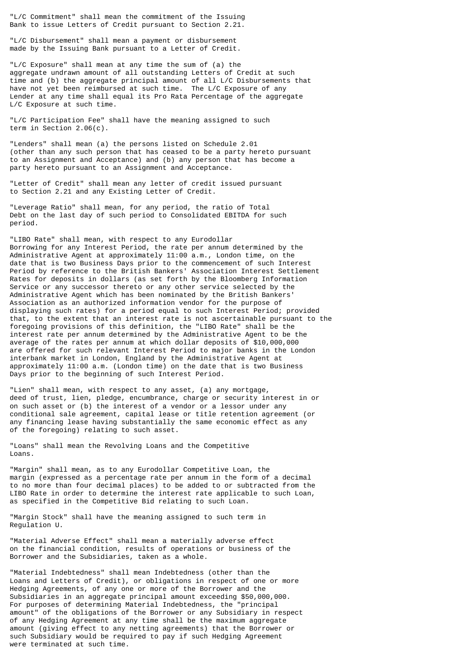"L/C Commitment" shall mean the commitment of the Issuing Bank to issue Letters of Credit pursuant to Section 2.21.

"L/C Disbursement" shall mean a payment or disbursement made by the Issuing Bank pursuant to a Letter of Credit.

"L/C Exposure" shall mean at any time the sum of (a) the aggregate undrawn amount of all outstanding Letters of Credit at such time and (b) the aggregate principal amount of all L/C Disbursements that have not yet been reimbursed at such time. The L/C Exposure of any Lender at any time shall equal its Pro Rata Percentage of the aggregate L/C Exposure at such time.

"L/C Participation Fee" shall have the meaning assigned to such term in Section 2.06(c).

"Lenders" shall mean (a) the persons listed on Schedule 2.01 (other than any such person that has ceased to be a party hereto pursuant to an Assignment and Acceptance) and (b) any person that has become a party hereto pursuant to an Assignment and Acceptance.

"Letter of Credit" shall mean any letter of credit issued pursuant to Section 2.21 and any Existing Letter of Credit.

"Leverage Ratio" shall mean, for any period, the ratio of Total Debt on the last day of such period to Consolidated EBITDA for such period.

"LIBO Rate" shall mean, with respect to any Eurodollar Borrowing for any Interest Period, the rate per annum determined by the Administrative Agent at approximately 11:00 a.m., London time, on the date that is two Business Days prior to the commencement of such Interest Period by reference to the British Bankers' Association Interest Settlement Rates for deposits in dollars (as set forth by the Bloomberg Information Service or any successor thereto or any other service selected by the Administrative Agent which has been nominated by the British Bankers' Association as an authorized information vendor for the purpose of displaying such rates) for a period equal to such Interest Period; provided that, to the extent that an interest rate is not ascertainable pursuant to the foregoing provisions of this definition, the "LIBO Rate" shall be the interest rate per annum determined by the Administrative Agent to be the average of the rates per annum at which dollar deposits of \$10,000,000 are offered for such relevant Interest Period to major banks in the London interbank market in London, England by the Administrative Agent at approximately 11:00 a.m. (London time) on the date that is two Business Days prior to the beginning of such Interest Period.

"Lien" shall mean, with respect to any asset, (a) any mortgage, deed of trust, lien, pledge, encumbrance, charge or security interest in or on such asset or (b) the interest of a vendor or a lessor under any conditional sale agreement, capital lease or title retention agreement (or any financing lease having substantially the same economic effect as any of the foregoing) relating to such asset.

"Loans" shall mean the Revolving Loans and the Competitive Loans.

"Margin" shall mean, as to any Eurodollar Competitive Loan, the margin (expressed as a percentage rate per annum in the form of a decimal to no more than four decimal places) to be added to or subtracted from the LIBO Rate in order to determine the interest rate applicable to such Loan, as specified in the Competitive Bid relating to such Loan.

"Margin Stock" shall have the meaning assigned to such term in Regulation U.

"Material Adverse Effect" shall mean a materially adverse effect on the financial condition, results of operations or business of the Borrower and the Subsidiaries, taken as a whole.

"Material Indebtedness" shall mean Indebtedness (other than the Loans and Letters of Credit), or obligations in respect of one or more Hedging Agreements, of any one or more of the Borrower and the Subsidiaries in an aggregate principal amount exceeding \$50,000,000. For purposes of determining Material Indebtedness, the "principal amount" of the obligations of the Borrower or any Subsidiary in respect of any Hedging Agreement at any time shall be the maximum aggregate amount (giving effect to any netting agreements) that the Borrower or such Subsidiary would be required to pay if such Hedging Agreement were terminated at such time.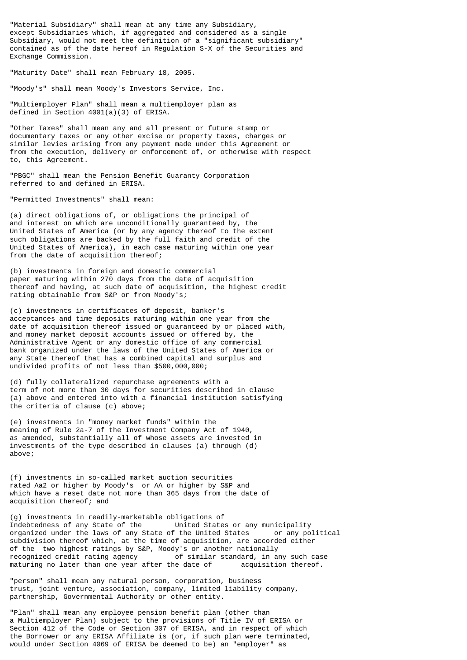"Material Subsidiary" shall mean at any time any Subsidiary, except Subsidiaries which, if aggregated and considered as a single Subsidiary, would not meet the definition of a "significant subsidiary" contained as of the date hereof in Regulation S-X of the Securities and Exchange Commission.

"Maturity Date" shall mean February 18, 2005.

"Moody's" shall mean Moody's Investors Service, Inc.

"Multiemployer Plan" shall mean a multiemployer plan as defined in Section 4001(a)(3) of ERISA.

"Other Taxes" shall mean any and all present or future stamp or documentary taxes or any other excise or property taxes, charges or similar levies arising from any payment made under this Agreement or from the execution, delivery or enforcement of, or otherwise with respect to, this Agreement.

"PBGC" shall mean the Pension Benefit Guaranty Corporation referred to and defined in ERISA.

"Permitted Investments" shall mean:

(a) direct obligations of, or obligations the principal of and interest on which are unconditionally guaranteed by, the United States of America (or by any agency thereof to the extent such obligations are backed by the full faith and credit of the United States of America), in each case maturing within one year from the date of acquisition thereof;

(b) investments in foreign and domestic commercial paper maturing within 270 days from the date of acquisition thereof and having, at such date of acquisition, the highest credit rating obtainable from S&P or from Moody's;

(c) investments in certificates of deposit, banker's acceptances and time deposits maturing within one year from the date of acquisition thereof issued or guaranteed by or placed with, and money market deposit accounts issued or offered by, the Administrative Agent or any domestic office of any commercial bank organized under the laws of the United States of America or any State thereof that has a combined capital and surplus and undivided profits of not less than \$500,000,000;

(d) fully collateralized repurchase agreements with a term of not more than 30 days for securities described in clause (a) above and entered into with a financial institution satisfying the criteria of clause (c) above;

(e) investments in "money market funds" within the meaning of Rule 2a-7 of the Investment Company Act of 1940, as amended, substantially all of whose assets are invested in investments of the type described in clauses (a) through (d) above;

(f) investments in so-called market auction securities rated Aa2 or higher by Moody's or AA or higher by S&P and which have a reset date not more than 365 days from the date of acquisition thereof; and

(g) investments in readily-marketable obligations of Indebtedness of any State of the United States or any municipality<br>organized under the laws of any State of the United States or any political organized under the laws of any State of the United States subdivision thereof which, at the time of acquisition, are accorded either of the two highest ratings by S&P, Moody's or another nationally<br>recognized credit rating agency of similar standard, in a of similar standard, in any such case maturing no later than one year after the date of acquisition thereof.

"person" shall mean any natural person, corporation, business trust, joint venture, association, company, limited liability company, partnership, Governmental Authority or other entity.

"Plan" shall mean any employee pension benefit plan (other than a Multiemployer Plan) subject to the provisions of Title IV of ERISA or Section 412 of the Code or Section 307 of ERISA, and in respect of which the Borrower or any ERISA Affiliate is (or, if such plan were terminated, would under Section 4069 of ERISA be deemed to be) an "employer" as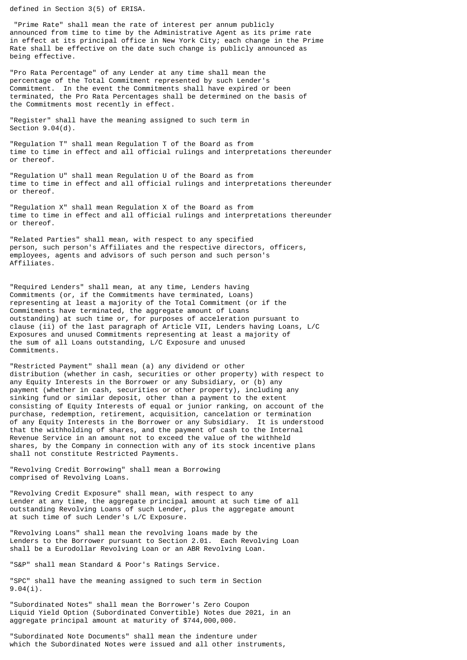defined in Section 3(5) of ERISA.

 "Prime Rate" shall mean the rate of interest per annum publicly announced from time to time by the Administrative Agent as its prime rate in effect at its principal office in New York City; each change in the Prime Rate shall be effective on the date such change is publicly announced as being effective.

"Pro Rata Percentage" of any Lender at any time shall mean the percentage of the Total Commitment represented by such Lender's Commitment. In the event the Commitments shall have expired or been terminated, the Pro Rata Percentages shall be determined on the basis of the Commitments most recently in effect.

"Register" shall have the meaning assigned to such term in Section 9.04(d).

"Regulation T" shall mean Regulation T of the Board as from time to time in effect and all official rulings and interpretations thereunder or thereof.

"Regulation U" shall mean Regulation U of the Board as from time to time in effect and all official rulings and interpretations thereunder or thereof.

"Regulation X" shall mean Regulation X of the Board as from time to time in effect and all official rulings and interpretations thereunder or thereof.

"Related Parties" shall mean, with respect to any specified person, such person's Affiliates and the respective directors, officers, employees, agents and advisors of such person and such person's Affiliates.

"Required Lenders" shall mean, at any time, Lenders having Commitments (or, if the Commitments have terminated, Loans) representing at least a majority of the Total Commitment (or if the Commitments have terminated, the aggregate amount of Loans outstanding) at such time or, for purposes of acceleration pursuant to clause (ii) of the last paragraph of Article VII, Lenders having Loans, L/C Exposures and unused Commitments representing at least a majority of the sum of all Loans outstanding, L/C Exposure and unused Commitments.

"Restricted Payment" shall mean (a) any dividend or other distribution (whether in cash, securities or other property) with respect to any Equity Interests in the Borrower or any Subsidiary, or (b) any payment (whether in cash, securities or other property), including any sinking fund or similar deposit, other than a payment to the extent consisting of Equity Interests of equal or junior ranking, on account of the purchase, redemption, retirement, acquisition, cancelation or termination of any Equity Interests in the Borrower or any Subsidiary. It is understood that the withholding of shares, and the payment of cash to the Internal Revenue Service in an amount not to exceed the value of the withheld shares, by the Company in connection with any of its stock incentive plans shall not constitute Restricted Payments.

"Revolving Credit Borrowing" shall mean a Borrowing comprised of Revolving Loans.

"Revolving Credit Exposure" shall mean, with respect to any Lender at any time, the aggregate principal amount at such time of all outstanding Revolving Loans of such Lender, plus the aggregate amount at such time of such Lender's L/C Exposure.

"Revolving Loans" shall mean the revolving loans made by the Lenders to the Borrower pursuant to Section 2.01. Each Revolving Loan shall be a Eurodollar Revolving Loan or an ABR Revolving Loan.

"S&P" shall mean Standard & Poor's Ratings Service.

"SPC" shall have the meaning assigned to such term in Section 9.04(i).

"Subordinated Notes" shall mean the Borrower's Zero Coupon Liquid Yield Option (Subordinated Convertible) Notes due 2021, in an aggregate principal amount at maturity of \$744,000,000.

"Subordinated Note Documents" shall mean the indenture under which the Subordinated Notes were issued and all other instruments,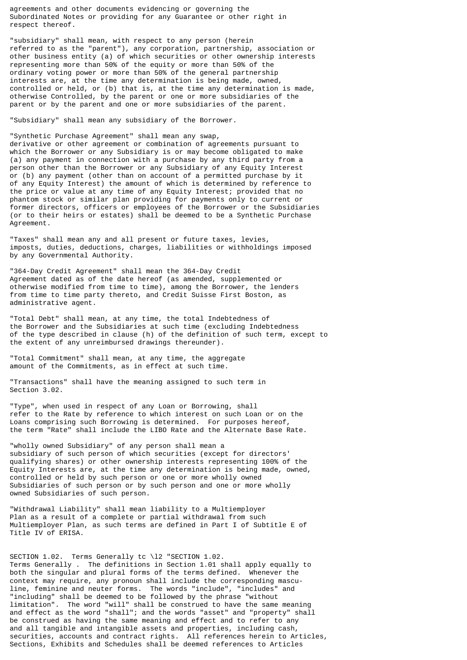agreements and other documents evidencing or governing the Subordinated Notes or providing for any Guarantee or other right in respect thereof.

"subsidiary" shall mean, with respect to any person (herein referred to as the "parent"), any corporation, partnership, association or other business entity (a) of which securities or other ownership interests representing more than 50% of the equity or more than 50% of the ordinary voting power or more than 50% of the general partnership interests are, at the time any determination is being made, owned, controlled or held, or (b) that is, at the time any determination is made, otherwise Controlled, by the parent or one or more subsidiaries of the parent or by the parent and one or more subsidiaries of the parent.

"Subsidiary" shall mean any subsidiary of the Borrower.

"Synthetic Purchase Agreement" shall mean any swap, derivative or other agreement or combination of agreements pursuant to which the Borrower or any Subsidiary is or may become obligated to make (a) any payment in connection with a purchase by any third party from a person other than the Borrower or any Subsidiary of any Equity Interest or (b) any payment (other than on account of a permitted purchase by it of any Equity Interest) the amount of which is determined by reference to the price or value at any time of any Equity Interest; provided that no phantom stock or similar plan providing for payments only to current or former directors, officers or employees of the Borrower or the Subsidiaries (or to their heirs or estates) shall be deemed to be a Synthetic Purchase Agreement.

"Taxes" shall mean any and all present or future taxes, levies, imposts, duties, deductions, charges, liabilities or withholdings imposed by any Governmental Authority.

"364-Day Credit Agreement" shall mean the 364-Day Credit Agreement dated as of the date hereof (as amended, supplemented or otherwise modified from time to time), among the Borrower, the lenders from time to time party thereto, and Credit Suisse First Boston, as administrative agent.

"Total Debt" shall mean, at any time, the total Indebtedness of the Borrower and the Subsidiaries at such time (excluding Indebtedness of the type described in clause (h) of the definition of such term, except to the extent of any unreimbursed drawings thereunder).

"Total Commitment" shall mean, at any time, the aggregate amount of the Commitments, as in effect at such time.

"Transactions" shall have the meaning assigned to such term in Section 3.02.

"Type", when used in respect of any Loan or Borrowing, shall refer to the Rate by reference to which interest on such Loan or on the Loans comprising such Borrowing is determined. For purposes hereof, the term "Rate" shall include the LIBO Rate and the Alternate Base Rate.

"wholly owned Subsidiary" of any person shall mean a subsidiary of such person of which securities (except for directors' qualifying shares) or other ownership interests representing 100% of the Equity Interests are, at the time any determination is being made, owned, controlled or held by such person or one or more wholly owned Subsidiaries of such person or by such person and one or more wholly owned Subsidiaries of such person.

"Withdrawal Liability" shall mean liability to a Multiemployer Plan as a result of a complete or partial withdrawal from such Multiemployer Plan, as such terms are defined in Part I of Subtitle E of Title IV of ERISA.

SECTION 1.02. Terms Generally tc \12 "SECTION 1.02.

Terms Generally . The definitions in Section 1.01 shall apply equally to both the singular and plural forms of the terms defined. Whenever the context may require, any pronoun shall include the corresponding masculine, feminine and neuter forms. The words "include", "includes" and "including" shall be deemed to be followed by the phrase "without limitation". The word "will" shall be construed to have the same meaning and effect as the word "shall"; and the words "asset" and "property" shall be construed as having the same meaning and effect and to refer to any and all tangible and intangible assets and properties, including cash, securities, accounts and contract rights. All references herein to Articles, Sections, Exhibits and Schedules shall be deemed references to Articles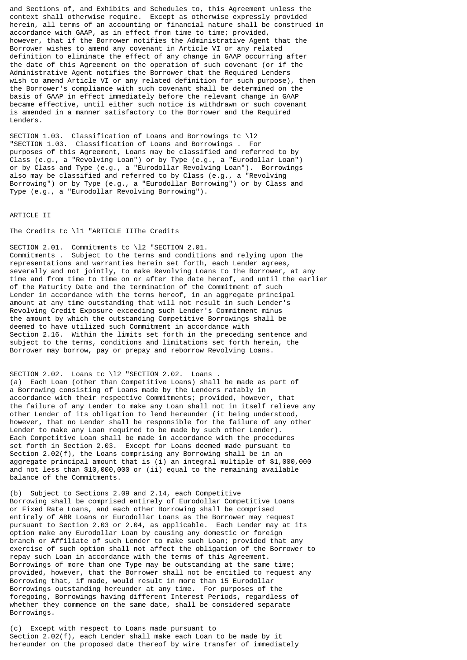and Sections of, and Exhibits and Schedules to, this Agreement unless the context shall otherwise require. Except as otherwise expressly provided herein, all terms of an accounting or financial nature shall be construed in accordance with GAAP, as in effect from time to time; provided, however, that if the Borrower notifies the Administrative Agent that the Borrower wishes to amend any covenant in Article VI or any related definition to eliminate the effect of any change in GAAP occurring after the date of this Agreement on the operation of such covenant (or if the Administrative Agent notifies the Borrower that the Required Lenders wish to amend Article VI or any related definition for such purpose), then the Borrower's compliance with such covenant shall be determined on the basis of GAAP in effect immediately before the relevant change in GAAP became effective, until either such notice is withdrawn or such covenant is amended in a manner satisfactory to the Borrower and the Required Lenders.

SECTION 1.03. Classification of Loans and Borrowings tc \l2 "SECTION 1.03. Classification of Loans and Borrowings . For purposes of this Agreement, Loans may be classified and referred to by Class (e.g., a "Revolving Loan") or by Type (e.g., a "Eurodollar Loan") or by Class and Type (e.g., a "Eurodollar Revolving Loan"). Borrowings also may be classified and referred to by Class (e.g., a "Revolving Borrowing") or by Type (e.g., a "Eurodollar Borrowing") or by Class and Type (e.g., a "Eurodollar Revolving Borrowing").

#### ARTICLE II

The Credits tc \l1 "ARTICLE IIThe Credits

SECTION 2.01. Commitments tc \l2 "SECTION 2.01. Commitments . Subject to the terms and conditions and relying upon the representations and warranties herein set forth, each Lender agrees, severally and not jointly, to make Revolving Loans to the Borrower, at any time and from time to time on or after the date hereof, and until the earlier of the Maturity Date and the termination of the Commitment of such Lender in accordance with the terms hereof, in an aggregate principal amount at any time outstanding that will not result in such Lender's Revolving Credit Exposure exceeding such Lender's Commitment minus the amount by which the outstanding Competitive Borrowings shall be deemed to have utilized such Commitment in accordance with Section 2.16. Within the limits set forth in the preceding sentence and subject to the terms, conditions and limitations set forth herein, the Borrower may borrow, pay or prepay and reborrow Revolving Loans.

SECTION 2.02. Loans tc \12 "SECTION 2.02. Loans (a) Each Loan (other than Competitive Loans) shall be made as part of a Borrowing consisting of Loans made by the Lenders ratably in accordance with their respective Commitments; provided, however, that the failure of any Lender to make any Loan shall not in itself relieve any other Lender of its obligation to lend hereunder (it being understood, however, that no Lender shall be responsible for the failure of any other Lender to make any Loan required to be made by such other Lender). Each Competitive Loan shall be made in accordance with the procedures set forth in Section 2.03. Except for Loans deemed made pursuant to Section 2.02(f), the Loans comprising any Borrowing shall be in an aggregate principal amount that is (i) an integral multiple of \$1,000,000 and not less than \$10,000,000 or (ii) equal to the remaining available balance of the Commitments.

(b) Subject to Sections 2.09 and 2.14, each Competitive Borrowing shall be comprised entirely of Eurodollar Competitive Loans or Fixed Rate Loans, and each other Borrowing shall be comprised entirely of ABR Loans or Eurodollar Loans as the Borrower may request pursuant to Section 2.03 or 2.04, as applicable. Each Lender may at its option make any Eurodollar Loan by causing any domestic or foreign branch or Affiliate of such Lender to make such Loan; provided that any exercise of such option shall not affect the obligation of the Borrower to repay such Loan in accordance with the terms of this Agreement. Borrowings of more than one Type may be outstanding at the same time; provided, however, that the Borrower shall not be entitled to request any Borrowing that, if made, would result in more than 15 Eurodollar Borrowings outstanding hereunder at any time. For purposes of the foregoing, Borrowings having different Interest Periods, regardless of whether they commence on the same date, shall be considered separate Borrowings.

(c) Except with respect to Loans made pursuant to Section 2.02(f), each Lender shall make each Loan to be made by it hereunder on the proposed date thereof by wire transfer of immediately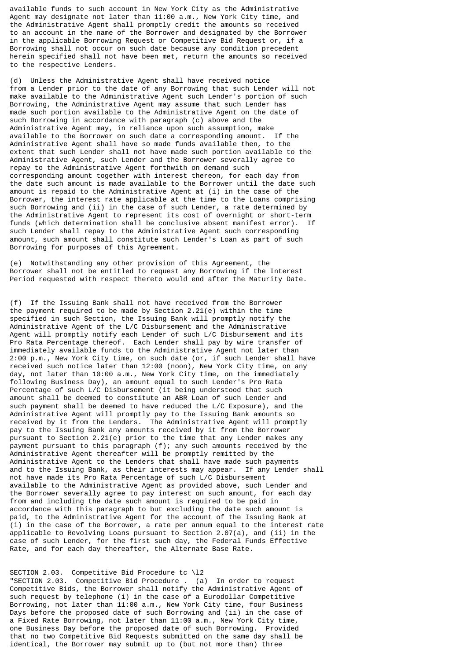available funds to such account in New York City as the Administrative Agent may designate not later than 11:00 a.m., New York City time, and the Administrative Agent shall promptly credit the amounts so received to an account in the name of the Borrower and designated by the Borrower in the applicable Borrowing Request or Competitive Bid Request or, if a Borrowing shall not occur on such date because any condition precedent herein specified shall not have been met, return the amounts so received to the respective Lenders.

(d) Unless the Administrative Agent shall have received notice from a Lender prior to the date of any Borrowing that such Lender will not make available to the Administrative Agent such Lender's portion of such Borrowing, the Administrative Agent may assume that such Lender has made such portion available to the Administrative Agent on the date of such Borrowing in accordance with paragraph (c) above and the Administrative Agent may, in reliance upon such assumption, make available to the Borrower on such date a corresponding amount. If the Administrative Agent shall have so made funds available then, to the extent that such Lender shall not have made such portion available to the Administrative Agent, such Lender and the Borrower severally agree to repay to the Administrative Agent forthwith on demand such corresponding amount together with interest thereon, for each day from the date such amount is made available to the Borrower until the date such amount is repaid to the Administrative Agent at (i) in the case of the Borrower, the interest rate applicable at the time to the Loans comprising such Borrowing and (ii) in the case of such Lender, a rate determined by the Administrative Agent to represent its cost of overnight or short-term funds (which determination shall be conclusive absent manifest error). If such Lender shall repay to the Administrative Agent such corresponding amount, such amount shall constitute such Lender's Loan as part of such Borrowing for purposes of this Agreement.

(e) Notwithstanding any other provision of this Agreement, the Borrower shall not be entitled to request any Borrowing if the Interest Period requested with respect thereto would end after the Maturity Date.

(f) If the Issuing Bank shall not have received from the Borrower the payment required to be made by Section 2.21(e) within the time specified in such Section, the Issuing Bank will promptly notify the Administrative Agent of the L/C Disbursement and the Administrative Agent will promptly notify each Lender of such L/C Disbursement and its Pro Rata Percentage thereof. Each Lender shall pay by wire transfer of immediately available funds to the Administrative Agent not later than 2:00 p.m., New York City time, on such date (or, if such Lender shall have received such notice later than 12:00 (noon), New York City time, on any day, not later than 10:00 a.m., New York City time, on the immediately following Business Day), an amount equal to such Lender's Pro Rata Percentage of such L/C Disbursement (it being understood that such amount shall be deemed to constitute an ABR Loan of such Lender and such payment shall be deemed to have reduced the L/C Exposure), and the Administrative Agent will promptly pay to the Issuing Bank amounts so received by it from the Lenders. The Administrative Agent will promptly pay to the Issuing Bank any amounts received by it from the Borrower pursuant to Section 2.21(e) prior to the time that any Lender makes any payment pursuant to this paragraph (f); any such amounts received by the Administrative Agent thereafter will be promptly remitted by the Administrative Agent to the Lenders that shall have made such payments and to the Issuing Bank, as their interests may appear. If any Lender shall not have made its Pro Rata Percentage of such L/C Disbursement available to the Administrative Agent as provided above, such Lender and the Borrower severally agree to pay interest on such amount, for each day from and including the date such amount is required to be paid in accordance with this paragraph to but excluding the date such amount is paid, to the Administrative Agent for the account of the Issuing Bank at (i) in the case of the Borrower, a rate per annum equal to the interest rate applicable to Revolving Loans pursuant to Section 2.07(a), and (ii) in the case of such Lender, for the first such day, the Federal Funds Effective Rate, and for each day thereafter, the Alternate Base Rate.

#### SECTION 2.03. Competitive Bid Procedure tc \l2

"SECTION 2.03. Competitive Bid Procedure . (a) In order to request Competitive Bids, the Borrower shall notify the Administrative Agent of such request by telephone (i) in the case of a Eurodollar Competitive Borrowing, not later than 11:00 a.m., New York City time, four Business Days before the proposed date of such Borrowing and (ii) in the case of a Fixed Rate Borrowing, not later than 11:00 a.m., New York City time, one Business Day before the proposed date of such Borrowing. Provided that no two Competitive Bid Requests submitted on the same day shall be identical, the Borrower may submit up to (but not more than) three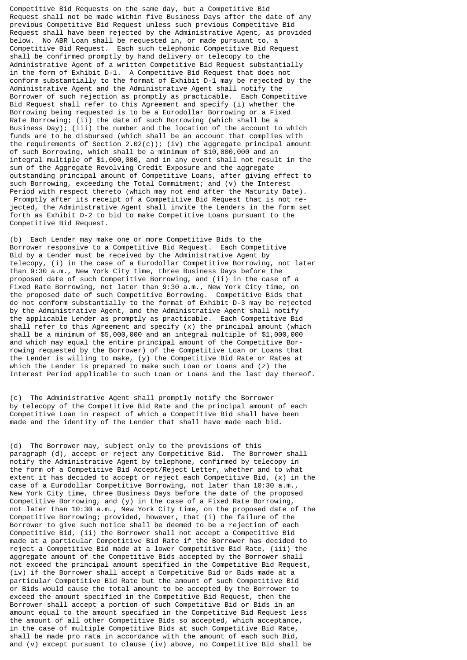Competitive Bid Requests on the same day, but a Competitive Bid Request shall not be made within five Business Days after the date of any previous Competitive Bid Request unless such previous Competitive Bid Request shall have been rejected by the Administrative Agent, as provided below. No ABR Loan shall be requested in, or made pursuant to, a Competitive Bid Request. Each such telephonic Competitive Bid Request shall be confirmed promptly by hand delivery or telecopy to the Administrative Agent of a written Competitive Bid Request substantially in the form of Exhibit D-1. A Competitive Bid Request that does not conform substantially to the format of Exhibit D-1 may be rejected by the Administrative Agent and the Administrative Agent shall notify the Borrower of such rejection as promptly as practicable. Each Competitive Bid Request shall refer to this Agreement and specify (i) whether the Borrowing being requested is to be a Eurodollar Borrowing or a Fixed Rate Borrowing; (ii) the date of such Borrowing (which shall be a Business Day); (iii) the number and the location of the account to which funds are to be disbursed (which shall be an account that complies with the requirements of Section 2.02(c)); (iv) the aggregate principal amount of such Borrowing, which shall be a minimum of \$10,000,000 and an integral multiple of \$1,000,000, and in any event shall not result in the sum of the Aggregate Revolving Credit Exposure and the aggregate outstanding principal amount of Competitive Loans, after giving effect to such Borrowing, exceeding the Total Commitment; and (v) the Interest Period with respect thereto (which may not end after the Maturity Date). Promptly after its receipt of a Competitive Bid Request that is not rejected, the Administrative Agent shall invite the Lenders in the form set forth as Exhibit D-2 to bid to make Competitive Loans pursuant to the Competitive Bid Request.

(b) Each Lender may make one or more Competitive Bids to the Borrower responsive to a Competitive Bid Request. Each Competitive Bid by a Lender must be received by the Administrative Agent by telecopy, (i) in the case of a Eurodollar Competitive Borrowing, not later than 9:30 a.m., New York City time, three Business Days before the proposed date of such Competitive Borrowing, and (ii) in the case of a Fixed Rate Borrowing, not later than 9:30 a.m., New York City time, on the proposed date of such Competitive Borrowing. Competitive Bids that do not conform substantially to the format of Exhibit D-3 may be rejected by the Administrative Agent, and the Administrative Agent shall notify the applicable Lender as promptly as practicable. Each Competitive Bid shall refer to this Agreement and specify (x) the principal amount (which shall be a minimum of \$5,000,000 and an integral multiple of \$1,000,000 and which may equal the entire principal amount of the Competitive Borrowing requested by the Borrower) of the Competitive Loan or Loans that the Lender is willing to make, (y) the Competitive Bid Rate or Rates at which the Lender is prepared to make such Loan or Loans and (z) the Interest Period applicable to such Loan or Loans and the last day thereof.

(c) The Administrative Agent shall promptly notify the Borrower by telecopy of the Competitive Bid Rate and the principal amount of each Competitive Loan in respect of which a Competitive Bid shall have been made and the identity of the Lender that shall have made each bid.

(d) The Borrower may, subject only to the provisions of this paragraph (d), accept or reject any Competitive Bid. The Borrower shall notify the Administrative Agent by telephone, confirmed by telecopy in the form of a Competitive Bid Accept/Reject Letter, whether and to what extent it has decided to accept or reject each Competitive Bid, (x) in the case of a Eurodollar Competitive Borrowing, not later than 10:30 a.m., New York City time, three Business Days before the date of the proposed Competitive Borrowing, and (y) in the case of a Fixed Rate Borrowing, not later than 10:30 a.m., New York City time, on the proposed date of the Competitive Borrowing; provided, however, that (i) the failure of the Borrower to give such notice shall be deemed to be a rejection of each Competitive Bid, (ii) the Borrower shall not accept a Competitive Bid made at a particular Competitive Bid Rate if the Borrower has decided to reject a Competitive Bid made at a lower Competitive Bid Rate, (iii) the aggregate amount of the Competitive Bids accepted by the Borrower shall not exceed the principal amount specified in the Competitive Bid Request, (iv) if the Borrower shall accept a Competitive Bid or Bids made at a particular Competitive Bid Rate but the amount of such Competitive Bid or Bids would cause the total amount to be accepted by the Borrower to exceed the amount specified in the Competitive Bid Request, then the Borrower shall accept a portion of such Competitive Bid or Bids in an amount equal to the amount specified in the Competitive Bid Request less the amount of all other Competitive Bids so accepted, which acceptance, in the case of multiple Competitive Bids at such Competitive Bid Rate, shall be made pro rata in accordance with the amount of each such Bid, and (v) except pursuant to clause (iv) above, no Competitive Bid shall be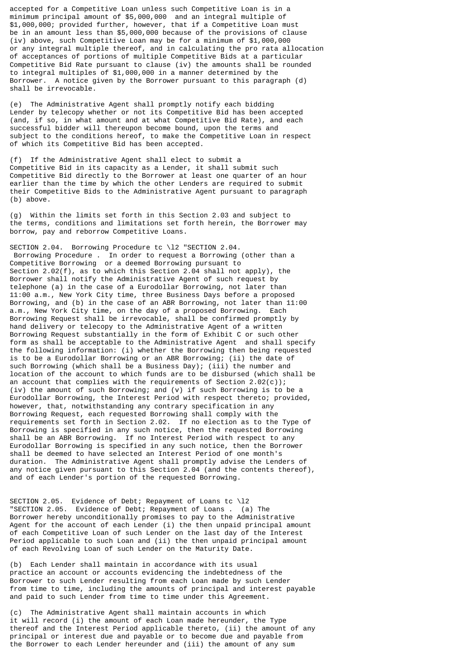accepted for a Competitive Loan unless such Competitive Loan is in a minimum principal amount of \$5,000,000 and an integral multiple of \$1,000,000; provided further, however, that if a Competitive Loan must be in an amount less than \$5,000,000 because of the provisions of clause (iv) above, such Competitive Loan may be for a minimum of \$1,000,000 or any integral multiple thereof, and in calculating the pro rata allocation of acceptances of portions of multiple Competitive Bids at a particular Competitive Bid Rate pursuant to clause (iv) the amounts shall be rounded to integral multiples of \$1,000,000 in a manner determined by the Borrower. A notice given by the Borrower pursuant to this paragraph (d) shall be irrevocable.

(e) The Administrative Agent shall promptly notify each bidding Lender by telecopy whether or not its Competitive Bid has been accepted (and, if so, in what amount and at what Competitive Bid Rate), and each successful bidder will thereupon become bound, upon the terms and subject to the conditions hereof, to make the Competitive Loan in respect of which its Competitive Bid has been accepted.

(f) If the Administrative Agent shall elect to submit a Competitive Bid in its capacity as a Lender, it shall submit such Competitive Bid directly to the Borrower at least one quarter of an hour earlier than the time by which the other Lenders are required to submit their Competitive Bids to the Administrative Agent pursuant to paragraph (b) above.

(g) Within the limits set forth in this Section 2.03 and subject to the terms, conditions and limitations set forth herein, the Borrower may borrow, pay and reborrow Competitive Loans.

SECTION 2.04. Borrowing Procedure tc \12 "SECTION 2.04. Borrowing Procedure . In order to request a Borrowing (other than a Competitive Borrowing or a deemed Borrowing pursuant to Section 2.02(f), as to which this Section 2.04 shall not apply), the Borrower shall notify the Administrative Agent of such request by telephone (a) in the case of a Eurodollar Borrowing, not later than 11:00 a.m., New York City time, three Business Days before a proposed Borrowing, and (b) in the case of an ABR Borrowing, not later than 11:00 a.m., New York City time, on the day of a proposed Borrowing. Each Borrowing Request shall be irrevocable, shall be confirmed promptly by hand delivery or telecopy to the Administrative Agent of a written Borrowing Request substantially in the form of Exhibit C or such other form as shall be acceptable to the Administrative Agent and shall specify the following information: (i) whether the Borrowing then being requested is to be a Eurodollar Borrowing or an ABR Borrowing; (ii) the date of such Borrowing (which shall be a Business Day); (iii) the number and location of the account to which funds are to be disbursed (which shall be an account that complies with the requirements of Section  $2.02(c)$ ; (iv) the amount of such Borrowing; and (v) if such Borrowing is to be a Eurodollar Borrowing, the Interest Period with respect thereto; provided, however, that, notwithstanding any contrary specification in any Borrowing Request, each requested Borrowing shall comply with the requirements set forth in Section 2.02. If no election as to the Type of Borrowing is specified in any such notice, then the requested Borrowing shall be an ABR Borrowing. If no Interest Period with respect to any Eurodollar Borrowing is specified in any such notice, then the Borrower shall be deemed to have selected an Interest Period of one month's duration. The Administrative Agent shall promptly advise the Lenders of any notice given pursuant to this Section 2.04 (and the contents thereof), and of each Lender's portion of the requested Borrowing.

SECTION 2.05. Evidence of Debt; Repayment of Loans tc \l2 "SECTION 2.05. Evidence of Debt; Repayment of Loans . (a) The Borrower hereby unconditionally promises to pay to the Administrative Agent for the account of each Lender (i) the then unpaid principal amount of each Competitive Loan of such Lender on the last day of the Interest Period applicable to such Loan and (ii) the then unpaid principal amount of each Revolving Loan of such Lender on the Maturity Date.

(b) Each Lender shall maintain in accordance with its usual practice an account or accounts evidencing the indebtedness of the Borrower to such Lender resulting from each Loan made by such Lender from time to time, including the amounts of principal and interest payable and paid to such Lender from time to time under this Agreement.

(c) The Administrative Agent shall maintain accounts in which it will record (i) the amount of each Loan made hereunder, the Type thereof and the Interest Period applicable thereto, (ii) the amount of any principal or interest due and payable or to become due and payable from the Borrower to each Lender hereunder and (iii) the amount of any sum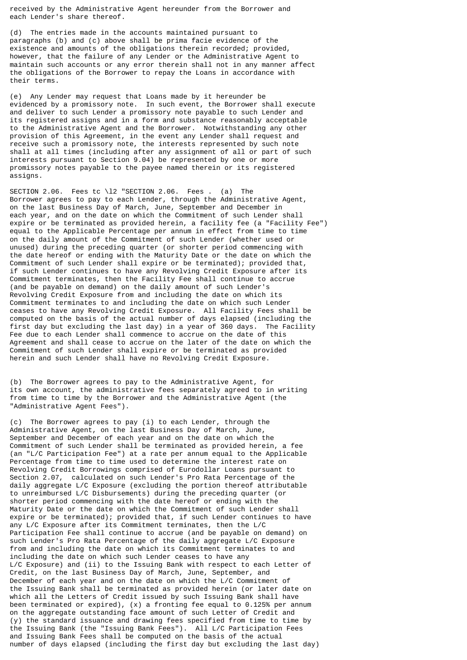received by the Administrative Agent hereunder from the Borrower and each Lender's share thereof.

(d) The entries made in the accounts maintained pursuant to paragraphs (b) and (c) above shall be prima facie evidence of the existence and amounts of the obligations therein recorded; provided, however, that the failure of any Lender or the Administrative Agent to maintain such accounts or any error therein shall not in any manner affect the obligations of the Borrower to repay the Loans in accordance with their terms.

(e) Any Lender may request that Loans made by it hereunder be evidenced by a promissory note. In such event, the Borrower shall execute and deliver to such Lender a promissory note payable to such Lender and its registered assigns and in a form and substance reasonably acceptable to the Administrative Agent and the Borrower. Notwithstanding any other provision of this Agreement, in the event any Lender shall request and receive such a promissory note, the interests represented by such note shall at all times (including after any assignment of all or part of such interests pursuant to Section 9.04) be represented by one or more promissory notes payable to the payee named therein or its registered assigns.

SECTION 2.06. Fees tc \l2 "SECTION 2.06. Fees . (a) The Borrower agrees to pay to each Lender, through the Administrative Agent, on the last Business Day of March, June, September and December in each year, and on the date on which the Commitment of such Lender shall expire or be terminated as provided herein, a facility fee (a "Facility Fee") equal to the Applicable Percentage per annum in effect from time to time on the daily amount of the Commitment of such Lender (whether used or unused) during the preceding quarter (or shorter period commencing with the date hereof or ending with the Maturity Date or the date on which the Commitment of such Lender shall expire or be terminated); provided that, if such Lender continues to have any Revolving Credit Exposure after its Commitment terminates, then the Facility Fee shall continue to accrue (and be payable on demand) on the daily amount of such Lender's Revolving Credit Exposure from and including the date on which its Commitment terminates to and including the date on which such Lender ceases to have any Revolving Credit Exposure. All Facility Fees shall be computed on the basis of the actual number of days elapsed (including the first day but excluding the last day) in a year of 360 days. The Facility Fee due to each Lender shall commence to accrue on the date of this Agreement and shall cease to accrue on the later of the date on which the Commitment of such Lender shall expire or be terminated as provided herein and such Lender shall have no Revolving Credit Exposure.

(b) The Borrower agrees to pay to the Administrative Agent, for its own account, the administrative fees separately agreed to in writing from time to time by the Borrower and the Administrative Agent (the "Administrative Agent Fees").

(c) The Borrower agrees to pay (i) to each Lender, through the Administrative Agent, on the last Business Day of March, June, September and December of each year and on the date on which the Commitment of such Lender shall be terminated as provided herein, a fee (an "L/C Participation Fee") at a rate per annum equal to the Applicable Percentage from time to time used to determine the interest rate on Revolving Credit Borrowings comprised of Eurodollar Loans pursuant to Section 2.07, calculated on such Lender's Pro Rata Percentage of the daily aggregate L/C Exposure (excluding the portion thereof attributable to unreimbursed L/C Disbursements) during the preceding quarter (or shorter period commencing with the date hereof or ending with the Maturity Date or the date on which the Commitment of such Lender shall expire or be terminated); provided that, if such Lender continues to have any L/C Exposure after its Commitment terminates, then the L/C Participation Fee shall continue to accrue (and be payable on demand) on such Lender's Pro Rata Percentage of the daily aggregate L/C Exposure from and including the date on which its Commitment terminates to and including the date on which such Lender ceases to have any L/C Exposure) and (ii) to the Issuing Bank with respect to each Letter of Credit, on the last Business Day of March, June, September, and December of each year and on the date on which the L/C Commitment of the Issuing Bank shall be terminated as provided herein (or later date on which all the Letters of Credit issued by such Issuing Bank shall have been terminated or expired), (x) a fronting fee equal to 0.125% per annum on the aggregate outstanding face amount of such Letter of Credit and (y) the standard issuance and drawing fees specified from time to time by the Issuing Bank (the "Issuing Bank Fees"). All L/C Participation Fees and Issuing Bank Fees shall be computed on the basis of the actual number of days elapsed (including the first day but excluding the last day)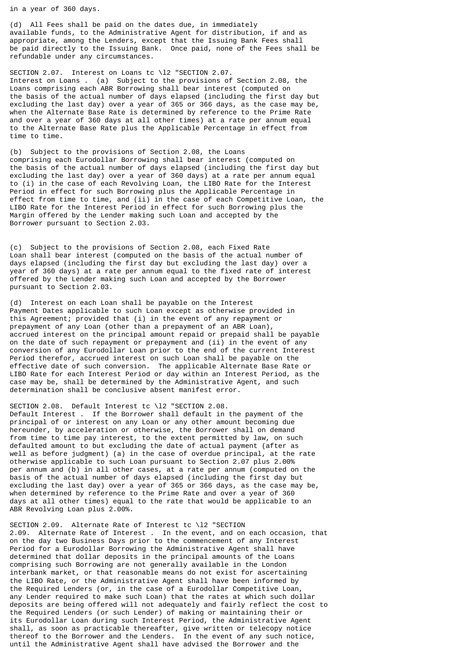in a year of 360 days.

(d) All Fees shall be paid on the dates due, in immediately available funds, to the Administrative Agent for distribution, if and as appropriate, among the Lenders, except that the Issuing Bank Fees shall be paid directly to the Issuing Bank. Once paid, none of the Fees shall be refundable under any circumstances.

SECTION 2.07. Interest on Loans tc \12 "SECTION 2.07. Interest on Loans . (a) Subject to the provisions of Section 2.08, the Loans comprising each ABR Borrowing shall bear interest (computed on the basis of the actual number of days elapsed (including the first day but excluding the last day) over a year of 365 or 366 days, as the case may be, when the Alternate Base Rate is determined by reference to the Prime Rate and over a year of 360 days at all other times) at a rate per annum equal to the Alternate Base Rate plus the Applicable Percentage in effect from time to time.

(b) Subject to the provisions of Section 2.08, the Loans comprising each Eurodollar Borrowing shall bear interest (computed on the basis of the actual number of days elapsed (including the first day but excluding the last day) over a year of 360 days) at a rate per annum equal to (i) in the case of each Revolving Loan, the LIBO Rate for the Interest Period in effect for such Borrowing plus the Applicable Percentage in effect from time to time, and (ii) in the case of each Competitive Loan, the LIBO Rate for the Interest Period in effect for such Borrowing plus the Margin offered by the Lender making such Loan and accepted by the Borrower pursuant to Section 2.03.

(c) Subject to the provisions of Section 2.08, each Fixed Rate Loan shall bear interest (computed on the basis of the actual number of days elapsed (including the first day but excluding the last day) over a year of 360 days) at a rate per annum equal to the fixed rate of interest offered by the Lender making such Loan and accepted by the Borrower pursuant to Section 2.03.

(d) Interest on each Loan shall be payable on the Interest Payment Dates applicable to such Loan except as otherwise provided in this Agreement; provided that (i) in the event of any repayment or prepayment of any Loan (other than a prepayment of an ABR Loan), accrued interest on the principal amount repaid or prepaid shall be payable on the date of such repayment or prepayment and (ii) in the event of any conversion of any Eurodollar Loan prior to the end of the current Interest Period therefor, accrued interest on such Loan shall be payable on the effective date of such conversion. The applicable Alternate Base Rate or LIBO Rate for each Interest Period or day within an Interest Period, as the case may be, shall be determined by the Administrative Agent, and such determination shall be conclusive absent manifest error.

SECTION 2.08. Default Interest tc \l2 "SECTION 2.08. Default Interest . If the Borrower shall default in the payment of the principal of or interest on any Loan or any other amount becoming due hereunder, by acceleration or otherwise, the Borrower shall on demand from time to time pay interest, to the extent permitted by law, on such defaulted amount to but excluding the date of actual payment (after as well as before judgment) (a) in the case of overdue principal, at the rate otherwise applicable to such Loan pursuant to Section 2.07 plus 2.00% per annum and (b) in all other cases, at a rate per annum (computed on the basis of the actual number of days elapsed (including the first day but excluding the last day) over a year of 365 or 366 days, as the case may be, when determined by reference to the Prime Rate and over a year of 360 days at all other times) equal to the rate that would be applicable to an ABR Revolving Loan plus 2.00%.

SECTION 2.09. Alternate Rate of Interest tc \l2 "SECTION 2.09. Alternate Rate of Interest . In the event, and on each occasion, that on the day two Business Days prior to the commencement of any Interest Period for a Eurodollar Borrowing the Administrative Agent shall have determined that dollar deposits in the principal amounts of the Loans comprising such Borrowing are not generally available in the London interbank market, or that reasonable means do not exist for ascertaining the LIBO Rate, or the Administrative Agent shall have been informed by the Required Lenders (or, in the case of a Eurodollar Competitive Loan, any Lender required to make such Loan) that the rates at which such dollar deposits are being offered will not adequately and fairly reflect the cost to the Required Lenders (or such Lender) of making or maintaining their or its Eurodollar Loan during such Interest Period, the Administrative Agent shall, as soon as practicable thereafter, give written or telecopy notice thereof to the Borrower and the Lenders. In the event of any such notice, until the Administrative Agent shall have advised the Borrower and the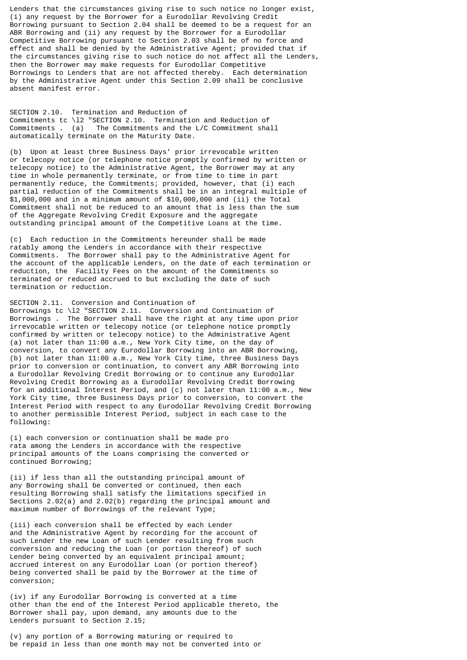Lenders that the circumstances giving rise to such notice no longer exist, (i) any request by the Borrower for a Eurodollar Revolving Credit Borrowing pursuant to Section 2.04 shall be deemed to be a request for an ABR Borrowing and (ii) any request by the Borrower for a Eurodollar Competitive Borrowing pursuant to Section 2.03 shall be of no force and effect and shall be denied by the Administrative Agent; provided that if the circumstances giving rise to such notice do not affect all the Lenders, then the Borrower may make requests for Eurodollar Competitive Borrowings to Lenders that are not affected thereby. Each determination by the Administrative Agent under this Section 2.09 shall be conclusive absent manifest error.

SECTION 2.10. Termination and Reduction of Commitments tc \l2 "SECTION 2.10. Termination and Reduction of Commitments . (a) The Commitments and the L/C Commitment shall automatically terminate on the Maturity Date.

(b) Upon at least three Business Days' prior irrevocable written or telecopy notice (or telephone notice promptly confirmed by written or telecopy notice) to the Administrative Agent, the Borrower may at any time in whole permanently terminate, or from time to time in part permanently reduce, the Commitments; provided, however, that (i) each partial reduction of the Commitments shall be in an integral multiple of \$1,000,000 and in a minimum amount of \$10,000,000 and (ii) the Total Commitment shall not be reduced to an amount that is less than the sum of the Aggregate Revolving Credit Exposure and the aggregate outstanding principal amount of the Competitive Loans at the time.

(c) Each reduction in the Commitments hereunder shall be made ratably among the Lenders in accordance with their respective Commitments. The Borrower shall pay to the Administrative Agent for the account of the applicable Lenders, on the date of each termination or reduction, the Facility Fees on the amount of the Commitments so terminated or reduced accrued to but excluding the date of such termination or reduction.

#### SECTION 2.11. Conversion and Continuation of

Borrowings tc \l2 "SECTION 2.11. Conversion and Continuation of Borrowings . The Borrower shall have the right at any time upon prior irrevocable written or telecopy notice (or telephone notice promptly confirmed by written or telecopy notice) to the Administrative Agent (a) not later than 11:00 a.m., New York City time, on the day of conversion, to convert any Eurodollar Borrowing into an ABR Borrowing, (b) not later than 11:00 a.m., New York City time, three Business Days prior to conversion or continuation, to convert any ABR Borrowing into a Eurodollar Revolving Credit Borrowing or to continue any Eurodollar Revolving Credit Borrowing as a Eurodollar Revolving Credit Borrowing for an additional Interest Period, and (c) not later than 11:00 a.m., New York City time, three Business Days prior to conversion, to convert the Interest Period with respect to any Eurodollar Revolving Credit Borrowing to another permissible Interest Period, subject in each case to the following:

(i) each conversion or continuation shall be made pro rata among the Lenders in accordance with the respective principal amounts of the Loans comprising the converted or continued Borrowing;

(ii) if less than all the outstanding principal amount of any Borrowing shall be converted or continued, then each resulting Borrowing shall satisfy the limitations specified in Sections 2.02(a) and 2.02(b) regarding the principal amount and maximum number of Borrowings of the relevant Type;

(iii) each conversion shall be effected by each Lender and the Administrative Agent by recording for the account of such Lender the new Loan of such Lender resulting from such conversion and reducing the Loan (or portion thereof) of such Lender being converted by an equivalent principal amount; accrued interest on any Eurodollar Loan (or portion thereof) being converted shall be paid by the Borrower at the time of conversion;

(iv) if any Eurodollar Borrowing is converted at a time other than the end of the Interest Period applicable thereto, the Borrower shall pay, upon demand, any amounts due to the Lenders pursuant to Section 2.15;

(v) any portion of a Borrowing maturing or required to be repaid in less than one month may not be converted into or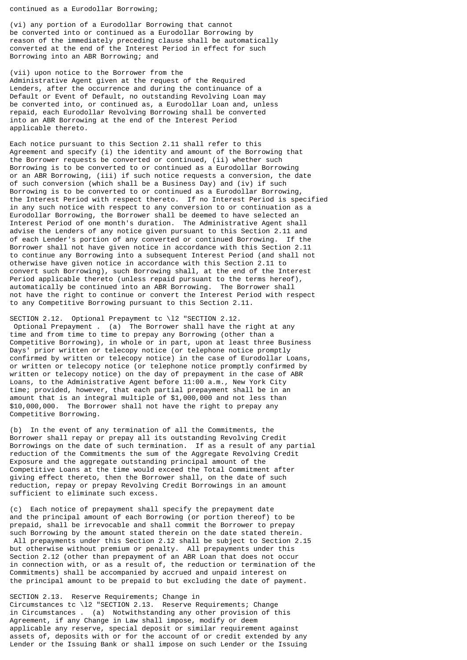continued as a Eurodollar Borrowing;

(vi) any portion of a Eurodollar Borrowing that cannot be converted into or continued as a Eurodollar Borrowing by reason of the immediately preceding clause shall be automatically converted at the end of the Interest Period in effect for such Borrowing into an ABR Borrowing; and

(vii) upon notice to the Borrower from the Administrative Agent given at the request of the Required Lenders, after the occurrence and during the continuance of a Default or Event of Default, no outstanding Revolving Loan may be converted into, or continued as, a Eurodollar Loan and, unless repaid, each Eurodollar Revolving Borrowing shall be converted into an ABR Borrowing at the end of the Interest Period applicable thereto.

Each notice pursuant to this Section 2.11 shall refer to this Agreement and specify (i) the identity and amount of the Borrowing that the Borrower requests be converted or continued, (ii) whether such Borrowing is to be converted to or continued as a Eurodollar Borrowing or an ABR Borrowing, (iii) if such notice requests a conversion, the date of such conversion (which shall be a Business Day) and (iv) if such Borrowing is to be converted to or continued as a Eurodollar Borrowing, the Interest Period with respect thereto. If no Interest Period is specified in any such notice with respect to any conversion to or continuation as a Eurodollar Borrowing, the Borrower shall be deemed to have selected an Interest Period of one month's duration. The Administrative Agent shall advise the Lenders of any notice given pursuant to this Section 2.11 and of each Lender's portion of any converted or continued Borrowing. If the Borrower shall not have given notice in accordance with this Section 2.11 to continue any Borrowing into a subsequent Interest Period (and shall not otherwise have given notice in accordance with this Section 2.11 to convert such Borrowing), such Borrowing shall, at the end of the Interest Period applicable thereto (unless repaid pursuant to the terms hereof), automatically be continued into an ABR Borrowing. The Borrower shall not have the right to continue or convert the Interest Period with respect to any Competitive Borrowing pursuant to this Section 2.11.

SECTION 2.12. Optional Prepayment tc \l2 "SECTION 2.12. Optional Prepayment . (a) The Borrower shall have the right at any time and from time to time to prepay any Borrowing (other than a Competitive Borrowing), in whole or in part, upon at least three Business Days' prior written or telecopy notice (or telephone notice promptly confirmed by written or telecopy notice) in the case of Eurodollar Loans, or written or telecopy notice (or telephone notice promptly confirmed by written or telecopy notice) on the day of prepayment in the case of ABR Loans, to the Administrative Agent before 11:00 a.m., New York City time; provided, however, that each partial prepayment shall be in an amount that is an integral multiple of \$1,000,000 and not less than \$10,000,000. The Borrower shall not have the right to prepay any Competitive Borrowing.

(b) In the event of any termination of all the Commitments, the Borrower shall repay or prepay all its outstanding Revolving Credit Borrowings on the date of such termination. If as a result of any partial reduction of the Commitments the sum of the Aggregate Revolving Credit Exposure and the aggregate outstanding principal amount of the Competitive Loans at the time would exceed the Total Commitment after giving effect thereto, then the Borrower shall, on the date of such reduction, repay or prepay Revolving Credit Borrowings in an amount sufficient to eliminate such excess.

(c) Each notice of prepayment shall specify the prepayment date and the principal amount of each Borrowing (or portion thereof) to be prepaid, shall be irrevocable and shall commit the Borrower to prepay such Borrowing by the amount stated therein on the date stated therein. All prepayments under this Section 2.12 shall be subject to Section 2.15 but otherwise without premium or penalty. All prepayments under this Section 2.12 (other than prepayment of an ABR Loan that does not occur in connection with, or as a result of, the reduction or termination of the Commitments) shall be accompanied by accrued and unpaid interest on the principal amount to be prepaid to but excluding the date of payment.

SECTION 2.13. Reserve Requirements; Change in Circumstances tc \l2 "SECTION 2.13. Reserve Requirements; Change in Circumstances . (a) Notwithstanding any other provision of this Agreement, if any Change in Law shall impose, modify or deem applicable any reserve, special deposit or similar requirement against assets of, deposits with or for the account of or credit extended by any Lender or the Issuing Bank or shall impose on such Lender or the Issuing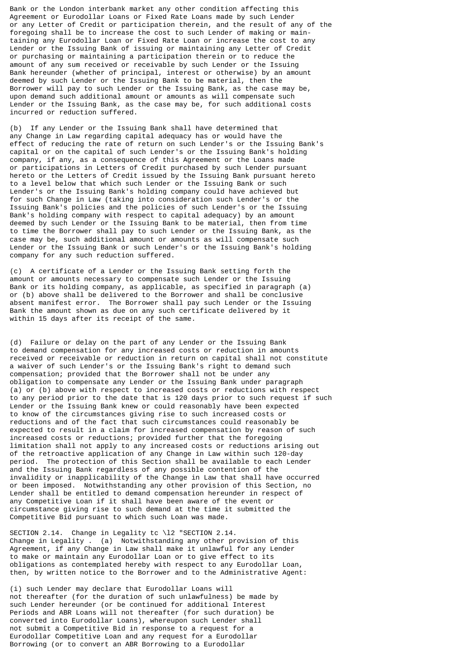Bank or the London interbank market any other condition affecting this Agreement or Eurodollar Loans or Fixed Rate Loans made by such Lender or any Letter of Credit or participation therein, and the result of any of the foregoing shall be to increase the cost to such Lender of making or maintaining any Eurodollar Loan or Fixed Rate Loan or increase the cost to any Lender or the Issuing Bank of issuing or maintaining any Letter of Credit or purchasing or maintaining a participation therein or to reduce the amount of any sum received or receivable by such Lender or the Issuing Bank hereunder (whether of principal, interest or otherwise) by an amount deemed by such Lender or the Issuing Bank to be material, then the Borrower will pay to such Lender or the Issuing Bank, as the case may be, upon demand such additional amount or amounts as will compensate such Lender or the Issuing Bank, as the case may be, for such additional costs incurred or reduction suffered.

(b) If any Lender or the Issuing Bank shall have determined that any Change in Law regarding capital adequacy has or would have the effect of reducing the rate of return on such Lender's or the Issuing Bank's capital or on the capital of such Lender's or the Issuing Bank's holding company, if any, as a consequence of this Agreement or the Loans made or participations in Letters of Credit purchased by such Lender pursuant hereto or the Letters of Credit issued by the Issuing Bank pursuant hereto to a level below that which such Lender or the Issuing Bank or such Lender's or the Issuing Bank's holding company could have achieved but for such Change in Law (taking into consideration such Lender's or the Issuing Bank's policies and the policies of such Lender's or the Issuing Bank's holding company with respect to capital adequacy) by an amount deemed by such Lender or the Issuing Bank to be material, then from time to time the Borrower shall pay to such Lender or the Issuing Bank, as the case may be, such additional amount or amounts as will compensate such Lender or the Issuing Bank or such Lender's or the Issuing Bank's holding company for any such reduction suffered.

(c) A certificate of a Lender or the Issuing Bank setting forth the amount or amounts necessary to compensate such Lender or the Issuing Bank or its holding company, as applicable, as specified in paragraph (a) or (b) above shall be delivered to the Borrower and shall be conclusive absent manifest error. The Borrower shall pay such Lender or the Issuing Bank the amount shown as due on any such certificate delivered by it within 15 days after its receipt of the same.

(d) Failure or delay on the part of any Lender or the Issuing Bank to demand compensation for any increased costs or reduction in amounts received or receivable or reduction in return on capital shall not constitute a waiver of such Lender's or the Issuing Bank's right to demand such compensation; provided that the Borrower shall not be under any obligation to compensate any Lender or the Issuing Bank under paragraph (a) or (b) above with respect to increased costs or reductions with respect to any period prior to the date that is 120 days prior to such request if such Lender or the Issuing Bank knew or could reasonably have been expected to know of the circumstances giving rise to such increased costs or reductions and of the fact that such circumstances could reasonably be expected to result in a claim for increased compensation by reason of such increased costs or reductions; provided further that the foregoing limitation shall not apply to any increased costs or reductions arising out of the retroactive application of any Change in Law within such 120-day period. The protection of this Section shall be available to each Lender and the Issuing Bank regardless of any possible contention of the invalidity or inapplicability of the Change in Law that shall have occurred or been imposed. Notwithstanding any other provision of this Section, no Lender shall be entitled to demand compensation hereunder in respect of any Competitive Loan if it shall have been aware of the event or circumstance giving rise to such demand at the time it submitted the Competitive Bid pursuant to which such Loan was made.

SECTION 2.14. Change in Legality tc \l2 "SECTION 2.14. Change in Legality . (a) Notwithstanding any other provision of this Agreement, if any Change in Law shall make it unlawful for any Lender to make or maintain any Eurodollar Loan or to give effect to its obligations as contemplated hereby with respect to any Eurodollar Loan, then, by written notice to the Borrower and to the Administrative Agent:

(i) such Lender may declare that Eurodollar Loans will not thereafter (for the duration of such unlawfulness) be made by such Lender hereunder (or be continued for additional Interest Periods and ABR Loans will not thereafter (for such duration) be converted into Eurodollar Loans), whereupon such Lender shall not submit a Competitive Bid in response to a request for a Eurodollar Competitive Loan and any request for a Eurodollar Borrowing (or to convert an ABR Borrowing to a Eurodollar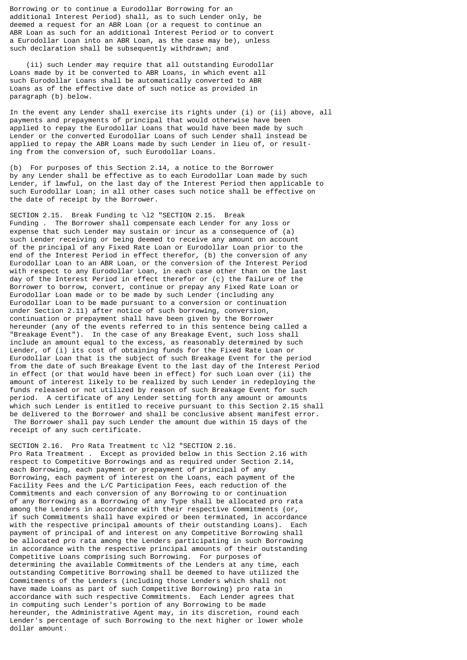Borrowing or to continue a Eurodollar Borrowing for an additional Interest Period) shall, as to such Lender only, be deemed a request for an ABR Loan (or a request to continue an ABR Loan as such for an additional Interest Period or to convert a Eurodollar Loan into an ABR Loan, as the case may be), unless such declaration shall be subsequently withdrawn; and

 (ii) such Lender may require that all outstanding Eurodollar Loans made by it be converted to ABR Loans, in which event all such Eurodollar Loans shall be automatically converted to ABR Loans as of the effective date of such notice as provided in paragraph (b) below.

In the event any Lender shall exercise its rights under (i) or (ii) above, all payments and prepayments of principal that would otherwise have been applied to repay the Eurodollar Loans that would have been made by such Lender or the converted Eurodollar Loans of such Lender shall instead be applied to repay the ABR Loans made by such Lender in lieu of, or resulting from the conversion of, such Eurodollar Loans.

(b) For purposes of this Section 2.14, a notice to the Borrower by any Lender shall be effective as to each Eurodollar Loan made by such Lender, if lawful, on the last day of the Interest Period then applicable to such Eurodollar Loan; in all other cases such notice shall be effective on the date of receipt by the Borrower.

SECTION 2.15. Break Funding tc \l2 "SECTION 2.15. Break Funding . The Borrower shall compensate each Lender for any loss or expense that such Lender may sustain or incur as a consequence of (a) such Lender receiving or being deemed to receive any amount on account of the principal of any Fixed Rate Loan or Eurodollar Loan prior to the end of the Interest Period in effect therefor, (b) the conversion of any Eurodollar Loan to an ABR Loan, or the conversion of the Interest Period with respect to any Eurodollar Loan, in each case other than on the last day of the Interest Period in effect therefor or (c) the failure of the Borrower to borrow, convert, continue or prepay any Fixed Rate Loan or Eurodollar Loan made or to be made by such Lender (including any Eurodollar Loan to be made pursuant to a conversion or continuation under Section 2.11) after notice of such borrowing, conversion, continuation or prepayment shall have been given by the Borrower hereunder (any of the events referred to in this sentence being called a "Breakage Event"). In the case of any Breakage Event, such loss shall include an amount equal to the excess, as reasonably determined by such Lender, of (i) its cost of obtaining funds for the Fixed Rate Loan or Eurodollar Loan that is the subject of such Breakage Event for the period from the date of such Breakage Event to the last day of the Interest Period in effect (or that would have been in effect) for such Loan over (ii) the amount of interest likely to be realized by such Lender in redeploying the funds released or not utilized by reason of such Breakage Event for such period. A certificate of any Lender setting forth any amount or amounts which such Lender is entitled to receive pursuant to this Section 2.15 shall be delivered to the Borrower and shall be conclusive absent manifest error. The Borrower shall pay such Lender the amount due within 15 days of the receipt of any such certificate.

SECTION 2.16. Pro Rata Treatment tc \12 "SECTION 2.16. Pro Rata Treatment . Except as provided below in this Section 2.16 with respect to Competitive Borrowings and as required under Section 2.14, each Borrowing, each payment or prepayment of principal of any Borrowing, each payment of interest on the Loans, each payment of the Facility Fees and the L/C Participation Fees, each reduction of the Commitments and each conversion of any Borrowing to or continuation of any Borrowing as a Borrowing of any Type shall be allocated pro rata among the Lenders in accordance with their respective Commitments (or, if such Commitments shall have expired or been terminated, in accordance with the respective principal amounts of their outstanding Loans). Each payment of principal of and interest on any Competitive Borrowing shall be allocated pro rata among the Lenders participating in such Borrowing in accordance with the respective principal amounts of their outstanding Competitive Loans comprising such Borrowing. For purposes of determining the available Commitments of the Lenders at any time, each outstanding Competitive Borrowing shall be deemed to have utilized the Commitments of the Lenders (including those Lenders which shall not have made Loans as part of such Competitive Borrowing) pro rata in accordance with such respective Commitments. Each Lender agrees that in computing such Lender's portion of any Borrowing to be made hereunder, the Administrative Agent may, in its discretion, round each Lender's percentage of such Borrowing to the next higher or lower whole dollar amount.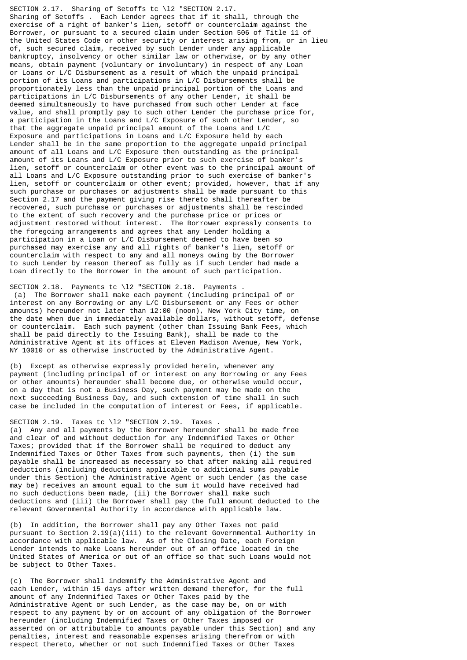SECTION 2.17. Sharing of Setoffs tc \l2 "SECTION 2.17. Sharing of Setoffs . Each Lender agrees that if it shall, through the exercise of a right of banker's lien, setoff or counterclaim against the Borrower, or pursuant to a secured claim under Section 506 of Title 11 of the United States Code or other security or interest arising from, or in lieu of, such secured claim, received by such Lender under any applicable bankruptcy, insolvency or other similar law or otherwise, or by any other means, obtain payment (voluntary or involuntary) in respect of any Loan or Loans or L/C Disbursement as a result of which the unpaid principal portion of its Loans and participations in L/C Disbursements shall be proportionately less than the unpaid principal portion of the Loans and participations in L/C Disbursements of any other Lender, it shall be deemed simultaneously to have purchased from such other Lender at face value, and shall promptly pay to such other Lender the purchase price for, a participation in the Loans and L/C Exposure of such other Lender, so that the aggregate unpaid principal amount of the Loans and L/C Exposure and participations in Loans and L/C Exposure held by each Lender shall be in the same proportion to the aggregate unpaid principal amount of all Loans and L/C Exposure then outstanding as the principal amount of its Loans and L/C Exposure prior to such exercise of banker's lien, setoff or counterclaim or other event was to the principal amount of all Loans and L/C Exposure outstanding prior to such exercise of banker' lien, setoff or counterclaim or other event; provided, however, that if any such purchase or purchases or adjustments shall be made pursuant to this Section 2.17 and the payment giving rise thereto shall thereafter be recovered, such purchase or purchases or adjustments shall be rescinded to the extent of such recovery and the purchase price or prices or adjustment restored without interest. The Borrower expressly consents to the foregoing arrangements and agrees that any Lender holding a participation in a Loan or L/C Disbursement deemed to have been so purchased may exercise any and all rights of banker's lien, setoff or counterclaim with respect to any and all moneys owing by the Borrower to such Lender by reason thereof as fully as if such Lender had made a Loan directly to the Borrower in the amount of such participation.

SECTION 2.18. Payments tc \12 "SECTION 2.18. Payments . (a) The Borrower shall make each payment (including principal of or interest on any Borrowing or any L/C Disbursement or any Fees or other amounts) hereunder not later than 12:00 (noon), New York City time, on the date when due in immediately available dollars, without setoff, defense or counterclaim. Each such payment (other than Issuing Bank Fees, which shall be paid directly to the Issuing Bank), shall be made to the Administrative Agent at its offices at Eleven Madison Avenue, New York, NY 10010 or as otherwise instructed by the Administrative Agent.

(b) Except as otherwise expressly provided herein, whenever any payment (including principal of or interest on any Borrowing or any Fees or other amounts) hereunder shall become due, or otherwise would occur, on a day that is not a Business Day, such payment may be made on the next succeeding Business Day, and such extension of time shall in such case be included in the computation of interest or Fees, if applicable.

# SECTION 2.19. Taxes tc \12 "SECTION 2.19. Taxes

(a) Any and all payments by the Borrower hereunder shall be made free and clear of and without deduction for any Indemnified Taxes or Other Taxes; provided that if the Borrower shall be required to deduct any Indemnified Taxes or Other Taxes from such payments, then (i) the sum payable shall be increased as necessary so that after making all required deductions (including deductions applicable to additional sums payable under this Section) the Administrative Agent or such Lender (as the case may be) receives an amount equal to the sum it would have received had no such deductions been made, (ii) the Borrower shall make such deductions and (iii) the Borrower shall pay the full amount deducted to the relevant Governmental Authority in accordance with applicable law.

(b) In addition, the Borrower shall pay any Other Taxes not paid pursuant to Section 2.19(a)(iii) to the relevant Governmental Authority in accordance with applicable law. As of the Closing Date, each Foreign Lender intends to make Loans hereunder out of an office located in the United States of America or out of an office so that such Loans would not be subject to Other Taxes.

(c) The Borrower shall indemnify the Administrative Agent and each Lender, within 15 days after written demand therefor, for the full amount of any Indemnified Taxes or Other Taxes paid by the Administrative Agent or such Lender, as the case may be, on or with respect to any payment by or on account of any obligation of the Borrower hereunder (including Indemnified Taxes or Other Taxes imposed or asserted on or attributable to amounts payable under this Section) and any penalties, interest and reasonable expenses arising therefrom or with respect thereto, whether or not such Indemnified Taxes or Other Taxes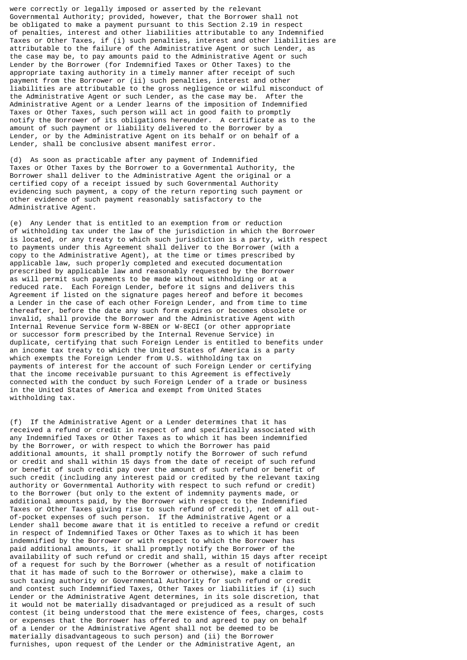were correctly or legally imposed or asserted by the relevant Governmental Authority; provided, however, that the Borrower shall not be obligated to make a payment pursuant to this Section 2.19 in respect of penalties, interest and other liabilities attributable to any Indemnified Taxes or Other Taxes, if (i) such penalties, interest and other liabilities are attributable to the failure of the Administrative Agent or such Lender, as the case may be, to pay amounts paid to the Administrative Agent or such Lender by the Borrower (for Indemnified Taxes or Other Taxes) to the appropriate taxing authority in a timely manner after receipt of such payment from the Borrower or (ii) such penalties, interest and other liabilities are attributable to the gross negligence or wilful misconduct of the Administrative Agent or such Lender, as the case may be. After the Administrative Agent or a Lender learns of the imposition of Indemnified Taxes or Other Taxes, such person will act in good faith to promptly notify the Borrower of its obligations hereunder. A certificate as to the amount of such payment or liability delivered to the Borrower by a Lender, or by the Administrative Agent on its behalf or on behalf of a Lender, shall be conclusive absent manifest error.

(d) As soon as practicable after any payment of Indemnified Taxes or Other Taxes by the Borrower to a Governmental Authority, the Borrower shall deliver to the Administrative Agent the original or a certified copy of a receipt issued by such Governmental Authority evidencing such payment, a copy of the return reporting such payment or other evidence of such payment reasonably satisfactory to the Administrative Agent.

(e) Any Lender that is entitled to an exemption from or reduction of withholding tax under the law of the jurisdiction in which the Borrower is located, or any treaty to which such jurisdiction is a party, with respect to payments under this Agreement shall deliver to the Borrower (with a copy to the Administrative Agent), at the time or times prescribed by applicable law, such properly completed and executed documentation prescribed by applicable law and reasonably requested by the Borrower as will permit such payments to be made without withholding or at a reduced rate. Each Foreign Lender, before it signs and delivers this Agreement if listed on the signature pages hereof and before it becomes a Lender in the case of each other Foreign Lender, and from time to time thereafter, before the date any such form expires or becomes obsolete or invalid, shall provide the Borrower and the Administrative Agent with Internal Revenue Service form W-8BEN or W-8ECI (or other appropriate or successor form prescribed by the Internal Revenue Service) in duplicate, certifying that such Foreign Lender is entitled to benefits under an income tax treaty to which the United States of America is a party which exempts the Foreign Lender from U.S. withholding tax on payments of interest for the account of such Foreign Lender or certifying that the income receivable pursuant to this Agreement is effectively connected with the conduct by such Foreign Lender of a trade or business in the United States of America and exempt from United States withholding tax.

(f) If the Administrative Agent or a Lender determines that it has received a refund or credit in respect of and specifically associated with any Indemnified Taxes or Other Taxes as to which it has been indemnified by the Borrower, or with respect to which the Borrower has paid additional amounts, it shall promptly notify the Borrower of such refund or credit and shall within 15 days from the date of receipt of such refund or benefit of such credit pay over the amount of such refund or benefit of such credit (including any interest paid or credited by the relevant taxing authority or Governmental Authority with respect to such refund or credit) to the Borrower (but only to the extent of indemnity payments made, or additional amounts paid, by the Borrower with respect to the Indemnified Taxes or Other Taxes giving rise to such refund of credit), net of all outof-pocket expenses of such person. If the Administrative Agent or a Lender shall become aware that it is entitled to receive a refund or credit in respect of Indemnified Taxes or Other Taxes as to which it has been indemnified by the Borrower or with respect to which the Borrower has paid additional amounts, it shall promptly notify the Borrower of the availability of such refund or credit and shall, within 15 days after receipt of a request for such by the Borrower (whether as a result of notification that it has made of such to the Borrower or otherwise), make a claim to such taxing authority or Governmental Authority for such refund or credit and contest such Indemnified Taxes, Other Taxes or liabilities if (i) such Lender or the Administrative Agent determines, in its sole discretion, that it would not be materially disadvantaged or prejudiced as a result of such contest (it being understood that the mere existence of fees, charges, costs or expenses that the Borrower has offered to and agreed to pay on behalf of a Lender or the Administrative Agent shall not be deemed to be materially disadvantageous to such person) and (ii) the Borrower furnishes, upon request of the Lender or the Administrative Agent, an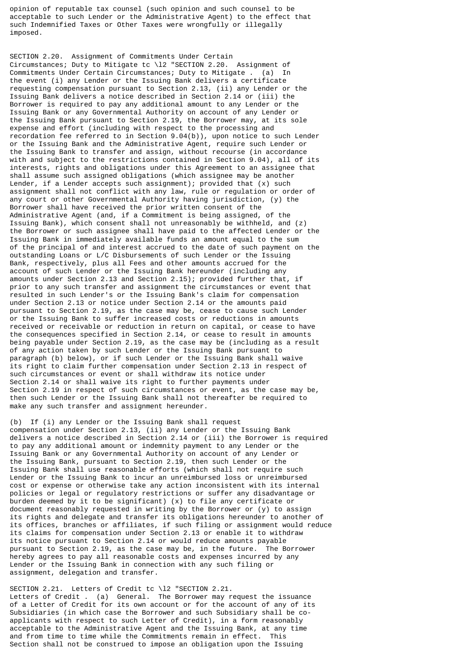opinion of reputable tax counsel (such opinion and such counsel to be acceptable to such Lender or the Administrative Agent) to the effect that such Indemnified Taxes or Other Taxes were wrongfully or illegally imposed.

SECTION 2.20. Assignment of Commitments Under Certain Circumstances; Duty to Mitigate tc \l2 "SECTION 2.20. Assignment of Commitments Under Certain Circumstances; Duty to Mitigate . (a) In the event (i) any Lender or the Issuing Bank delivers a certificate requesting compensation pursuant to Section 2.13, (ii) any Lender or the Issuing Bank delivers a notice described in Section 2.14 or (iii) the Borrower is required to pay any additional amount to any Lender or the Issuing Bank or any Governmental Authority on account of any Lender or the Issuing Bank pursuant to Section 2.19, the Borrower may, at its sole expense and effort (including with respect to the processing and recordation fee referred to in Section 9.04(b)), upon notice to such Lender or the Issuing Bank and the Administrative Agent, require such Lender or the Issuing Bank to transfer and assign, without recourse (in accordance with and subject to the restrictions contained in Section 9.04), all of its interests, rights and obligations under this Agreement to an assignee that shall assume such assigned obligations (which assignee may be another Lender, if a Lender accepts such assignment); provided that (x) such assignment shall not conflict with any law, rule or regulation or order of any court or other Governmental Authority having jurisdiction, (y) the Borrower shall have received the prior written consent of the Administrative Agent (and, if a Commitment is being assigned, of the Issuing Bank), which consent shall not unreasonably be withheld, and (z) the Borrower or such assignee shall have paid to the affected Lender or the Issuing Bank in immediately available funds an amount equal to the sum of the principal of and interest accrued to the date of such payment on the outstanding Loans or L/C Disbursements of such Lender or the Issuing Bank, respectively, plus all Fees and other amounts accrued for the account of such Lender or the Issuing Bank hereunder (including any amounts under Section 2.13 and Section 2.15); provided further that, if prior to any such transfer and assignment the circumstances or event that resulted in such Lender's or the Issuing Bank's claim for compensation under Section 2.13 or notice under Section 2.14 or the amounts paid pursuant to Section 2.19, as the case may be, cease to cause such Lender or the Issuing Bank to suffer increased costs or reductions in amounts received or receivable or reduction in return on capital, or cease to have the consequences specified in Section 2.14, or cease to result in amounts being payable under Section 2.19, as the case may be (including as a result of any action taken by such Lender or the Issuing Bank pursuant to paragraph (b) below), or if such Lender or the Issuing Bank shall waive its right to claim further compensation under Section 2.13 in respect of such circumstances or event or shall withdraw its notice under Section 2.14 or shall waive its right to further payments under Section 2.19 in respect of such circumstances or event, as the case may be, then such Lender or the Issuing Bank shall not thereafter be required to make any such transfer and assignment hereunder.

(b) If (i) any Lender or the Issuing Bank shall request compensation under Section 2.13, (ii) any Lender or the Issuing Bank delivers a notice described in Section 2.14 or (iii) the Borrower is required to pay any additional amount or indemnity payment to any Lender or the Issuing Bank or any Governmental Authority on account of any Lender or the Issuing Bank, pursuant to Section 2.19, then such Lender or the Issuing Bank shall use reasonable efforts (which shall not require such Lender or the Issuing Bank to incur an unreimbursed loss or unreimbursed cost or expense or otherwise take any action inconsistent with its internal policies or legal or regulatory restrictions or suffer any disadvantage or burden deemed by it to be significant) (x) to file any certificate or document reasonably requested in writing by the Borrower or (y) to assign its rights and delegate and transfer its obligations hereunder to another of its offices, branches or affiliates, if such filing or assignment would reduce its claims for compensation under Section 2.13 or enable it to withdraw its notice pursuant to Section 2.14 or would reduce amounts payable pursuant to Section 2.19, as the case may be, in the future. The Borrower hereby agrees to pay all reasonable costs and expenses incurred by any Lender or the Issuing Bank in connection with any such filing or assignment, delegation and transfer.

SECTION 2.21. Letters of Credit tc \l2 "SECTION 2.21. Letters of Credit . (a) General. The Borrower may request the issuance of a Letter of Credit for its own account or for the account of any of its Subsidiaries (in which case the Borrower and such Subsidiary shall be coapplicants with respect to such Letter of Credit), in a form reasonably acceptable to the Administrative Agent and the Issuing Bank, at any time and from time to time while the Commitments remain in effect. This Section shall not be construed to impose an obligation upon the Issuing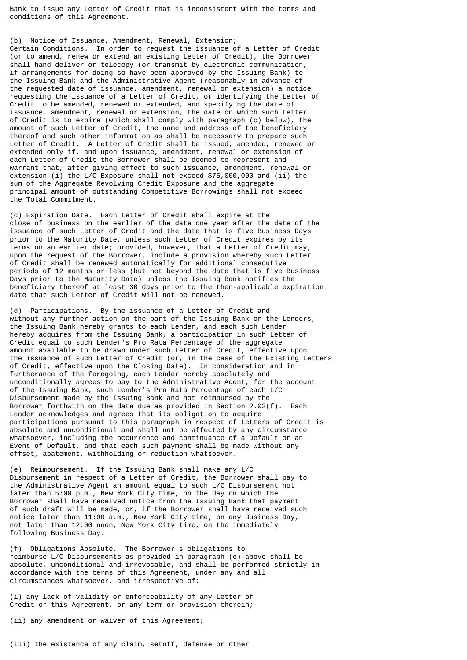Bank to issue any Letter of Credit that is inconsistent with the terms and conditions of this Agreement.

(b) Notice of Issuance, Amendment, Renewal, Extension; Certain Conditions. In order to request the issuance of a Letter of Credit (or to amend, renew or extend an existing Letter of Credit), the Borrower shall hand deliver or telecopy (or transmit by electronic communication, if arrangements for doing so have been approved by the Issuing Bank) to the Issuing Bank and the Administrative Agent (reasonably in advance of the requested date of issuance, amendment, renewal or extension) a notice requesting the issuance of a Letter of Credit, or identifying the Letter of Credit to be amended, renewed or extended, and specifying the date of issuance, amendment, renewal or extension, the date on which such Letter of Credit is to expire (which shall comply with paragraph (c) below), the amount of such Letter of Credit, the name and address of the beneficiary thereof and such other information as shall be necessary to prepare such Letter of Credit. A Letter of Credit shall be issued, amended, renewed or extended only if, and upon issuance, amendment, renewal or extension of each Letter of Credit the Borrower shall be deemed to represent and warrant that, after giving effect to such issuance, amendment, renewal or extension (i) the L/C Exposure shall not exceed \$75,000,000 and (ii) the sum of the Aggregate Revolving Credit Exposure and the aggregate principal amount of outstanding Competitive Borrowings shall not exceed the Total Commitment.

(c) Expiration Date. Each Letter of Credit shall expire at the close of business on the earlier of the date one year after the date of the issuance of such Letter of Credit and the date that is five Business Days prior to the Maturity Date, unless such Letter of Credit expires by its terms on an earlier date; provided, however, that a Letter of Credit may, upon the request of the Borrower, include a provision whereby such Letter of Credit shall be renewed automatically for additional consecutive periods of 12 months or less (but not beyond the date that is five Business Days prior to the Maturity Date) unless the Issuing Bank notifies the beneficiary thereof at least 30 days prior to the then-applicable expiration date that such Letter of Credit will not be renewed.

(d) Participations. By the issuance of a Letter of Credit and without any further action on the part of the Issuing Bank or the Lenders, the Issuing Bank hereby grants to each Lender, and each such Lender hereby acquires from the Issuing Bank, a participation in such Letter of Credit equal to such Lender's Pro Rata Percentage of the aggregate amount available to be drawn under such Letter of Credit, effective upon the issuance of such Letter of Credit (or, in the case of the Existing Letters of Credit, effective upon the Closing Date). In consideration and in furtherance of the foregoing, each Lender hereby absolutely and unconditionally agrees to pay to the Administrative Agent, for the account of the Issuing Bank, such Lender's Pro Rata Percentage of each L/C Disbursement made by the Issuing Bank and not reimbursed by the Borrower forthwith on the date due as provided in Section 2.02(f). Each Lender acknowledges and agrees that its obligation to acquire participations pursuant to this paragraph in respect of Letters of Credit is absolute and unconditional and shall not be affected by any circumstance whatsoever, including the occurrence and continuance of a Default or an Event of Default, and that each such payment shall be made without any offset, abatement, withholding or reduction whatsoever.

(e) Reimbursement. If the Issuing Bank shall make any L/C Disbursement in respect of a Letter of Credit, the Borrower shall pay to the Administrative Agent an amount equal to such L/C Disbursement not later than 5:00 p.m., New York City time, on the day on which the Borrower shall have received notice from the Issuing Bank that payment of such draft will be made, or, if the Borrower shall have received such notice later than 11:00 a.m., New York City time, on any Business Day, not later than 12:00 noon, New York City time, on the immediately following Business Day.

(f) Obligations Absolute. The Borrower's obligations to reimburse L/C Disbursements as provided in paragraph (e) above shall be absolute, unconditional and irrevocable, and shall be performed strictly in accordance with the terms of this Agreement, under any and all circumstances whatsoever, and irrespective of:

(i) any lack of validity or enforceability of any Letter of Credit or this Agreement, or any term or provision therein;

(ii) any amendment or waiver of this Agreement;

(iii) the existence of any claim, setoff, defense or other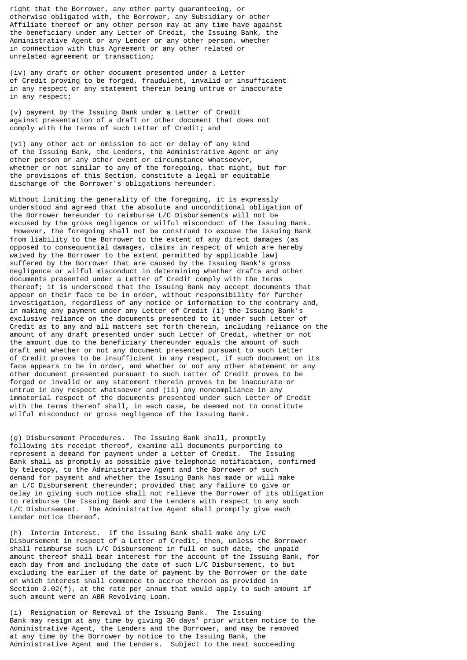right that the Borrower, any other party guaranteeing, or otherwise obligated with, the Borrower, any Subsidiary or other Affiliate thereof or any other person may at any time have against the beneficiary under any Letter of Credit, the Issuing Bank, the Administrative Agent or any Lender or any other person, whether in connection with this Agreement or any other related or unrelated agreement or transaction;

(iv) any draft or other document presented under a Letter of Credit proving to be forged, fraudulent, invalid or insufficient in any respect or any statement therein being untrue or inaccurate in any respect;

(v) payment by the Issuing Bank under a Letter of Credit against presentation of a draft or other document that does not comply with the terms of such Letter of Credit; and

(vi) any other act or omission to act or delay of any kind of the Issuing Bank, the Lenders, the Administrative Agent or any other person or any other event or circumstance whatsoever, whether or not similar to any of the foregoing, that might, but for the provisions of this Section, constitute a legal or equitable discharge of the Borrower's obligations hereunder.

Without limiting the generality of the foregoing, it is expressly understood and agreed that the absolute and unconditional obligation of the Borrower hereunder to reimburse L/C Disbursements will not be excused by the gross negligence or wilful misconduct of the Issuing Bank. However, the foregoing shall not be construed to excuse the Issuing Bank from liability to the Borrower to the extent of any direct damages (as opposed to consequential damages, claims in respect of which are hereby waived by the Borrower to the extent permitted by applicable law) suffered by the Borrower that are caused by the Issuing Bank's gross negligence or wilful misconduct in determining whether drafts and other documents presented under a Letter of Credit comply with the terms thereof; it is understood that the Issuing Bank may accept documents that appear on their face to be in order, without responsibility for further investigation, regardless of any notice or information to the contrary and, in making any payment under any Letter of Credit (i) the Issuing Bank's exclusive reliance on the documents presented to it under such Letter of Credit as to any and all matters set forth therein, including reliance on the amount of any draft presented under such Letter of Credit, whether or not the amount due to the beneficiary thereunder equals the amount of such draft and whether or not any document presented pursuant to such Letter of Credit proves to be insufficient in any respect, if such document on its face appears to be in order, and whether or not any other statement or any other document presented pursuant to such Letter of Credit proves to be forged or invalid or any statement therein proves to be inaccurate or untrue in any respect whatsoever and (ii) any noncompliance in any immaterial respect of the documents presented under such Letter of Credit with the terms thereof shall, in each case, be deemed not to constitute wilful misconduct or gross negligence of the Issuing Bank.

(g) Disbursement Procedures. The Issuing Bank shall, promptly following its receipt thereof, examine all documents purporting to represent a demand for payment under a Letter of Credit. The Issuing Bank shall as promptly as possible give telephonic notification, confirmed by telecopy, to the Administrative Agent and the Borrower of such demand for payment and whether the Issuing Bank has made or will make an L/C Disbursement thereunder; provided that any failure to give or delay in giving such notice shall not relieve the Borrower of its obligation to reimburse the Issuing Bank and the Lenders with respect to any such L/C Disbursement. The Administrative Agent shall promptly give each Lender notice thereof.

(h) Interim Interest. If the Issuing Bank shall make any L/C Disbursement in respect of a Letter of Credit, then, unless the Borrower shall reimburse such L/C Disbursement in full on such date, the unpaid amount thereof shall bear interest for the account of the Issuing Bank, for each day from and including the date of such L/C Disbursement, to but excluding the earlier of the date of payment by the Borrower or the date on which interest shall commence to accrue thereon as provided in Section  $2.02(f)$ , at the rate per annum that would apply to such amount if such amount were an ABR Revolving Loan.

(i) Resignation or Removal of the Issuing Bank. The Issuing Bank may resign at any time by giving 30 days' prior written notice to the Administrative Agent, the Lenders and the Borrower, and may be removed at any time by the Borrower by notice to the Issuing Bank, the Administrative Agent and the Lenders. Subject to the next succeeding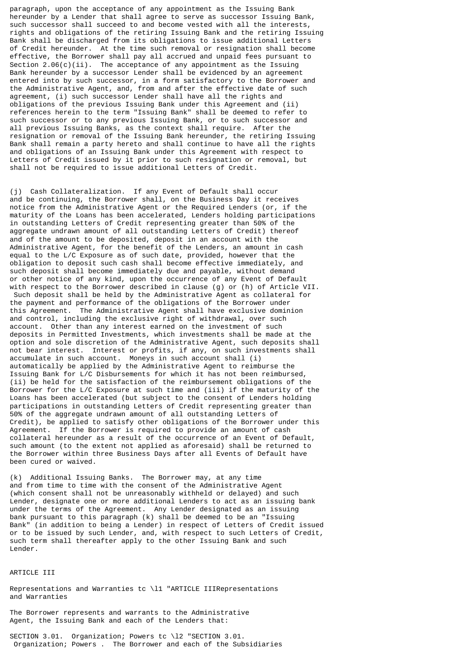paragraph, upon the acceptance of any appointment as the Issuing Bank hereunder by a Lender that shall agree to serve as successor Issuing Bank, such successor shall succeed to and become vested with all the interests, rights and obligations of the retiring Issuing Bank and the retiring Issuing Bank shall be discharged from its obligations to issue additional Letters of Credit hereunder. At the time such removal or resignation shall become effective, the Borrower shall pay all accrued and unpaid fees pursuant to Section 2.06(c)(ii). The acceptance of any appointment as the Issuing Bank hereunder by a successor Lender shall be evidenced by an agreement entered into by such successor, in a form satisfactory to the Borrower and the Administrative Agent, and, from and after the effective date of such agreement, (i) such successor Lender shall have all the rights and obligations of the previous Issuing Bank under this Agreement and (ii) references herein to the term "Issuing Bank" shall be deemed to refer to such successor or to any previous Issuing Bank, or to such successor and all previous Issuing Banks, as the context shall require. After the resignation or removal of the Issuing Bank hereunder, the retiring Issuing Bank shall remain a party hereto and shall continue to have all the rights and obligations of an Issuing Bank under this Agreement with respect to Letters of Credit issued by it prior to such resignation or removal, but shall not be required to issue additional Letters of Credit.

(j) Cash Collateralization. If any Event of Default shall occur and be continuing, the Borrower shall, on the Business Day it receives notice from the Administrative Agent or the Required Lenders (or, if the maturity of the Loans has been accelerated, Lenders holding participations in outstanding Letters of Credit representing greater than 50% of the aggregate undrawn amount of all outstanding Letters of Credit) thereof and of the amount to be deposited, deposit in an account with the Administrative Agent, for the benefit of the Lenders, an amount in cash equal to the L/C Exposure as of such date, provided, however that the obligation to deposit such cash shall become effective immediately, and such deposit shall become immediately due and payable, without demand or other notice of any kind, upon the occurrence of any Event of Default with respect to the Borrower described in clause (g) or (h) of Article VII. Such deposit shall be held by the Administrative Agent as collateral for the payment and performance of the obligations of the Borrower under this Agreement. The Administrative Agent shall have exclusive dominion and control, including the exclusive right of withdrawal, over such account. Other than any interest earned on the investment of such deposits in Permitted Investments, which investments shall be made at the option and sole discretion of the Administrative Agent, such deposits shall not bear interest. Interest or profits, if any, on such investments shall accumulate in such account. Moneys in such account shall (i) automatically be applied by the Administrative Agent to reimburse the Issuing Bank for L/C Disbursements for which it has not been reimbursed, (ii) be held for the satisfaction of the reimbursement obligations of the Borrower for the L/C Exposure at such time and (iii) if the maturity of the Loans has been accelerated (but subject to the consent of Lenders holding participations in outstanding Letters of Credit representing greater than 50% of the aggregate undrawn amount of all outstanding Letters of Credit), be applied to satisfy other obligations of the Borrower under this Agreement. If the Borrower is required to provide an amount of cash collateral hereunder as a result of the occurrence of an Event of Default, such amount (to the extent not applied as aforesaid) shall be returned to the Borrower within three Business Days after all Events of Default have been cured or waived.

(k) Additional Issuing Banks. The Borrower may, at any time and from time to time with the consent of the Administrative Agent (which consent shall not be unreasonably withheld or delayed) and such Lender, designate one or more additional Lenders to act as an issuing bank under the terms of the Agreement. Any Lender designated as an issuing bank pursuant to this paragraph (k) shall be deemed to be an "Issuing Bank" (in addition to being a Lender) in respect of Letters of Credit issued or to be issued by such Lender, and, with respect to such Letters of Credit, such term shall thereafter apply to the other Issuing Bank and such Lender.

## ARTICLE III

Representations and Warranties tc \l1 "ARTICLE IIIRepresentations and Warranties

The Borrower represents and warrants to the Administrative Agent, the Issuing Bank and each of the Lenders that:

SECTION 3.01. Organization; Powers tc \l2 "SECTION 3.01. Organization; Powers . The Borrower and each of the Subsidiaries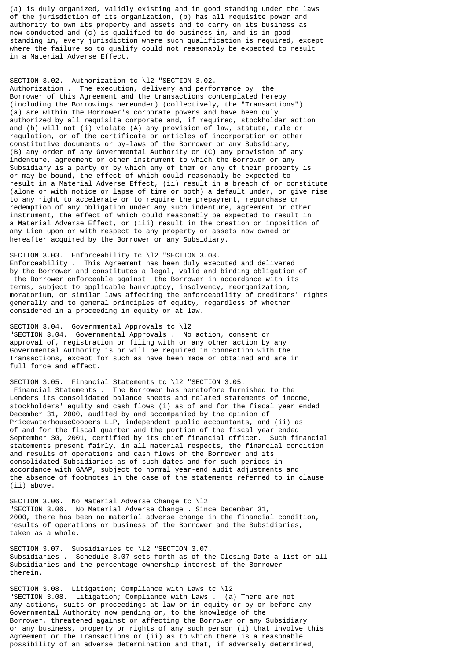(a) is duly organized, validly existing and in good standing under the laws of the jurisdiction of its organization, (b) has all requisite power and authority to own its property and assets and to carry on its business as now conducted and (c) is qualified to do business in, and is in good standing in, every jurisdiction where such qualification is required, except where the failure so to qualify could not reasonably be expected to result in a Material Adverse Effect.

SECTION 3.02. Authorization tc \l2 "SECTION 3.02. Authorization . The execution, delivery and performance by the Borrower of this Agreement and the transactions contemplated hereby (including the Borrowings hereunder) (collectively, the "Transactions") (a) are within the Borrower's corporate powers and have been duly authorized by all requisite corporate and, if required, stockholder action and (b) will not (i) violate (A) any provision of law, statute, rule or regulation, or of the certificate or articles of incorporation or other constitutive documents or by-laws of the Borrower or any Subsidiary, (B) any order of any Governmental Authority or (C) any provision of any indenture, agreement or other instrument to which the Borrower or any Subsidiary is a party or by which any of them or any of their property is or may be bound, the effect of which could reasonably be expected to result in a Material Adverse Effect, (ii) result in a breach of or constitute (alone or with notice or lapse of time or both) a default under, or give rise to any right to accelerate or to require the prepayment, repurchase or redemption of any obligation under any such indenture, agreement or other instrument, the effect of which could reasonably be expected to result in a Material Adverse Effect, or (iii) result in the creation or imposition of any Lien upon or with respect to any property or assets now owned or hereafter acquired by the Borrower or any Subsidiary.

SECTION 3.03. Enforceability tc \l2 "SECTION 3.03. Enforceability . This Agreement has been duly executed and delivered by the Borrower and constitutes a legal, valid and binding obligation of the Borrower enforceable against the Borrower in accordance with its terms, subject to applicable bankruptcy, insolvency, reorganization, moratorium, or similar laws affecting the enforceability of creditors' rights generally and to general principles of equity, regardless of whether considered in a proceeding in equity or at law.

SECTION 3.04. Governmental Approvals tc \l2 "SECTION 3.04. Governmental Approvals . No action, consent or approval of, registration or filing with or any other action by any Governmental Authority is or will be required in connection with the Transactions, except for such as have been made or obtained and are in full force and effect.

SECTION 3.05. Financial Statements tc \l2 "SECTION 3.05. Financial Statements . The Borrower has heretofore furnished to the Lenders its consolidated balance sheets and related statements of income, stockholders' equity and cash flows (i) as of and for the fiscal year ended December 31, 2000, audited by and accompanied by the opinion of PricewaterhouseCoopers LLP, independent public accountants, and (ii) as of and for the fiscal quarter and the portion of the fiscal year ended September 30, 2001, certified by its chief financial officer. Such financial statements present fairly, in all material respects, the financial condition and results of operations and cash flows of the Borrower and its consolidated Subsidiaries as of such dates and for such periods in accordance with GAAP, subject to normal year-end audit adjustments and the absence of footnotes in the case of the statements referred to in clause (ii) above.

SECTION 3.06. No Material Adverse Change tc \l2 "SECTION 3.06. No Material Adverse Change . Since December 31, 2000, there has been no material adverse change in the financial condition, results of operations or business of the Borrower and the Subsidiaries, taken as a whole.

SECTION 3.07. Subsidiaries tc \12 "SECTION 3.07. Subsidiaries . Schedule 3.07 sets forth as of the Closing Date a list of all Subsidiaries and the percentage ownership interest of the Borrower therein.

SECTION 3.08. Litigation; Compliance with Laws tc \l2 "SECTION 3.08. Litigation; Compliance with Laws . (a) There are not any actions, suits or proceedings at law or in equity or by or before any Governmental Authority now pending or, to the knowledge of the Borrower, threatened against or affecting the Borrower or any Subsidiary or any business, property or rights of any such person (i) that involve this Agreement or the Transactions or (ii) as to which there is a reasonable possibility of an adverse determination and that, if adversely determined,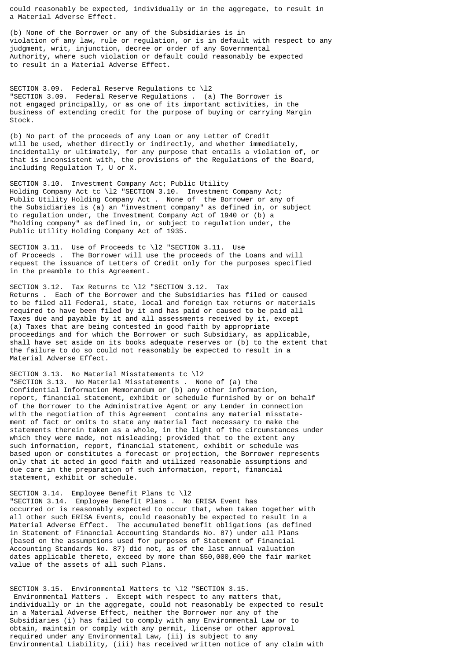could reasonably be expected, individually or in the aggregate, to result in a Material Adverse Effect.

(b) None of the Borrower or any of the Subsidiaries is in violation of any law, rule or regulation, or is in default with respect to any judgment, writ, injunction, decree or order of any Governmental Authority, where such violation or default could reasonably be expected to result in a Material Adverse Effect.

SECTION 3.09. Federal Reserve Regulations tc \l2 "SECTION 3.09. Federal Reserve Regulations . (a) The Borrower is not engaged principally, or as one of its important activities, in the business of extending credit for the purpose of buying or carrying Margin Stock.

(b) No part of the proceeds of any Loan or any Letter of Credit will be used, whether directly or indirectly, and whether immediately, incidentally or ultimately, for any purpose that entails a violation of, or that is inconsistent with, the provisions of the Regulations of the Board, including Regulation T, U or X.

SECTION 3.10. Investment Company Act; Public Utility Holding Company Act tc \l2 "SECTION 3.10. Investment Company Act; Public Utility Holding Company Act . None of the Borrower or any of the Subsidiaries is (a) an "investment company" as defined in, or subject to regulation under, the Investment Company Act of 1940 or (b) a "holding company" as defined in, or subject to regulation under, the Public Utility Holding Company Act of 1935.

SECTION 3.11. Use of Proceeds tc \l2 "SECTION 3.11. Use of Proceeds . The Borrower will use the proceeds of the Loans and will request the issuance of Letters of Credit only for the purposes specified in the preamble to this Agreement.

SECTION 3.12. Tax Returns tc \12 "SECTION 3.12. Tax Returns . Each of the Borrower and the Subsidiaries has filed or caused to be filed all Federal, state, local and foreign tax returns or materials required to have been filed by it and has paid or caused to be paid all Taxes due and payable by it and all assessments received by it, except (a) Taxes that are being contested in good faith by appropriate proceedings and for which the Borrower or such Subsidiary, as applicable, shall have set aside on its books adequate reserves or (b) to the extent that the failure to do so could not reasonably be expected to result in a Material Adverse Effect.

SECTION 3.13. No Material Misstatements tc \l2 "SECTION 3.13. No Material Misstatements . None of (a) the Confidential Information Memorandum or (b) any other information, report, financial statement, exhibit or schedule furnished by or on behalf of the Borrower to the Administrative Agent or any Lender in connection with the negotiation of this Agreement contains any material misstatement of fact or omits to state any material fact necessary to make the statements therein taken as a whole, in the light of the circumstances under which they were made, not misleading; provided that to the extent any such information, report, financial statement, exhibit or schedule was based upon or constitutes a forecast or projection, the Borrower represents only that it acted in good faith and utilized reasonable assumptions and due care in the preparation of such information, report, financial statement, exhibit or schedule.

SECTION 3.14. Employee Benefit Plans tc \l2 "SECTION 3.14. Employee Benefit Plans . No ERISA Event has occurred or is reasonably expected to occur that, when taken together with all other such ERISA Events, could reasonably be expected to result in a Material Adverse Effect. The accumulated benefit obligations (as defined in Statement of Financial Accounting Standards No. 87) under all Plans (based on the assumptions used for purposes of Statement of Financial Accounting Standards No. 87) did not, as of the last annual valuation dates applicable thereto, exceed by more than \$50,000,000 the fair market value of the assets of all such Plans.

SECTION 3.15. Environmental Matters tc \l2 "SECTION 3.15. Environmental Matters . Except with respect to any matters that, individually or in the aggregate, could not reasonably be expected to result in a Material Adverse Effect, neither the Borrower nor any of the Subsidiaries (i) has failed to comply with any Environmental Law or to obtain, maintain or comply with any permit, license or other approval required under any Environmental Law, (ii) is subject to any Environmental Liability, (iii) has received written notice of any claim with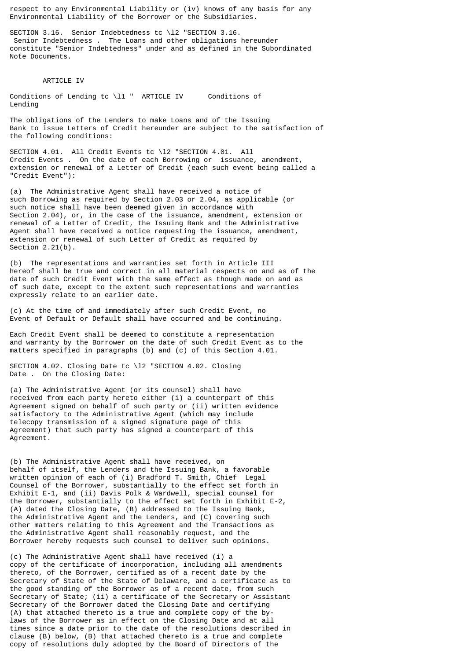respect to any Environmental Liability or (iv) knows of any basis for any Environmental Liability of the Borrower or the Subsidiaries.

SECTION 3.16. Senior Indebtedness tc \l2 "SECTION 3.16. Senior Indebtedness . The Loans and other obligations hereunder constitute "Senior Indebtedness" under and as defined in the Subordinated Note Documents.

## ARTICLE IV

Conditions of Lending tc \l1 " ARTICLE IV Conditions of Lending

The obligations of the Lenders to make Loans and of the Issuing Bank to issue Letters of Credit hereunder are subject to the satisfaction of the following conditions:

SECTION 4.01. All Credit Events tc \l2 "SECTION 4.01. All Credit Events . On the date of each Borrowing or issuance, amendment, extension or renewal of a Letter of Credit (each such event being called a "Credit Event"):

(a) The Administrative Agent shall have received a notice of such Borrowing as required by Section 2.03 or 2.04, as applicable (or such notice shall have been deemed given in accordance with Section 2.04), or, in the case of the issuance, amendment, extension or renewal of a Letter of Credit, the Issuing Bank and the Administrative Agent shall have received a notice requesting the issuance, amendment, extension or renewal of such Letter of Credit as required by Section 2.21(b).

(b) The representations and warranties set forth in Article III hereof shall be true and correct in all material respects on and as of the date of such Credit Event with the same effect as though made on and as of such date, except to the extent such representations and warranties expressly relate to an earlier date.

(c) At the time of and immediately after such Credit Event, no Event of Default or Default shall have occurred and be continuing.

Each Credit Event shall be deemed to constitute a representation and warranty by the Borrower on the date of such Credit Event as to the matters specified in paragraphs (b) and (c) of this Section 4.01.

SECTION 4.02. Closing Date tc \l2 "SECTION 4.02. Closing Date . On the Closing Date:

(a) The Administrative Agent (or its counsel) shall have received from each party hereto either (i) a counterpart of this Agreement signed on behalf of such party or (ii) written evidence satisfactory to the Administrative Agent (which may include telecopy transmission of a signed signature page of this Agreement) that such party has signed a counterpart of this Agreement.

(b) The Administrative Agent shall have received, on behalf of itself, the Lenders and the Issuing Bank, a favorable written opinion of each of (i) Bradford T. Smith, Chief Legal Counsel of the Borrower, substantially to the effect set forth in Exhibit E-1, and (ii) Davis Polk & Wardwell, special counsel for the Borrower, substantially to the effect set forth in Exhibit E-2, (A) dated the Closing Date, (B) addressed to the Issuing Bank, the Administrative Agent and the Lenders, and (C) covering such other matters relating to this Agreement and the Transactions as the Administrative Agent shall reasonably request, and the Borrower hereby requests such counsel to deliver such opinions.

(c) The Administrative Agent shall have received (i) a copy of the certificate of incorporation, including all amendments thereto, of the Borrower, certified as of a recent date by the Secretary of State of the State of Delaware, and a certificate as to the good standing of the Borrower as of a recent date, from such Secretary of State; (ii) a certificate of the Secretary or Assistant Secretary of the Borrower dated the Closing Date and certifying (A) that attached thereto is a true and complete copy of the bylaws of the Borrower as in effect on the Closing Date and at all times since a date prior to the date of the resolutions described in clause (B) below, (B) that attached thereto is a true and complete copy of resolutions duly adopted by the Board of Directors of the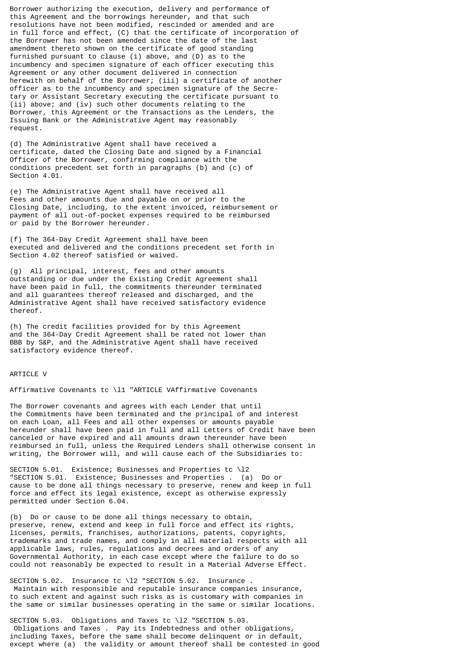Borrower authorizing the execution, delivery and performance of this Agreement and the borrowings hereunder, and that such resolutions have not been modified, rescinded or amended and are in full force and effect, (C) that the certificate of incorporation of the Borrower has not been amended since the date of the last amendment thereto shown on the certificate of good standing furnished pursuant to clause (i) above, and (D) as to the incumbency and specimen signature of each officer executing this Agreement or any other document delivered in connection herewith on behalf of the Borrower; (iii) a certificate of another officer as to the incumbency and specimen signature of the Secretary or Assistant Secretary executing the certificate pursuant to (ii) above; and (iv) such other documents relating to the Borrower, this Agreement or the Transactions as the Lenders, the Issuing Bank or the Administrative Agent may reasonably request.

(d) The Administrative Agent shall have received a certificate, dated the Closing Date and signed by a Financial Officer of the Borrower, confirming compliance with the conditions precedent set forth in paragraphs (b) and (c) of Section 4.01.

(e) The Administrative Agent shall have received all Fees and other amounts due and payable on or prior to the Closing Date, including, to the extent invoiced, reimbursement or payment of all out-of-pocket expenses required to be reimbursed or paid by the Borrower hereunder.

(f) The 364-Day Credit Agreement shall have been executed and delivered and the conditions precedent set forth in Section 4.02 thereof satisfied or waived.

(g) All principal, interest, fees and other amounts outstanding or due under the Existing Credit Agreement shall have been paid in full, the commitments thereunder terminated and all guarantees thereof released and discharged, and the Administrative Agent shall have received satisfactory evidence thereof.

(h) The credit facilities provided for by this Agreement and the 364-Day Credit Agreement shall be rated not lower than BBB by S&P, and the Administrative Agent shall have received satisfactory evidence thereof.

### ARTICLE V

Affirmative Covenants tc \l1 "ARTICLE VAffirmative Covenants

The Borrower covenants and agrees with each Lender that until the Commitments have been terminated and the principal of and interest on each Loan, all Fees and all other expenses or amounts payable hereunder shall have been paid in full and all Letters of Credit have been canceled or have expired and all amounts drawn thereunder have been reimbursed in full, unless the Required Lenders shall otherwise consent in writing, the Borrower will, and will cause each of the Subsidiaries to:

SECTION 5.01. Existence; Businesses and Properties tc \12 "SECTION 5.01. Existence; Businesses and Properties . (a) Do or cause to be done all things necessary to preserve, renew and keep in full force and effect its legal existence, except as otherwise expressly permitted under Section 6.04.

(b) Do or cause to be done all things necessary to obtain, preserve, renew, extend and keep in full force and effect its rights, licenses, permits, franchises, authorizations, patents, copyrights, trademarks and trade names, and comply in all material respects with all applicable laws, rules, regulations and decrees and orders of any Governmental Authority, in each case except where the failure to do so could not reasonably be expected to result in a Material Adverse Effect.

SECTION 5.02. Insurance tc \12 "SECTION 5.02. Insurance. Maintain with responsible and reputable insurance companies insurance, to such extent and against such risks as is customary with companies in the same or similar businesses operating in the same or similar locations.

SECTION 5.03. Obligations and Taxes tc \l2 "SECTION 5.03. Obligations and Taxes . Pay its Indebtedness and other obligations, including Taxes, before the same shall become delinquent or in default, except where (a) the validity or amount thereof shall be contested in good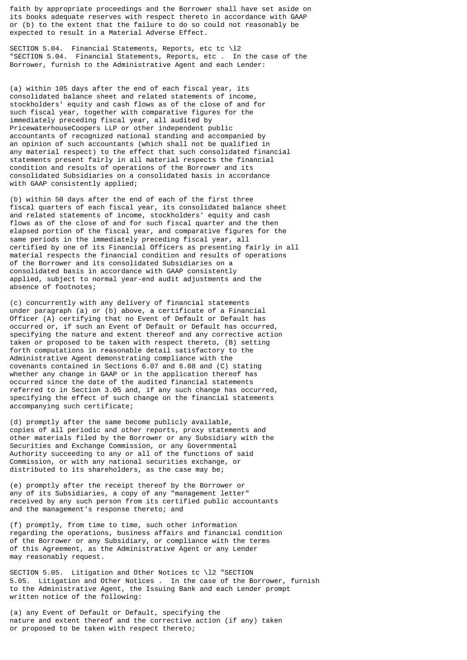faith by appropriate proceedings and the Borrower shall have set aside on its books adequate reserves with respect thereto in accordance with GAAP or (b) to the extent that the failure to do so could not reasonably be expected to result in a Material Adverse Effect.

SECTION 5.04. Financial Statements, Reports, etc tc \l2 "SECTION 5.04. Financial Statements, Reports, etc . In the case of the Borrower, furnish to the Administrative Agent and each Lender:

(a) within 105 days after the end of each fiscal year, its consolidated balance sheet and related statements of income, stockholders' equity and cash flows as of the close of and for such fiscal year, together with comparative figures for the immediately preceding fiscal year, all audited by PricewaterhouseCoopers LLP or other independent public accountants of recognized national standing and accompanied by an opinion of such accountants (which shall not be qualified in any material respect) to the effect that such consolidated financial statements present fairly in all material respects the financial condition and results of operations of the Borrower and its consolidated Subsidiaries on a consolidated basis in accordance with GAAP consistently applied;

(b) within 50 days after the end of each of the first three fiscal quarters of each fiscal year, its consolidated balance sheet and related statements of income, stockholders' equity and cash flows as of the close of and for such fiscal quarter and the then elapsed portion of the fiscal year, and comparative figures for the same periods in the immediately preceding fiscal year, all certified by one of its Financial Officers as presenting fairly in all material respects the financial condition and results of operations of the Borrower and its consolidated Subsidiaries on a consolidated basis in accordance with GAAP consistently applied, subject to normal year-end audit adjustments and the absence of footnotes;

(c) concurrently with any delivery of financial statements under paragraph (a) or (b) above, a certificate of a Financial Officer (A) certifying that no Event of Default or Default has occurred or, if such an Event of Default or Default has occurred, specifying the nature and extent thereof and any corrective action taken or proposed to be taken with respect thereto, (B) setting forth computations in reasonable detail satisfactory to the Administrative Agent demonstrating compliance with the covenants contained in Sections 6.07 and 6.08 and (C) stating whether any change in GAAP or in the application thereof has occurred since the date of the audited financial statements referred to in Section 3.05 and, if any such change has occurred, specifying the effect of such change on the financial statements accompanying such certificate;

(d) promptly after the same become publicly available, copies of all periodic and other reports, proxy statements and other materials filed by the Borrower or any Subsidiary with the Securities and Exchange Commission, or any Governmental Authority succeeding to any or all of the functions of said Commission, or with any national securities exchange, or distributed to its shareholders, as the case may be;

(e) promptly after the receipt thereof by the Borrower or any of its Subsidiaries, a copy of any "management letter" received by any such person from its certified public accountants and the management's response thereto; and

(f) promptly, from time to time, such other information regarding the operations, business affairs and financial condition of the Borrower or any Subsidiary, or compliance with the terms of this Agreement, as the Administrative Agent or any Lender may reasonably request.

SECTION 5.05. Litigation and Other Notices tc \l2 "SECTION 5.05. Litigation and Other Notices . In the case of the Borrower, furnish to the Administrative Agent, the Issuing Bank and each Lender prompt written notice of the following:

(a) any Event of Default or Default, specifying the nature and extent thereof and the corrective action (if any) taken or proposed to be taken with respect thereto;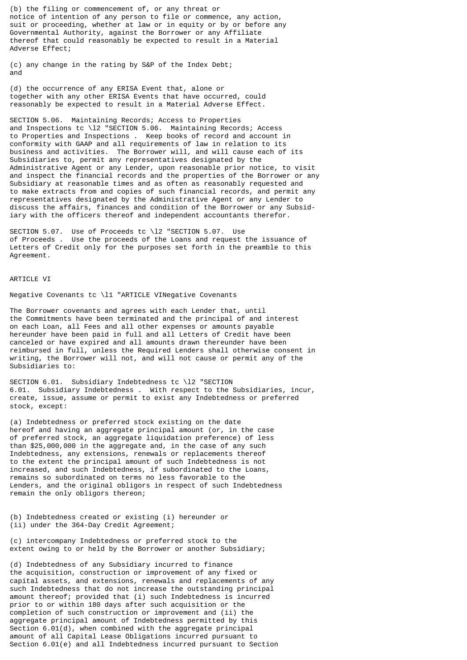(b) the filing or commencement of, or any threat or notice of intention of any person to file or commence, any action, suit or proceeding, whether at law or in equity or by or before any Governmental Authority, against the Borrower or any Affiliate thereof that could reasonably be expected to result in a Material Adverse Effect;

(c) any change in the rating by S&P of the Index Debt; and

(d) the occurrence of any ERISA Event that, alone or together with any other ERISA Events that have occurred, could reasonably be expected to result in a Material Adverse Effect.

SECTION 5.06. Maintaining Records; Access to Properties and Inspections tc \l2 "SECTION 5.06. Maintaining Records; Access to Properties and Inspections . Keep books of record and account in conformity with GAAP and all requirements of law in relation to its business and activities. The Borrower will, and will cause each of its Subsidiaries to, permit any representatives designated by the Administrative Agent or any Lender, upon reasonable prior notice, to visit and inspect the financial records and the properties of the Borrower or any Subsidiary at reasonable times and as often as reasonably requested and to make extracts from and copies of such financial records, and permit any representatives designated by the Administrative Agent or any Lender to discuss the affairs, finances and condition of the Borrower or any Subsidiary with the officers thereof and independent accountants therefor.

SECTION 5.07. Use of Proceeds tc \l2 "SECTION 5.07. Use of Proceeds . Use the proceeds of the Loans and request the issuance of Letters of Credit only for the purposes set forth in the preamble to this Agreement.

#### ARTICLE VI

Negative Covenants tc \l1 "ARTICLE VINegative Covenants

The Borrower covenants and agrees with each Lender that, until the Commitments have been terminated and the principal of and interest on each Loan, all Fees and all other expenses or amounts payable hereunder have been paid in full and all Letters of Credit have been canceled or have expired and all amounts drawn thereunder have been reimbursed in full, unless the Required Lenders shall otherwise consent in writing, the Borrower will not, and will not cause or permit any of the Subsidiaries to:

SECTION 6.01. Subsidiary Indebtedness tc \l2 "SECTION 6.01. Subsidiary Indebtedness . With respect to the Subsidiaries, incur, create, issue, assume or permit to exist any Indebtedness or preferred stock, except:

(a) Indebtedness or preferred stock existing on the date hereof and having an aggregate principal amount (or, in the case of preferred stock, an aggregate liquidation preference) of less than \$25,000,000 in the aggregate and, in the case of any such Indebtedness, any extensions, renewals or replacements thereof to the extent the principal amount of such Indebtedness is not increased, and such Indebtedness, if subordinated to the Loans, remains so subordinated on terms no less favorable to the Lenders, and the original obligors in respect of such Indebtedness remain the only obligors thereon;

(b) Indebtedness created or existing (i) hereunder or (ii) under the 364-Day Credit Agreement;

(c) intercompany Indebtedness or preferred stock to the extent owing to or held by the Borrower or another Subsidiary;

(d) Indebtedness of any Subsidiary incurred to finance the acquisition, construction or improvement of any fixed or capital assets, and extensions, renewals and replacements of any such Indebtedness that do not increase the outstanding principal amount thereof; provided that (i) such Indebtedness is incurred prior to or within 180 days after such acquisition or the completion of such construction or improvement and (ii) the aggregate principal amount of Indebtedness permitted by this Section 6.01(d), when combined with the aggregate principal amount of all Capital Lease Obligations incurred pursuant to Section 6.01(e) and all Indebtedness incurred pursuant to Section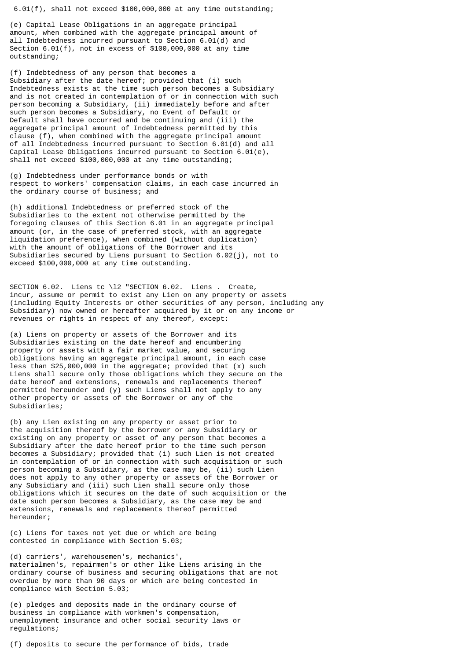6.01(f), shall not exceed \$100,000,000 at any time outstanding;

(e) Capital Lease Obligations in an aggregate principal amount, when combined with the aggregate principal amount of all Indebtedness incurred pursuant to Section 6.01(d) and Section 6.01(f), not in excess of \$100,000,000 at any time outstanding;

(f) Indebtedness of any person that becomes a Subsidiary after the date hereof; provided that (i) such Indebtedness exists at the time such person becomes a Subsidiary and is not created in contemplation of or in connection with such person becoming a Subsidiary, (ii) immediately before and after such person becomes a Subsidiary, no Event of Default or Default shall have occurred and be continuing and (iii) the aggregate principal amount of Indebtedness permitted by this clause (f), when combined with the aggregate principal amount of all Indebtedness incurred pursuant to Section 6.01(d) and all Capital Lease Obligations incurred pursuant to Section 6.01(e), shall not exceed \$100,000,000 at any time outstanding;

(g) Indebtedness under performance bonds or with respect to workers' compensation claims, in each case incurred in the ordinary course of business; and

(h) additional Indebtedness or preferred stock of the Subsidiaries to the extent not otherwise permitted by the foregoing clauses of this Section 6.01 in an aggregate principal amount (or, in the case of preferred stock, with an aggregate liquidation preference), when combined (without duplication) with the amount of obligations of the Borrower and its Subsidiaries secured by Liens pursuant to Section 6.02(j), not to exceed \$100,000,000 at any time outstanding.

SECTION 6.02. Liens tc \l2 "SECTION 6.02. Liens . Create, incur, assume or permit to exist any Lien on any property or assets (including Equity Interests or other securities of any person, including any Subsidiary) now owned or hereafter acquired by it or on any income or revenues or rights in respect of any thereof, except:

(a) Liens on property or assets of the Borrower and its Subsidiaries existing on the date hereof and encumbering property or assets with a fair market value, and securing obligations having an aggregate principal amount, in each case less than \$25,000,000 in the aggregate; provided that (x) such Liens shall secure only those obligations which they secure on the date hereof and extensions, renewals and replacements thereof permitted hereunder and (y) such Liens shall not apply to any other property or assets of the Borrower or any of the Subsidiaries;

(b) any Lien existing on any property or asset prior to the acquisition thereof by the Borrower or any Subsidiary or existing on any property or asset of any person that becomes a Subsidiary after the date hereof prior to the time such person becomes a Subsidiary; provided that (i) such Lien is not created in contemplation of or in connection with such acquisition or such person becoming a Subsidiary, as the case may be, (ii) such Lien does not apply to any other property or assets of the Borrower or any Subsidiary and (iii) such Lien shall secure only those obligations which it secures on the date of such acquisition or the date such person becomes a Subsidiary, as the case may be and extensions, renewals and replacements thereof permitted hereunder;

(c) Liens for taxes not yet due or which are being contested in compliance with Section 5.03;

(d) carriers', warehousemen's, mechanics', materialmen's, repairmen's or other like Liens arising in the ordinary course of business and securing obligations that are not overdue by more than 90 days or which are being contested in compliance with Section 5.03;

(e) pledges and deposits made in the ordinary course of business in compliance with workmen's compensation, unemployment insurance and other social security laws or regulations;

(f) deposits to secure the performance of bids, trade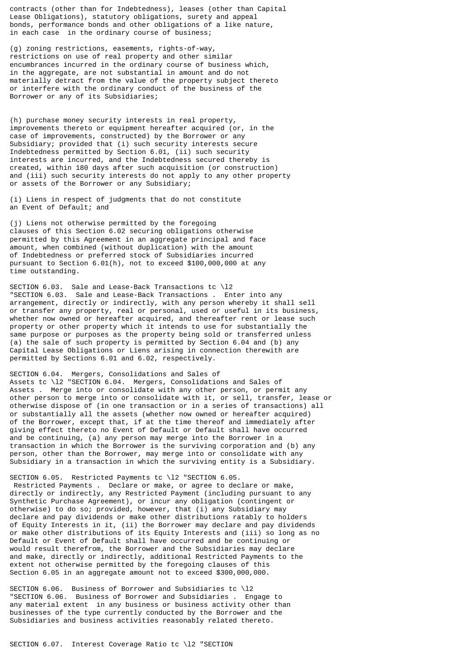contracts (other than for Indebtedness), leases (other than Capital Lease Obligations), statutory obligations, surety and appeal bonds, performance bonds and other obligations of a like nature, in each case in the ordinary course of business;

(g) zoning restrictions, easements, rights-of-way, restrictions on use of real property and other similar encumbrances incurred in the ordinary course of business which, in the aggregate, are not substantial in amount and do not materially detract from the value of the property subject thereto or interfere with the ordinary conduct of the business of the Borrower or any of its Subsidiaries;

(h) purchase money security interests in real property, improvements thereto or equipment hereafter acquired (or, in the case of improvements, constructed) by the Borrower or any Subsidiary; provided that (i) such security interests secure Indebtedness permitted by Section 6.01, (ii) such security interests are incurred, and the Indebtedness secured thereby is created, within 180 days after such acquisition (or construction) and (iii) such security interests do not apply to any other property or assets of the Borrower or any Subsidiary;

(i) Liens in respect of judgments that do not constitute an Event of Default; and

(j) Liens not otherwise permitted by the foregoing clauses of this Section 6.02 securing obligations otherwise permitted by this Agreement in an aggregate principal and face amount, when combined (without duplication) with the amount of Indebtedness or preferred stock of Subsidiaries incurred pursuant to Section 6.01(h), not to exceed \$100,000,000 at any time outstanding.

SECTION 6.03. Sale and Lease-Back Transactions tc \l2 "SECTION 6.03. Sale and Lease-Back Transactions . Enter into any arrangement, directly or indirectly, with any person whereby it shall sell or transfer any property, real or personal, used or useful in its business, whether now owned or hereafter acquired, and thereafter rent or lease such property or other property which it intends to use for substantially the same purpose or purposes as the property being sold or transferred unless (a) the sale of such property is permitted by Section 6.04 and (b) any Capital Lease Obligations or Liens arising in connection therewith are permitted by Sections 6.01 and 6.02, respectively.

SECTION 6.04. Mergers, Consolidations and Sales of Assets tc \l2 "SECTION 6.04. Mergers, Consolidations and Sales of Assets . Merge into or consolidate with any other person, or permit any other person to merge into or consolidate with it, or sell, transfer, lease or otherwise dispose of (in one transaction or in a series of transactions) all or substantially all the assets (whether now owned or hereafter acquired) of the Borrower, except that, if at the time thereof and immediately after giving effect thereto no Event of Default or Default shall have occurred and be continuing, (a) any person may merge into the Borrower in a transaction in which the Borrower is the surviving corporation and (b) any person, other than the Borrower, may merge into or consolidate with any Subsidiary in a transaction in which the surviving entity is a Subsidiary.

SECTION 6.05. Restricted Payments tc \12 "SECTION 6.05. Restricted Payments . Declare or make, or agree to declare or make, directly or indirectly, any Restricted Payment (including pursuant to any Synthetic Purchase Agreement), or incur any obligation (contingent or otherwise) to do so; provided, however, that (i) any Subsidiary may declare and pay dividends or make other distributions ratably to holders of Equity Interests in it, (ii) the Borrower may declare and pay dividends or make other distributions of its Equity Interests and (iii) so long as no Default or Event of Default shall have occurred and be continuing or would result therefrom, the Borrower and the Subsidiaries may declare and make, directly or indirectly, additional Restricted Payments to the extent not otherwise permitted by the foregoing clauses of this Section 6.05 in an aggregate amount not to exceed \$300,000,000.

SECTION 6.06. Business of Borrower and Subsidiaries tc \l2 "SECTION 6.06. Business of Borrower and Subsidiaries . Engage to any material extent in any business or business activity other than businesses of the type currently conducted by the Borrower and the Subsidiaries and business activities reasonably related thereto.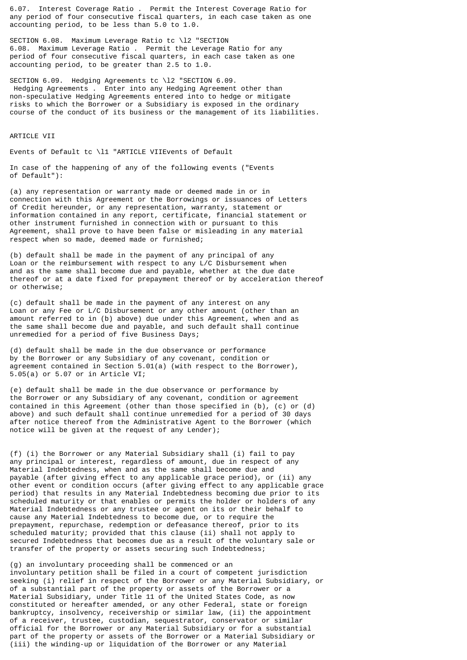6.07. Interest Coverage Ratio . Permit the Interest Coverage Ratio for any period of four consecutive fiscal quarters, in each case taken as one accounting period, to be less than 5.0 to 1.0.

SECTION 6.08. Maximum Leverage Ratio tc \l2 "SECTION 6.08. Maximum Leverage Ratio . Permit the Leverage Ratio for any period of four consecutive fiscal quarters, in each case taken as one accounting period, to be greater than 2.5 to 1.0.

SECTION 6.09. Hedging Agreements tc \l2 "SECTION 6.09. Hedging Agreements . Enter into any Hedging Agreement other than non-speculative Hedging Agreements entered into to hedge or mitigate risks to which the Borrower or a Subsidiary is exposed in the ordinary course of the conduct of its business or the management of its liabilities.

# **ARTICLE VII**

Events of Default tc \l1 "ARTICLE VIIEvents of Default

In case of the happening of any of the following events ("Events of Default"):

(a) any representation or warranty made or deemed made in or in connection with this Agreement or the Borrowings or issuances of Letters of Credit hereunder, or any representation, warranty, statement or information contained in any report, certificate, financial statement or other instrument furnished in connection with or pursuant to this Agreement, shall prove to have been false or misleading in any material respect when so made, deemed made or furnished;

(b) default shall be made in the payment of any principal of any Loan or the reimbursement with respect to any L/C Disbursement when and as the same shall become due and payable, whether at the due date thereof or at a date fixed for prepayment thereof or by acceleration thereof or otherwise;

(c) default shall be made in the payment of any interest on any Loan or any Fee or L/C Disbursement or any other amount (other than an amount referred to in (b) above) due under this Agreement, when and as the same shall become due and payable, and such default shall continue unremedied for a period of five Business Days;

(d) default shall be made in the due observance or performance by the Borrower or any Subsidiary of any covenant, condition or agreement contained in Section 5.01(a) (with respect to the Borrower), 5.05(a) or 5.07 or in Article VI;

(e) default shall be made in the due observance or performance by the Borrower or any Subsidiary of any covenant, condition or agreement contained in this Agreement (other than those specified in (b), (c) or (d) above) and such default shall continue unremedied for a period of 30 days after notice thereof from the Administrative Agent to the Borrower (which notice will be given at the request of any Lender);

(f) (i) the Borrower or any Material Subsidiary shall (i) fail to pay any principal or interest, regardless of amount, due in respect of any Material Indebtedness, when and as the same shall become due and payable (after giving effect to any applicable grace period), or (ii) any other event or condition occurs (after giving effect to any applicable grace period) that results in any Material Indebtedness becoming due prior to its scheduled maturity or that enables or permits the holder or holders of any Material Indebtedness or any trustee or agent on its or their behalf to cause any Material Indebtedness to become due, or to require the prepayment, repurchase, redemption or defeasance thereof, prior to its scheduled maturity; provided that this clause (ii) shall not apply to secured Indebtedness that becomes due as a result of the voluntary sale or transfer of the property or assets securing such Indebtedness;

(g) an involuntary proceeding shall be commenced or an involuntary petition shall be filed in a court of competent jurisdiction seeking (i) relief in respect of the Borrower or any Material Subsidiary, or of a substantial part of the property or assets of the Borrower or a Material Subsidiary, under Title 11 of the United States Code, as now constituted or hereafter amended, or any other Federal, state or foreign bankruptcy, insolvency, receivership or similar law, (ii) the appointment of a receiver, trustee, custodian, sequestrator, conservator or similar official for the Borrower or any Material Subsidiary or for a substantial part of the property or assets of the Borrower or a Material Subsidiary or (iii) the winding-up or liquidation of the Borrower or any Material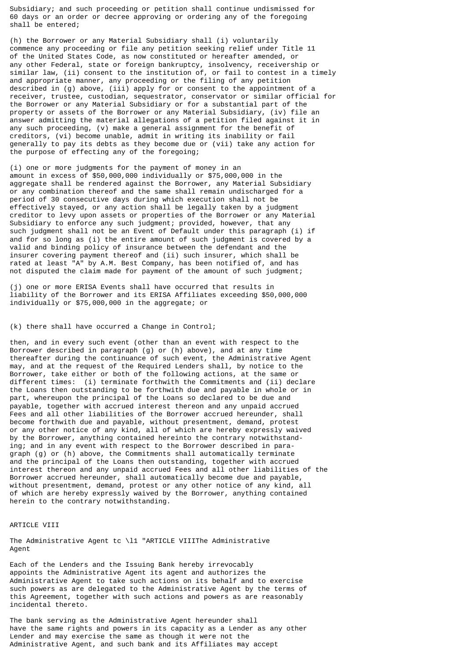Subsidiary; and such proceeding or petition shall continue undismissed for 60 days or an order or decree approving or ordering any of the foregoing shall be entered;

(h) the Borrower or any Material Subsidiary shall (i) voluntarily commence any proceeding or file any petition seeking relief under Title 11 of the United States Code, as now constituted or hereafter amended, or any other Federal, state or foreign bankruptcy, insolvency, receivership or similar law, (ii) consent to the institution of, or fail to contest in a timely and appropriate manner, any proceeding or the filing of any petition described in (g) above, (iii) apply for or consent to the appointment of a receiver, trustee, custodian, sequestrator, conservator or similar official for the Borrower or any Material Subsidiary or for a substantial part of the property or assets of the Borrower or any Material Subsidiary, (iv) file an answer admitting the material allegations of a petition filed against it in any such proceeding, (v) make a general assignment for the benefit of creditors, (vi) become unable, admit in writing its inability or fail generally to pay its debts as they become due or (vii) take any action for the purpose of effecting any of the foregoing;

(i) one or more judgments for the payment of money in an amount in excess of \$50,000,000 individually or \$75,000,000 in the aggregate shall be rendered against the Borrower, any Material Subsidiary or any combination thereof and the same shall remain undischarged for a period of 30 consecutive days during which execution shall not be effectively stayed, or any action shall be legally taken by a judgment creditor to levy upon assets or properties of the Borrower or any Material Subsidiary to enforce any such judgment; provided, however, that any such judgment shall not be an Event of Default under this paragraph (i) if and for so long as (i) the entire amount of such judgment is covered by a valid and binding policy of insurance between the defendant and the insurer covering payment thereof and (ii) such insurer, which shall be rated at least "A" by A.M. Best Company, has been notified of, and has not disputed the claim made for payment of the amount of such judgment;

(j) one or more ERISA Events shall have occurred that results in liability of the Borrower and its ERISA Affiliates exceeding \$50,000,000 individually or \$75,000,000 in the aggregate; or

(k) there shall have occurred a Change in Control;

then, and in every such event (other than an event with respect to the Borrower described in paragraph (g) or (h) above), and at any time thereafter during the continuance of such event, the Administrative Agent may, and at the request of the Required Lenders shall, by notice to the Borrower, take either or both of the following actions, at the same or different times: (i) terminate forthwith the Commitments and (ii) declare the Loans then outstanding to be forthwith due and payable in whole or in part, whereupon the principal of the Loans so declared to be due and payable, together with accrued interest thereon and any unpaid accrued Fees and all other liabilities of the Borrower accrued hereunder, shall become forthwith due and payable, without presentment, demand, protest or any other notice of any kind, all of which are hereby expressly waived by the Borrower, anything contained hereinto the contrary notwithstanding; and in any event with respect to the Borrower described in paragraph (g) or (h) above, the Commitments shall automatically terminate and the principal of the Loans then outstanding, together with accrued interest thereon and any unpaid accrued Fees and all other liabilities of the Borrower accrued hereunder, shall automatically become due and payable, without presentment, demand, protest or any other notice of any kind, all of which are hereby expressly waived by the Borrower, anything contained herein to the contrary notwithstanding.

#### ARTICLE VIII

The Administrative Agent tc \l1 "ARTICLE VIIIThe Administrative Agent

Each of the Lenders and the Issuing Bank hereby irrevocably appoints the Administrative Agent its agent and authorizes the Administrative Agent to take such actions on its behalf and to exercise such powers as are delegated to the Administrative Agent by the terms of this Agreement, together with such actions and powers as are reasonably incidental thereto.

The bank serving as the Administrative Agent hereunder shall have the same rights and powers in its capacity as a Lender as any other Lender and may exercise the same as though it were not the Administrative Agent, and such bank and its Affiliates may accept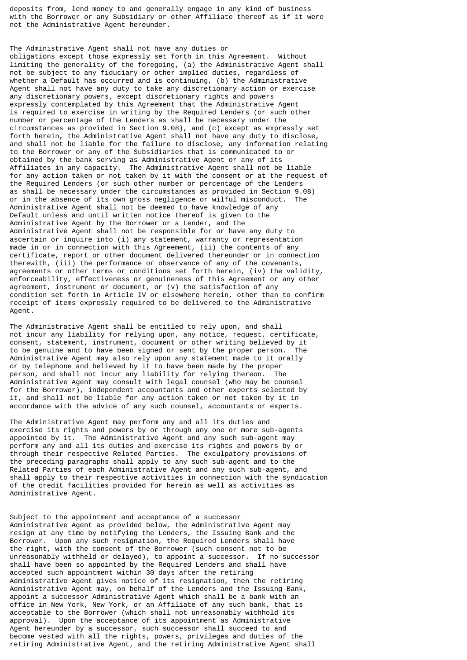deposits from, lend money to and generally engage in any kind of business with the Borrower or any Subsidiary or other Affiliate thereof as if it were not the Administrative Agent hereunder.

The Administrative Agent shall not have any duties or obligations except those expressly set forth in this Agreement. Without limiting the generality of the foregoing, (a) the Administrative Agent shall not be subject to any fiduciary or other implied duties, regardless of whether a Default has occurred and is continuing, (b) the Administrative Agent shall not have any duty to take any discretionary action or exercise any discretionary powers, except discretionary rights and powers expressly contemplated by this Agreement that the Administrative Agent is required to exercise in writing by the Required Lenders (or such other number or percentage of the Lenders as shall be necessary under the circumstances as provided in Section 9.08), and (c) except as expressly set forth herein, the Administrative Agent shall not have any duty to disclose, and shall not be liable for the failure to disclose, any information relating to the Borrower or any of the Subsidiaries that is communicated to or obtained by the bank serving as Administrative Agent or any of its Affiliates in any capacity. The Administrative Agent shall not be liable for any action taken or not taken by it with the consent or at the request of the Required Lenders (or such other number or percentage of the Lenders as shall be necessary under the circumstances as provided in Section 9.08) or in the absence of its own gross negligence or wilful misconduct. The Administrative Agent shall not be deemed to have knowledge of any Default unless and until written notice thereof is given to the Administrative Agent by the Borrower or a Lender, and the Administrative Agent shall not be responsible for or have any duty to ascertain or inquire into (i) any statement, warranty or representation made in or in connection with this Agreement, (ii) the contents of any certificate, report or other document delivered thereunder or in connection therewith, (iii) the performance or observance of any of the covenants, agreements or other terms or conditions set forth herein, (iv) the validity, enforceability, effectiveness or genuineness of this Agreement or any other agreement, instrument or document, or (v) the satisfaction of any condition set forth in Article IV or elsewhere herein, other than to confirm receipt of items expressly required to be delivered to the Administrative Agent.

The Administrative Agent shall be entitled to rely upon, and shall not incur any liability for relying upon, any notice, request, certificate, consent, statement, instrument, document or other writing believed by it to be genuine and to have been signed or sent by the proper person. The Administrative Agent may also rely upon any statement made to it orally or by telephone and believed by it to have been made by the proper person, and shall not incur any liability for relying thereon. The Administrative Agent may consult with legal counsel (who may be counsel for the Borrower), independent accountants and other experts selected by it, and shall not be liable for any action taken or not taken by it in accordance with the advice of any such counsel, accountants or experts.

The Administrative Agent may perform any and all its duties and exercise its rights and powers by or through any one or more sub-agents appointed by it. The Administrative Agent and any such sub-agent may perform any and all its duties and exercise its rights and powers by or through their respective Related Parties. The exculpatory provisions of the preceding paragraphs shall apply to any such sub-agent and to the Related Parties of each Administrative Agent and any such sub-agent, and shall apply to their respective activities in connection with the syndication of the credit facilities provided for herein as well as activities as Administrative Agent.

Subject to the appointment and acceptance of a successor Administrative Agent as provided below, the Administrative Agent may resign at any time by notifying the Lenders, the Issuing Bank and the Borrower. Upon any such resignation, the Required Lenders shall have the right, with the consent of the Borrower (such consent not to be unreasonably withheld or delayed), to appoint a successor. If no successor shall have been so appointed by the Required Lenders and shall have accepted such appointment within 30 days after the retiring Administrative Agent gives notice of its resignation, then the retiring Administrative Agent may, on behalf of the Lenders and the Issuing Bank, appoint a successor Administrative Agent which shall be a bank with an office in New York, New York, or an Affiliate of any such bank, that is acceptable to the Borrower (which shall not unreasonably withhold its approval). Upon the acceptance of its appointment as Administrative Agent hereunder by a successor, such successor shall succeed to and become vested with all the rights, powers, privileges and duties of the retiring Administrative Agent, and the retiring Administrative Agent shall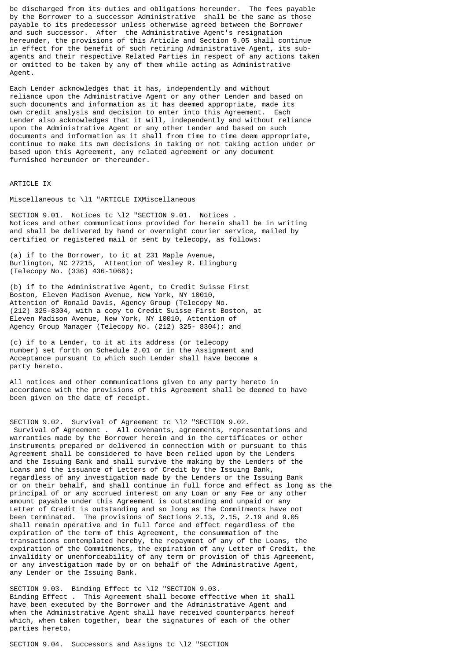be discharged from its duties and obligations hereunder. The fees payable by the Borrower to a successor Administrative shall be the same as those payable to its predecessor unless otherwise agreed between the Borrower and such successor. After the Administrative Agent's resignation hereunder, the provisions of this Article and Section 9.05 shall continue in effect for the benefit of such retiring Administrative Agent, its subagents and their respective Related Parties in respect of any actions taken or omitted to be taken by any of them while acting as Administrative Agent.

Each Lender acknowledges that it has, independently and without reliance upon the Administrative Agent or any other Lender and based on such documents and information as it has deemed appropriate, made its own credit analysis and decision to enter into this Agreement. Each Lender also acknowledges that it will, independently and without reliance upon the Administrative Agent or any other Lender and based on such documents and information as it shall from time to time deem appropriate, continue to make its own decisions in taking or not taking action under or based upon this Agreement, any related agreement or any document furnished hereunder or thereunder.

### ARTICLE IX

Miscellaneous tc \l1 "ARTICLE IXMiscellaneous

SECTION 9.01. Notices tc \l2 "SECTION 9.01. Notices . Notices and other communications provided for herein shall be in writing and shall be delivered by hand or overnight courier service, mailed by certified or registered mail or sent by telecopy, as follows:

(a) if to the Borrower, to it at 231 Maple Avenue, Burlington, NC 27215, Attention of Wesley R. Elingburg (Telecopy No. (336) 436-1066);

(b) if to the Administrative Agent, to Credit Suisse First Boston, Eleven Madison Avenue, New York, NY 10010, Attention of Ronald Davis, Agency Group (Telecopy No. (212) 325-8304, with a copy to Credit Suisse First Boston, at Eleven Madison Avenue, New York, NY 10010, Attention of Agency Group Manager (Telecopy No. (212) 325- 8304); and

(c) if to a Lender, to it at its address (or telecopy number) set forth on Schedule 2.01 or in the Assignment and Acceptance pursuant to which such Lender shall have become a party hereto.

All notices and other communications given to any party hereto in accordance with the provisions of this Agreement shall be deemed to have been given on the date of receipt.

SECTION 9.02. Survival of Agreement tc \l2 "SECTION 9.02. Survival of Agreement . All covenants, agreements, representations and warranties made by the Borrower herein and in the certificates or other instruments prepared or delivered in connection with or pursuant to this Agreement shall be considered to have been relied upon by the Lenders and the Issuing Bank and shall survive the making by the Lenders of the Loans and the issuance of Letters of Credit by the Issuing Bank, regardless of any investigation made by the Lenders or the Issuing Bank or on their behalf, and shall continue in full force and effect as long as the principal of or any accrued interest on any Loan or any Fee or any other amount payable under this Agreement is outstanding and unpaid or any Letter of Credit is outstanding and so long as the Commitments have not been terminated. The provisions of Sections 2.13, 2.15, 2.19 and 9.05 shall remain operative and in full force and effect regardless of the expiration of the term of this Agreement, the consummation of the transactions contemplated hereby, the repayment of any of the Loans, the expiration of the Commitments, the expiration of any Letter of Credit, the invalidity or unenforceability of any term or provision of this Agreement, or any investigation made by or on behalf of the Administrative Agent, any Lender or the Issuing Bank.

SECTION 9.03. Binding Effect tc \12 "SECTION 9.03. Binding Effect . This Agreement shall become effective when it shall have been executed by the Borrower and the Administrative Agent and when the Administrative Agent shall have received counterparts hereof which, when taken together, bear the signatures of each of the other parties hereto.

SECTION 9.04. Successors and Assigns tc \l2 "SECTION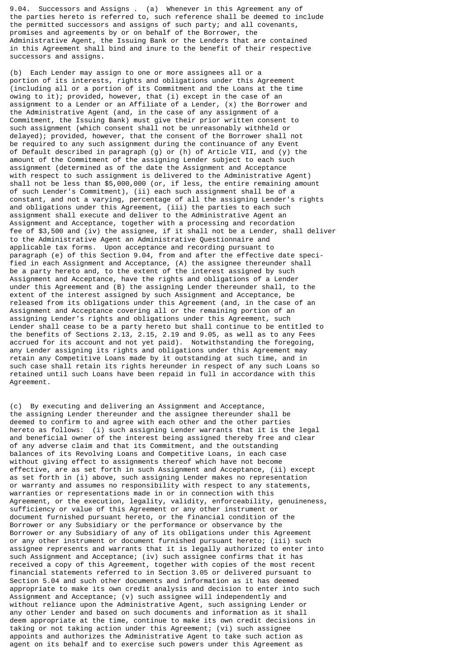9.04. Successors and Assigns . (a) Whenever in this Agreement any of the parties hereto is referred to, such reference shall be deemed to include the permitted successors and assigns of such party; and all covenants, promises and agreements by or on behalf of the Borrower, the Administrative Agent, the Issuing Bank or the Lenders that are contained in this Agreement shall bind and inure to the benefit of their respective successors and assigns.

(b) Each Lender may assign to one or more assignees all or a portion of its interests, rights and obligations under this Agreement (including all or a portion of its Commitment and the Loans at the time owing to it); provided, however, that (i) except in the case of an assignment to a Lender or an Affiliate of a Lender, (x) the Borrower and the Administrative Agent (and, in the case of any assignment of a Commitment, the Issuing Bank) must give their prior written consent to such assignment (which consent shall not be unreasonably withheld or delayed); provided, however, that the consent of the Borrower shall not be required to any such assignment during the continuance of any Event of Default described in paragraph (g) or (h) of Article VII, and (y) the amount of the Commitment of the assigning Lender subject to each such assignment (determined as of the date the Assignment and Acceptance with respect to such assignment is delivered to the Administrative Agent) shall not be less than \$5,000,000 (or, if less, the entire remaining amount of such Lender's Commitment), (ii) each such assignment shall be of a constant, and not a varying, percentage of all the assigning Lender's rights and obligations under this Agreement, (iii) the parties to each such assignment shall execute and deliver to the Administrative Agent an Assignment and Acceptance, together with a processing and recordation fee of \$3,500 and (iv) the assignee, if it shall not be a Lender, shall deliver to the Administrative Agent an Administrative Questionnaire and applicable tax forms. Upon acceptance and recording pursuant to paragraph (e) of this Section 9.04, from and after the effective date specified in each Assignment and Acceptance, (A) the assignee thereunder shall be a party hereto and, to the extent of the interest assigned by such Assignment and Acceptance, have the rights and obligations of a Lender under this Agreement and (B) the assigning Lender thereunder shall, to the extent of the interest assigned by such Assignment and Acceptance, be released from its obligations under this Agreement (and, in the case of an Assignment and Acceptance covering all or the remaining portion of an assigning Lender's rights and obligations under this Agreement, such Lender shall cease to be a party hereto but shall continue to be entitled to the benefits of Sections 2.13, 2.15, 2.19 and 9.05, as well as to any Fees accrued for its account and not yet paid). Notwithstanding the foregoing, any Lender assigning its rights and obligations under this Agreement may retain any Competitive Loans made by it outstanding at such time, and in such case shall retain its rights hereunder in respect of any such Loans so retained until such Loans have been repaid in full in accordance with this Agreement.

(c) By executing and delivering an Assignment and Acceptance, the assigning Lender thereunder and the assignee thereunder shall be deemed to confirm to and agree with each other and the other parties hereto as follows: (i) such assigning Lender warrants that it is the legal and beneficial owner of the interest being assigned thereby free and clear of any adverse claim and that its Commitment, and the outstanding balances of its Revolving Loans and Competitive Loans, in each case without giving effect to assignments thereof which have not become effective, are as set forth in such Assignment and Acceptance, (ii) except as set forth in (i) above, such assigning Lender makes no representation or warranty and assumes no responsibility with respect to any statements, warranties or representations made in or in connection with this Agreement, or the execution, legality, validity, enforceability, genuineness, sufficiency or value of this Agreement or any other instrument or document furnished pursuant hereto, or the financial condition of the Borrower or any Subsidiary or the performance or observance by the Borrower or any Subsidiary of any of its obligations under this Agreement or any other instrument or document furnished pursuant hereto; (iii) such assignee represents and warrants that it is legally authorized to enter into such Assignment and Acceptance; (iv) such assignee confirms that it has received a copy of this Agreement, together with copies of the most recent financial statements referred to in Section 3.05 or delivered pursuant to Section 5.04 and such other documents and information as it has deemed appropriate to make its own credit analysis and decision to enter into such Assignment and Acceptance; (v) such assignee will independently and without reliance upon the Administrative Agent, such assigning Lender or any other Lender and based on such documents and information as it shall deem appropriate at the time, continue to make its own credit decisions in taking or not taking action under this Agreement; (vi) such assignee appoints and authorizes the Administrative Agent to take such action as agent on its behalf and to exercise such powers under this Agreement as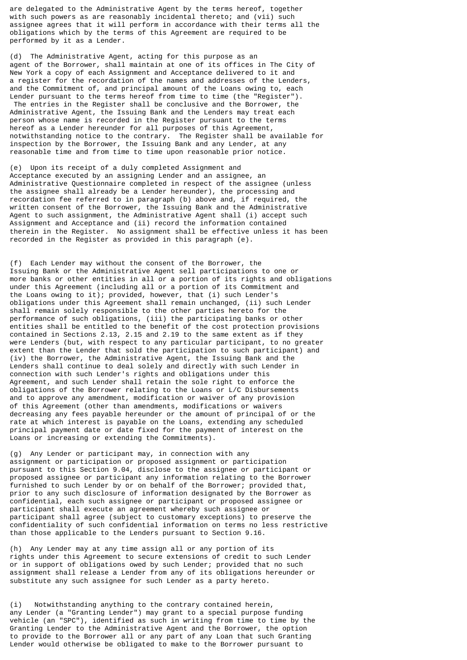are delegated to the Administrative Agent by the terms hereof, together with such powers as are reasonably incidental thereto; and (vii) such assignee agrees that it will perform in accordance with their terms all the obligations which by the terms of this Agreement are required to be performed by it as a Lender.

(d) The Administrative Agent, acting for this purpose as an agent of the Borrower, shall maintain at one of its offices in The City of New York a copy of each Assignment and Acceptance delivered to it and a register for the recordation of the names and addresses of the Lenders, and the Commitment of, and principal amount of the Loans owing to, each Lender pursuant to the terms hereof from time to time (the "Register"). The entries in the Register shall be conclusive and the Borrower, the Administrative Agent, the Issuing Bank and the Lenders may treat each person whose name is recorded in the Register pursuant to the terms hereof as a Lender hereunder for all purposes of this Agreement, notwithstanding notice to the contrary. The Register shall be available for inspection by the Borrower, the Issuing Bank and any Lender, at any reasonable time and from time to time upon reasonable prior notice.

(e) Upon its receipt of a duly completed Assignment and Acceptance executed by an assigning Lender and an assignee, an Administrative Questionnaire completed in respect of the assignee (unless the assignee shall already be a Lender hereunder), the processing and recordation fee referred to in paragraph (b) above and, if required, the written consent of the Borrower, the Issuing Bank and the Administrative Agent to such assignment, the Administrative Agent shall (i) accept such Assignment and Acceptance and (ii) record the information contained therein in the Register. No assignment shall be effective unless it has been recorded in the Register as provided in this paragraph (e).

(f) Each Lender may without the consent of the Borrower, the Issuing Bank or the Administrative Agent sell participations to one or more banks or other entities in all or a portion of its rights and obligations under this Agreement (including all or a portion of its Commitment and the Loans owing to it); provided, however, that (i) such Lender's obligations under this Agreement shall remain unchanged, (ii) such Lender shall remain solely responsible to the other parties hereto for the performance of such obligations, (iii) the participating banks or other entities shall be entitled to the benefit of the cost protection provisions contained in Sections 2.13, 2.15 and 2.19 to the same extent as if they were Lenders (but, with respect to any particular participant, to no greater extent than the Lender that sold the participation to such participant) and (iv) the Borrower, the Administrative Agent, the Issuing Bank and the Lenders shall continue to deal solely and directly with such Lender in connection with such Lender's rights and obligations under this Agreement, and such Lender shall retain the sole right to enforce the obligations of the Borrower relating to the Loans or L/C Disbursements and to approve any amendment, modification or waiver of any provision of this Agreement (other than amendments, modifications or waivers decreasing any fees payable hereunder or the amount of principal of or the rate at which interest is payable on the Loans, extending any scheduled principal payment date or date fixed for the payment of interest on the Loans or increasing or extending the Commitments).

(g) Any Lender or participant may, in connection with any assignment or participation or proposed assignment or participation pursuant to this Section 9.04, disclose to the assignee or participant or proposed assignee or participant any information relating to the Borrower furnished to such Lender by or on behalf of the Borrower; provided that, prior to any such disclosure of information designated by the Borrower as confidential, each such assignee or participant or proposed assignee or participant shall execute an agreement whereby such assignee or participant shall agree (subject to customary exceptions) to preserve the confidentiality of such confidential information on terms no less restrictive than those applicable to the Lenders pursuant to Section 9.16.

(h) Any Lender may at any time assign all or any portion of its rights under this Agreement to secure extensions of credit to such Lender or in support of obligations owed by such Lender; provided that no such assignment shall release a Lender from any of its obligations hereunder or substitute any such assignee for such Lender as a party hereto.

(i) Notwithstanding anything to the contrary contained herein, any Lender (a "Granting Lender") may grant to a special purpose funding vehicle (an "SPC"), identified as such in writing from time to time by the Granting Lender to the Administrative Agent and the Borrower, the option to provide to the Borrower all or any part of any Loan that such Granting Lender would otherwise be obligated to make to the Borrower pursuant to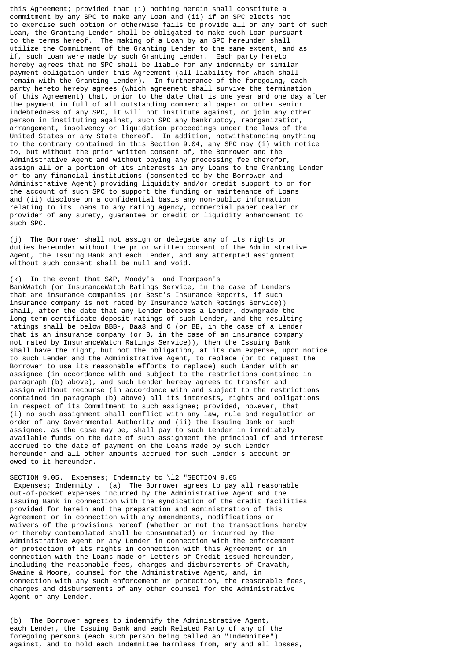this Agreement; provided that (i) nothing herein shall constitute a commitment by any SPC to make any Loan and (ii) if an SPC elects not to exercise such option or otherwise fails to provide all or any part of such Loan, the Granting Lender shall be obligated to make such Loan pursuant to the terms hereof. The making of a Loan by an SPC hereunder shall utilize the Commitment of the Granting Lender to the same extent, and as if, such Loan were made by such Granting Lender. Each party hereto hereby agrees that no SPC shall be liable for any indemnity or similar payment obligation under this Agreement (all liability for which shall remain with the Granting Lender). In furtherance of the foregoing, each party hereto hereby agrees (which agreement shall survive the termination of this Agreement) that, prior to the date that is one year and one day after the payment in full of all outstanding commercial paper or other senior indebtedness of any SPC, it will not institute against, or join any other person in instituting against, such SPC any bankruptcy, reorganization, arrangement, insolvency or liquidation proceedings under the laws of the United States or any State thereof. In addition, notwithstanding anything to the contrary contained in this Section 9.04, any SPC may (i) with notice to, but without the prior written consent of, the Borrower and the Administrative Agent and without paying any processing fee therefor, assign all or a portion of its interests in any Loans to the Granting Lender or to any financial institutions (consented to by the Borrower and Administrative Agent) providing liquidity and/or credit support to or for the account of such SPC to support the funding or maintenance of Loans and (ii) disclose on a confidential basis any non-public information relating to its Loans to any rating agency, commercial paper dealer or provider of any surety, guarantee or credit or liquidity enhancement to such SPC.

(j) The Borrower shall not assign or delegate any of its rights or duties hereunder without the prior written consent of the Administrative Agent, the Issuing Bank and each Lender, and any attempted assignment without such consent shall be null and void.

(k) In the event that S&P, Moody's and Thompson's BankWatch (or InsuranceWatch Ratings Service, in the case of Lenders that are insurance companies (or Best's Insurance Reports, if such insurance company is not rated by Insurance Watch Ratings Service)) shall, after the date that any Lender becomes a Lender, downgrade the long-term certificate deposit ratings of such Lender, and the resulting ratings shall be below BBB-, Baa3 and C (or BB, in the case of a Lender that is an insurance company (or B, in the case of an insurance company not rated by InsuranceWatch Ratings Service)), then the Issuing Bank shall have the right, but not the obligation, at its own expense, upon notice to such Lender and the Administrative Agent, to replace (or to request the Borrower to use its reasonable efforts to replace) such Lender with an assignee (in accordance with and subject to the restrictions contained in paragraph (b) above), and such Lender hereby agrees to transfer and assign without recourse (in accordance with and subject to the restrictions contained in paragraph (b) above) all its interests, rights and obligations in respect of its Commitment to such assignee; provided, however, that (i) no such assignment shall conflict with any law, rule and regulation or order of any Governmental Authority and (ii) the Issuing Bank or such assignee, as the case may be, shall pay to such Lender in immediately available funds on the date of such assignment the principal of and interest accrued to the date of payment on the Loans made by such Lender hereunder and all other amounts accrued for such Lender's account or owed to it hereunder.

SECTION 9.05. Expenses; Indemnity tc \l2 "SECTION 9.05. Expenses; Indemnity . (a) The Borrower agrees to pay all reasonable out-of-pocket expenses incurred by the Administrative Agent and the Issuing Bank in connection with the syndication of the credit facilities provided for herein and the preparation and administration of this Agreement or in connection with any amendments, modifications or waivers of the provisions hereof (whether or not the transactions hereby or thereby contemplated shall be consummated) or incurred by the Administrative Agent or any Lender in connection with the enforcement or protection of its rights in connection with this Agreement or in connection with the Loans made or Letters of Credit issued hereunder, including the reasonable fees, charges and disbursements of Cravath, Swaine & Moore, counsel for the Administrative Agent, and, in connection with any such enforcement or protection, the reasonable fees, charges and disbursements of any other counsel for the Administrative Agent or any Lender.

(b) The Borrower agrees to indemnify the Administrative Agent, each Lender, the Issuing Bank and each Related Party of any of the foregoing persons (each such person being called an "Indemnitee") against, and to hold each Indemnitee harmless from, any and all losses,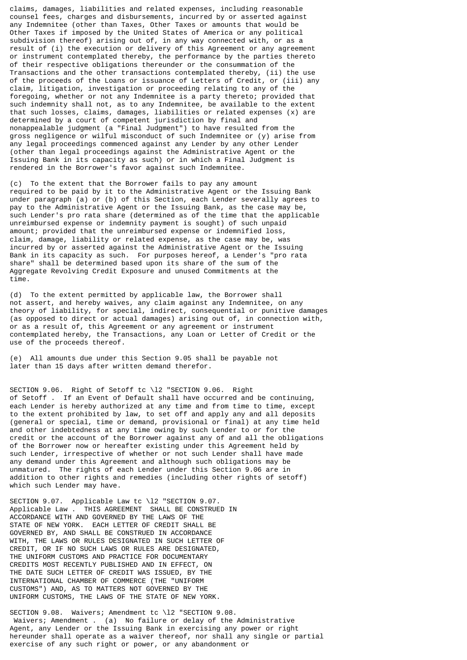claims, damages, liabilities and related expenses, including reasonable counsel fees, charges and disbursements, incurred by or asserted against any Indemnitee (other than Taxes, Other Taxes or amounts that would be Other Taxes if imposed by the United States of America or any political subdivision thereof) arising out of, in any way connected with, or as a result of (i) the execution or delivery of this Agreement or any agreement or instrument contemplated thereby, the performance by the parties thereto of their respective obligations thereunder or the consummation of the Transactions and the other transactions contemplated thereby, (ii) the use of the proceeds of the Loans or issuance of Letters of Credit, or (iii) any claim, litigation, investigation or proceeding relating to any of the foregoing, whether or not any Indemnitee is a party thereto; provided that such indemnity shall not, as to any Indemnitee, be available to the extent that such losses, claims, damages, liabilities or related expenses (x) are determined by a court of competent jurisdiction by final and nonappealable judgment (a "Final Judgment") to have resulted from the gross negligence or wilful misconduct of such Indemnitee or (y) arise from any legal proceedings commenced against any Lender by any other Lender (other than legal proceedings against the Administrative Agent or the Issuing Bank in its capacity as such) or in which a Final Judgment is rendered in the Borrower's favor against such Indemnitee.

(c) To the extent that the Borrower fails to pay any amount required to be paid by it to the Administrative Agent or the Issuing Bank under paragraph (a) or (b) of this Section, each Lender severally agrees to pay to the Administrative Agent or the Issuing Bank, as the case may be, such Lender's pro rata share (determined as of the time that the applicable unreimbursed expense or indemnity payment is sought) of such unpaid amount; provided that the unreimbursed expense or indemnified loss, claim, damage, liability or related expense, as the case may be, was incurred by or asserted against the Administrative Agent or the Issuing Bank in its capacity as such. For purposes hereof, a Lender's "pro rata share" shall be determined based upon its share of the sum of the Aggregate Revolving Credit Exposure and unused Commitments at the time.

(d) To the extent permitted by applicable law, the Borrower shall not assert, and hereby waives, any claim against any Indemnitee, on any theory of liability, for special, indirect, consequential or punitive damages (as opposed to direct or actual damages) arising out of, in connection with, or as a result of, this Agreement or any agreement or instrument contemplated hereby, the Transactions, any Loan or Letter of Credit or the use of the proceeds thereof.

(e) All amounts due under this Section 9.05 shall be payable not later than 15 days after written demand therefor.

SECTION 9.06. Right of Setoff tc \l2 "SECTION 9.06. Right of Setoff . If an Event of Default shall have occurred and be continuing, each Lender is hereby authorized at any time and from time to time, except to the extent prohibited by law, to set off and apply any and all deposits (general or special, time or demand, provisional or final) at any time held and other indebtedness at any time owing by such Lender to or for the credit or the account of the Borrower against any of and all the obligations of the Borrower now or hereafter existing under this Agreement held by such Lender, irrespective of whether or not such Lender shall have made any demand under this Agreement and although such obligations may be unmatured. The rights of each Lender under this Section 9.06 are in addition to other rights and remedies (including other rights of setoff) which such Lender may have.

SECTION 9.07. Applicable Law tc \l2 "SECTION 9.07. Applicable Law . THIS AGREEMENT SHALL BE CONSTRUED IN ACCORDANCE WITH AND GOVERNED BY THE LAWS OF THE STATE OF NEW YORK. EACH LETTER OF CREDIT SHALL BE GOVERNED BY, AND SHALL BE CONSTRUED IN ACCORDANCE WITH, THE LAWS OR RULES DESIGNATED IN SUCH LETTER OF CREDIT, OR IF NO SUCH LAWS OR RULES ARE DESIGNATED, THE UNIFORM CUSTOMS AND PRACTICE FOR DOCUMENTARY CREDITS MOST RECENTLY PUBLISHED AND IN EFFECT, ON THE DATE SUCH LETTER OF CREDIT WAS ISSUED, BY THE INTERNATIONAL CHAMBER OF COMMERCE (THE "UNIFORM CUSTOMS") AND, AS TO MATTERS NOT GOVERNED BY THE UNIFORM CUSTOMS, THE LAWS OF THE STATE OF NEW YORK.

SECTION 9.08. Waivers; Amendment tc \12 "SECTION 9.08. Waivers; Amendment . (a) No failure or delay of the Administrative Agent, any Lender or the Issuing Bank in exercising any power or right hereunder shall operate as a waiver thereof, nor shall any single or partial exercise of any such right or power, or any abandonment or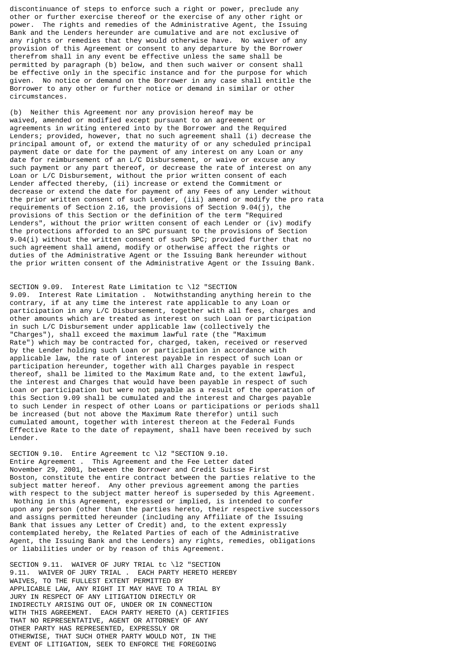discontinuance of steps to enforce such a right or power, preclude any other or further exercise thereof or the exercise of any other right or power. The rights and remedies of the Administrative Agent, the Issuing Bank and the Lenders hereunder are cumulative and are not exclusive of any rights or remedies that they would otherwise have. No waiver of any provision of this Agreement or consent to any departure by the Borrower therefrom shall in any event be effective unless the same shall be permitted by paragraph (b) below, and then such waiver or consent shall be effective only in the specific instance and for the purpose for which given. No notice or demand on the Borrower in any case shall entitle the Borrower to any other or further notice or demand in similar or other circumstances.

(b) Neither this Agreement nor any provision hereof may be waived, amended or modified except pursuant to an agreement or agreements in writing entered into by the Borrower and the Required Lenders; provided, however, that no such agreement shall (i) decrease the principal amount of, or extend the maturity of or any scheduled principal payment date or date for the payment of any interest on any Loan or any date for reimbursement of an L/C Disbursement, or waive or excuse any such payment or any part thereof, or decrease the rate of interest on any Loan or L/C Disbursement, without the prior written consent of each Lender affected thereby, (ii) increase or extend the Commitment or decrease or extend the date for payment of any Fees of any Lender without the prior written consent of such Lender, (iii) amend or modify the pro rata requirements of Section 2.16, the provisions of Section 9.04(j), the provisions of this Section or the definition of the term "Required Lenders", without the prior written consent of each Lender or (iv) modify the protections afforded to an SPC pursuant to the provisions of Section 9.04(i) without the written consent of such SPC; provided further that no such agreement shall amend, modify or otherwise affect the rights or duties of the Administrative Agent or the Issuing Bank hereunder without the prior written consent of the Administrative Agent or the Issuing Bank.

SECTION 9.09. Interest Rate Limitation tc \l2 "SECTION 9.09. Interest Rate Limitation . Notwithstanding anything herein to the contrary, if at any time the interest rate applicable to any Loan or participation in any L/C Disbursement, together with all fees, charges and other amounts which are treated as interest on such Loan or participation in such L/C Disbursement under applicable law (collectively the "Charges"), shall exceed the maximum lawful rate (the "Maximum Rate") which may be contracted for, charged, taken, received or reserved by the Lender holding such Loan or participation in accordance with applicable law, the rate of interest payable in respect of such Loan or participation hereunder, together with all Charges payable in respect thereof, shall be limited to the Maximum Rate and, to the extent lawful, the interest and Charges that would have been payable in respect of such Loan or participation but were not payable as a result of the operation of this Section 9.09 shall be cumulated and the interest and Charges payable to such Lender in respect of other Loans or participations or periods shall be increased (but not above the Maximum Rate therefor) until such cumulated amount, together with interest thereon at the Federal Funds Effective Rate to the date of repayment, shall have been received by such Lender.

SECTION 9.10. Entire Agreement tc \l2 "SECTION 9.10. Entire Agreement . This Agreement and the Fee Letter dated November 29, 2001, between the Borrower and Credit Suisse First Boston, constitute the entire contract between the parties relative to the subject matter hereof. Any other previous agreement among the parties with respect to the subject matter hereof is superseded by this Agreement. Nothing in this Agreement, expressed or implied, is intended to confer upon any person (other than the parties hereto, their respective successors and assigns permitted hereunder (including any Affiliate of the Issuing Bank that issues any Letter of Credit) and, to the extent expressly contemplated hereby, the Related Parties of each of the Administrative Agent, the Issuing Bank and the Lenders) any rights, remedies, obligations or liabilities under or by reason of this Agreement.

SECTION 9.11. WAIVER OF JURY TRIAL tc \l2 "SECTION 9.11. WAIVER OF JURY TRIAL . EACH PARTY HERETO HEREBY WAIVES, TO THE FULLEST EXTENT PERMITTED BY APPLICABLE LAW, ANY RIGHT IT MAY HAVE TO A TRIAL BY JURY IN RESPECT OF ANY LITIGATION DIRECTLY OR INDIRECTLY ARISING OUT OF, UNDER OR IN CONNECTION WITH THIS AGREEMENT. EACH PARTY HERETO (A) CERTIFIES THAT NO REPRESENTATIVE, AGENT OR ATTORNEY OF ANY OTHER PARTY HAS REPRESENTED, EXPRESSLY OR OTHERWISE, THAT SUCH OTHER PARTY WOULD NOT, IN THE EVENT OF LITIGATION, SEEK TO ENFORCE THE FOREGOING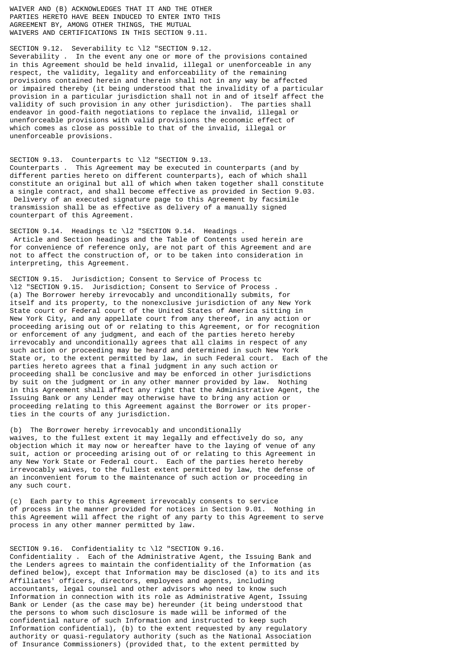WAIVER AND (B) ACKNOWLEDGES THAT IT AND THE OTHER PARTIES HERETO HAVE BEEN INDUCED TO ENTER INTO THIS AGREEMENT BY, AMONG OTHER THINGS, THE MUTUAL WAIVERS AND CERTIFICATIONS IN THIS SECTION 9.11.

SECTION 9.12. Severability tc \l2 "SECTION 9.12. Severability . In the event any one or more of the provisions contained in this Agreement should be held invalid, illegal or unenforceable in any respect, the validity, legality and enforceability of the remaining provisions contained herein and therein shall not in any way be affected or impaired thereby (it being understood that the invalidity of a particular provision in a particular jurisdiction shall not in and of itself affect the validity of such provision in any other jurisdiction). The parties shall endeavor in good-faith negotiations to replace the invalid, illegal or unenforceable provisions with valid provisions the economic effect of which comes as close as possible to that of the invalid, illegal or unenforceable provisions.

SECTION 9.13. Counterparts tc \l2 "SECTION 9.13. Counterparts . This Agreement may be executed in counterparts (and by different parties hereto on different counterparts), each of which shall constitute an original but all of which when taken together shall constitute a single contract, and shall become effective as provided in Section 9.03. Delivery of an executed signature page to this Agreement by facsimile transmission shall be as effective as delivery of a manually signed counterpart of this Agreement.

SECTION 9.14. Headings tc \l2 "SECTION 9.14. Headings. Article and Section headings and the Table of Contents used herein are for convenience of reference only, are not part of this Agreement and are not to affect the construction of, or to be taken into consideration in interpreting, this Agreement.

SECTION 9.15. Jurisdiction; Consent to Service of Process tc \12 "SECTION 9.15. Jurisdiction; Consent to Service of Process (a) The Borrower hereby irrevocably and unconditionally submits, for itself and its property, to the nonexclusive jurisdiction of any New York State court or Federal court of the United States of America sitting in New York City, and any appellate court from any thereof, in any action or proceeding arising out of or relating to this Agreement, or for recognition or enforcement of any judgment, and each of the parties hereto hereby irrevocably and unconditionally agrees that all claims in respect of any such action or proceeding may be heard and determined in such New York State or, to the extent permitted by law, in such Federal court. Each of the parties hereto agrees that a final judgment in any such action or proceeding shall be conclusive and may be enforced in other jurisdictions by suit on the judgment or in any other manner provided by law. Nothing in this Agreement shall affect any right that the Administrative Agent, the Issuing Bank or any Lender may otherwise have to bring any action or proceeding relating to this Agreement against the Borrower or its properties in the courts of any jurisdiction.

(b) The Borrower hereby irrevocably and unconditionally waives, to the fullest extent it may legally and effectively do so, any objection which it may now or hereafter have to the laying of venue of any suit, action or proceeding arising out of or relating to this Agreement in any New York State or Federal court. Each of the parties hereto hereby irrevocably waives, to the fullest extent permitted by law, the defense of an inconvenient forum to the maintenance of such action or proceeding in any such court.

(c) Each party to this Agreement irrevocably consents to service of process in the manner provided for notices in Section 9.01. Nothing in this Agreement will affect the right of any party to this Agreement to serve process in any other manner permitted by law.

# SECTION 9.16. Confidentiality tc \l2 "SECTION 9.16.

Confidentiality . Each of the Administrative Agent, the Issuing Bank and the Lenders agrees to maintain the confidentiality of the Information (as defined below), except that Information may be disclosed (a) to its and its Affiliates' officers, directors, employees and agents, including accountants, legal counsel and other advisors who need to know such Information in connection with its role as Administrative Agent, Issuing Bank or Lender (as the case may be) hereunder (it being understood that the persons to whom such disclosure is made will be informed of the confidential nature of such Information and instructed to keep such Information confidential), (b) to the extent requested by any regulatory authority or quasi-regulatory authority (such as the National Association of Insurance Commissioners) (provided that, to the extent permitted by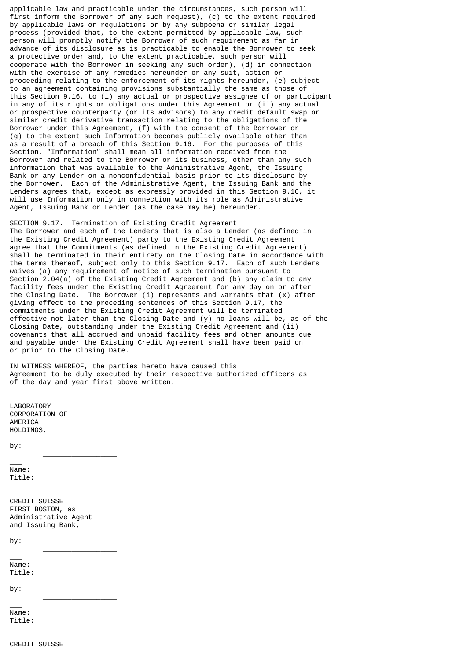applicable law and practicable under the circumstances, such person will first inform the Borrower of any such request), (c) to the extent required by applicable laws or regulations or by any subpoena or similar legal process (provided that, to the extent permitted by applicable law, such person will promptly notify the Borrower of such requirement as far in advance of its disclosure as is practicable to enable the Borrower to seek a protective order and, to the extent practicable, such person will cooperate with the Borrower in seeking any such order), (d) in connection with the exercise of any remedies hereunder or any suit, action or proceeding relating to the enforcement of its rights hereunder, (e) subject to an agreement containing provisions substantially the same as those of this Section 9.16, to (i) any actual or prospective assignee of or participant in any of its rights or obligations under this Agreement or (ii) any actual or prospective counterparty (or its advisors) to any credit default swap or similar credit derivative transaction relating to the obligations of the Borrower under this Agreement, (f) with the consent of the Borrower or (g) to the extent such Information becomes publicly available other than as a result of a breach of this Section 9.16. For the purposes of this Section, "Information" shall mean all information received from the Borrower and related to the Borrower or its business, other than any such information that was available to the Administrative Agent, the Issuing Bank or any Lender on a nonconfidential basis prior to its disclosure by the Borrower. Each of the Administrative Agent, the Issuing Bank and the Lenders agrees that, except as expressly provided in this Section 9.16, it will use Information only in connection with its role as Administrative Agent, Issuing Bank or Lender (as the case may be) hereunder.

SECTION 9.17. Termination of Existing Credit Agreement. The Borrower and each of the Lenders that is also a Lender (as defined in the Existing Credit Agreement) party to the Existing Credit Agreement agree that the Commitments (as defined in the Existing Credit Agreement) shall be terminated in their entirety on the Closing Date in accordance with the terms thereof, subject only to this Section 9.17. Each of such Lenders waives (a) any requirement of notice of such termination pursuant to Section 2.04(a) of the Existing Credit Agreement and (b) any claim to any facility fees under the Existing Credit Agreement for any day on or after the Closing Date. The Borrower (i) represents and warrants that (x) after giving effect to the preceding sentences of this Section 9.17, the commitments under the Existing Credit Agreement will be terminated effective not later than the Closing Date and (y) no loans will be, as of the Closing Date, outstanding under the Existing Credit Agreement and (ii) covenants that all accrued and unpaid facility fees and other amounts due and payable under the Existing Credit Agreement shall have been paid on or prior to the Closing Date.

IN WITNESS WHEREOF, the parties hereto have caused this Agreement to be duly executed by their respective authorized officers as of the day and year first above written.

LABORATORY CORPORATION OF AMERICA HOLD TNGS.

by:

 $\overline{\phantom{a}}$ Name: Title:

CREDIT SUISSE FIRST BOSTON, as Administrative Agent and Issuing Bank,

\_\_\_\_\_\_\_\_\_\_\_\_\_\_\_\_\_\_

\_\_\_\_\_\_\_\_\_\_\_\_\_\_\_\_\_\_

\_\_\_\_\_\_\_\_\_\_\_\_\_\_\_\_\_\_

by:

\_\_\_

Name: Title:

by:

\_\_\_ Name: Title: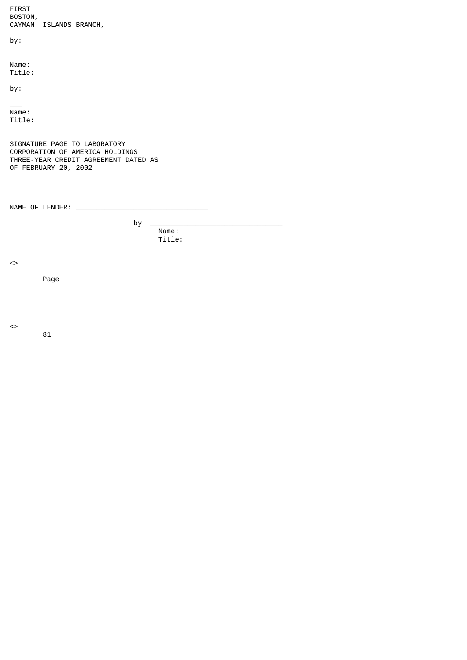| <b>FIRST</b><br>BOSTON,<br><b>CAYMAN</b> | ISLANDS BRANCH, |  |  |
|------------------------------------------|-----------------|--|--|
| by:                                      |                 |  |  |
| Name:<br>Title:<br>by:                   |                 |  |  |
| Name:<br>Title:                          |                 |  |  |

SIGNATURE PAGE TO LABORATORY CORPORATION OF AMERICA HOLDINGS THREE-YEAR CREDIT AGREEMENT DATED AS OF FEBRUARY 20, 2002

NAME OF LENDER: \_\_\_\_

by  $\Box$  Name: Title:

 $\leftrightarrow$ 

Page

81

 $\leftrightarrow$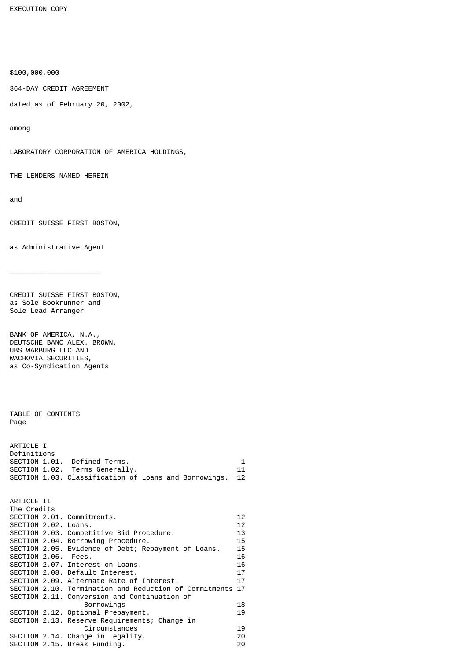EXECUTION COPY

\$100,000,000

364-DAY CREDIT AGREEMENT

dated as of February 20, 2002,

among

LABORATORY CORPORATION OF AMERICA HOLDINGS,

THE LENDERS NAMED HEREIN

and

CREDIT SUISSE FIRST BOSTON,

as Administrative Agent

\_\_\_\_\_\_\_\_\_\_\_\_\_\_\_\_\_\_\_\_\_\_

CREDIT SUISSE FIRST BOSTON, as Sole Bookrunner and Sole Lead Arranger

BANK OF AMERICA, N.A., DEUTSCHE BANC ALEX. BROWN, UBS WARBURG LLC AND WACHOVIA SECURITIES, as Co-Syndication Agents

TABLE OF CONTENTS Page

| ARTICLE I   |                                                       |    |
|-------------|-------------------------------------------------------|----|
| Definitions |                                                       |    |
|             | SECTION 1.01. Defined Terms.                          | 1. |
|             | SECTION 1.02. Terms Generally.                        | 11 |
|             | SECTION 1.03. Classification of Loans and Borrowings. | 12 |

| ARTICLE II           |                                                           |    |
|----------------------|-----------------------------------------------------------|----|
| The Credits          |                                                           |    |
|                      | SECTION 2.01. Commitments.                                | 12 |
| SECTION 2.02. Loans. |                                                           | 12 |
|                      | SECTION 2.03. Competitive Bid Procedure.                  | 13 |
|                      | SECTION 2.04. Borrowing Procedure.                        | 15 |
|                      | SECTION 2.05. Evidence of Debt; Repayment of Loans.       | 15 |
| SECTION 2.06. Fees.  |                                                           | 16 |
|                      | SECTION 2.07. Interest on Loans.                          | 16 |
|                      | SECTION 2.08. Default Interest.                           | 17 |
|                      | SECTION 2.09. Alternate Rate of Interest.                 | 17 |
|                      | SECTION 2.10. Termination and Reduction of Commitments 17 |    |
|                      | SECTION 2.11. Conversion and Continuation of              |    |
|                      | Borrowings                                                | 18 |
|                      | SECTION 2.12. Optional Prepayment.                        | 19 |
|                      | SECTION 2.13. Reserve Requirements; Change in             |    |
|                      | Circumstances                                             | 19 |
|                      | SECTION 2.14. Change in Legality.                         | 20 |
|                      | SECTION 2.15. Break Funding.                              | 20 |
|                      |                                                           |    |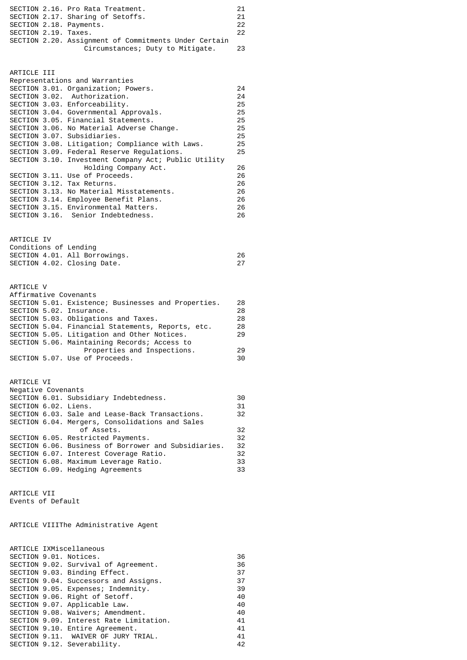|                         | SECTION 2.16. Pro Rata Treatment.                     | 21  |
|-------------------------|-------------------------------------------------------|-----|
|                         | SECTION 2.17. Sharing of Setoffs.                     | 21  |
| SECTION 2.18. Payments. |                                                       | 22. |
| SECTION 2.19. Taxes.    |                                                       | 22. |
|                         | SECTION 2.20. Assignment of Commitments Under Certain |     |
|                         | Circumstances; Duty to Mitigate.                      | 23  |

| ARTICLE III |                                                      |    |
|-------------|------------------------------------------------------|----|
|             | Representations and Warranties                       |    |
|             | SECTION 3.01. Organization; Powers.                  | 24 |
|             | SECTION 3.02. Authorization.                         | 24 |
|             | SECTION 3.03. Enforceability.                        | 25 |
|             | SECTION 3.04. Governmental Approvals.                | 25 |
|             | SECTION 3.05. Financial Statements.                  | 25 |
|             | SECTION 3.06. No Material Adverse Change.            | 25 |
|             | SECTION 3.07. Subsidiaries.                          | 25 |
|             | SECTION 3.08. Litigation; Compliance with Laws.      | 25 |
|             | SECTION 3.09. Federal Reserve Requiations.           | 25 |
|             | SECTION 3.10. Investment Company Act; Public Utility |    |
|             | Holding Company Act.                                 | 26 |
|             | SECTION 3.11. Use of Proceeds.                       | 26 |
|             | SECTION 3.12. Tax Returns.                           | 26 |
|             | SECTION 3.13. No Material Misstatements.             | 26 |
|             | SECTION 3.14. Employee Benefit Plans.                | 26 |
|             | SECTION 3.15. Environmental Matters.                 | 26 |
|             | SECTION 3.16. Senior Indebtedness.                   | 26 |

| ARTICLE IV                  |                               |    |
|-----------------------------|-------------------------------|----|
| Conditions of Lending       |                               |    |
|                             | SECTION 4.01. All Borrowings. | 26 |
| SECTION 4.02. Closing Date. |                               | 27 |
|                             |                               |    |

| ARTICLE V                                           |    |
|-----------------------------------------------------|----|
| Affirmative Covenants                               |    |
| SECTION 5.01. Existence; Businesses and Properties. | 28 |
| SECTION 5.02. Insurance.                            | 28 |
| SECTION 5.03. Obligations and Taxes.                | 28 |
| SECTION 5.04. Financial Statements, Reports, etc.   | 28 |
| SECTION 5.05. Litigation and Other Notices.         | 29 |
| SECTION 5.06. Maintaining Records; Access to        |    |
| Properties and Inspections.                         | 29 |
| SECTION 5.07. Use of Proceeds.                      | 30 |
|                                                     |    |

| ARTICLE VI           |                                                      |     |
|----------------------|------------------------------------------------------|-----|
| Negative Covenants   |                                                      |     |
|                      | SECTION 6.01. Subsidiary Indebtedness.               | 30  |
| SECTION 6.02. Liens. |                                                      | 31  |
|                      | SECTION 6.03. Sale and Lease-Back Transactions.      | 32  |
|                      | SECTION 6.04. Mergers, Consolidations and Sales      |     |
|                      | of Assets.                                           | 32  |
|                      | SECTION 6.05. Restricted Payments.                   | 32  |
|                      | SECTION 6.06. Business of Borrower and Subsidiaries. | -32 |
|                      | SECTION 6.07. Interest Coverage Ratio.               | 32  |
|                      | SECTION 6.08. Maximum Leverage Ratio.                | 33  |
|                      | SECTION 6.09. Hedging Agreements                     | 33  |
|                      |                                                      |     |

ARTICLE VII Events of Default

ARTICLE VIIIThe Administrative Agent

|  | ARTICLE IXMiscellaneous                 |    |
|--|-----------------------------------------|----|
|  | SECTION 9.01. Notices.                  | 36 |
|  | SECTION 9.02. Survival of Agreement.    | 36 |
|  | SECTION 9.03. Binding Effect.           | 37 |
|  | SECTION 9.04. Successors and Assigns.   | 37 |
|  | SECTION 9.05. Expenses; Indemnity.      | 39 |
|  | SECTION 9.06. Right of Setoff.          | 40 |
|  | SECTION 9.07. Applicable Law.           | 40 |
|  | SECTION 9.08. Waivers; Amendment.       | 40 |
|  | SECTION 9.09. Interest Rate Limitation. | 41 |
|  | SECTION 9.10. Entire Agreement.         | 41 |
|  | SECTION 9.11. WAIVER OF JURY TRIAL.     | 41 |
|  | SECTION 9.12. Severability.             | 42 |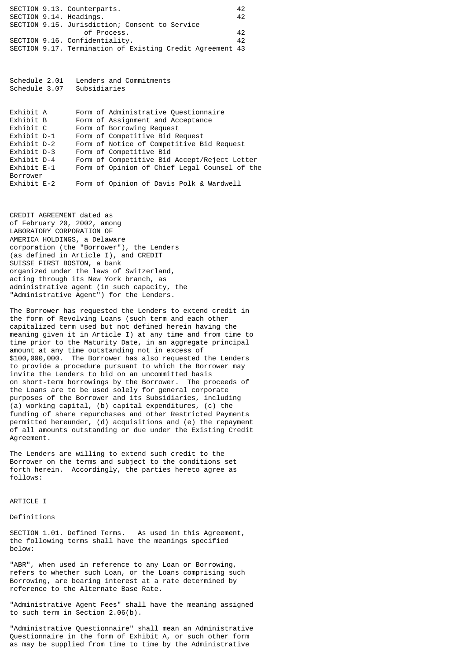|  | SECTION 9.13. Counterparts.                               | 42 |
|--|-----------------------------------------------------------|----|
|  | SECTION 9.14. Headings.                                   | 42 |
|  | SECTION 9.15. Jurisdiction; Consent to Service            |    |
|  | of Process.                                               | 42 |
|  | SECTION 9.16. Confidentiality.                            | 42 |
|  | SECTION 9.17. Termination of Existing Credit Agreement 43 |    |

Schedule 2.01 Lenders and Commitments<br>Schedule 3.07 Subsidiaries Schedule 3.07

| Exhibit A   |  | Form of Administrative Questionnaire          |
|-------------|--|-----------------------------------------------|
| Exhibit B   |  | Form of Assignment and Acceptance             |
| Exhibit C   |  | Form of Borrowing Request                     |
| Exhibit D-1 |  | Form of Competitive Bid Request               |
| Exhibit D-2 |  | Form of Notice of Competitive Bid Request     |
| Exhibit D-3 |  | Form of Competitive Bid                       |
| Exhibit D-4 |  | Form of Competitive Bid Accept/Reject Letter  |
| Exhibit E-1 |  | Form of Opinion of Chief Legal Counsel of the |
| Borrower    |  |                                               |
| Exhibit E-2 |  | Form of Opinion of Davis Polk & Wardwell      |

CREDIT AGREEMENT dated as of February 20, 2002, among LABORATORY CORPORATION OF AMERICA HOLDINGS, a Delaware corporation (the "Borrower"), the Lenders (as defined in Article I), and CREDIT SUISSE FIRST BOSTON, a bank organized under the laws of Switzerland, acting through its New York branch, as administrative agent (in such capacity, the "Administrative Agent") for the Lenders.

The Borrower has requested the Lenders to extend credit in the form of Revolving Loans (such term and each other capitalized term used but not defined herein having the meaning given it in Article I) at any time and from time to time prior to the Maturity Date, in an aggregate principal amount at any time outstanding not in excess of \$100,000,000. The Borrower has also requested the Lenders to provide a procedure pursuant to which the Borrower may invite the Lenders to bid on an uncommitted basis on short-term borrowings by the Borrower. The proceeds of the Loans are to be used solely for general corporate purposes of the Borrower and its Subsidiaries, including (a) working capital, (b) capital expenditures, (c) the funding of share repurchases and other Restricted Payments permitted hereunder, (d) acquisitions and (e) the repayment of all amounts outstanding or due under the Existing Credit Agreement.

The Lenders are willing to extend such credit to the Borrower on the terms and subject to the conditions set forth herein. Accordingly, the parties hereto agree as follows:

## ARTICLE I

Definitions

SECTION 1.01. Defined Terms. As used in this Agreement, the following terms shall have the meanings specified below:

"ABR", when used in reference to any Loan or Borrowing, refers to whether such Loan, or the Loans comprising such Borrowing, are bearing interest at a rate determined by reference to the Alternate Base Rate.

"Administrative Agent Fees" shall have the meaning assigned to such term in Section 2.06(b).

"Administrative Questionnaire" shall mean an Administrative Questionnaire in the form of Exhibit A, or such other form as may be supplied from time to time by the Administrative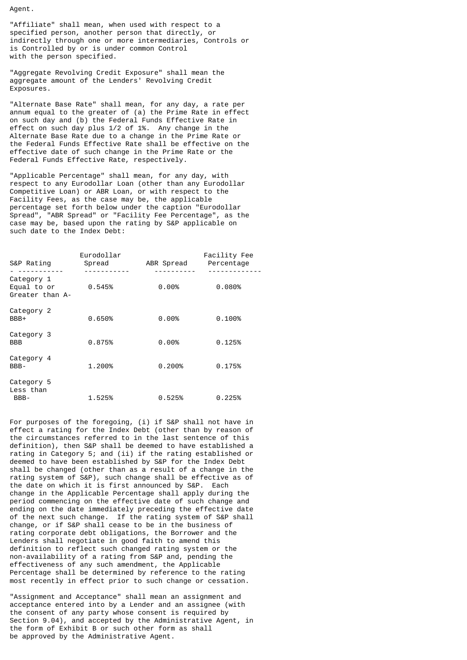Agent.

"Affiliate" shall mean, when used with respect to a specified person, another person that directly, or indirectly through one or more intermediaries, Controls or is Controlled by or is under common Control with the person specified.

"Aggregate Revolving Credit Exposure" shall mean the aggregate amount of the Lenders' Revolving Credit Exposures.

"Alternate Base Rate" shall mean, for any day, a rate per annum equal to the greater of (a) the Prime Rate in effect on such day and (b) the Federal Funds Effective Rate in effect on such day plus 1/2 of 1%. Any change in the Alternate Base Rate due to a change in the Prime Rate or the Federal Funds Effective Rate shall be effective on the effective date of such change in the Prime Rate or the Federal Funds Effective Rate, respectively.

"Applicable Percentage" shall mean, for any day, with respect to any Eurodollar Loan (other than any Eurodollar Competitive Loan) or ABR Loan, or with respect to the Facility Fees, as the case may be, the applicable percentage set forth below under the caption "Eurodollar Spread", "ABR Spread" or "Facility Fee Percentage", as the case may be, based upon the rating by S&P applicable on such date to the Index Debt:

| S&P Rating                                   | Eurodollar<br>Spread | ABR Spread | Facility Fee<br>Percentage |
|----------------------------------------------|----------------------|------------|----------------------------|
| Category 1<br>Equal to or<br>Greater than A- | 0.545%               | $0.00\%$   | 0.080%                     |
| Category 2<br>BBB+                           | 0.650%               | $0.00\%$   | 0.100%                     |
| Category 3<br><b>BBB</b>                     | 0.875%               | 0.00%      | 0.125%                     |
| Category 4<br>BBB-                           | 1.200%               | 0.200%     | 0.175%                     |
| Category 5<br>Less than<br>BBB-              | 1.525%               | 0.525%     | 0.225%                     |

For purposes of the foregoing, (i) if S&P shall not have in effect a rating for the Index Debt (other than by reason of the circumstances referred to in the last sentence of this definition), then S&P shall be deemed to have established a rating in Category 5; and (ii) if the rating established or deemed to have been established by S&P for the Index Debt shall be changed (other than as a result of a change in the rating system of S&P), such change shall be effective as of the date on which it is first announced by S&P. Each change in the Applicable Percentage shall apply during the period commencing on the effective date of such change and ending on the date immediately preceding the effective date of the next such change. If the rating system of S&P shall change, or if S&P shall cease to be in the business of rating corporate debt obligations, the Borrower and the Lenders shall negotiate in good faith to amend this definition to reflect such changed rating system or the non-availability of a rating from S&P and, pending the effectiveness of any such amendment, the Applicable Percentage shall be determined by reference to the rating most recently in effect prior to such change or cessation.

"Assignment and Acceptance" shall mean an assignment and acceptance entered into by a Lender and an assignee (with the consent of any party whose consent is required by Section 9.04), and accepted by the Administrative Agent, in the form of Exhibit B or such other form as shall be approved by the Administrative Agent.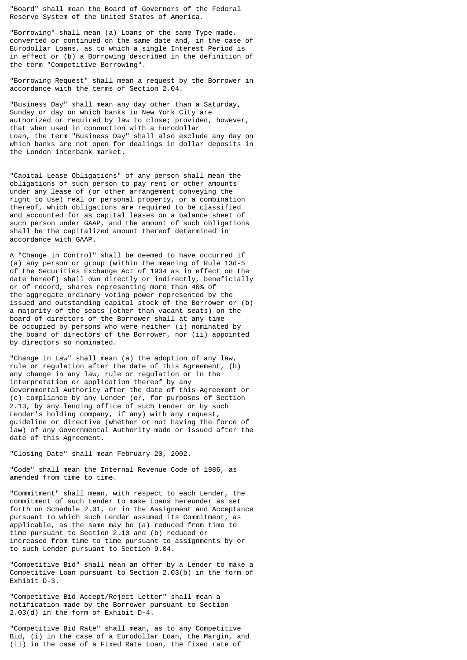"Board" shall mean the Board of Governors of the Federal Reserve System of the United States of America.

"Borrowing" shall mean (a) Loans of the same Type made, converted or continued on the same date and, in the case of Eurodollar Loans, as to which a single Interest Period is in effect or (b) a Borrowing described in the definition of the term "Competitive Borrowing".

"Borrowing Request" shall mean a request by the Borrower in accordance with the terms of Section 2.04.

"Business Day" shall mean any day other than a Saturday, Sunday or day on which banks in New York City are authorized or required by law to close; provided, however, that when used in connection with a Eurodollar Loan, the term "Business Day" shall also exclude any day on which banks are not open for dealings in dollar deposits in the London interbank market.

"Capital Lease Obligations" of any person shall mean the obligations of such person to pay rent or other amounts under any lease of (or other arrangement conveying the right to use) real or personal property, or a combination thereof, which obligations are required to be classified and accounted for as capital leases on a balance sheet of such person under GAAP, and the amount of such obligations shall be the capitalized amount thereof determined in accordance with GAAP.

A "Change in Control" shall be deemed to have occurred if (a) any person or group (within the meaning of Rule 13d-5 of the Securities Exchange Act of 1934 as in effect on the date hereof) shall own directly or indirectly, beneficially or of record, shares representing more than 40% of the aggregate ordinary voting power represented by the issued and outstanding capital stock of the Borrower or (b) a majority of the seats (other than vacant seats) on the board of directors of the Borrower shall at any time be occupied by persons who were neither (i) nominated by the board of directors of the Borrower, nor (ii) appointed by directors so nominated.

"Change in Law" shall mean (a) the adoption of any law, rule or regulation after the date of this Agreement, (b) any change in any law, rule or regulation or in the interpretation or application thereof by any Governmental Authority after the date of this Agreement or (c) compliance by any Lender (or, for purposes of Section 2.13, by any lending office of such Lender or by such Lender's holding company, if any) with any request, guideline or directive (whether or not having the force of law) of any Governmental Authority made or issued after the date of this Agreement.

"Closing Date" shall mean February 20, 2002.

"Code" shall mean the Internal Revenue Code of 1986, as amended from time to time.

"Commitment" shall mean, with respect to each Lender, the commitment of such Lender to make Loans hereunder as set forth on Schedule 2.01, or in the Assignment and Acceptance pursuant to which such Lender assumed its Commitment, as applicable, as the same may be (a) reduced from time to time pursuant to Section 2.10 and (b) reduced or increased from time to time pursuant to assignments by or to such Lender pursuant to Section 9.04.

"Competitive Bid" shall mean an offer by a Lender to make a Competitive Loan pursuant to Section 2.03(b) in the form of Exhibit D-3.

"Competitive Bid Accept/Reject Letter" shall mean a notification made by the Borrower pursuant to Section 2.03(d) in the form of Exhibit D-4.

"Competitive Bid Rate" shall mean, as to any Competitive Bid, (i) in the case of a Eurodollar Loan, the Margin, and (ii) in the case of a Fixed Rate Loan, the fixed rate of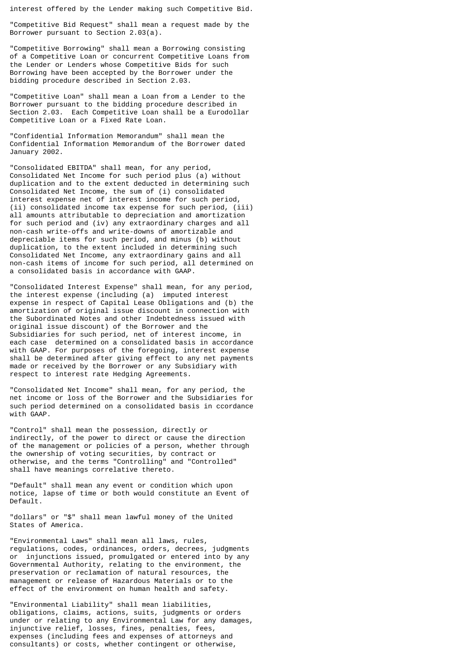interest offered by the Lender making such Competitive Bid.

"Competitive Bid Request" shall mean a request made by the Borrower pursuant to Section 2.03(a).

"Competitive Borrowing" shall mean a Borrowing consisting of a Competitive Loan or concurrent Competitive Loans from the Lender or Lenders whose Competitive Bids for such Borrowing have been accepted by the Borrower under the bidding procedure described in Section 2.03.

"Competitive Loan" shall mean a Loan from a Lender to the Borrower pursuant to the bidding procedure described in Section 2.03. Each Competitive Loan shall be a Eurodollar Competitive Loan or a Fixed Rate Loan.

"Confidential Information Memorandum" shall mean the Confidential Information Memorandum of the Borrower dated January 2002.

"Consolidated EBITDA" shall mean, for any period, Consolidated Net Income for such period plus (a) without duplication and to the extent deducted in determining such Consolidated Net Income, the sum of (i) consolidated interest expense net of interest income for such period, (ii) consolidated income tax expense for such period, (iii) all amounts attributable to depreciation and amortization for such period and (iv) any extraordinary charges and all non-cash write-offs and write-downs of amortizable and depreciable items for such period, and minus (b) without duplication, to the extent included in determining such Consolidated Net Income, any extraordinary gains and all non-cash items of income for such period, all determined on a consolidated basis in accordance with GAAP.

"Consolidated Interest Expense" shall mean, for any period, the interest expense (including (a) imputed interest expense in respect of Capital Lease Obligations and (b) the amortization of original issue discount in connection with the Subordinated Notes and other Indebtedness issued with original issue discount) of the Borrower and the Subsidiaries for such period, net of interest income, in each case determined on a consolidated basis in accordance with GAAP. For purposes of the foregoing, interest expense shall be determined after giving effect to any net payments made or received by the Borrower or any Subsidiary with respect to interest rate Hedging Agreements.

"Consolidated Net Income" shall mean, for any period, the net income or loss of the Borrower and the Subsidiaries for such period determined on a consolidated basis in ccordance with GAAP.

"Control" shall mean the possession, directly or indirectly, of the power to direct or cause the direction of the management or policies of a person, whether through the ownership of voting securities, by contract or otherwise, and the terms "Controlling" and "Controlled" shall have meanings correlative thereto.

"Default" shall mean any event or condition which upon notice, lapse of time or both would constitute an Event of Default.

"dollars" or "\$" shall mean lawful money of the United States of America.

"Environmental Laws" shall mean all laws, rules, regulations, codes, ordinances, orders, decrees, judgments or injunctions issued, promulgated or entered into by any Governmental Authority, relating to the environment, the preservation or reclamation of natural resources, the management or release of Hazardous Materials or to the effect of the environment on human health and safety.

"Environmental Liability" shall mean liabilities, obligations, claims, actions, suits, judgments or orders under or relating to any Environmental Law for any damages, injunctive relief, losses, fines, penalties, fees, expenses (including fees and expenses of attorneys and consultants) or costs, whether contingent or otherwise,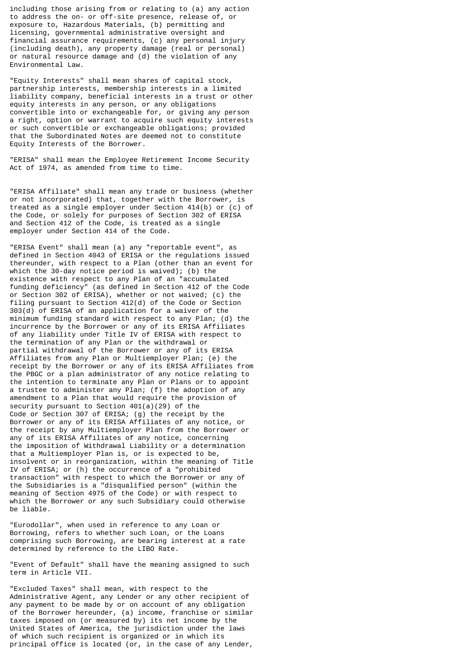including those arising from or relating to (a) any action to address the on- or off-site presence, release of, or exposure to, Hazardous Materials, (b) permitting and licensing, governmental administrative oversight and financial assurance requirements, (c) any personal injury (including death), any property damage (real or personal) or natural resource damage and (d) the violation of any Environmental Law.

"Equity Interests" shall mean shares of capital stock, partnership interests, membership interests in a limited liability company, beneficial interests in a trust or other equity interests in any person, or any obligations convertible into or exchangeable for, or giving any person a right, option or warrant to acquire such equity interests or such convertible or exchangeable obligations; provided that the Subordinated Notes are deemed not to constitute Equity Interests of the Borrower.

"ERISA" shall mean the Employee Retirement Income Security Act of 1974, as amended from time to time.

"ERISA Affiliate" shall mean any trade or business (whether or not incorporated) that, together with the Borrower, is treated as a single employer under Section 414(b) or (c) of the Code, or solely for purposes of Section 302 of ERISA and Section 412 of the Code, is treated as a single employer under Section 414 of the Code.

"ERISA Event" shall mean (a) any "reportable event", as defined in Section 4043 of ERISA or the regulations issued thereunder, with respect to a Plan (other than an event for which the 30-day notice period is waived); (b) the existence with respect to any Plan of an "accumulated funding deficiency" (as defined in Section 412 of the Code or Section 302 of ERISA), whether or not waived; (c) the filing pursuant to Section 412(d) of the Code or Section 303(d) of ERISA of an application for a waiver of the minimum funding standard with respect to any Plan; (d) the incurrence by the Borrower or any of its ERISA Affiliates of any liability under Title IV of ERISA with respect to the termination of any Plan or the withdrawal or partial withdrawal of the Borrower or any of its ERISA Affiliates from any Plan or Multiemployer Plan; (e) the receipt by the Borrower or any of its ERISA Affiliates from the PBGC or a plan administrator of any notice relating to the intention to terminate any Plan or Plans or to appoint a trustee to administer any Plan; (f) the adoption of any amendment to a Plan that would require the provision of security pursuant to Section 401(a)(29) of the Code or Section 307 of ERISA; (g) the receipt by the Borrower or any of its ERISA Affiliates of any notice, or the receipt by any Multiemployer Plan from the Borrower or any of its ERISA Affiliates of any notice, concerning the imposition of Withdrawal Liability or a determination that a Multiemployer Plan is, or is expected to be, insolvent or in reorganization, within the meaning of Title IV of ERISA; or (h) the occurrence of a "prohibited transaction" with respect to which the Borrower or any of the Subsidiaries is a "disqualified person" (within the meaning of Section 4975 of the Code) or with respect to which the Borrower or any such Subsidiary could otherwise be liable.

"Eurodollar", when used in reference to any Loan or Borrowing, refers to whether such Loan, or the Loans comprising such Borrowing, are bearing interest at a rate determined by reference to the LIBO Rate.

"Event of Default" shall have the meaning assigned to such term in Article VII.

"Excluded Taxes" shall mean, with respect to the Administrative Agent, any Lender or any other recipient of any payment to be made by or on account of any obligation of the Borrower hereunder, (a) income, franchise or similar taxes imposed on (or measured by) its net income by the United States of America, the jurisdiction under the laws of which such recipient is organized or in which its principal office is located (or, in the case of any Lender,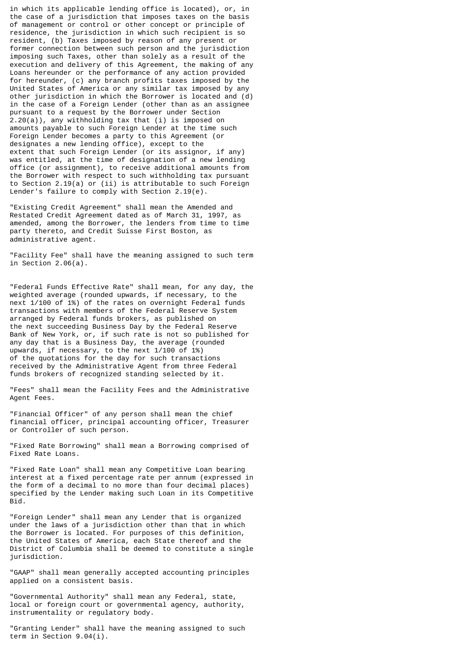in which its applicable lending office is located), or, in the case of a jurisdiction that imposes taxes on the basis of management or control or other concept or principle of residence, the jurisdiction in which such recipient is so resident, (b) Taxes imposed by reason of any present or former connection between such person and the jurisdiction imposing such Taxes, other than solely as a result of the execution and delivery of this Agreement, the making of any Loans hereunder or the performance of any action provided for hereunder, (c) any branch profits taxes imposed by the United States of America or any similar tax imposed by any other jurisdiction in which the Borrower is located and (d) in the case of a Foreign Lender (other than as an assignee pursuant to a request by the Borrower under Section 2.20(a)), any withholding tax that (i) is imposed on amounts payable to such Foreign Lender at the time such Foreign Lender becomes a party to this Agreement (or designates a new lending office), except to the extent that such Foreign Lender (or its assignor, if any) was entitled, at the time of designation of a new lending office (or assignment), to receive additional amounts from the Borrower with respect to such withholding tax pursuant to Section 2.19(a) or (ii) is attributable to such Foreign Lender's failure to comply with Section 2.19(e).

"Existing Credit Agreement" shall mean the Amended and Restated Credit Agreement dated as of March 31, 1997, as amended, among the Borrower, the lenders from time to time party thereto, and Credit Suisse First Boston, as administrative agent.

"Facility Fee" shall have the meaning assigned to such term in Section 2.06(a).

"Federal Funds Effective Rate" shall mean, for any day, the weighted average (rounded upwards, if necessary, to the next 1/100 of 1%) of the rates on overnight Federal funds transactions with members of the Federal Reserve System arranged by Federal funds brokers, as published on the next succeeding Business Day by the Federal Reserve Bank of New York, or, if such rate is not so published for any day that is a Business Day, the average (rounded upwards, if necessary, to the next 1/100 of 1%) of the quotations for the day for such transactions received by the Administrative Agent from three Federal funds brokers of recognized standing selected by it.

"Fees" shall mean the Facility Fees and the Administrative Agent Fees.

"Financial Officer" of any person shall mean the chief financial officer, principal accounting officer, Treasurer or Controller of such person.

"Fixed Rate Borrowing" shall mean a Borrowing comprised of Fixed Rate Loans.

"Fixed Rate Loan" shall mean any Competitive Loan bearing interest at a fixed percentage rate per annum (expressed in the form of a decimal to no more than four decimal places) specified by the Lender making such Loan in its Competitive Bid.

"Foreign Lender" shall mean any Lender that is organized under the laws of a jurisdiction other than that in which the Borrower is located. For purposes of this definition, the United States of America, each State thereof and the District of Columbia shall be deemed to constitute a single jurisdiction.

"GAAP" shall mean generally accepted accounting principles applied on a consistent basis.

"Governmental Authority" shall mean any Federal, state, local or foreign court or governmental agency, authority, instrumentality or regulatory body.

"Granting Lender" shall have the meaning assigned to such term in Section 9.04(i).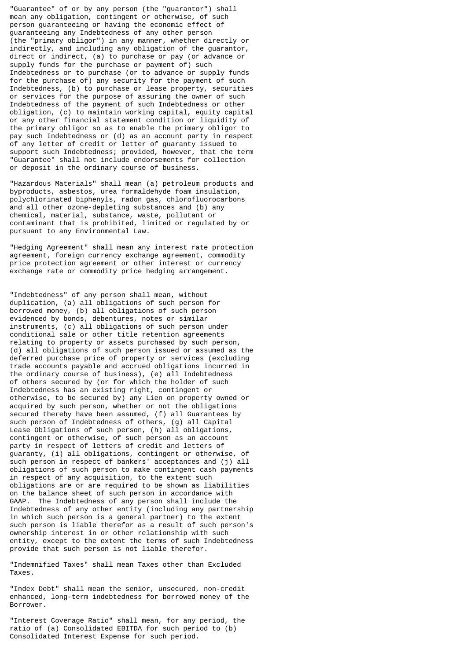"Guarantee" of or by any person (the "guarantor") shall mean any obligation, contingent or otherwise, of such person guaranteeing or having the economic effect of guaranteeing any Indebtedness of any other person (the "primary obligor") in any manner, whether directly or indirectly, and including any obligation of the guarantor, direct or indirect, (a) to purchase or pay (or advance or supply funds for the purchase or payment of) such Indebtedness or to purchase (or to advance or supply funds for the purchase of) any security for the payment of such Indebtedness, (b) to purchase or lease property, securities or services for the purpose of assuring the owner of such Indebtedness of the payment of such Indebtedness or other obligation, (c) to maintain working capital, equity capital or any other financial statement condition or liquidity of the primary obligor so as to enable the primary obligor to pay such Indebtedness or (d) as an account party in respect of any letter of credit or letter of guaranty issued to support such Indebtedness; provided, however, that the term "Guarantee" shall not include endorsements for collection or deposit in the ordinary course of business.

"Hazardous Materials" shall mean (a) petroleum products and byproducts, asbestos, urea formaldehyde foam insulation, polychlorinated biphenyls, radon gas, chlorofluorocarbons and all other ozone-depleting substances and (b) any chemical, material, substance, waste, pollutant or contaminant that is prohibited, limited or regulated by or pursuant to any Environmental Law.

"Hedging Agreement" shall mean any interest rate protection agreement, foreign currency exchange agreement, commodity price protection agreement or other interest or currency exchange rate or commodity price hedging arrangement.

"Indebtedness" of any person shall mean, without duplication, (a) all obligations of such person for borrowed money, (b) all obligations of such person evidenced by bonds, debentures, notes or similar instruments, (c) all obligations of such person under conditional sale or other title retention agreements relating to property or assets purchased by such person, (d) all obligations of such person issued or assumed as the deferred purchase price of property or services (excluding trade accounts payable and accrued obligations incurred in the ordinary course of business), (e) all Indebtedness of others secured by (or for which the holder of such Indebtedness has an existing right, contingent or otherwise, to be secured by) any Lien on property owned or acquired by such person, whether or not the obligations secured thereby have been assumed, (f) all Guarantees by such person of Indebtedness of others, (g) all Capital Lease Obligations of such person, (h) all obligations, contingent or otherwise, of such person as an account party in respect of letters of credit and letters of guaranty, (i) all obligations, contingent or otherwise, of such person in respect of bankers' acceptances and (j) all obligations of such person to make contingent cash payments in respect of any acquisition, to the extent such obligations are or are required to be shown as liabilities on the balance sheet of such person in accordance with GAAP. The Indebtedness of any person shall include the Indebtedness of any other entity (including any partnership in which such person is a general partner) to the extent such person is liable therefor as a result of such person's ownership interest in or other relationship with such entity, except to the extent the terms of such Indebtedness provide that such person is not liable therefor.

"Indemnified Taxes" shall mean Taxes other than Excluded Taxes.

"Index Debt" shall mean the senior, unsecured, non-credit enhanced, long-term indebtedness for borrowed money of the Borrower.

"Interest Coverage Ratio" shall mean, for any period, the ratio of (a) Consolidated EBITDA for such period to (b) Consolidated Interest Expense for such period.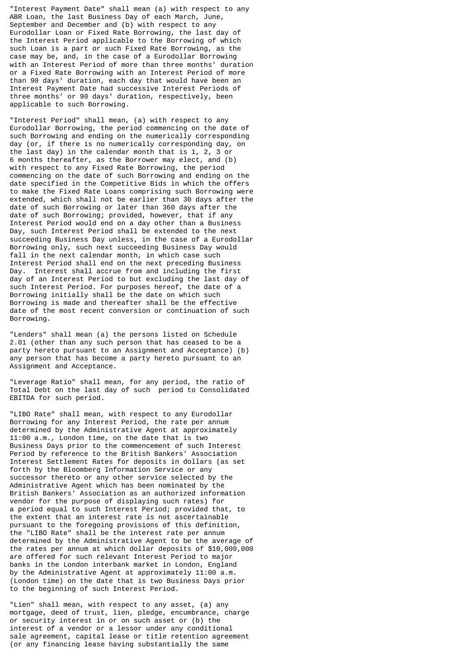"Interest Payment Date" shall mean (a) with respect to any ABR Loan, the last Business Day of each March, June, September and December and (b) with respect to any Eurodollar Loan or Fixed Rate Borrowing, the last day of the Interest Period applicable to the Borrowing of which such Loan is a part or such Fixed Rate Borrowing, as the case may be, and, in the case of a Eurodollar Borrowing with an Interest Period of more than three months' duration or a Fixed Rate Borrowing with an Interest Period of more than 90 days' duration, each day that would have been an Interest Payment Date had successive Interest Periods of three months' or 90 days' duration, respectively, been applicable to such Borrowing.

"Interest Period" shall mean, (a) with respect to any Eurodollar Borrowing, the period commencing on the date of such Borrowing and ending on the numerically corresponding day (or, if there is no numerically corresponding day, on the last day) in the calendar month that is 1, 2, 3 or 6 months thereafter, as the Borrower may elect, and (b) with respect to any Fixed Rate Borrowing, the period commencing on the date of such Borrowing and ending on the date specified in the Competitive Bids in which the offers to make the Fixed Rate Loans comprising such Borrowing were extended, which shall not be earlier than 30 days after the date of such Borrowing or later than 360 days after the date of such Borrowing; provided, however, that if any Interest Period would end on a day other than a Business Day, such Interest Period shall be extended to the next succeeding Business Day unless, in the case of a Eurodollar Borrowing only, such next succeeding Business Day would fall in the next calendar month, in which case such Interest Period shall end on the next preceding Business Day. Interest shall accrue from and including the first day of an Interest Period to but excluding the last day of such Interest Period. For purposes hereof, the date of a Borrowing initially shall be the date on which such Borrowing is made and thereafter shall be the effective date of the most recent conversion or continuation of such Borrowing.

"Lenders" shall mean (a) the persons listed on Schedule 2.01 (other than any such person that has ceased to be a party hereto pursuant to an Assignment and Acceptance) (b) any person that has become a party hereto pursuant to an Assignment and Acceptance.

"Leverage Ratio" shall mean, for any period, the ratio of Total Debt on the last day of such period to Consolidated EBITDA for such period.

"LIBO Rate" shall mean, with respect to any Eurodollar Borrowing for any Interest Period, the rate per annum determined by the Administrative Agent at approximately 11:00 a.m., London time, on the date that is two Business Days prior to the commencement of such Interest Period by reference to the British Bankers' Association Interest Settlement Rates for deposits in dollars (as set forth by the Bloomberg Information Service or any successor thereto or any other service selected by the Administrative Agent which has been nominated by the British Bankers' Association as an authorized information vendor for the purpose of displaying such rates) for a period equal to such Interest Period; provided that, to the extent that an interest rate is not ascertainable pursuant to the foregoing provisions of this definition, the "LIBO Rate" shall be the interest rate per annum determined by the Administrative Agent to be the average of the rates per annum at which dollar deposits of \$10,000,000 are offered for such relevant Interest Period to major banks in the London interbank market in London, England by the Administrative Agent at approximately 11:00 a.m. (London time) on the date that is two Business Days prior to the beginning of such Interest Period.

"Lien" shall mean, with respect to any asset, (a) any mortgage, deed of trust, lien, pledge, encumbrance, charge or security interest in or on such asset or (b) the interest of a vendor or a lessor under any conditional sale agreement, capital lease or title retention agreement (or any financing lease having substantially the same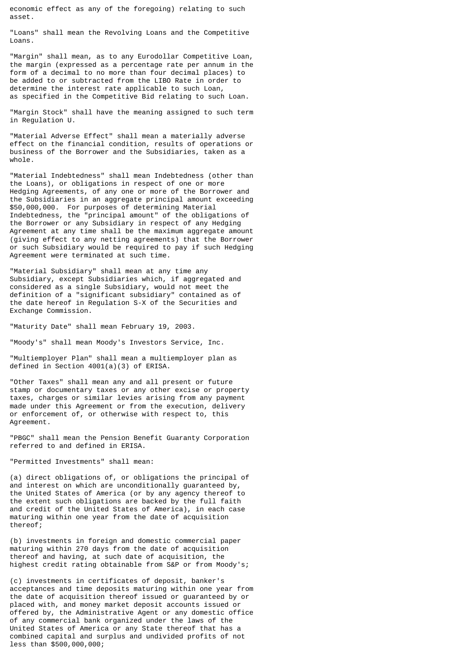economic effect as any of the foregoing) relating to such asset.

"Loans" shall mean the Revolving Loans and the Competitive Loans.

"Margin" shall mean, as to any Eurodollar Competitive Loan, the margin (expressed as a percentage rate per annum in the form of a decimal to no more than four decimal places) to be added to or subtracted from the LIBO Rate in order to determine the interest rate applicable to such Loan, as specified in the Competitive Bid relating to such Loan.

"Margin Stock" shall have the meaning assigned to such term in Regulation U.

"Material Adverse Effect" shall mean a materially adverse effect on the financial condition, results of operations or business of the Borrower and the Subsidiaries, taken as a whole.

"Material Indebtedness" shall mean Indebtedness (other than the Loans), or obligations in respect of one or more Hedging Agreements, of any one or more of the Borrower and the Subsidiaries in an aggregate principal amount exceeding \$50,000,000. For purposes of determining Material Indebtedness, the "principal amount" of the obligations of the Borrower or any Subsidiary in respect of any Hedging Agreement at any time shall be the maximum aggregate amount (giving effect to any netting agreements) that the Borrower or such Subsidiary would be required to pay if such Hedging Agreement were terminated at such time.

"Material Subsidiary" shall mean at any time any Subsidiary, except Subsidiaries which, if aggregated and considered as a single Subsidiary, would not meet the definition of a "significant subsidiary" contained as of the date hereof in Regulation S-X of the Securities and Exchange Commission.

"Maturity Date" shall mean February 19, 2003.

"Moody's" shall mean Moody's Investors Service, Inc.

"Multiemployer Plan" shall mean a multiemployer plan as defined in Section 4001(a)(3) of ERISA.

"Other Taxes" shall mean any and all present or future stamp or documentary taxes or any other excise or property taxes, charges or similar levies arising from any payment made under this Agreement or from the execution, delivery or enforcement of, or otherwise with respect to, this Agreement.

"PBGC" shall mean the Pension Benefit Guaranty Corporation referred to and defined in ERISA.

"Permitted Investments" shall mean:

(a) direct obligations of, or obligations the principal of and interest on which are unconditionally guaranteed by, the United States of America (or by any agency thereof to the extent such obligations are backed by the full faith and credit of the United States of America), in each case maturing within one year from the date of acquisition thereof;

(b) investments in foreign and domestic commercial paper maturing within 270 days from the date of acquisition thereof and having, at such date of acquisition, the highest credit rating obtainable from S&P or from Moody's;

(c) investments in certificates of deposit, banker's acceptances and time deposits maturing within one year from the date of acquisition thereof issued or guaranteed by or placed with, and money market deposit accounts issued or offered by, the Administrative Agent or any domestic office of any commercial bank organized under the laws of the United States of America or any State thereof that has a combined capital and surplus and undivided profits of not less than \$500,000,000;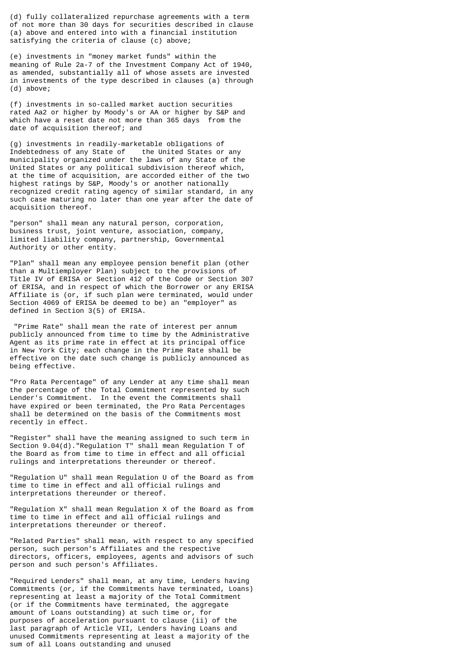(d) fully collateralized repurchase agreements with a term of not more than 30 days for securities described in clause (a) above and entered into with a financial institution satisfying the criteria of clause (c) above;

(e) investments in "money market funds" within the meaning of Rule 2a-7 of the Investment Company Act of 1940, as amended, substantially all of whose assets are invested in investments of the type described in clauses (a) through (d) above;

(f) investments in so-called market auction securities rated Aa2 or higher by Moody's or AA or higher by S&P and which have a reset date not more than 365 days from the date of acquisition thereof; and

(g) investments in readily-marketable obligations of Indebtedness of any State of municipality organized under the laws of any State of the United States or any political subdivision thereof which, at the time of acquisition, are accorded either of the two highest ratings by S&P, Moody's or another nationally recognized credit rating agency of similar standard, in any such case maturing no later than one year after the date of acquisition thereof.

"person" shall mean any natural person, corporation, business trust, joint venture, association, company, limited liability company, partnership, Governmental Authority or other entity.

"Plan" shall mean any employee pension benefit plan (other than a Multiemployer Plan) subject to the provisions of Title IV of ERISA or Section 412 of the Code or Section 307 of ERISA, and in respect of which the Borrower or any ERISA Affiliate is (or, if such plan were terminated, would under Section 4069 of ERISA be deemed to be) an "employer" as defined in Section 3(5) of ERISA.

 "Prime Rate" shall mean the rate of interest per annum publicly announced from time to time by the Administrative Agent as its prime rate in effect at its principal office in New York City; each change in the Prime Rate shall be effective on the date such change is publicly announced as being effective.

"Pro Rata Percentage" of any Lender at any time shall mean the percentage of the Total Commitment represented by such Lender's Commitment. In the event the Commitments shall have expired or been terminated, the Pro Rata Percentages shall be determined on the basis of the Commitments most recently in effect.

"Register" shall have the meaning assigned to such term in Section 9.04(d)."Regulation T" shall mean Regulation T of the Board as from time to time in effect and all official rulings and interpretations thereunder or thereof.

"Regulation U" shall mean Regulation U of the Board as from time to time in effect and all official rulings and interpretations thereunder or thereof.

"Regulation X" shall mean Regulation X of the Board as from time to time in effect and all official rulings and interpretations thereunder or thereof.

"Related Parties" shall mean, with respect to any specified person, such person's Affiliates and the respective directors, officers, employees, agents and advisors of such person and such person's Affiliates.

"Required Lenders" shall mean, at any time, Lenders having Commitments (or, if the Commitments have terminated, Loans) representing at least a majority of the Total Commitment (or if the Commitments have terminated, the aggregate amount of Loans outstanding) at such time or, for purposes of acceleration pursuant to clause (ii) of the last paragraph of Article VII, Lenders having Loans and unused Commitments representing at least a majority of the sum of all Loans outstanding and unused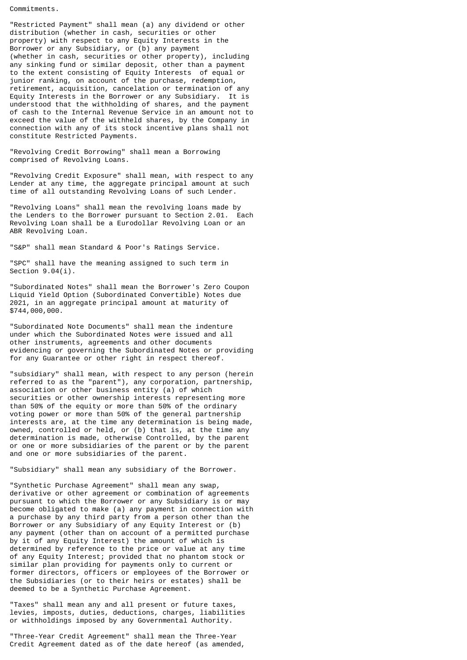Commitments.

"Restricted Payment" shall mean (a) any dividend or other distribution (whether in cash, securities or other property) with respect to any Equity Interests in the Borrower or any Subsidiary, or (b) any payment (whether in cash, securities or other property), including any sinking fund or similar deposit, other than a payment to the extent consisting of Equity Interests of equal or junior ranking, on account of the purchase, redemption, retirement, acquisition, cancelation or termination of any Equity Interests in the Borrower or any Subsidiary. It is understood that the withholding of shares, and the payment of cash to the Internal Revenue Service in an amount not to exceed the value of the withheld shares, by the Company in connection with any of its stock incentive plans shall not constitute Restricted Payments.

"Revolving Credit Borrowing" shall mean a Borrowing comprised of Revolving Loans.

"Revolving Credit Exposure" shall mean, with respect to any Lender at any time, the aggregate principal amount at such time of all outstanding Revolving Loans of such Lender.

"Revolving Loans" shall mean the revolving loans made by the Lenders to the Borrower pursuant to Section 2.01. Each Revolving Loan shall be a Eurodollar Revolving Loan or an ABR Revolving Loan.

"S&P" shall mean Standard & Poor's Ratings Service.

"SPC" shall have the meaning assigned to such term in Section  $9.04(i)$ .

"Subordinated Notes" shall mean the Borrower's Zero Coupon Liquid Yield Option (Subordinated Convertible) Notes due 2021, in an aggregate principal amount at maturity of \$744,000,000.

"Subordinated Note Documents" shall mean the indenture under which the Subordinated Notes were issued and all other instruments, agreements and other documents evidencing or governing the Subordinated Notes or providing for any Guarantee or other right in respect thereof.

"subsidiary" shall mean, with respect to any person (herein referred to as the "parent"), any corporation, partnership, association or other business entity (a) of which securities or other ownership interests representing more than 50% of the equity or more than 50% of the ordinary voting power or more than 50% of the general partnership interests are, at the time any determination is being made, owned, controlled or held, or (b) that is, at the time any determination is made, otherwise Controlled, by the parent or one or more subsidiaries of the parent or by the parent and one or more subsidiaries of the parent.

"Subsidiary" shall mean any subsidiary of the Borrower.

"Synthetic Purchase Agreement" shall mean any swap, derivative or other agreement or combination of agreements pursuant to which the Borrower or any Subsidiary is or may become obligated to make (a) any payment in connection with a purchase by any third party from a person other than the Borrower or any Subsidiary of any Equity Interest or (b) any payment (other than on account of a permitted purchase by it of any Equity Interest) the amount of which is determined by reference to the price or value at any time of any Equity Interest; provided that no phantom stock or similar plan providing for payments only to current or former directors, officers or employees of the Borrower or the Subsidiaries (or to their heirs or estates) shall be deemed to be a Synthetic Purchase Agreement.

"Taxes" shall mean any and all present or future taxes, levies, imposts, duties, deductions, charges, liabilities or withholdings imposed by any Governmental Authority.

"Three-Year Credit Agreement" shall mean the Three-Year Credit Agreement dated as of the date hereof (as amended,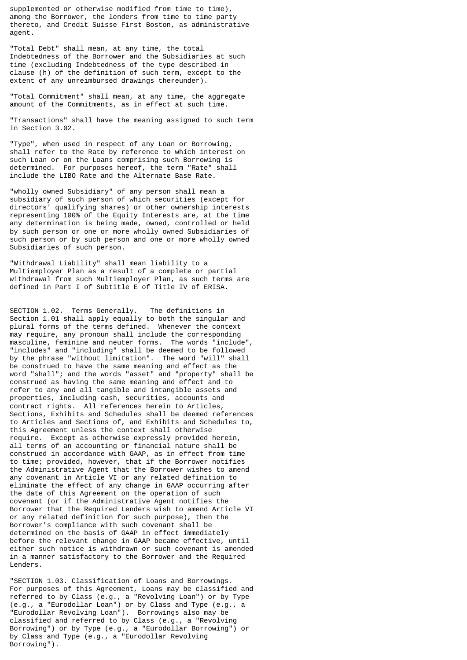supplemented or otherwise modified from time to time), among the Borrower, the lenders from time to time party thereto, and Credit Suisse First Boston, as administrative agent.

"Total Debt" shall mean, at any time, the total Indebtedness of the Borrower and the Subsidiaries at such time (excluding Indebtedness of the type described in clause (h) of the definition of such term, except to the extent of any unreimbursed drawings thereunder).

"Total Commitment" shall mean, at any time, the aggregate amount of the Commitments, as in effect at such time.

"Transactions" shall have the meaning assigned to such term in Section 3.02.

"Type", when used in respect of any Loan or Borrowing, shall refer to the Rate by reference to which interest on such Loan or on the Loans comprising such Borrowing is determined. For purposes hereof, the term "Rate" shall include the LIBO Rate and the Alternate Base Rate.

"wholly owned Subsidiary" of any person shall mean a subsidiary of such person of which securities (except for directors' qualifying shares) or other ownership interests representing 100% of the Equity Interests are, at the time any determination is being made, owned, controlled or held by such person or one or more wholly owned Subsidiaries of such person or by such person and one or more wholly owned Subsidiaries of such person.

"Withdrawal Liability" shall mean liability to a Multiemployer Plan as a result of a complete or partial withdrawal from such Multiemployer Plan, as such terms are defined in Part I of Subtitle E of Title IV of ERISA.

SECTION 1.02. Terms Generally. The definitions in Section 1.01 shall apply equally to both the singular and plural forms of the terms defined. Whenever the context may require, any pronoun shall include the corresponding masculine, feminine and neuter forms. The words "include", "includes" and "including" shall be deemed to be followed by the phrase "without limitation". The word "will" shall be construed to have the same meaning and effect as the word "shall"; and the words "asset" and "property" shall be construed as having the same meaning and effect and to refer to any and all tangible and intangible assets and properties, including cash, securities, accounts and contract rights. All references herein to Articles, Sections, Exhibits and Schedules shall be deemed references to Articles and Sections of, and Exhibits and Schedules to, this Agreement unless the context shall otherwise require. Except as otherwise expressly provided herein, all terms of an accounting or financial nature shall be construed in accordance with GAAP, as in effect from time to time; provided, however, that if the Borrower notifies the Administrative Agent that the Borrower wishes to amend any covenant in Article VI or any related definition to eliminate the effect of any change in GAAP occurring after the date of this Agreement on the operation of such covenant (or if the Administrative Agent notifies the Borrower that the Required Lenders wish to amend Article VI or any related definition for such purpose), then the Borrower's compliance with such covenant shall be determined on the basis of GAAP in effect immediately before the relevant change in GAAP became effective, until either such notice is withdrawn or such covenant is amended in a manner satisfactory to the Borrower and the Required Lenders.

"SECTION 1.03. Classification of Loans and Borrowings. For purposes of this Agreement, Loans may be classified and referred to by Class (e.g., a "Revolving Loan") or by Type (e.g., a "Eurodollar Loan") or by Class and Type (e.g., a "Eurodollar Revolving Loan"). Borrowings also may be classified and referred to by Class (e.g., a "Revolving Borrowing") or by Type (e.g., a "Eurodollar Borrowing") or by Class and Type (e.g., a "Eurodollar Revolving Borrowing").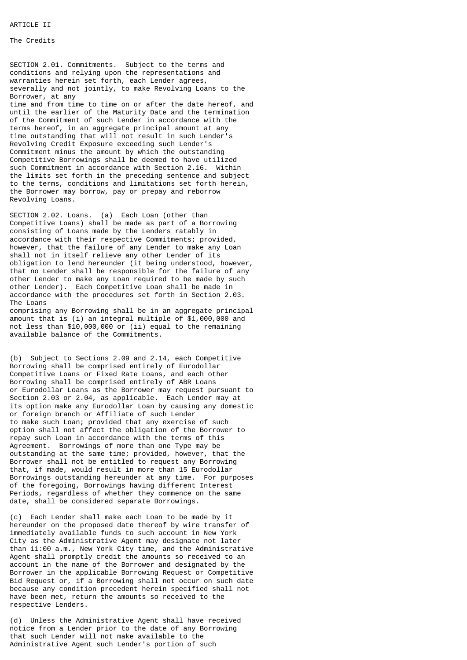### **ARTICLE II**

# The Credits

SECTION 2.01. Commitments. Subject to the terms and conditions and relying upon the representations and warranties herein set forth, each Lender agrees, severally and not jointly, to make Revolving Loans to the Borrower, at any time and from time to time on or after the date hereof, and until the earlier of the Maturity Date and the termination of the Commitment of such Lender in accordance with the terms hereof, in an aggregate principal amount at any time outstanding that will not result in such Lender's Revolving Credit Exposure exceeding such Lender's Commitment minus the amount by which the outstanding Competitive Borrowings shall be deemed to have utilized such Commitment in accordance with Section 2.16. Within the limits set forth in the preceding sentence and subject to the terms, conditions and limitations set forth herein, the Borrower may borrow, pay or prepay and reborrow Revolving Loans.

SECTION 2.02. Loans. (a) Each Loan (other than Competitive Loans) shall be made as part of a Borrowing consisting of Loans made by the Lenders ratably in accordance with their respective Commitments; provided, however, that the failure of any Lender to make any Loan shall not in itself relieve any other Lender of its obligation to lend hereunder (it being understood, however, that no Lender shall be responsible for the failure of any other Lender to make any Loan required to be made by such other Lender). Each Competitive Loan shall be made in accordance with the procedures set forth in Section 2.03. The Loans

comprising any Borrowing shall be in an aggregate principal amount that is (i) an integral multiple of \$1,000,000 and not less than \$10,000,000 or (ii) equal to the remaining available balance of the Commitments.

(b) Subject to Sections 2.09 and 2.14, each Competitive Borrowing shall be comprised entirely of Eurodollar Competitive Loans or Fixed Rate Loans, and each other Borrowing shall be comprised entirely of ABR Loans or Eurodollar Loans as the Borrower may request pursuant to Section 2.03 or 2.04, as applicable. Each Lender may at its option make any Eurodollar Loan by causing any domestic or foreign branch or Affiliate of such Lender to make such Loan; provided that any exercise of such option shall not affect the obligation of the Borrower to repay such Loan in accordance with the terms of this Agreement. Borrowings of more than one Type may be outstanding at the same time; provided, however, that the Borrower shall not be entitled to request any Borrowing that, if made, would result in more than 15 Eurodollar Borrowings outstanding hereunder at any time. For purposes of the foregoing, Borrowings having different Interest Periods, regardless of whether they commence on the same date, shall be considered separate Borrowings.

(c) Each Lender shall make each Loan to be made by it hereunder on the proposed date thereof by wire transfer of immediately available funds to such account in New York City as the Administrative Agent may designate not later than 11:00 a.m., New York City time, and the Administrative Agent shall promptly credit the amounts so received to an account in the name of the Borrower and designated by the Borrower in the applicable Borrowing Request or Competitive Bid Request or, if a Borrowing shall not occur on such date because any condition precedent herein specified shall not have been met, return the amounts so received to the respective Lenders.

(d) Unless the Administrative Agent shall have received notice from a Lender prior to the date of any Borrowing that such Lender will not make available to the Administrative Agent such Lender's portion of such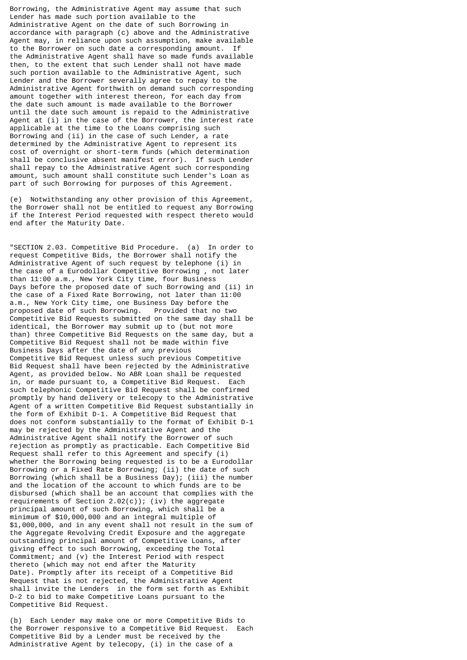Borrowing, the Administrative Agent may assume that such Lender has made such portion available to the Administrative Agent on the date of such Borrowing in accordance with paragraph (c) above and the Administrative Agent may, in reliance upon such assumption, make available to the Borrower on such date a corresponding amount. If the Administrative Agent shall have so made funds available then, to the extent that such Lender shall not have made such portion available to the Administrative Agent, such Lender and the Borrower severally agree to repay to the Administrative Agent forthwith on demand such corresponding amount together with interest thereon, for each day from the date such amount is made available to the Borrower until the date such amount is repaid to the Administrative Agent at (i) in the case of the Borrower, the interest rate applicable at the time to the Loans comprising such Borrowing and (ii) in the case of such Lender, a rate determined by the Administrative Agent to represent its cost of overnight or short-term funds (which determination shall be conclusive absent manifest error). If such Lender shall repay to the Administrative Agent such corresponding amount, such amount shall constitute such Lender's Loan as part of such Borrowing for purposes of this Agreement.

(e) Notwithstanding any other provision of this Agreement, the Borrower shall not be entitled to request any Borrowing if the Interest Period requested with respect thereto would end after the Maturity Date.

"SECTION 2.03. Competitive Bid Procedure. (a) In order to request Competitive Bids, the Borrower shall notify the Administrative Agent of such request by telephone (i) in the case of a Eurodollar Competitive Borrowing , not later than 11:00 a.m., New York City time, four Business Days before the proposed date of such Borrowing and (ii) in the case of a Fixed Rate Borrowing, not later than 11:00 a.m., New York City time, one Business Day before the proposed date of such Borrowing. Provided that no two Competitive Bid Requests submitted on the same day shall be identical, the Borrower may submit up to (but not more than) three Competitive Bid Requests on the same day, but a Competitive Bid Request shall not be made within five Business Days after the date of any previous Competitive Bid Request unless such previous Competitive Bid Request shall have been rejected by the Administrative Agent, as provided below. No ABR Loan shall be requested in, or made pursuant to, a Competitive Bid Request. Each such telephonic Competitive Bid Request shall be confirmed promptly by hand delivery or telecopy to the Administrative Agent of a written Competitive Bid Request substantially in the form of Exhibit D-1. A Competitive Bid Request that does not conform substantially to the format of Exhibit D-1 may be rejected by the Administrative Agent and the Administrative Agent shall notify the Borrower of such rejection as promptly as practicable. Each Competitive Bid Request shall refer to this Agreement and specify (i) whether the Borrowing being requested is to be a Eurodollar Borrowing or a Fixed Rate Borrowing; (ii) the date of such Borrowing (which shall be a Business Day); (iii) the number and the location of the account to which funds are to be disbursed (which shall be an account that complies with the requirements of Section  $2.02(c)$ ); (iv) the aggregate principal amount of such Borrowing, which shall be a minimum of \$10,000,000 and an integral multiple of \$1,000,000, and in any event shall not result in the sum of the Aggregate Revolving Credit Exposure and the aggregate outstanding principal amount of Competitive Loans, after giving effect to such Borrowing, exceeding the Total Commitment; and (v) the Interest Period with respect thereto (which may not end after the Maturity Date). Promptly after its receipt of a Competitive Bid Request that is not rejected, the Administrative Agent shall invite the Lenders in the form set forth as Exhibit D-2 to bid to make Competitive Loans pursuant to the Competitive Bid Request.

(b) Each Lender may make one or more Competitive Bids to the Borrower responsive to a Competitive Bid Request. Each Competitive Bid by a Lender must be received by the Administrative Agent by telecopy, (i) in the case of a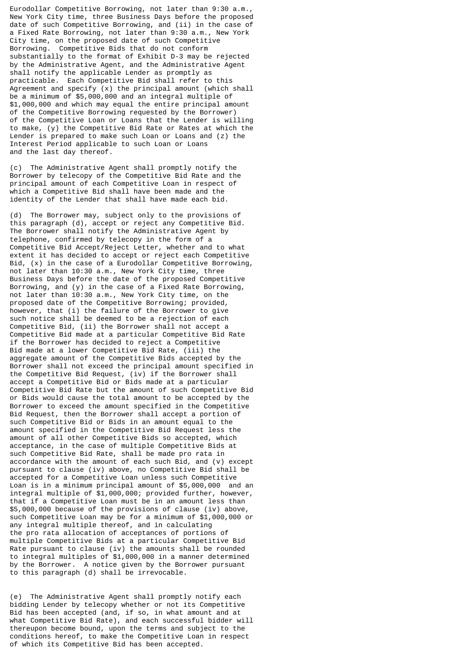Eurodollar Competitive Borrowing, not later than 9:30 a.m., New York City time, three Business Days before the proposed date of such Competitive Borrowing, and (ii) in the case of a Fixed Rate Borrowing, not later than 9:30 a.m., New York City time, on the proposed date of such Competitive Borrowing. Competitive Bids that do not conform substantially to the format of Exhibit D-3 may be rejected by the Administrative Agent, and the Administrative Agent shall notify the applicable Lender as promptly as practicable. Each Competitive Bid shall refer to this Agreement and specify (x) the principal amount (which shall be a minimum of \$5,000,000 and an integral multiple of \$1,000,000 and which may equal the entire principal amount of the Competitive Borrowing requested by the Borrower) of the Competitive Loan or Loans that the Lender is willing to make, (y) the Competitive Bid Rate or Rates at which the Lender is prepared to make such Loan or Loans and (z) the Interest Period applicable to such Loan or Loans and the last day thereof.

(c) The Administrative Agent shall promptly notify the Borrower by telecopy of the Competitive Bid Rate and the principal amount of each Competitive Loan in respect of which a Competitive Bid shall have been made and the identity of the Lender that shall have made each bid.

(d) The Borrower may, subject only to the provisions of this paragraph (d), accept or reject any Competitive Bid. The Borrower shall notify the Administrative Agent by telephone, confirmed by telecopy in the form of a Competitive Bid Accept/Reject Letter, whether and to what extent it has decided to accept or reject each Competitive Bid, (x) in the case of a Eurodollar Competitive Borrowing, not later than 10:30 a.m., New York City time, three Business Days before the date of the proposed Competitive Borrowing, and (y) in the case of a Fixed Rate Borrowing, not later than 10:30 a.m., New York City time, on the proposed date of the Competitive Borrowing; provided, however, that (i) the failure of the Borrower to give such notice shall be deemed to be a rejection of each Competitive Bid, (ii) the Borrower shall not accept a Competitive Bid made at a particular Competitive Bid Rate if the Borrower has decided to reject a Competitive Bid made at a lower Competitive Bid Rate, (iii) the aggregate amount of the Competitive Bids accepted by the Borrower shall not exceed the principal amount specified in the Competitive Bid Request, (iv) if the Borrower shall accept a Competitive Bid or Bids made at a particular Competitive Bid Rate but the amount of such Competitive Bid or Bids would cause the total amount to be accepted by the Borrower to exceed the amount specified in the Competitive Bid Request, then the Borrower shall accept a portion of such Competitive Bid or Bids in an amount equal to the amount specified in the Competitive Bid Request less the amount of all other Competitive Bids so accepted, which acceptance, in the case of multiple Competitive Bids at such Competitive Bid Rate, shall be made pro rata in accordance with the amount of each such Bid, and (v) except pursuant to clause (iv) above, no Competitive Bid shall be accepted for a Competitive Loan unless such Competitive Loan is in a minimum principal amount of \$5,000,000 and an integral multiple of \$1,000,000; provided further, however, that if a Competitive Loan must be in an amount less than \$5,000,000 because of the provisions of clause (iv) above, such Competitive Loan may be for a minimum of \$1,000,000 or any integral multiple thereof, and in calculating the pro rata allocation of acceptances of portions of multiple Competitive Bids at a particular Competitive Bid Rate pursuant to clause (iv) the amounts shall be rounded to integral multiples of \$1,000,000 in a manner determined by the Borrower. A notice given by the Borrower pursuant to this paragraph (d) shall be irrevocable.

(e) The Administrative Agent shall promptly notify each bidding Lender by telecopy whether or not its Competitive Bid has been accepted (and, if so, in what amount and at what Competitive Bid Rate), and each successful bidder will thereupon become bound, upon the terms and subject to the conditions hereof, to make the Competitive Loan in respect of which its Competitive Bid has been accepted.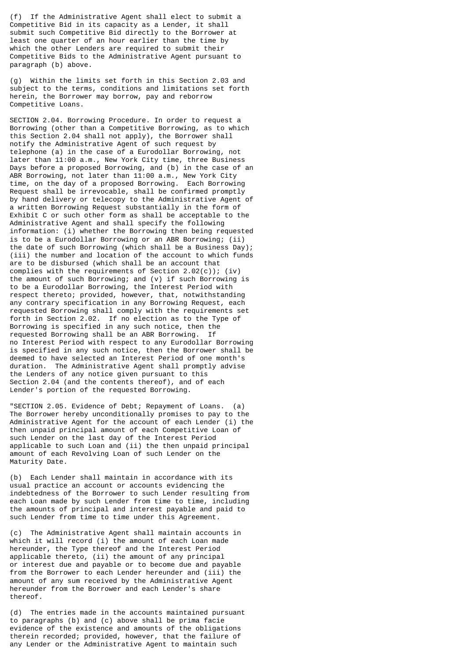(f) If the Administrative Agent shall elect to submit a Competitive Bid in its capacity as a Lender, it shall submit such Competitive Bid directly to the Borrower at least one quarter of an hour earlier than the time by which the other Lenders are required to submit their Competitive Bids to the Administrative Agent pursuant to paragraph (b) above.

(g) Within the limits set forth in this Section 2.03 and subject to the terms, conditions and limitations set forth herein, the Borrower may borrow, pay and reborrow Competitive Loans.

SECTION 2.04. Borrowing Procedure. In order to request a Borrowing (other than a Competitive Borrowing, as to which this Section 2.04 shall not apply), the Borrower shall notify the Administrative Agent of such request by telephone (a) in the case of a Eurodollar Borrowing, not later than 11:00 a.m., New York City time, three Business Days before a proposed Borrowing, and (b) in the case of an ABR Borrowing, not later than 11:00 a.m., New York City time, on the day of a proposed Borrowing. Each Borrowing Request shall be irrevocable, shall be confirmed promptly by hand delivery or telecopy to the Administrative Agent of a written Borrowing Request substantially in the form of Exhibit C or such other form as shall be acceptable to the Administrative Agent and shall specify the following information: (i) whether the Borrowing then being requested is to be a Eurodollar Borrowing or an ABR Borrowing; (ii) the date of such Borrowing (which shall be a Business Day); (iii) the number and location of the account to which funds are to be disbursed (which shall be an account that complies with the requirements of Section 2.02(c)); (iv) the amount of such Borrowing; and (v) if such Borrowing is to be a Eurodollar Borrowing, the Interest Period with respect thereto; provided, however, that, notwithstanding any contrary specification in any Borrowing Request, each requested Borrowing shall comply with the requirements set forth in Section 2.02. If no election as to the Type of Borrowing is specified in any such notice, then the requested Borrowing shall be an ABR Borrowing. If no Interest Period with respect to any Eurodollar Borrowing is specified in any such notice, then the Borrower shall be deemed to have selected an Interest Period of one month's duration. The Administrative Agent shall promptly advise the Lenders of any notice given pursuant to this Section 2.04 (and the contents thereof), and of each Lender's portion of the requested Borrowing.

"SECTION 2.05. Evidence of Debt; Repayment of Loans. (a) The Borrower hereby unconditionally promises to pay to the Administrative Agent for the account of each Lender (i) the then unpaid principal amount of each Competitive Loan of such Lender on the last day of the Interest Period applicable to such Loan and (ii) the then unpaid principal amount of each Revolving Loan of such Lender on the Maturity Date.

(b) Each Lender shall maintain in accordance with its usual practice an account or accounts evidencing the indebtedness of the Borrower to such Lender resulting from each Loan made by such Lender from time to time, including the amounts of principal and interest payable and paid to such Lender from time to time under this Agreement.

(c) The Administrative Agent shall maintain accounts in which it will record (i) the amount of each Loan made hereunder, the Type thereof and the Interest Period applicable thereto, (ii) the amount of any principal or interest due and payable or to become due and payable from the Borrower to each Lender hereunder and (iii) the amount of any sum received by the Administrative Agent hereunder from the Borrower and each Lender's share thereof.

(d) The entries made in the accounts maintained pursuant to paragraphs (b) and (c) above shall be prima facie evidence of the existence and amounts of the obligations therein recorded; provided, however, that the failure of any Lender or the Administrative Agent to maintain such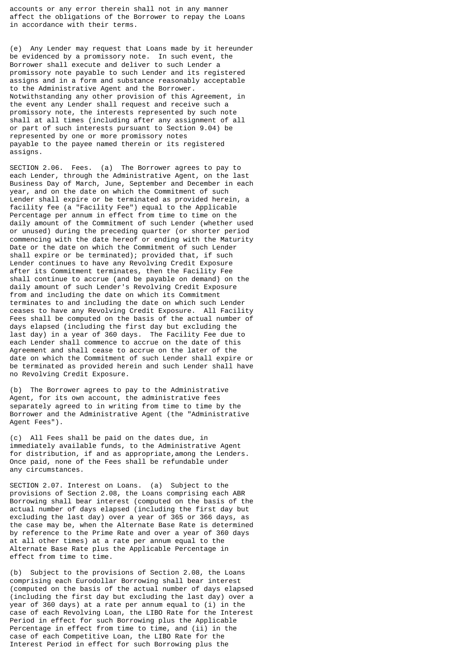accounts or any error therein shall not in any manner affect the obligations of the Borrower to repay the Loans in accordance with their terms.

(e) Any Lender may request that Loans made by it hereunder be evidenced by a promissory note. In such event, the Borrower shall execute and deliver to such Lender a promissory note payable to such Lender and its registered assigns and in a form and substance reasonably acceptable to the Administrative Agent and the Borrower. Notwithstanding any other provision of this Agreement, in the event any Lender shall request and receive such a promissory note, the interests represented by such note shall at all times (including after any assignment of all or part of such interests pursuant to Section 9.04) be represented by one or more promissory notes payable to the payee named therein or its registered assigns.

SECTION 2.06. Fees. (a) The Borrower agrees to pay to each Lender, through the Administrative Agent, on the last Business Day of March, June, September and December in each year, and on the date on which the Commitment of such Lender shall expire or be terminated as provided herein, a facility fee (a "Facility Fee") equal to the Applicable Percentage per annum in effect from time to time on the daily amount of the Commitment of such Lender (whether used or unused) during the preceding quarter (or shorter period commencing with the date hereof or ending with the Maturity Date or the date on which the Commitment of such Lender shall expire or be terminated); provided that, if such Lender continues to have any Revolving Credit Exposure after its Commitment terminates, then the Facility Fee shall continue to accrue (and be payable on demand) on the daily amount of such Lender's Revolving Credit Exposure from and including the date on which its Commitment terminates to and including the date on which such Lender ceases to have any Revolving Credit Exposure. All Facility Fees shall be computed on the basis of the actual number of days elapsed (including the first day but excluding the last day) in a year of 360 days. The Facility Fee due to each Lender shall commence to accrue on the date of this Agreement and shall cease to accrue on the later of the date on which the Commitment of such Lender shall expire or be terminated as provided herein and such Lender shall have no Revolving Credit Exposure.

(b) The Borrower agrees to pay to the Administrative Agent, for its own account, the administrative fees separately agreed to in writing from time to time by the Borrower and the Administrative Agent (the "Administrative Agent Fees").

(c) All Fees shall be paid on the dates due, in immediately available funds, to the Administrative Agent for distribution, if and as appropriate,among the Lenders. Once paid, none of the Fees shall be refundable under any circumstances.

SECTION 2.07. Interest on Loans. (a) Subject to the provisions of Section 2.08, the Loans comprising each ABR Borrowing shall bear interest (computed on the basis of the actual number of days elapsed (including the first day but excluding the last day) over a year of 365 or 366 days, as the case may be, when the Alternate Base Rate is determined by reference to the Prime Rate and over a year of 360 days at all other times) at a rate per annum equal to the Alternate Base Rate plus the Applicable Percentage in effect from time to time.

(b) Subject to the provisions of Section 2.08, the Loans comprising each Eurodollar Borrowing shall bear interest (computed on the basis of the actual number of days elapsed (including the first day but excluding the last day) over a year of 360 days) at a rate per annum equal to (i) in the case of each Revolving Loan, the LIBO Rate for the Interest Period in effect for such Borrowing plus the Applicable Percentage in effect from time to time, and (ii) in the case of each Competitive Loan, the LIBO Rate for the Interest Period in effect for such Borrowing plus the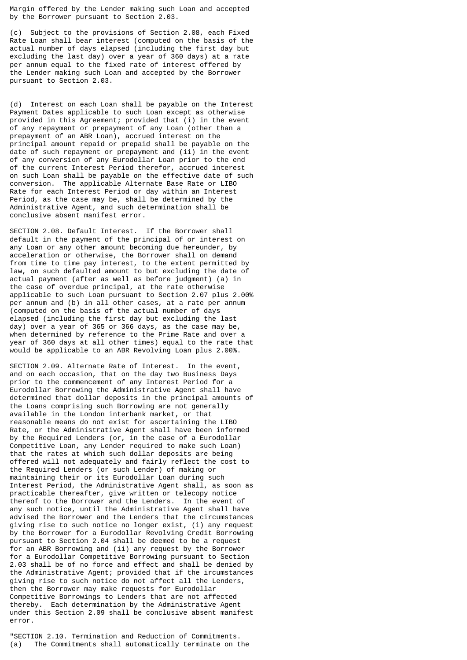Margin offered by the Lender making such Loan and accepted by the Borrower pursuant to Section 2.03.

(c) Subject to the provisions of Section 2.08, each Fixed Rate Loan shall bear interest (computed on the basis of the actual number of days elapsed (including the first day but excluding the last day) over a year of 360 days) at a rate per annum equal to the fixed rate of interest offered by the Lender making such Loan and accepted by the Borrower pursuant to Section 2.03.

(d) Interest on each Loan shall be payable on the Interest Payment Dates applicable to such Loan except as otherwise provided in this Agreement; provided that (i) in the event of any repayment or prepayment of any Loan (other than a prepayment of an ABR Loan), accrued interest on the principal amount repaid or prepaid shall be payable on the date of such repayment or prepayment and (ii) in the event of any conversion of any Eurodollar Loan prior to the end of the current Interest Period therefor, accrued interest on such Loan shall be payable on the effective date of such conversion. The applicable Alternate Base Rate or LIBO Rate for each Interest Period or day within an Interest Period, as the case may be, shall be determined by the Administrative Agent, and such determination shall be conclusive absent manifest error.

SECTION 2.08. Default Interest. If the Borrower shall default in the payment of the principal of or interest on any Loan or any other amount becoming due hereunder, by acceleration or otherwise, the Borrower shall on demand from time to time pay interest, to the extent permitted by law, on such defaulted amount to but excluding the date of actual payment (after as well as before judgment) (a) in the case of overdue principal, at the rate otherwise applicable to such Loan pursuant to Section 2.07 plus 2.00% per annum and (b) in all other cases, at a rate per annum (computed on the basis of the actual number of days elapsed (including the first day but excluding the last day) over a year of 365 or 366 days, as the case may be, when determined by reference to the Prime Rate and over a year of 360 days at all other times) equal to the rate that would be applicable to an ABR Revolving Loan plus 2.00%.

SECTION 2.09. Alternate Rate of Interest. In the event, and on each occasion, that on the day two Business Days prior to the commencement of any Interest Period for a Eurodollar Borrowing the Administrative Agent shall have determined that dollar deposits in the principal amounts of the Loans comprising such Borrowing are not generally available in the London interbank market, or that reasonable means do not exist for ascertaining the LIBO Rate, or the Administrative Agent shall have been informed by the Required Lenders (or, in the case of a Eurodollar Competitive Loan, any Lender required to make such Loan) that the rates at which such dollar deposits are being offered will not adequately and fairly reflect the cost to the Required Lenders (or such Lender) of making or maintaining their or its Eurodollar Loan during such Interest Period, the Administrative Agent shall, as soon as practicable thereafter, give written or telecopy notice thereof to the Borrower and the Lenders. In the event of any such notice, until the Administrative Agent shall have advised the Borrower and the Lenders that the circumstances giving rise to such notice no longer exist, (i) any request by the Borrower for a Eurodollar Revolving Credit Borrowing pursuant to Section 2.04 shall be deemed to be a request for an ABR Borrowing and (ii) any request by the Borrower for a Eurodollar Competitive Borrowing pursuant to Section 2.03 shall be of no force and effect and shall be denied by the Administrative Agent; provided that if the ircumstances giving rise to such notice do not affect all the Lenders, then the Borrower may make requests for Eurodollar Competitive Borrowings to Lenders that are not affected thereby. Each determination by the Administrative Agent under this Section 2.09 shall be conclusive absent manifest error.

"SECTION 2.10. Termination and Reduction of Commitments. (a) The Commitments shall automatically terminate on the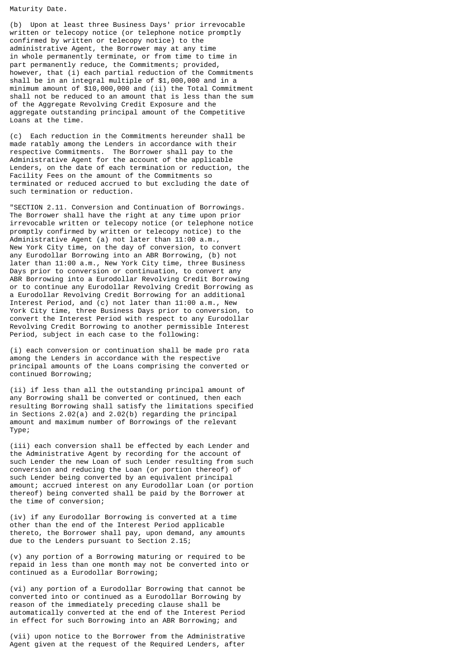Maturity Date.

(b) Upon at least three Business Days' prior irrevocable written or telecopy notice (or telephone notice promptly confirmed by written or telecopy notice) to the administrative Agent, the Borrower may at any time in whole permanently terminate, or from time to time in part permanently reduce, the Commitments; provided, however, that (i) each partial reduction of the Commitments shall be in an integral multiple of \$1,000,000 and in a minimum amount of \$10,000,000 and (ii) the Total Commitment shall not be reduced to an amount that is less than the sum of the Aggregate Revolving Credit Exposure and the aggregate outstanding principal amount of the Competitive Loans at the time.

(c) Each reduction in the Commitments hereunder shall be made ratably among the Lenders in accordance with their respective Commitments. The Borrower shall pay to the Administrative Agent for the account of the applicable Lenders, on the date of each termination or reduction, the Facility Fees on the amount of the Commitments so terminated or reduced accrued to but excluding the date of such termination or reduction.

"SECTION 2.11. Conversion and Continuation of Borrowings. The Borrower shall have the right at any time upon prior irrevocable written or telecopy notice (or telephone notice promptly confirmed by written or telecopy notice) to the Administrative Agent (a) not later than 11:00 a.m., New York City time, on the day of conversion, to convert any Eurodollar Borrowing into an ABR Borrowing, (b) not later than 11:00 a.m., New York City time, three Business Days prior to conversion or continuation, to convert any ABR Borrowing into a Eurodollar Revolving Credit Borrowing or to continue any Eurodollar Revolving Credit Borrowing as a Eurodollar Revolving Credit Borrowing for an additional Interest Period, and (c) not later than 11:00 a.m., New York City time, three Business Days prior to conversion, to convert the Interest Period with respect to any Eurodollar Revolving Credit Borrowing to another permissible Interest Period, subject in each case to the following:

(i) each conversion or continuation shall be made pro rata among the Lenders in accordance with the respective principal amounts of the Loans comprising the converted or continued Borrowing;

(ii) if less than all the outstanding principal amount of any Borrowing shall be converted or continued, then each resulting Borrowing shall satisfy the limitations specified in Sections 2.02(a) and 2.02(b) regarding the principal amount and maximum number of Borrowings of the relevant Type;

(iii) each conversion shall be effected by each Lender and the Administrative Agent by recording for the account of such Lender the new Loan of such Lender resulting from such conversion and reducing the Loan (or portion thereof) of such Lender being converted by an equivalent principal amount; accrued interest on any Eurodollar Loan (or portion thereof) being converted shall be paid by the Borrower at the time of conversion;

(iv) if any Eurodollar Borrowing is converted at a time other than the end of the Interest Period applicable thereto, the Borrower shall pay, upon demand, any amounts due to the Lenders pursuant to Section 2.15;

(v) any portion of a Borrowing maturing or required to be repaid in less than one month may not be converted into or continued as a Eurodollar Borrowing;

(vi) any portion of a Eurodollar Borrowing that cannot be converted into or continued as a Eurodollar Borrowing by reason of the immediately preceding clause shall be automatically converted at the end of the Interest Period in effect for such Borrowing into an ABR Borrowing; and

(vii) upon notice to the Borrower from the Administrative Agent given at the request of the Required Lenders, after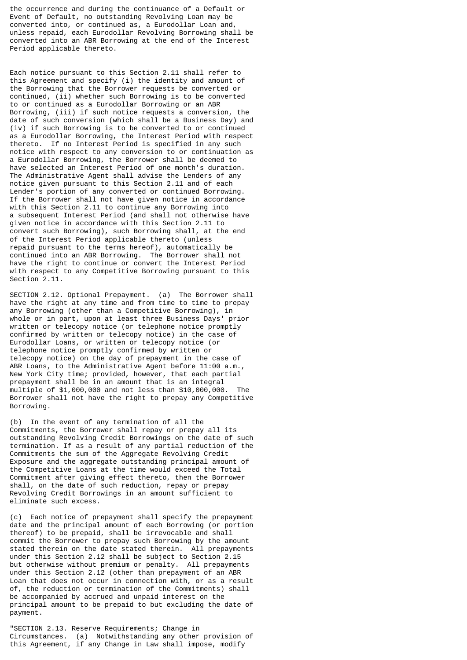the occurrence and during the continuance of a Default or Event of Default, no outstanding Revolving Loan may be converted into, or continued as, a Eurodollar Loan and, unless repaid, each Eurodollar Revolving Borrowing shall be converted into an ABR Borrowing at the end of the Interest Period applicable thereto.

Each notice pursuant to this Section 2.11 shall refer to this Agreement and specify (i) the identity and amount of the Borrowing that the Borrower requests be converted or continued, (ii) whether such Borrowing is to be converted to or continued as a Eurodollar Borrowing or an ABR Borrowing, (iii) if such notice requests a conversion, the date of such conversion (which shall be a Business Day) and (iv) if such Borrowing is to be converted to or continued as a Eurodollar Borrowing, the Interest Period with respect thereto. If no Interest Period is specified in any such notice with respect to any conversion to or continuation as a Eurodollar Borrowing, the Borrower shall be deemed to have selected an Interest Period of one month's duration. The Administrative Agent shall advise the Lenders of any notice given pursuant to this Section 2.11 and of each Lender's portion of any converted or continued Borrowing. If the Borrower shall not have given notice in accordance with this Section 2.11 to continue any Borrowing into a subsequent Interest Period (and shall not otherwise have given notice in accordance with this Section 2.11 to convert such Borrowing), such Borrowing shall, at the end of the Interest Period applicable thereto (unless repaid pursuant to the terms hereof), automatically be continued into an ABR Borrowing. The Borrower shall not have the right to continue or convert the Interest Period with respect to any Competitive Borrowing pursuant to this Section 2.11.

SECTION 2.12. Optional Prepayment. (a) The Borrower shall have the right at any time and from time to time to prepay any Borrowing (other than a Competitive Borrowing), in whole or in part, upon at least three Business Days' prior written or telecopy notice (or telephone notice promptly confirmed by written or telecopy notice) in the case of Eurodollar Loans, or written or telecopy notice (or telephone notice promptly confirmed by written or telecopy notice) on the day of prepayment in the case of ABR Loans, to the Administrative Agent before 11:00 a.m., New York City time; provided, however, that each partial prepayment shall be in an amount that is an integral multiple of \$1,000,000 and not less than \$10,000,000. The Borrower shall not have the right to prepay any Competitive Borrowing.

(b) In the event of any termination of all the Commitments, the Borrower shall repay or prepay all its outstanding Revolving Credit Borrowings on the date of such termination. If as a result of any partial reduction of the Commitments the sum of the Aggregate Revolving Credit Exposure and the aggregate outstanding principal amount of the Competitive Loans at the time would exceed the Total Commitment after giving effect thereto, then the Borrower shall, on the date of such reduction, repay or prepay Revolving Credit Borrowings in an amount sufficient to eliminate such excess.

(c) Each notice of prepayment shall specify the prepayment date and the principal amount of each Borrowing (or portion thereof) to be prepaid, shall be irrevocable and shall commit the Borrower to prepay such Borrowing by the amount stated therein on the date stated therein. All prepayments under this Section 2.12 shall be subject to Section 2.15 but otherwise without premium or penalty. All prepayments under this Section 2.12 (other than prepayment of an ABR Loan that does not occur in connection with, or as a result of, the reduction or termination of the Commitments) shall be accompanied by accrued and unpaid interest on the principal amount to be prepaid to but excluding the date of payment.

"SECTION 2.13. Reserve Requirements; Change in Circumstances. (a) Notwithstanding any other provision of this Agreement, if any Change in Law shall impose, modify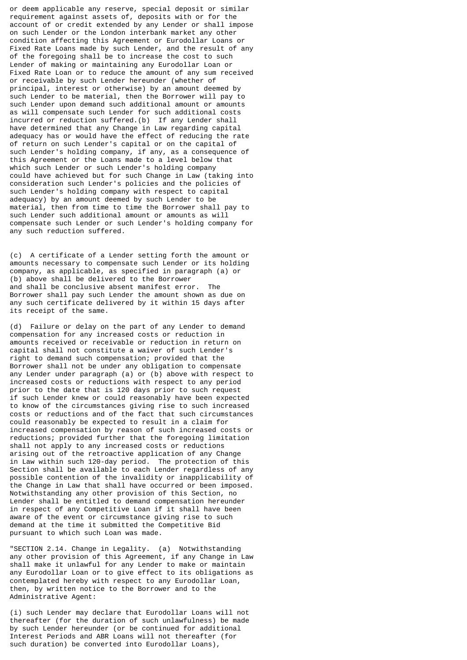or deem applicable any reserve, special deposit or similar requirement against assets of, deposits with or for the account of or credit extended by any Lender or shall impose on such Lender or the London interbank market any other condition affecting this Agreement or Eurodollar Loans or Fixed Rate Loans made by such Lender, and the result of any of the foregoing shall be to increase the cost to such Lender of making or maintaining any Eurodollar Loan or Fixed Rate Loan or to reduce the amount of any sum received or receivable by such Lender hereunder (whether of principal, interest or otherwise) by an amount deemed by such Lender to be material, then the Borrower will pay to such Lender upon demand such additional amount or amounts as will compensate such Lender for such additional costs incurred or reduction suffered.(b) If any Lender shall have determined that any Change in Law regarding capital adequacy has or would have the effect of reducing the rate of return on such Lender's capital or on the capital of such Lender's holding company, if any, as a consequence of this Agreement or the Loans made to a level below that which such Lender or such Lender's holding company could have achieved but for such Change in Law (taking into consideration such Lender's policies and the policies of such Lender's holding company with respect to capital adequacy) by an amount deemed by such Lender to be material, then from time to time the Borrower shall pay to such Lender such additional amount or amounts as will compensate such Lender or such Lender's holding company for any such reduction suffered.

(c) A certificate of a Lender setting forth the amount or amounts necessary to compensate such Lender or its holding company, as applicable, as specified in paragraph (a) or (b) above shall be delivered to the Borrower and shall be conclusive absent manifest error. The Borrower shall pay such Lender the amount shown as due on any such certificate delivered by it within 15 days after its receipt of the same.

(d) Failure or delay on the part of any Lender to demand compensation for any increased costs or reduction in amounts received or receivable or reduction in return on capital shall not constitute a waiver of such Lender's right to demand such compensation; provided that the Borrower shall not be under any obligation to compensate any Lender under paragraph (a) or (b) above with respect to increased costs or reductions with respect to any period prior to the date that is 120 days prior to such request if such Lender knew or could reasonably have been expected to know of the circumstances giving rise to such increased costs or reductions and of the fact that such circumstances could reasonably be expected to result in a claim for increased compensation by reason of such increased costs or reductions; provided further that the foregoing limitation shall not apply to any increased costs or reductions arising out of the retroactive application of any Change in Law within such 120-day period. The protection of this Section shall be available to each Lender regardless of any possible contention of the invalidity or inapplicability of the Change in Law that shall have occurred or been imposed. Notwithstanding any other provision of this Section, no Lender shall be entitled to demand compensation hereunder in respect of any Competitive Loan if it shall have been aware of the event or circumstance giving rise to such demand at the time it submitted the Competitive Bid pursuant to which such Loan was made.

"SECTION 2.14. Change in Legality. (a) Notwithstanding any other provision of this Agreement, if any Change in Law shall make it unlawful for any Lender to make or maintain any Eurodollar Loan or to give effect to its obligations as contemplated hereby with respect to any Eurodollar Loan, then, by written notice to the Borrower and to the Administrative Agent:

(i) such Lender may declare that Eurodollar Loans will not thereafter (for the duration of such unlawfulness) be made by such Lender hereunder (or be continued for additional Interest Periods and ABR Loans will not thereafter (for such duration) be converted into Eurodollar Loans),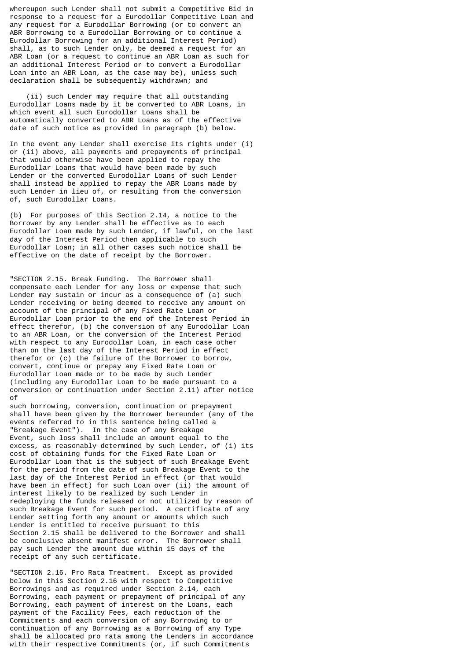whereupon such Lender shall not submit a Competitive Bid in response to a request for a Eurodollar Competitive Loan and any request for a Eurodollar Borrowing (or to convert an ABR Borrowing to a Eurodollar Borrowing or to continue a Eurodollar Borrowing for an additional Interest Period) shall, as to such Lender only, be deemed a request for an ABR Loan (or a request to continue an ABR Loan as such for an additional Interest Period or to convert a Eurodollar Loan into an ABR Loan, as the case may be), unless such declaration shall be subsequently withdrawn; and

 (ii) such Lender may require that all outstanding Eurodollar Loans made by it be converted to ABR Loans, in which event all such Eurodollar Loans shall be automatically converted to ABR Loans as of the effective date of such notice as provided in paragraph (b) below.

In the event any Lender shall exercise its rights under (i) or (ii) above, all payments and prepayments of principal that would otherwise have been applied to repay the Eurodollar Loans that would have been made by such Lender or the converted Eurodollar Loans of such Lender shall instead be applied to repay the ABR Loans made by such Lender in lieu of, or resulting from the conversion of, such Eurodollar Loans.

(b) For purposes of this Section 2.14, a notice to the Borrower by any Lender shall be effective as to each Eurodollar Loan made by such Lender, if lawful, on the last day of the Interest Period then applicable to such Eurodollar Loan; in all other cases such notice shall be effective on the date of receipt by the Borrower.

"SECTION 2.15. Break Funding. The Borrower shall compensate each Lender for any loss or expense that such Lender may sustain or incur as a consequence of (a) such Lender receiving or being deemed to receive any amount on account of the principal of any Fixed Rate Loan or Eurodollar Loan prior to the end of the Interest Period in effect therefor, (b) the conversion of any Eurodollar Loan to an ABR Loan, or the conversion of the Interest Period with respect to any Eurodollar Loan, in each case other than on the last day of the Interest Period in effect therefor or (c) the failure of the Borrower to borrow, convert, continue or prepay any Fixed Rate Loan or Eurodollar Loan made or to be made by such Lender (including any Eurodollar Loan to be made pursuant to a conversion or continuation under Section 2.11) after notice of

such borrowing, conversion, continuation or prepayment shall have been given by the Borrower hereunder (any of the events referred to in this sentence being called a "Breakage Event"). In the case of any Breakage Event, such loss shall include an amount equal to the excess, as reasonably determined by such Lender, of (i) its cost of obtaining funds for the Fixed Rate Loan or Eurodollar Loan that is the subject of such Breakage Event for the period from the date of such Breakage Event to the last day of the Interest Period in effect (or that would have been in effect) for such Loan over (ii) the amount of interest likely to be realized by such Lender in redeploying the funds released or not utilized by reason of such Breakage Event for such period. A certificate of any Lender setting forth any amount or amounts which such Lender is entitled to receive pursuant to this Section 2.15 shall be delivered to the Borrower and shall be conclusive absent manifest error. The Borrower shall pay such Lender the amount due within 15 days of the receipt of any such certificate.

"SECTION 2.16. Pro Rata Treatment. Except as provided below in this Section 2.16 with respect to Competitive Borrowings and as required under Section 2.14, each Borrowing, each payment or prepayment of principal of any Borrowing, each payment of interest on the Loans, each payment of the Facility Fees, each reduction of the Commitments and each conversion of any Borrowing to or continuation of any Borrowing as a Borrowing of any Type shall be allocated pro rata among the Lenders in accordance with their respective Commitments (or, if such Commitments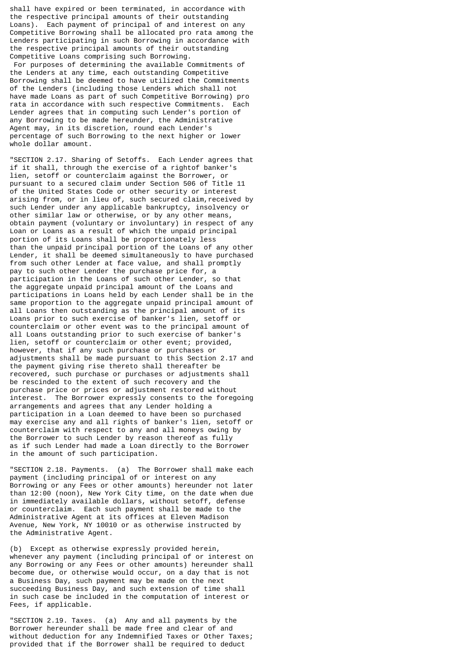shall have expired or been terminated, in accordance with the respective principal amounts of their outstanding Loans). Each payment of principal of and interest on any Competitive Borrowing shall be allocated pro rata among the Lenders participating in such Borrowing in accordance with the respective principal amounts of their outstanding Competitive Loans comprising such Borrowing. For purposes of determining the available Commitments of the Lenders at any time, each outstanding Competitive Borrowing shall be deemed to have utilized the Commitments of the Lenders (including those Lenders which shall not have made Loans as part of such Competitive Borrowing) pro rata in accordance with such respective Commitments. Each Lender agrees that in computing such Lender's portion of any Borrowing to be made hereunder, the Administrative Agent may, in its discretion, round each Lender's percentage of such Borrowing to the next higher or lower whole dollar amount.

"SECTION 2.17. Sharing of Setoffs. Each Lender agrees that if it shall, through the exercise of a rightof banker's lien, setoff or counterclaim against the Borrower, or pursuant to a secured claim under Section 506 of Title 11 of the United States Code or other security or interest arising from, or in lieu of, such secured claim,received by such Lender under any applicable bankruptcy, insolvency or other similar law or otherwise, or by any other means, obtain payment (voluntary or involuntary) in respect of any Loan or Loans as a result of which the unpaid principal portion of its Loans shall be proportionately less than the unpaid principal portion of the Loans of any other Lender, it shall be deemed simultaneously to have purchased from such other Lender at face value, and shall promptly pay to such other Lender the purchase price for, a participation in the Loans of such other Lender, so that the aggregate unpaid principal amount of the Loans and participations in Loans held by each Lender shall be in the same proportion to the aggregate unpaid principal amount of all Loans then outstanding as the principal amount of its Loans prior to such exercise of banker's lien, setoff or counterclaim or other event was to the principal amount of all Loans outstanding prior to such exercise of banker's lien, setoff or counterclaim or other event; provided, however, that if any such purchase or purchases or adjustments shall be made pursuant to this Section 2.17 and the payment giving rise thereto shall thereafter be recovered, such purchase or purchases or adjustments shall be rescinded to the extent of such recovery and the purchase price or prices or adjustment restored without interest. The Borrower expressly consents to the foregoing arrangements and agrees that any Lender holding a participation in a Loan deemed to have been so purchased may exercise any and all rights of banker's lien, setoff or counterclaim with respect to any and all moneys owing by the Borrower to such Lender by reason thereof as fully as if such Lender had made a Loan directly to the Borrower in the amount of such participation.

"SECTION 2.18. Payments. (a) The Borrower shall make each payment (including principal of or interest on any Borrowing or any Fees or other amounts) hereunder not later than 12:00 (noon), New York City time, on the date when due in immediately available dollars, without setoff, defense or counterclaim. Each such payment shall be made to the Administrative Agent at its offices at Eleven Madison Avenue, New York, NY 10010 or as otherwise instructed by the Administrative Agent.

(b) Except as otherwise expressly provided herein, whenever any payment (including principal of or interest on any Borrowing or any Fees or other amounts) hereunder shall become due, or otherwise would occur, on a day that is not a Business Day, such payment may be made on the next succeeding Business Day, and such extension of time shall in such case be included in the computation of interest or Fees, if applicable.

"SECTION 2.19. Taxes. (a) Any and all payments by the Borrower hereunder shall be made free and clear of and without deduction for any Indemnified Taxes or Other Taxes; provided that if the Borrower shall be required to deduct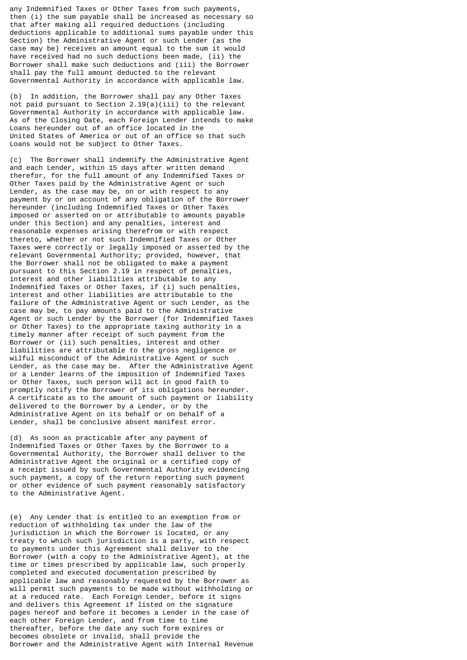any Indemnified Taxes or Other Taxes from such payments, then (i) the sum payable shall be increased as necessary so that after making all required deductions (including deductions applicable to additional sums payable under this Section) the Administrative Agent or such Lender (as the case may be) receives an amount equal to the sum it would have received had no such deductions been made, (ii) the Borrower shall make such deductions and (iii) the Borrower shall pay the full amount deducted to the relevant Governmental Authority in accordance with applicable law.

(b) In addition, the Borrower shall pay any Other Taxes not paid pursuant to Section 2.19(a)(iii) to the relevant Governmental Authority in accordance with applicable law. As of the Closing Date, each Foreign Lender intends to make Loans hereunder out of an office located in the United States of America or out of an office so that such Loans would not be subject to Other Taxes.

(c) The Borrower shall indemnify the Administrative Agent and each Lender, within 15 days after written demand therefor, for the full amount of any Indemnified Taxes or Other Taxes paid by the Administrative Agent or such Lender, as the case may be, on or with respect to any payment by or on account of any obligation of the Borrower hereunder (including Indemnified Taxes or Other Taxes imposed or asserted on or attributable to amounts payable under this Section) and any penalties, interest and reasonable expenses arising therefrom or with respect thereto, whether or not such Indemnified Taxes or Other Taxes were correctly or legally imposed or asserted by the relevant Governmental Authority; provided, however, that the Borrower shall not be obligated to make a payment pursuant to this Section 2.19 in respect of penalties, interest and other liabilities attributable to any Indemnified Taxes or Other Taxes, if (i) such penalties, interest and other liabilities are attributable to the failure of the Administrative Agent or such Lender, as the case may be, to pay amounts paid to the Administrative Agent or such Lender by the Borrower (for Indemnified Taxes or Other Taxes) to the appropriate taxing authority in a timely manner after receipt of such payment from the Borrower or (ii) such penalties, interest and other liabilities are attributable to the gross negligence or wilful misconduct of the Administrative Agent or such Lender, as the case may be. After the Administrative Agent or a Lender learns of the imposition of Indemnified Taxes or Other Taxes, such person will act in good faith to promptly notify the Borrower of its obligations hereunder. A certificate as to the amount of such payment or liability delivered to the Borrower by a Lender, or by the Administrative Agent on its behalf or on behalf of a Lender, shall be conclusive absent manifest error.

(d) As soon as practicable after any payment of Indemnified Taxes or Other Taxes by the Borrower to a Governmental Authority, the Borrower shall deliver to the Administrative Agent the original or a certified copy of a receipt issued by such Governmental Authority evidencing such payment, a copy of the return reporting such payment or other evidence of such payment reasonably satisfactory to the Administrative Agent.

(e) Any Lender that is entitled to an exemption from or reduction of withholding tax under the law of the jurisdiction in which the Borrower is located, or any treaty to which such jurisdiction is a party, with respect to payments under this Agreement shall deliver to the Borrower (with a copy to the Administrative Agent), at the time or times prescribed by applicable law, such properly completed and executed documentation prescribed by applicable law and reasonably requested by the Borrower as will permit such payments to be made without withholding or at a reduced rate. Each Foreign Lender, before it signs and delivers this Agreement if listed on the signature pages hereof and before it becomes a Lender in the case of each other Foreign Lender, and from time to time thereafter, before the date any such form expires or becomes obsolete or invalid, shall provide the Borrower and the Administrative Agent with Internal Revenue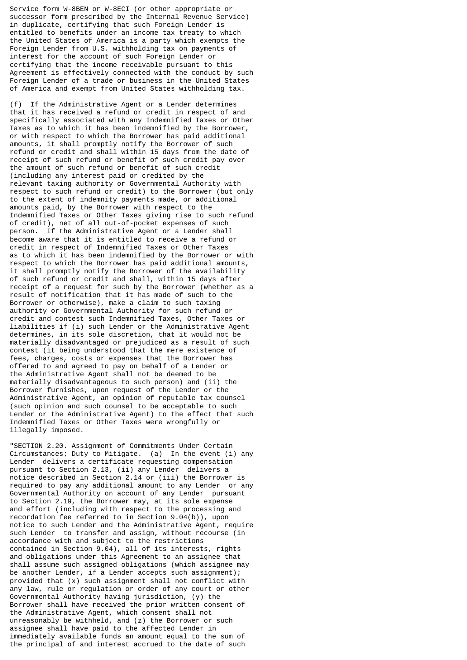Service form W-8BEN or W-8ECI (or other appropriate or successor form prescribed by the Internal Revenue Service) in duplicate, certifying that such Foreign Lender is entitled to benefits under an income tax treaty to which the United States of America is a party which exempts the Foreign Lender from U.S. withholding tax on payments of interest for the account of such Foreign Lender or certifying that the income receivable pursuant to this Agreement is effectively connected with the conduct by such Foreign Lender of a trade or business in the United States of America and exempt from United States withholding tax.

(f) If the Administrative Agent or a Lender determines that it has received a refund or credit in respect of and specifically associated with any Indemnified Taxes or Other Taxes as to which it has been indemnified by the Borrower, or with respect to which the Borrower has paid additional amounts, it shall promptly notify the Borrower of such refund or credit and shall within 15 days from the date of receipt of such refund or benefit of such credit pay over the amount of such refund or benefit of such credit (including any interest paid or credited by the relevant taxing authority or Governmental Authority with respect to such refund or credit) to the Borrower (but only to the extent of indemnity payments made, or additional amounts paid, by the Borrower with respect to the Indemnified Taxes or Other Taxes giving rise to such refund of credit), net of all out-of-pocket expenses of such person. If the Administrative Agent or a Lender shall become aware that it is entitled to receive a refund or credit in respect of Indemnified Taxes or Other Taxes as to which it has been indemnified by the Borrower or with respect to which the Borrower has paid additional amounts, it shall promptly notify the Borrower of the availability of such refund or credit and shall, within 15 days after receipt of a request for such by the Borrower (whether as a result of notification that it has made of such to the Borrower or otherwise), make a claim to such taxing authority or Governmental Authority for such refund or credit and contest such Indemnified Taxes, Other Taxes or liabilities if (i) such Lender or the Administrative Agent determines, in its sole discretion, that it would not be materially disadvantaged or prejudiced as a result of such contest (it being understood that the mere existence of fees, charges, costs or expenses that the Borrower has offered to and agreed to pay on behalf of a Lender or the Administrative Agent shall not be deemed to be materially disadvantageous to such person) and (ii) the Borrower furnishes, upon request of the Lender or the Administrative Agent, an opinion of reputable tax counsel (such opinion and such counsel to be acceptable to such Lender or the Administrative Agent) to the effect that such Indemnified Taxes or Other Taxes were wrongfully or illegally imposed.

"SECTION 2.20. Assignment of Commitments Under Certain Circumstances; Duty to Mitigate. (a) In the event (i) any Lender delivers a certificate requesting compensation pursuant to Section 2.13, (ii) any Lender delivers a notice described in Section 2.14 or (iii) the Borrower is required to pay any additional amount to any Lender or any Governmental Authority on account of any Lender pursuant to Section 2.19, the Borrower may, at its sole expense and effort (including with respect to the processing and recordation fee referred to in Section 9.04(b)), upon notice to such Lender and the Administrative Agent, require such Lender to transfer and assign, without recourse (in accordance with and subject to the restrictions contained in Section 9.04), all of its interests, rights and obligations under this Agreement to an assignee that shall assume such assigned obligations (which assignee may be another Lender, if a Lender accepts such assignment); provided that (x) such assignment shall not conflict with any law, rule or regulation or order of any court or other Governmental Authority having jurisdiction, (y) the Borrower shall have received the prior written consent of the Administrative Agent, which consent shall not unreasonably be withheld, and (z) the Borrower or such assignee shall have paid to the affected Lender in immediately available funds an amount equal to the sum of the principal of and interest accrued to the date of such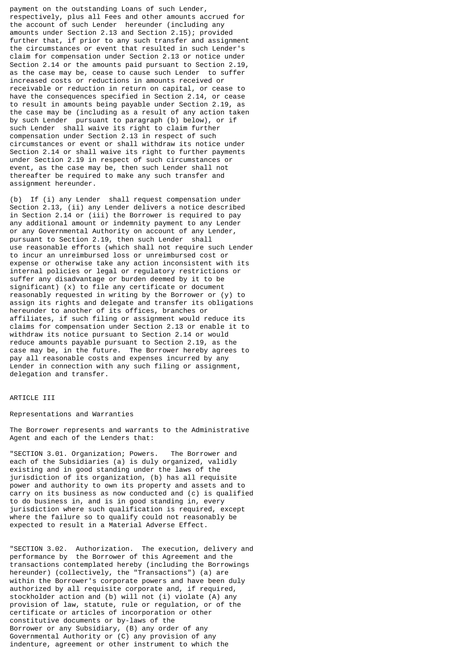payment on the outstanding Loans of such Lender, respectively, plus all Fees and other amounts accrued for the account of such Lender hereunder (including any amounts under Section 2.13 and Section 2.15); provided further that, if prior to any such transfer and assignment the circumstances or event that resulted in such Lender's claim for compensation under Section 2.13 or notice under Section 2.14 or the amounts paid pursuant to Section 2.19, as the case may be, cease to cause such Lender to suffer increased costs or reductions in amounts received or receivable or reduction in return on capital, or cease to have the consequences specified in Section 2.14, or cease to result in amounts being payable under Section 2.19, as the case may be (including as a result of any action taken by such Lender pursuant to paragraph (b) below), or if such Lender shall waive its right to claim further compensation under Section 2.13 in respect of such circumstances or event or shall withdraw its notice under Section 2.14 or shall waive its right to further payments under Section 2.19 in respect of such circumstances or event, as the case may be, then such Lender shall not thereafter be required to make any such transfer and assignment hereunder.

(b) If (i) any Lender shall request compensation under Section 2.13, (ii) any Lender delivers a notice described in Section 2.14 or (iii) the Borrower is required to pay any additional amount or indemnity payment to any Lender or any Governmental Authority on account of any Lender, pursuant to Section 2.19, then such Lender shall use reasonable efforts (which shall not require such Lender to incur an unreimbursed loss or unreimbursed cost or expense or otherwise take any action inconsistent with its internal policies or legal or regulatory restrictions or suffer any disadvantage or burden deemed by it to be significant) (x) to file any certificate or document reasonably requested in writing by the Borrower or (y) to assign its rights and delegate and transfer its obligations hereunder to another of its offices, branches or affiliates, if such filing or assignment would reduce its claims for compensation under Section 2.13 or enable it to withdraw its notice pursuant to Section 2.14 or would reduce amounts payable pursuant to Section 2.19, as the case may be, in the future. The Borrower hereby agrees to pay all reasonable costs and expenses incurred by any Lender in connection with any such filing or assignment, delegation and transfer.

# ARTICLE III

### Representations and Warranties

The Borrower represents and warrants to the Administrative Agent and each of the Lenders that:

"SECTION 3.01. Organization; Powers. The Borrower and each of the Subsidiaries (a) is duly organized, validly existing and in good standing under the laws of the jurisdiction of its organization, (b) has all requisite power and authority to own its property and assets and to carry on its business as now conducted and (c) is qualified to do business in, and is in good standing in, every jurisdiction where such qualification is required, except where the failure so to qualify could not reasonably be expected to result in a Material Adverse Effect.

"SECTION 3.02. Authorization. The execution, delivery and performance by the Borrower of this Agreement and the transactions contemplated hereby (including the Borrowings hereunder) (collectively, the "Transactions") (a) are within the Borrower's corporate powers and have been duly authorized by all requisite corporate and, if required, stockholder action and (b) will not (i) violate (A) any provision of law, statute, rule or regulation, or of the certificate or articles of incorporation or other constitutive documents or by-laws of the Borrower or any Subsidiary, (B) any order of any Governmental Authority or (C) any provision of any indenture, agreement or other instrument to which the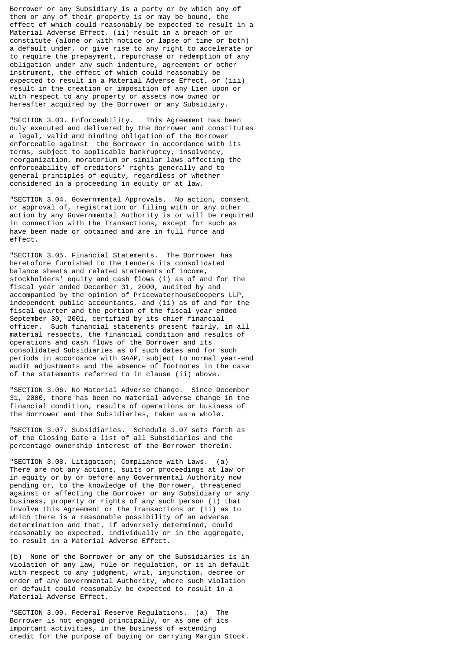Borrower or any Subsidiary is a party or by which any of them or any of their property is or may be bound, the effect of which could reasonably be expected to result in a Material Adverse Effect, (ii) result in a breach of or constitute (alone or with notice or lapse of time or both) a default under, or give rise to any right to accelerate or to require the prepayment, repurchase or redemption of any obligation under any such indenture, agreement or other instrument, the effect of which could reasonably be expected to result in a Material Adverse Effect, or (iii) result in the creation or imposition of any Lien upon or with respect to any property or assets now owned or hereafter acquired by the Borrower or any Subsidiary.

"SECTION 3.03. Enforceability. This Agreement has been duly executed and delivered by the Borrower and constitutes a legal, valid and binding obligation of the Borrower enforceable against the Borrower in accordance with its terms, subject to applicable bankruptcy, insolvency, reorganization, moratorium or similar laws affecting the enforceability of creditors' rights generally and to general principles of equity, regardless of whether considered in a proceeding in equity or at law.

"SECTION 3.04. Governmental Approvals. No action, consent or approval of, registration or filing with or any other action by any Governmental Authority is or will be required in connection with the Transactions, except for such as have been made or obtained and are in full force and effect.

"SECTION 3.05. Financial Statements. The Borrower has heretofore furnished to the Lenders its consolidated balance sheets and related statements of income, stockholders' equity and cash flows (i) as of and for the fiscal year ended December 31, 2000, audited by and accompanied by the opinion of PricewaterhouseCoopers LLP, independent public accountants, and (ii) as of and for the fiscal quarter and the portion of the fiscal year ended September 30, 2001, certified by its chief financial officer. Such financial statements present fairly, in all material respects, the financial condition and results of operations and cash flows of the Borrower and its consolidated Subsidiaries as of such dates and for such periods in accordance with GAAP, subject to normal year-end audit adjustments and the absence of footnotes in the case of the statements referred to in clause (ii) above.

"SECTION 3.06. No Material Adverse Change. Since December 31, 2000, there has been no material adverse change in the financial condition, results of operations or business of the Borrower and the Subsidiaries, taken as a whole.

"SECTION 3.07. Subsidiaries. Schedule 3.07 sets forth as of the Closing Date a list of all Subsidiaries and the percentage ownership interest of the Borrower therein.

"SECTION 3.08. Litigation; Compliance with Laws. (a) There are not any actions, suits or proceedings at law or in equity or by or before any Governmental Authority now pending or, to the knowledge of the Borrower, threatened against or affecting the Borrower or any Subsidiary or any business, property or rights of any such person (i) that involve this Agreement or the Transactions or (ii) as to which there is a reasonable possibility of an adverse determination and that, if adversely determined, could reasonably be expected, individually or in the aggregate, to result in a Material Adverse Effect.

(b) None of the Borrower or any of the Subsidiaries is in violation of any law, rule or regulation, or is in default with respect to any judgment, writ, injunction, decree or order of any Governmental Authority, where such violation or default could reasonably be expected to result in a Material Adverse Effect.

"SECTION 3.09. Federal Reserve Regulations. (a) The Borrower is not engaged principally, or as one of its important activities, in the business of extending credit for the purpose of buying or carrying Margin Stock.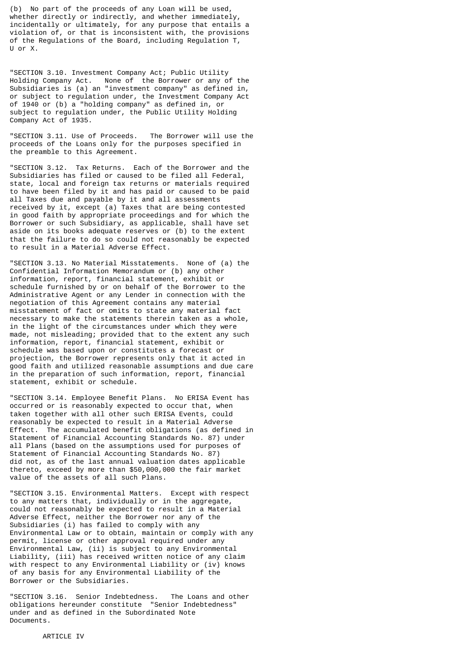(b) No part of the proceeds of any Loan will be used, whether directly or indirectly, and whether immediately, incidentally or ultimately, for any purpose that entails a violation of, or that is inconsistent with, the provisions of the Regulations of the Board, including Regulation T, U or X.

"SECTION 3.10. Investment Company Act; Public Utility Holding Company Act. None of the Borrower or any of the Subsidiaries is (a) an "investment company" as defined in, or subject to regulation under, the Investment Company Act of 1940 or (b) a "holding company" as defined in, or subject to regulation under, the Public Utility Holding Company Act of 1935.

"SECTION 3.11. Use of Proceeds. The Borrower will use the proceeds of the Loans only for the purposes specified in the preamble to this Agreement.

"SECTION 3.12. Tax Returns. Each of the Borrower and the Subsidiaries has filed or caused to be filed all Federal, state, local and foreign tax returns or materials required to have been filed by it and has paid or caused to be paid all Taxes due and payable by it and all assessments received by it, except (a) Taxes that are being contested in good faith by appropriate proceedings and for which the Borrower or such Subsidiary, as applicable, shall have set aside on its books adequate reserves or (b) to the extent that the failure to do so could not reasonably be expected to result in a Material Adverse Effect.

"SECTION 3.13. No Material Misstatements. None of (a) the Confidential Information Memorandum or (b) any other information, report, financial statement, exhibit or schedule furnished by or on behalf of the Borrower to the Administrative Agent or any Lender in connection with the negotiation of this Agreement contains any material misstatement of fact or omits to state any material fact necessary to make the statements therein taken as a whole, in the light of the circumstances under which they were made, not misleading; provided that to the extent any such information, report, financial statement, exhibit or schedule was based upon or constitutes a forecast or projection, the Borrower represents only that it acted in good faith and utilized reasonable assumptions and due care in the preparation of such information, report, financial statement, exhibit or schedule.

"SECTION 3.14. Employee Benefit Plans. No ERISA Event has occurred or is reasonably expected to occur that, when taken together with all other such ERISA Events, could reasonably be expected to result in a Material Adverse Effect. The accumulated benefit obligations (as defined in Statement of Financial Accounting Standards No. 87) under all Plans (based on the assumptions used for purposes of Statement of Financial Accounting Standards No. 87) did not, as of the last annual valuation dates applicable thereto, exceed by more than \$50,000,000 the fair market value of the assets of all such Plans.

"SECTION 3.15. Environmental Matters. Except with respect to any matters that, individually or in the aggregate, could not reasonably be expected to result in a Material Adverse Effect, neither the Borrower nor any of the Subsidiaries (i) has failed to comply with any Environmental Law or to obtain, maintain or comply with any permit, license or other approval required under any Environmental Law, (ii) is subject to any Environmental Liability, (iii) has received written notice of any claim with respect to any Environmental Liability or (iv) knows of any basis for any Environmental Liability of the Borrower or the Subsidiaries.

"SECTION 3.16. Senior Indebtedness. The Loans and other obligations hereunder constitute "Senior Indebtedness" under and as defined in the Subordinated Note Documents.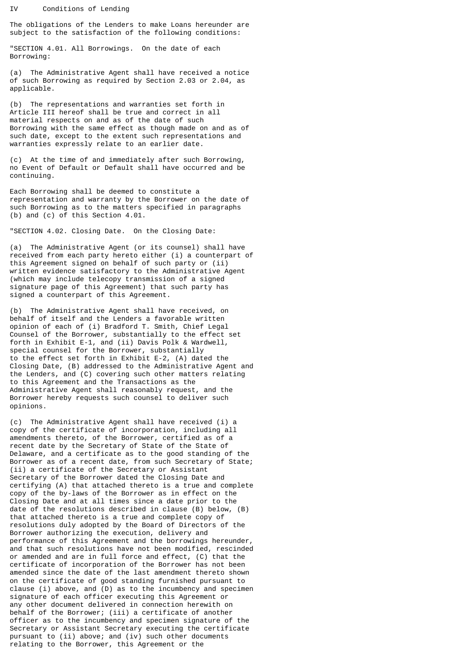The obligations of the Lenders to make Loans hereunder are subject to the satisfaction of the following conditions:

"SECTION 4.01. All Borrowings. On the date of each Borrowing:

(a) The Administrative Agent shall have received a notice of such Borrowing as required by Section 2.03 or 2.04, as applicable.

(b) The representations and warranties set forth in Article III hereof shall be true and correct in all material respects on and as of the date of such Borrowing with the same effect as though made on and as of such date, except to the extent such representations and warranties expressly relate to an earlier date.

(c) At the time of and immediately after such Borrowing, no Event of Default or Default shall have occurred and be continuing.

Each Borrowing shall be deemed to constitute a representation and warranty by the Borrower on the date of such Borrowing as to the matters specified in paragraphs (b) and (c) of this Section 4.01.

"SECTION 4.02. Closing Date. On the Closing Date:

(a) The Administrative Agent (or its counsel) shall have received from each party hereto either (i) a counterpart of this Agreement signed on behalf of such party or (ii) written evidence satisfactory to the Administrative Agent (which may include telecopy transmission of a signed signature page of this Agreement) that such party has signed a counterpart of this Agreement.

(b) The Administrative Agent shall have received, on behalf of itself and the Lenders a favorable written opinion of each of (i) Bradford T. Smith, Chief Legal Counsel of the Borrower, substantially to the effect set forth in Exhibit E-1, and (ii) Davis Polk & Wardwell, special counsel for the Borrower, substantially to the effect set forth in Exhibit E-2, (A) dated the Closing Date, (B) addressed to the Administrative Agent and the Lenders, and (C) covering such other matters relating to this Agreement and the Transactions as the Administrative Agent shall reasonably request, and the Borrower hereby requests such counsel to deliver such opinions.

(c) The Administrative Agent shall have received (i) a copy of the certificate of incorporation, including all amendments thereto, of the Borrower, certified as of a recent date by the Secretary of State of the State of Delaware, and a certificate as to the good standing of the Borrower as of a recent date, from such Secretary of State; (ii) a certificate of the Secretary or Assistant Secretary of the Borrower dated the Closing Date and certifying (A) that attached thereto is a true and complete copy of the by-laws of the Borrower as in effect on the Closing Date and at all times since a date prior to the date of the resolutions described in clause (B) below, (B) that attached thereto is a true and complete copy of resolutions duly adopted by the Board of Directors of the Borrower authorizing the execution, delivery and performance of this Agreement and the borrowings hereunder, and that such resolutions have not been modified, rescinded or amended and are in full force and effect, (C) that the certificate of incorporation of the Borrower has not been amended since the date of the last amendment thereto shown on the certificate of good standing furnished pursuant to clause (i) above, and (D) as to the incumbency and specimen signature of each officer executing this Agreement or any other document delivered in connection herewith on behalf of the Borrower; (iii) a certificate of another officer as to the incumbency and specimen signature of the Secretary or Assistant Secretary executing the certificate pursuant to (ii) above; and (iv) such other documents relating to the Borrower, this Agreement or the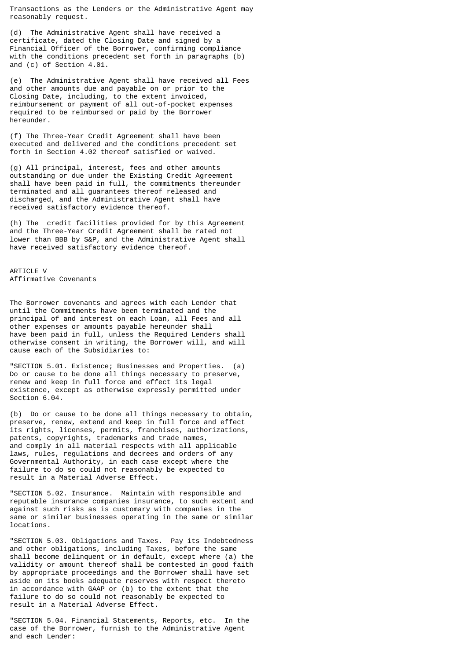Transactions as the Lenders or the Administrative Agent may reasonably request.

(d) The Administrative Agent shall have received a certificate, dated the Closing Date and signed by a Financial Officer of the Borrower, confirming compliance with the conditions precedent set forth in paragraphs (b) and (c) of Section 4.01.

(e) The Administrative Agent shall have received all Fees and other amounts due and payable on or prior to the Closing Date, including, to the extent invoiced, reimbursement or payment of all out-of-pocket expenses required to be reimbursed or paid by the Borrower hereunder.

(f) The Three-Year Credit Agreement shall have been executed and delivered and the conditions precedent set forth in Section 4.02 thereof satisfied or waived.

(g) All principal, interest, fees and other amounts outstanding or due under the Existing Credit Agreement shall have been paid in full, the commitments thereunder terminated and all guarantees thereof released and discharged, and the Administrative Agent shall have received satisfactory evidence thereof.

(h) The credit facilities provided for by this Agreement and the Three-Year Credit Agreement shall be rated not lower than BBB by S&P, and the Administrative Agent shall have received satisfactory evidence thereof.

ARTICLE V Affirmative Covenants

The Borrower covenants and agrees with each Lender that until the Commitments have been terminated and the principal of and interest on each Loan, all Fees and all other expenses or amounts payable hereunder shall have been paid in full, unless the Required Lenders shall otherwise consent in writing, the Borrower will, and will cause each of the Subsidiaries to:

"SECTION 5.01. Existence; Businesses and Properties. (a) Do or cause to be done all things necessary to preserve, renew and keep in full force and effect its legal existence, except as otherwise expressly permitted under Section 6.04.

(b) Do or cause to be done all things necessary to obtain, preserve, renew, extend and keep in full force and effect its rights, licenses, permits, franchises, authorizations, patents, copyrights, trademarks and trade names, and comply in all material respects with all applicable laws, rules, regulations and decrees and orders of any Governmental Authority, in each case except where the failure to do so could not reasonably be expected to result in a Material Adverse Effect.

"SECTION 5.02. Insurance. Maintain with responsible and reputable insurance companies insurance, to such extent and against such risks as is customary with companies in the same or similar businesses operating in the same or similar locations.

"SECTION 5.03. Obligations and Taxes. Pay its Indebtedness and other obligations, including Taxes, before the same shall become delinquent or in default, except where (a) the validity or amount thereof shall be contested in good faith by appropriate proceedings and the Borrower shall have set aside on its books adequate reserves with respect thereto in accordance with GAAP or (b) to the extent that the failure to do so could not reasonably be expected to result in a Material Adverse Effect.

"SECTION 5.04. Financial Statements, Reports, etc. In the case of the Borrower, furnish to the Administrative Agent and each Lender: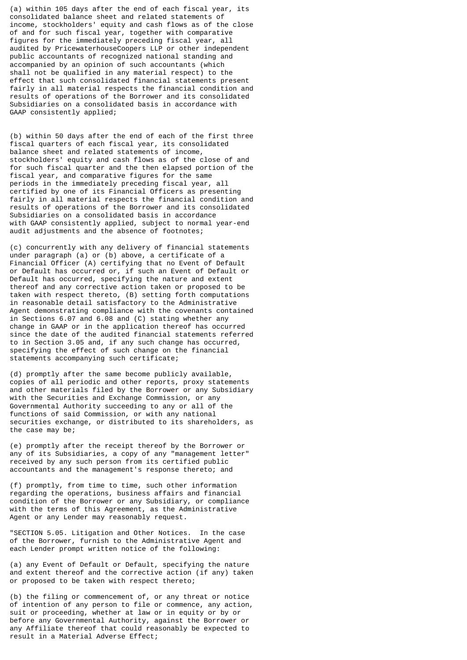(a) within 105 days after the end of each fiscal year, its consolidated balance sheet and related statements of income, stockholders' equity and cash flows as of the close of and for such fiscal year, together with comparative figures for the immediately preceding fiscal year, all audited by PricewaterhouseCoopers LLP or other independent public accountants of recognized national standing and accompanied by an opinion of such accountants (which shall not be qualified in any material respect) to the effect that such consolidated financial statements present fairly in all material respects the financial condition and results of operations of the Borrower and its consolidated Subsidiaries on a consolidated basis in accordance with GAAP consistently applied;

(b) within 50 days after the end of each of the first three fiscal quarters of each fiscal year, its consolidated balance sheet and related statements of income, stockholders' equity and cash flows as of the close of and for such fiscal quarter and the then elapsed portion of the fiscal year, and comparative figures for the same periods in the immediately preceding fiscal year, all certified by one of its Financial Officers as presenting fairly in all material respects the financial condition and results of operations of the Borrower and its consolidated Subsidiaries on a consolidated basis in accordance with GAAP consistently applied, subject to normal year-end audit adjustments and the absence of footnotes;

(c) concurrently with any delivery of financial statements under paragraph (a) or (b) above, a certificate of a Financial Officer (A) certifying that no Event of Default or Default has occurred or, if such an Event of Default or Default has occurred, specifying the nature and extent thereof and any corrective action taken or proposed to be taken with respect thereto, (B) setting forth computations in reasonable detail satisfactory to the Administrative Agent demonstrating compliance with the covenants contained in Sections 6.07 and 6.08 and (C) stating whether any change in GAAP or in the application thereof has occurred since the date of the audited financial statements referred to in Section 3.05 and, if any such change has occurred, specifying the effect of such change on the financial statements accompanying such certificate;

(d) promptly after the same become publicly available, copies of all periodic and other reports, proxy statements and other materials filed by the Borrower or any Subsidiary with the Securities and Exchange Commission, or any Governmental Authority succeeding to any or all of the functions of said Commission, or with any national securities exchange, or distributed to its shareholders, as the case may be;

(e) promptly after the receipt thereof by the Borrower or any of its Subsidiaries, a copy of any "management letter" received by any such person from its certified public accountants and the management's response thereto; and

(f) promptly, from time to time, such other information regarding the operations, business affairs and financial condition of the Borrower or any Subsidiary, or compliance with the terms of this Agreement, as the Administrative Agent or any Lender may reasonably request.

"SECTION 5.05. Litigation and Other Notices. In the case of the Borrower, furnish to the Administrative Agent and each Lender prompt written notice of the following:

(a) any Event of Default or Default, specifying the nature and extent thereof and the corrective action (if any) taken or proposed to be taken with respect thereto;

(b) the filing or commencement of, or any threat or notice of intention of any person to file or commence, any action, suit or proceeding, whether at law or in equity or by or before any Governmental Authority, against the Borrower or any Affiliate thereof that could reasonably be expected to result in a Material Adverse Effect;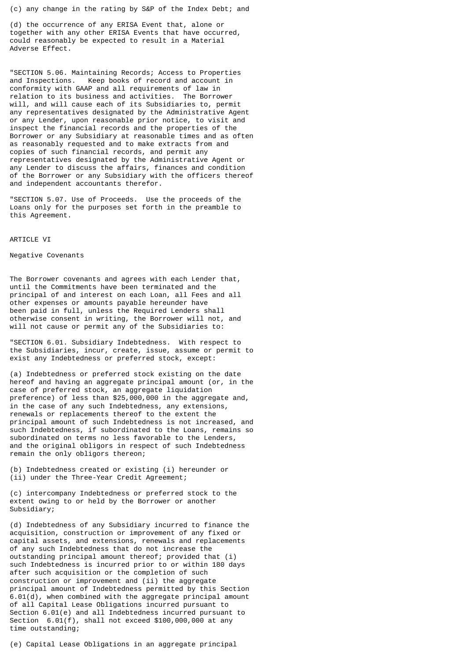(c) any change in the rating by S&P of the Index Debt; and

(d) the occurrence of any ERISA Event that, alone or together with any other ERISA Events that have occurred, could reasonably be expected to result in a Material Adverse Effect.

"SECTION 5.06. Maintaining Records; Access to Properties and Inspections. Keep books of record and account in conformity with GAAP and all requirements of law in relation to its business and activities. The Borrower will, and will cause each of its Subsidiaries to, permit any representatives designated by the Administrative Agent or any Lender, upon reasonable prior notice, to visit and inspect the financial records and the properties of the Borrower or any Subsidiary at reasonable times and as often as reasonably requested and to make extracts from and copies of such financial records, and permit any representatives designated by the Administrative Agent or any Lender to discuss the affairs, finances and condition of the Borrower or any Subsidiary with the officers thereof and independent accountants therefor.

"SECTION 5.07. Use of Proceeds. Use the proceeds of the Loans only for the purposes set forth in the preamble to this Agreement.

#### ARTICLE VI

#### Negative Covenants

The Borrower covenants and agrees with each Lender that, until the Commitments have been terminated and the principal of and interest on each Loan, all Fees and all other expenses or amounts payable hereunder have been paid in full, unless the Required Lenders shall otherwise consent in writing, the Borrower will not, and will not cause or permit any of the Subsidiaries to:

"SECTION 6.01. Subsidiary Indebtedness. With respect to the Subsidiaries, incur, create, issue, assume or permit to exist any Indebtedness or preferred stock, except:

(a) Indebtedness or preferred stock existing on the date hereof and having an aggregate principal amount (or, in the case of preferred stock, an aggregate liquidation preference) of less than \$25,000,000 in the aggregate and, in the case of any such Indebtedness, any extensions, renewals or replacements thereof to the extent the principal amount of such Indebtedness is not increased, and such Indebtedness, if subordinated to the Loans, remains so subordinated on terms no less favorable to the Lenders, and the original obligors in respect of such Indebtedness remain the only obligors thereon;

(b) Indebtedness created or existing (i) hereunder or (ii) under the Three-Year Credit Agreement;

(c) intercompany Indebtedness or preferred stock to the extent owing to or held by the Borrower or another Subsidiary;

(d) Indebtedness of any Subsidiary incurred to finance the acquisition, construction or improvement of any fixed or capital assets, and extensions, renewals and replacements of any such Indebtedness that do not increase the outstanding principal amount thereof; provided that (i) such Indebtedness is incurred prior to or within 180 days after such acquisition or the completion of such construction or improvement and (ii) the aggregate principal amount of Indebtedness permitted by this Section 6.01(d), when combined with the aggregate principal amount of all Capital Lease Obligations incurred pursuant to Section 6.01(e) and all Indebtedness incurred pursuant to Section 6.01(f), shall not exceed \$100,000,000 at any time outstanding;

(e) Capital Lease Obligations in an aggregate principal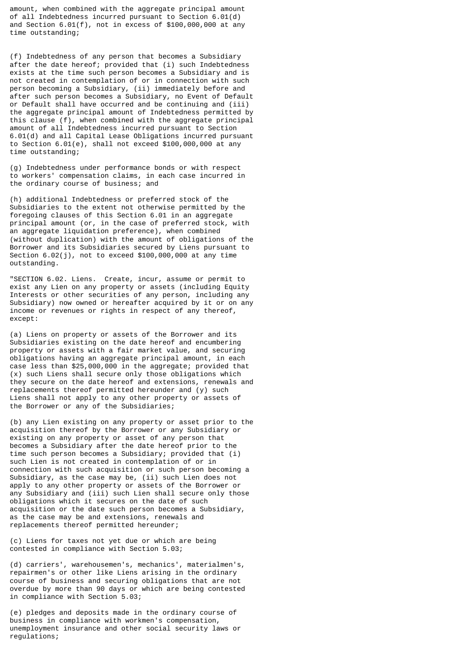amount, when combined with the aggregate principal amount of all Indebtedness incurred pursuant to Section 6.01(d) and Section 6.01(f), not in excess of  $$100,000,000$  at any time outstanding;

(f) Indebtedness of any person that becomes a Subsidiary after the date hereof; provided that (i) such Indebtedness exists at the time such person becomes a Subsidiary and is not created in contemplation of or in connection with such person becoming a Subsidiary, (ii) immediately before and after such person becomes a Subsidiary, no Event of Default or Default shall have occurred and be continuing and (iii) the aggregate principal amount of Indebtedness permitted by this clause (f), when combined with the aggregate principal amount of all Indebtedness incurred pursuant to Section 6.01(d) and all Capital Lease Obligations incurred pursuant to Section 6.01(e), shall not exceed \$100,000,000 at any time outstanding;

(g) Indebtedness under performance bonds or with respect to workers' compensation claims, in each case incurred in the ordinary course of business; and

(h) additional Indebtedness or preferred stock of the Subsidiaries to the extent not otherwise permitted by the foregoing clauses of this Section 6.01 in an aggregate principal amount (or, in the case of preferred stock, with an aggregate liquidation preference), when combined (without duplication) with the amount of obligations of the Borrower and its Subsidiaries secured by Liens pursuant to Section 6.02(j), not to exceed \$100,000,000 at any time outstanding.

"SECTION 6.02. Liens. Create, incur, assume or permit to exist any Lien on any property or assets (including Equity Interests or other securities of any person, including any Subsidiary) now owned or hereafter acquired by it or on any income or revenues or rights in respect of any thereof, except:

(a) Liens on property or assets of the Borrower and its Subsidiaries existing on the date hereof and encumbering property or assets with a fair market value, and securing obligations having an aggregate principal amount, in each case less than \$25,000,000 in the aggregate; provided that (x) such Liens shall secure only those obligations which they secure on the date hereof and extensions, renewals and replacements thereof permitted hereunder and (y) such Liens shall not apply to any other property or assets of the Borrower or any of the Subsidiaries;

(b) any Lien existing on any property or asset prior to the acquisition thereof by the Borrower or any Subsidiary or existing on any property or asset of any person that becomes a Subsidiary after the date hereof prior to the time such person becomes a Subsidiary; provided that (i) such Lien is not created in contemplation of or in connection with such acquisition or such person becoming a Subsidiary, as the case may be, (ii) such Lien does not apply to any other property or assets of the Borrower or any Subsidiary and (iii) such Lien shall secure only those obligations which it secures on the date of such acquisition or the date such person becomes a Subsidiary, as the case may be and extensions, renewals and replacements thereof permitted hereunder;

(c) Liens for taxes not yet due or which are being contested in compliance with Section 5.03;

(d) carriers', warehousemen's, mechanics', materialmen's, repairmen's or other like Liens arising in the ordinary course of business and securing obligations that are not overdue by more than 90 days or which are being contested in compliance with Section 5.03;

(e) pledges and deposits made in the ordinary course of business in compliance with workmen's compensation, unemployment insurance and other social security laws or regulations;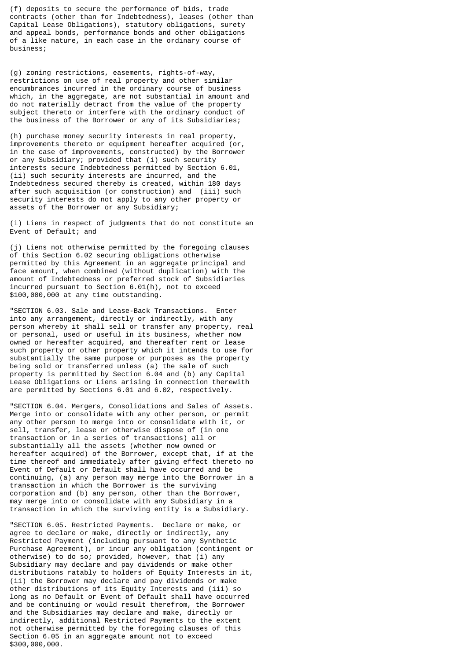(f) deposits to secure the performance of bids, trade contracts (other than for Indebtedness), leases (other than Capital Lease Obligations), statutory obligations, surety and appeal bonds, performance bonds and other obligations of a like nature, in each case in the ordinary course of business;

(g) zoning restrictions, easements, rights-of-way, restrictions on use of real property and other similar encumbrances incurred in the ordinary course of business which, in the aggregate, are not substantial in amount and do not materially detract from the value of the property subject thereto or interfere with the ordinary conduct of the business of the Borrower or any of its Subsidiaries;

(h) purchase money security interests in real property, improvements thereto or equipment hereafter acquired (or, in the case of improvements, constructed) by the Borrower or any Subsidiary; provided that (i) such security interests secure Indebtedness permitted by Section 6.01, (ii) such security interests are incurred, and the Indebtedness secured thereby is created, within 180 days after such acquisition (or construction) and (iii) such security interests do not apply to any other property or assets of the Borrower or any Subsidiary;

(i) Liens in respect of judgments that do not constitute an Event of Default; and

(j) Liens not otherwise permitted by the foregoing clauses of this Section 6.02 securing obligations otherwise permitted by this Agreement in an aggregate principal and face amount, when combined (without duplication) with the amount of Indebtedness or preferred stock of Subsidiaries incurred pursuant to Section 6.01(h), not to exceed \$100,000,000 at any time outstanding.

"SECTION 6.03. Sale and Lease-Back Transactions. Enter into any arrangement, directly or indirectly, with any person whereby it shall sell or transfer any property, real or personal, used or useful in its business, whether now owned or hereafter acquired, and thereafter rent or lease such property or other property which it intends to use for substantially the same purpose or purposes as the property being sold or transferred unless (a) the sale of such property is permitted by Section 6.04 and (b) any Capital Lease Obligations or Liens arising in connection therewith are permitted by Sections 6.01 and 6.02, respectively.

"SECTION 6.04. Mergers, Consolidations and Sales of Assets. Merge into or consolidate with any other person, or permit any other person to merge into or consolidate with it, or sell, transfer, lease or otherwise dispose of (in one transaction or in a series of transactions) all or substantially all the assets (whether now owned or hereafter acquired) of the Borrower, except that, if at the time thereof and immediately after giving effect thereto no Event of Default or Default shall have occurred and be continuing, (a) any person may merge into the Borrower in a transaction in which the Borrower is the surviving corporation and (b) any person, other than the Borrower, may merge into or consolidate with any Subsidiary in a transaction in which the surviving entity is a Subsidiary.

"SECTION 6.05. Restricted Payments. Declare or make, or agree to declare or make, directly or indirectly, any Restricted Payment (including pursuant to any Synthetic Purchase Agreement), or incur any obligation (contingent or otherwise) to do so; provided, however, that (i) any Subsidiary may declare and pay dividends or make other distributions ratably to holders of Equity Interests in it, (ii) the Borrower may declare and pay dividends or make other distributions of its Equity Interests and (iii) so long as no Default or Event of Default shall have occurred and be continuing or would result therefrom, the Borrower and the Subsidiaries may declare and make, directly or indirectly, additional Restricted Payments to the extent not otherwise permitted by the foregoing clauses of this Section 6.05 in an aggregate amount not to exceed \$300,000,000.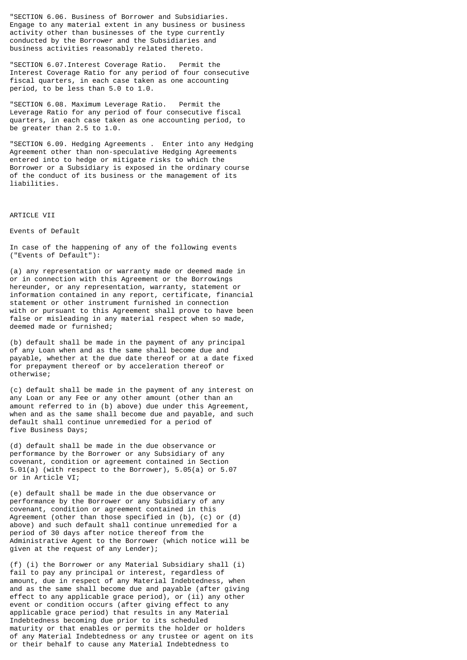"SECTION 6.06. Business of Borrower and Subsidiaries. Engage to any material extent in any business or business activity other than businesses of the type currently conducted by the Borrower and the Subsidiaries and business activities reasonably related thereto.

"SECTION 6.07.Interest Coverage Ratio. Permit the Interest Coverage Ratio for any period of four consecutive fiscal quarters, in each case taken as one accounting period, to be less than 5.0 to 1.0.

"SECTION 6.08. Maximum Leverage Ratio. Permit the Leverage Ratio for any period of four consecutive fiscal quarters, in each case taken as one accounting period, to be greater than 2.5 to 1.0.

"SECTION 6.09. Hedging Agreements . Enter into any Hedging Agreement other than non-speculative Hedging Agreements entered into to hedge or mitigate risks to which the Borrower or a Subsidiary is exposed in the ordinary course of the conduct of its business or the management of its liabilities.

ARTICLE VII

Events of Default

In case of the happening of any of the following events ("Events of Default"):

(a) any representation or warranty made or deemed made in or in connection with this Agreement or the Borrowings hereunder, or any representation, warranty, statement or information contained in any report, certificate, financial statement or other instrument furnished in connection with or pursuant to this Agreement shall prove to have been false or misleading in any material respect when so made, deemed made or furnished;

(b) default shall be made in the payment of any principal of any Loan when and as the same shall become due and payable, whether at the due date thereof or at a date fixed for prepayment thereof or by acceleration thereof or otherwise;

(c) default shall be made in the payment of any interest on any Loan or any Fee or any other amount (other than an amount referred to in (b) above) due under this Agreement, when and as the same shall become due and payable, and such default shall continue unremedied for a period of five Business Days;

(d) default shall be made in the due observance or performance by the Borrower or any Subsidiary of any covenant, condition or agreement contained in Section 5.01(a) (with respect to the Borrower), 5.05(a) or 5.07 or in Article VI;

(e) default shall be made in the due observance or performance by the Borrower or any Subsidiary of any covenant, condition or agreement contained in this Agreement (other than those specified in (b), (c) or (d) above) and such default shall continue unremedied for a period of 30 days after notice thereof from the Administrative Agent to the Borrower (which notice will be given at the request of any Lender);

(f) (i) the Borrower or any Material Subsidiary shall (i) fail to pay any principal or interest, regardless of amount, due in respect of any Material Indebtedness, when and as the same shall become due and payable (after giving effect to any applicable grace period), or (ii) any other event or condition occurs (after giving effect to any applicable grace period) that results in any Material Indebtedness becoming due prior to its scheduled maturity or that enables or permits the holder or holders of any Material Indebtedness or any trustee or agent on its or their behalf to cause any Material Indebtedness to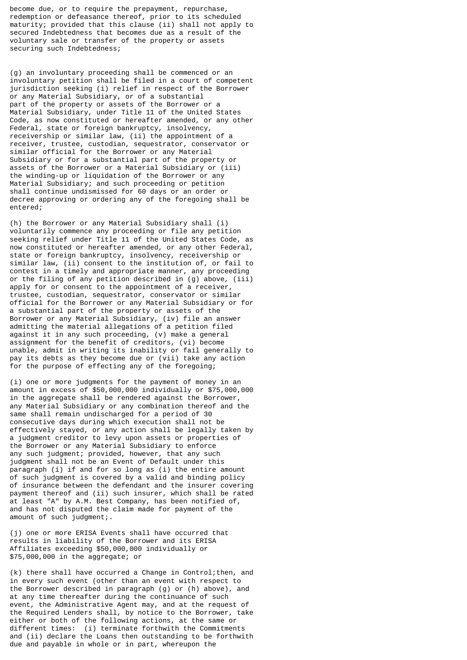become due, or to require the prepayment, repurchase, redemption or defeasance thereof, prior to its scheduled maturity; provided that this clause (ii) shall not apply to secured Indebtedness that becomes due as a result of the voluntary sale or transfer of the property or assets securing such Indebtedness;

(g) an involuntary proceeding shall be commenced or an involuntary petition shall be filed in a court of competent jurisdiction seeking (i) relief in respect of the Borrower or any Material Subsidiary, or of a substantial part of the property or assets of the Borrower or a Material Subsidiary, under Title 11 of the United States Code, as now constituted or hereafter amended, or any other Federal, state or foreign bankruptcy, insolvency, receivership or similar law, (ii) the appointment of a receiver, trustee, custodian, sequestrator, conservator or similar official for the Borrower or any Material Subsidiary or for a substantial part of the property or assets of the Borrower or a Material Subsidiary or (iii) the winding-up or liquidation of the Borrower or any Material Subsidiary; and such proceeding or petition shall continue undismissed for 60 days or an order or decree approving or ordering any of the foregoing shall be entered;

(h) the Borrower or any Material Subsidiary shall (i) voluntarily commence any proceeding or file any petition seeking relief under Title 11 of the United States Code, as now constituted or hereafter amended, or any other Federal, state or foreign bankruptcy, insolvency, receivership or similar law, (ii) consent to the institution of, or fail to contest in a timely and appropriate manner, any proceeding or the filing of any petition described in (g) above, (iii) apply for or consent to the appointment of a receiver, trustee, custodian, sequestrator, conservator or similar official for the Borrower or any Material Subsidiary or for a substantial part of the property or assets of the Borrower or any Material Subsidiary, (iv) file an answer admitting the material allegations of a petition filed against it in any such proceeding, (v) make a general assignment for the benefit of creditors, (vi) become unable, admit in writing its inability or fail generally to pay its debts as they become due or (vii) take any action for the purpose of effecting any of the foregoing;

(i) one or more judgments for the payment of money in an amount in excess of \$50,000,000 individually or \$75,000,000 in the aggregate shall be rendered against the Borrower, any Material Subsidiary or any combination thereof and the same shall remain undischarged for a period of 30 consecutive days during which execution shall not be effectively stayed, or any action shall be legally taken by a judgment creditor to levy upon assets or properties of the Borrower or any Material Subsidiary to enforce any such judgment; provided, however, that any such judgment shall not be an Event of Default under this paragraph (i) if and for so long as (i) the entire amount of such judgment is covered by a valid and binding policy of insurance between the defendant and the insurer covering payment thereof and (ii) such insurer, which shall be rated at least "A" by A.M. Best Company, has been notified of, and has not disputed the claim made for payment of the amount of such judgment;.

(j) one or more ERISA Events shall have occurred that results in liability of the Borrower and its ERISA Affiliates exceeding \$50,000,000 individually or \$75,000,000 in the aggregate; or

(k) there shall have occurred a Change in Control;then, and in every such event (other than an event with respect to the Borrower described in paragraph (g) or (h) above), and at any time thereafter during the continuance of such event, the Administrative Agent may, and at the request of the Required Lenders shall, by notice to the Borrower, take either or both of the following actions, at the same or different times: (i) terminate forthwith the Commitments and (ii) declare the Loans then outstanding to be forthwith due and payable in whole or in part, whereupon the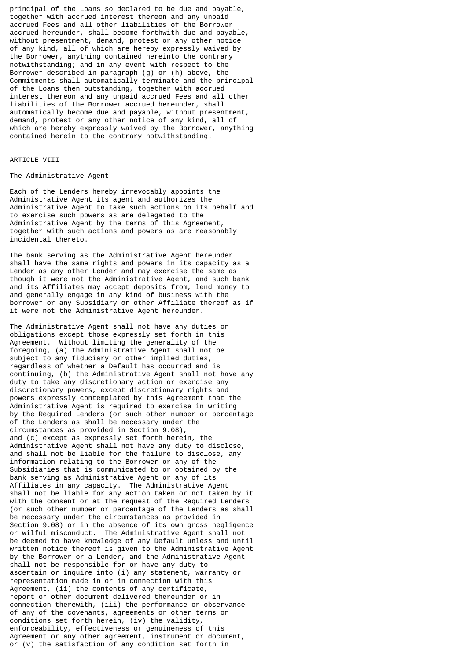principal of the Loans so declared to be due and payable, together with accrued interest thereon and any unpaid accrued Fees and all other liabilities of the Borrower accrued hereunder, shall become forthwith due and payable, without presentment, demand, protest or any other notice of any kind, all of which are hereby expressly waived by the Borrower, anything contained hereinto the contrary notwithstanding; and in any event with respect to the Borrower described in paragraph (g) or (h) above, the Commitments shall automatically terminate and the principal of the Loans then outstanding, together with accrued interest thereon and any unpaid accrued Fees and all other liabilities of the Borrower accrued hereunder, shall automatically become due and payable, without presentment, demand, protest or any other notice of any kind, all of which are hereby expressly waived by the Borrower, anything contained herein to the contrary notwithstanding.

## ARTICLE VIII

## The Administrative Agent

Each of the Lenders hereby irrevocably appoints the Administrative Agent its agent and authorizes the Administrative Agent to take such actions on its behalf and to exercise such powers as are delegated to the Administrative Agent by the terms of this Agreement, together with such actions and powers as are reasonably incidental thereto.

The bank serving as the Administrative Agent hereunder shall have the same rights and powers in its capacity as a Lender as any other Lender and may exercise the same as though it were not the Administrative Agent, and such bank and its Affiliates may accept deposits from, lend money to and generally engage in any kind of business with the borrower or any Subsidiary or other Affiliate thereof as if it were not the Administrative Agent hereunder.

The Administrative Agent shall not have any duties or obligations except those expressly set forth in this Agreement. Without limiting the generality of the foregoing, (a) the Administrative Agent shall not be subject to any fiduciary or other implied duties, regardless of whether a Default has occurred and is continuing, (b) the Administrative Agent shall not have any duty to take any discretionary action or exercise any discretionary powers, except discretionary rights and powers expressly contemplated by this Agreement that the Administrative Agent is required to exercise in writing by the Required Lenders (or such other number or percentage of the Lenders as shall be necessary under the circumstances as provided in Section 9.08), and (c) except as expressly set forth herein, the Administrative Agent shall not have any duty to disclose, and shall not be liable for the failure to disclose, any information relating to the Borrower or any of the Subsidiaries that is communicated to or obtained by the bank serving as Administrative Agent or any of its Affiliates in any capacity. The Administrative Agent shall not be liable for any action taken or not taken by it with the consent or at the request of the Required Lenders (or such other number or percentage of the Lenders as shall be necessary under the circumstances as provided in Section 9.08) or in the absence of its own gross negligence or wilful misconduct. The Administrative Agent shall not be deemed to have knowledge of any Default unless and until written notice thereof is given to the Administrative Agent by the Borrower or a Lender, and the Administrative Agent shall not be responsible for or have any duty to ascertain or inquire into (i) any statement, warranty or representation made in or in connection with this Agreement, (ii) the contents of any certificate, report or other document delivered thereunder or in connection therewith, (iii) the performance or observance of any of the covenants, agreements or other terms or conditions set forth herein, (iv) the validity, enforceability, effectiveness or genuineness of this Agreement or any other agreement, instrument or document, or (v) the satisfaction of any condition set forth in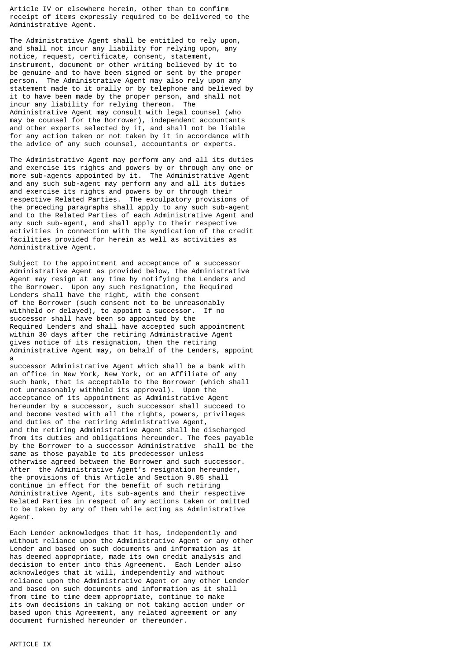Article IV or elsewhere herein, other than to confirm receipt of items expressly required to be delivered to the Administrative Agent.

The Administrative Agent shall be entitled to rely upon, and shall not incur any liability for relying upon, any notice, request, certificate, consent, statement, instrument, document or other writing believed by it to be genuine and to have been signed or sent by the proper person. The Administrative Agent may also rely upon any statement made to it orally or by telephone and believed by it to have been made by the proper person, and shall not incur any liability for relying thereon. The Administrative Agent may consult with legal counsel (who may be counsel for the Borrower), independent accountants and other experts selected by it, and shall not be liable for any action taken or not taken by it in accordance with the advice of any such counsel, accountants or experts.

The Administrative Agent may perform any and all its duties and exercise its rights and powers by or through any one or more sub-agents appointed by it. The Administrative Agent and any such sub-agent may perform any and all its duties and exercise its rights and powers by or through their respective Related Parties. The exculpatory provisions of the preceding paragraphs shall apply to any such sub-agent and to the Related Parties of each Administrative Agent and any such sub-agent, and shall apply to their respective activities in connection with the syndication of the credit facilities provided for herein as well as activities as Administrative Agent.

Subject to the appointment and acceptance of a successor Administrative Agent as provided below, the Administrative Agent may resign at any time by notifying the Lenders and the Borrower. Upon any such resignation, the Required Lenders shall have the right, with the consent of the Borrower (such consent not to be unreasonably withheld or delayed), to appoint a successor. If no successor shall have been so appointed by the Required Lenders and shall have accepted such appointment within 30 days after the retiring Administrative Agent gives notice of its resignation, then the retiring Administrative Agent may, on behalf of the Lenders, appoint a

successor Administrative Agent which shall be a bank with an office in New York, New York, or an Affiliate of any such bank, that is acceptable to the Borrower (which shall not unreasonably withhold its approval). Upon the acceptance of its appointment as Administrative Agent hereunder by a successor, such successor shall succeed to and become vested with all the rights, powers, privileges and duties of the retiring Administrative Agent, and the retiring Administrative Agent shall be discharged from its duties and obligations hereunder. The fees payable by the Borrower to a successor Administrative shall be the same as those payable to its predecessor unless otherwise agreed between the Borrower and such successor. After the Administrative Agent's resignation hereunder, the provisions of this Article and Section 9.05 shall continue in effect for the benefit of such retiring Administrative Agent, its sub-agents and their respective Related Parties in respect of any actions taken or omitted to be taken by any of them while acting as Administrative Agent.

Each Lender acknowledges that it has, independently and without reliance upon the Administrative Agent or any other Lender and based on such documents and information as it has deemed appropriate, made its own credit analysis and decision to enter into this Agreement. Each Lender also acknowledges that it will, independently and without reliance upon the Administrative Agent or any other Lender and based on such documents and information as it shall from time to time deem appropriate, continue to make its own decisions in taking or not taking action under or based upon this Agreement, any related agreement or any document furnished hereunder or thereunder.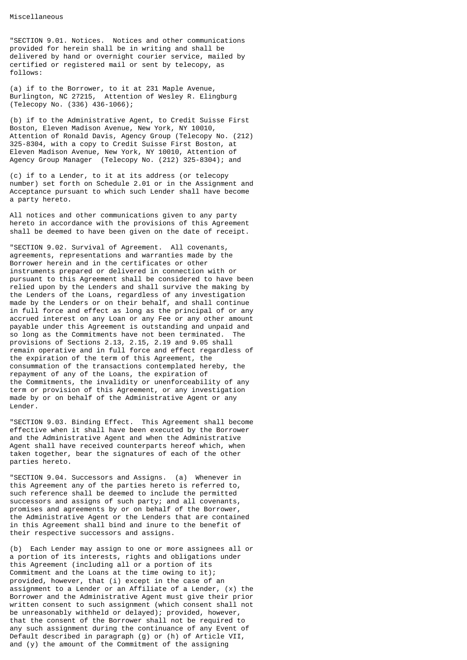"SECTION 9.01. Notices. Notices and other communications provided for herein shall be in writing and shall be delivered by hand or overnight courier service, mailed by certified or registered mail or sent by telecopy, as follows:

(a) if to the Borrower, to it at 231 Maple Avenue, Burlington, NC 27215, Attention of Wesley R. Elingburg (Telecopy No. (336) 436-1066);

(b) if to the Administrative Agent, to Credit Suisse First Boston, Eleven Madison Avenue, New York, NY 10010, Attention of Ronald Davis, Agency Group (Telecopy No. (212) 325-8304, with a copy to Credit Suisse First Boston, at Eleven Madison Avenue, New York, NY 10010, Attention of Agency Group Manager (Telecopy No. (212) 325-8304); and

(c) if to a Lender, to it at its address (or telecopy number) set forth on Schedule 2.01 or in the Assignment and Acceptance pursuant to which such Lender shall have become a party hereto.

All notices and other communications given to any party hereto in accordance with the provisions of this Agreement shall be deemed to have been given on the date of receipt.

"SECTION 9.02. Survival of Agreement. All covenants, agreements, representations and warranties made by the Borrower herein and in the certificates or other instruments prepared or delivered in connection with or pursuant to this Agreement shall be considered to have been relied upon by the Lenders and shall survive the making by the Lenders of the Loans, regardless of any investigation made by the Lenders or on their behalf, and shall continue in full force and effect as long as the principal of or any accrued interest on any Loan or any Fee or any other amount payable under this Agreement is outstanding and unpaid and so long as the Commitments have not been terminated. The provisions of Sections 2.13, 2.15, 2.19 and 9.05 shall remain operative and in full force and effect regardless of the expiration of the term of this Agreement, the consummation of the transactions contemplated hereby, the repayment of any of the Loans, the expiration of the Commitments, the invalidity or unenforceability of any term or provision of this Agreement, or any investigation made by or on behalf of the Administrative Agent or any Lender.

"SECTION 9.03. Binding Effect. This Agreement shall become effective when it shall have been executed by the Borrower and the Administrative Agent and when the Administrative Agent shall have received counterparts hereof which, when taken together, bear the signatures of each of the other parties hereto.

"SECTION 9.04. Successors and Assigns. (a) Whenever in this Agreement any of the parties hereto is referred to, such reference shall be deemed to include the permitted successors and assigns of such party; and all covenants, promises and agreements by or on behalf of the Borrower, the Administrative Agent or the Lenders that are contained in this Agreement shall bind and inure to the benefit of their respective successors and assigns.

(b) Each Lender may assign to one or more assignees all or a portion of its interests, rights and obligations under this Agreement (including all or a portion of its Commitment and the Loans at the time owing to it); provided, however, that (i) except in the case of an assignment to a Lender or an Affiliate of a Lender, (x) the Borrower and the Administrative Agent must give their prior written consent to such assignment (which consent shall not be unreasonably withheld or delayed); provided, however, that the consent of the Borrower shall not be required to any such assignment during the continuance of any Event of Default described in paragraph (g) or (h) of Article VII, and (y) the amount of the Commitment of the assigning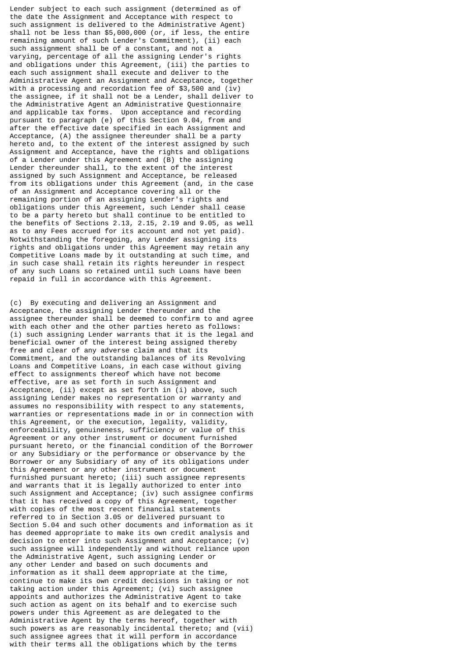Lender subject to each such assignment (determined as of the date the Assignment and Acceptance with respect to such assignment is delivered to the Administrative Agent) shall not be less than \$5,000,000 (or, if less, the entire remaining amount of such Lender's Commitment), (ii) each such assignment shall be of a constant, and not a varying, percentage of all the assigning Lender's rights and obligations under this Agreement, (iii) the parties to each such assignment shall execute and deliver to the Administrative Agent an Assignment and Acceptance, together with a processing and recordation fee of \$3,500 and (iv) the assignee, if it shall not be a Lender, shall deliver to the Administrative Agent an Administrative Questionnaire and applicable tax forms. Upon acceptance and recording pursuant to paragraph (e) of this Section 9.04, from and after the effective date specified in each Assignment and Acceptance, (A) the assignee thereunder shall be a party hereto and, to the extent of the interest assigned by such Assignment and Acceptance, have the rights and obligations of a Lender under this Agreement and (B) the assigning Lender thereunder shall, to the extent of the interest assigned by such Assignment and Acceptance, be released from its obligations under this Agreement (and, in the case of an Assignment and Acceptance covering all or the remaining portion of an assigning Lender's rights and obligations under this Agreement, such Lender shall cease to be a party hereto but shall continue to be entitled to the benefits of Sections 2.13, 2.15, 2.19 and 9.05, as well as to any Fees accrued for its account and not yet paid). Notwithstanding the foregoing, any Lender assigning its rights and obligations under this Agreement may retain any Competitive Loans made by it outstanding at such time, and in such case shall retain its rights hereunder in respect of any such Loans so retained until such Loans have been repaid in full in accordance with this Agreement.

(c) By executing and delivering an Assignment and Acceptance, the assigning Lender thereunder and the assignee thereunder shall be deemed to confirm to and agree with each other and the other parties hereto as follows: (i) such assigning Lender warrants that it is the legal and beneficial owner of the interest being assigned thereby free and clear of any adverse claim and that its Commitment, and the outstanding balances of its Revolving Loans and Competitive Loans, in each case without giving effect to assignments thereof which have not become effective, are as set forth in such Assignment and Acceptance, (ii) except as set forth in (i) above, such assigning Lender makes no representation or warranty and assumes no responsibility with respect to any statements, warranties or representations made in or in connection with this Agreement, or the execution, legality, validity, enforceability, genuineness, sufficiency or value of this Agreement or any other instrument or document furnished pursuant hereto, or the financial condition of the Borrower or any Subsidiary or the performance or observance by the Borrower or any Subsidiary of any of its obligations under this Agreement or any other instrument or document furnished pursuant hereto; (iii) such assignee represents and warrants that it is legally authorized to enter into such Assignment and Acceptance; (iv) such assignee confirms that it has received a copy of this Agreement, together with copies of the most recent financial statements referred to in Section 3.05 or delivered pursuant to Section 5.04 and such other documents and information as it has deemed appropriate to make its own credit analysis and decision to enter into such Assignment and Acceptance; (v) such assignee will independently and without reliance upon the Administrative Agent, such assigning Lender or any other Lender and based on such documents and information as it shall deem appropriate at the time, continue to make its own credit decisions in taking or not taking action under this Agreement; (vi) such assignee appoints and authorizes the Administrative Agent to take such action as agent on its behalf and to exercise such powers under this Agreement as are delegated to the Administrative Agent by the terms hereof, together with such powers as are reasonably incidental thereto; and (vii) such assignee agrees that it will perform in accordance with their terms all the obligations which by the terms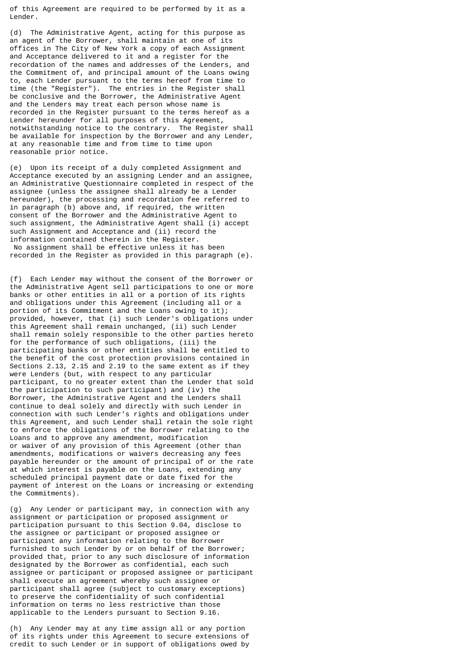of this Agreement are required to be performed by it as a Lender.

(d) The Administrative Agent, acting for this purpose as an agent of the Borrower, shall maintain at one of its offices in The City of New York a copy of each Assignment and Acceptance delivered to it and a register for the recordation of the names and addresses of the Lenders, and the Commitment of, and principal amount of the Loans owing to, each Lender pursuant to the terms hereof from time to time (the "Register"). The entries in the Register shall be conclusive and the Borrower, the Administrative Agent and the Lenders may treat each person whose name is recorded in the Register pursuant to the terms hereof as a Lender hereunder for all purposes of this Agreement, notwithstanding notice to the contrary. The Register shall be available for inspection by the Borrower and any Lender, at any reasonable time and from time to time upon reasonable prior notice.

(e) Upon its receipt of a duly completed Assignment and Acceptance executed by an assigning Lender and an assignee, an Administrative Questionnaire completed in respect of the assignee (unless the assignee shall already be a Lender hereunder), the processing and recordation fee referred to in paragraph (b) above and, if required, the written consent of the Borrower and the Administrative Agent to such assignment, the Administrative Agent shall (i) accept such Assignment and Acceptance and (ii) record the information contained therein in the Register. No assignment shall be effective unless it has been recorded in the Register as provided in this paragraph (e).

(f) Each Lender may without the consent of the Borrower or the Administrative Agent sell participations to one or more banks or other entities in all or a portion of its rights and obligations under this Agreement (including all or a portion of its Commitment and the Loans owing to it); provided, however, that (i) such Lender's obligations under this Agreement shall remain unchanged, (ii) such Lender shall remain solely responsible to the other parties hereto for the performance of such obligations, (iii) the participating banks or other entities shall be entitled to the benefit of the cost protection provisions contained in Sections 2.13, 2.15 and 2.19 to the same extent as if they were Lenders (but, with respect to any particular participant, to no greater extent than the Lender that sold the participation to such participant) and (iv) the Borrower, the Administrative Agent and the Lenders shall continue to deal solely and directly with such Lender in connection with such Lender's rights and obligations under this Agreement, and such Lender shall retain the sole right to enforce the obligations of the Borrower relating to the Loans and to approve any amendment, modification or waiver of any provision of this Agreement (other than amendments, modifications or waivers decreasing any fees payable hereunder or the amount of principal of or the rate at which interest is payable on the Loans, extending any scheduled principal payment date or date fixed for the payment of interest on the Loans or increasing or extending the Commitments).

(g) Any Lender or participant may, in connection with any assignment or participation or proposed assignment or participation pursuant to this Section 9.04, disclose to the assignee or participant or proposed assignee or participant any information relating to the Borrower furnished to such Lender by or on behalf of the Borrower; provided that, prior to any such disclosure of information designated by the Borrower as confidential, each such assignee or participant or proposed assignee or participant shall execute an agreement whereby such assignee or participant shall agree (subject to customary exceptions) to preserve the confidentiality of such confidential information on terms no less restrictive than those applicable to the Lenders pursuant to Section 9.16.

(h) Any Lender may at any time assign all or any portion of its rights under this Agreement to secure extensions of credit to such Lender or in support of obligations owed by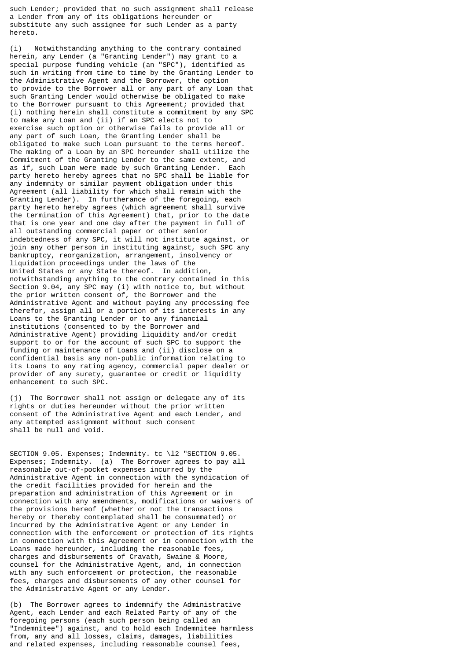such Lender; provided that no such assignment shall release a Lender from any of its obligations hereunder or substitute any such assignee for such Lender as a party hereto.

(i) Notwithstanding anything to the contrary contained herein, any Lender (a "Granting Lender") may grant to a special purpose funding vehicle (an "SPC"), identified as such in writing from time to time by the Granting Lender to the Administrative Agent and the Borrower, the option to provide to the Borrower all or any part of any Loan that such Granting Lender would otherwise be obligated to make to the Borrower pursuant to this Agreement; provided that (i) nothing herein shall constitute a commitment by any SPC to make any Loan and (ii) if an SPC elects not to exercise such option or otherwise fails to provide all or any part of such Loan, the Granting Lender shall be obligated to make such Loan pursuant to the terms hereof. The making of a Loan by an SPC hereunder shall utilize the Commitment of the Granting Lender to the same extent, and as if, such Loan were made by such Granting Lender. Each party hereto hereby agrees that no SPC shall be liable for any indemnity or similar payment obligation under this Agreement (all liability for which shall remain with the Granting Lender). In furtherance of the foregoing, each party hereto hereby agrees (which agreement shall survive the termination of this Agreement) that, prior to the date that is one year and one day after the payment in full of all outstanding commercial paper or other senior indebtedness of any SPC, it will not institute against, or join any other person in instituting against, such SPC any bankruptcy, reorganization, arrangement, insolvency or liquidation proceedings under the laws of the United States or any State thereof. In addition, notwithstanding anything to the contrary contained in this Section 9.04, any SPC may (i) with notice to, but without the prior written consent of, the Borrower and the Administrative Agent and without paying any processing fee therefor, assign all or a portion of its interests in any Loans to the Granting Lender or to any financial institutions (consented to by the Borrower and Administrative Agent) providing liquidity and/or credit support to or for the account of such SPC to support the funding or maintenance of Loans and (ii) disclose on a confidential basis any non-public information relating to its Loans to any rating agency, commercial paper dealer or provider of any surety, guarantee or credit or liquidity enhancement to such SPC.

(j) The Borrower shall not assign or delegate any of its rights or duties hereunder without the prior written consent of the Administrative Agent and each Lender, and any attempted assignment without such consent shall be null and void.

SECTION 9.05. Expenses; Indemnity. tc \l2 "SECTION 9.05. Expenses; Indemnity. (a) The Borrower agrees to pay all reasonable out-of-pocket expenses incurred by the Administrative Agent in connection with the syndication of the credit facilities provided for herein and the preparation and administration of this Agreement or in connection with any amendments, modifications or waivers of the provisions hereof (whether or not the transactions hereby or thereby contemplated shall be consummated) or incurred by the Administrative Agent or any Lender in connection with the enforcement or protection of its rights in connection with this Agreement or in connection with the Loans made hereunder, including the reasonable fees, charges and disbursements of Cravath, Swaine & Moore, counsel for the Administrative Agent, and, in connection with any such enforcement or protection, the reasonable fees, charges and disbursements of any other counsel for the Administrative Agent or any Lender.

(b) The Borrower agrees to indemnify the Administrative Agent, each Lender and each Related Party of any of the foregoing persons (each such person being called an "Indemnitee") against, and to hold each Indemnitee harmless from, any and all losses, claims, damages, liabilities and related expenses, including reasonable counsel fees,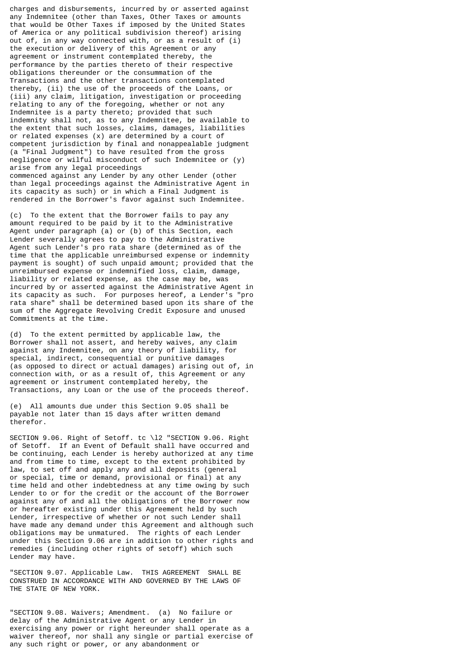charges and disbursements, incurred by or asserted against any Indemnitee (other than Taxes, Other Taxes or amounts that would be Other Taxes if imposed by the United States of America or any political subdivision thereof) arising out of, in any way connected with, or as a result of (i) the execution or delivery of this Agreement or any agreement or instrument contemplated thereby, the performance by the parties thereto of their respective obligations thereunder or the consummation of the Transactions and the other transactions contemplated thereby, (ii) the use of the proceeds of the Loans, or (iii) any claim, litigation, investigation or proceeding relating to any of the foregoing, whether or not any Indemnitee is a party thereto; provided that such indemnity shall not, as to any Indemnitee, be available to the extent that such losses, claims, damages, liabilities or related expenses (x) are determined by a court of competent jurisdiction by final and nonappealable judgment (a "Final Judgment") to have resulted from the gross negligence or wilful misconduct of such Indemnitee or (y) arise from any legal proceedings commenced against any Lender by any other Lender (other than legal proceedings against the Administrative Agent in its capacity as such) or in which a Final Judgment is rendered in the Borrower's favor against such Indemnitee.

(c) To the extent that the Borrower fails to pay any amount required to be paid by it to the Administrative Agent under paragraph (a) or (b) of this Section, each Lender severally agrees to pay to the Administrative Agent such Lender's pro rata share (determined as of the time that the applicable unreimbursed expense or indemnity payment is sought) of such unpaid amount; provided that the unreimbursed expense or indemnified loss, claim, damage, liability or related expense, as the case may be, was incurred by or asserted against the Administrative Agent in its capacity as such. For purposes hereof, a Lender's "pro rata share" shall be determined based upon its share of the sum of the Aggregate Revolving Credit Exposure and unused Commitments at the time.

(d) To the extent permitted by applicable law, the Borrower shall not assert, and hereby waives, any claim against any Indemnitee, on any theory of liability, for special, indirect, consequential or punitive damages (as opposed to direct or actual damages) arising out of, in connection with, or as a result of, this Agreement or any agreement or instrument contemplated hereby, the Transactions, any Loan or the use of the proceeds thereof.

(e) All amounts due under this Section 9.05 shall be payable not later than 15 days after written demand therefor.

SECTION 9.06. Right of Setoff. tc \l2 "SECTION 9.06. Right of Setoff. If an Event of Default shall have occurred and be continuing, each Lender is hereby authorized at any time and from time to time, except to the extent prohibited by law, to set off and apply any and all deposits (general or special, time or demand, provisional or final) at any time held and other indebtedness at any time owing by such Lender to or for the credit or the account of the Borrower against any of and all the obligations of the Borrower now or hereafter existing under this Agreement held by such Lender, irrespective of whether or not such Lender shall have made any demand under this Agreement and although such obligations may be unmatured. The rights of each Lender under this Section 9.06 are in addition to other rights and remedies (including other rights of setoff) which such Lender may have.

"SECTION 9.07. Applicable Law. THIS AGREEMENT SHALL BE CONSTRUED IN ACCORDANCE WITH AND GOVERNED BY THE LAWS OF THE STATE OF NEW YORK.

"SECTION 9.08. Waivers; Amendment. (a) No failure or delay of the Administrative Agent or any Lender in exercising any power or right hereunder shall operate as a waiver thereof, nor shall any single or partial exercise of any such right or power, or any abandonment or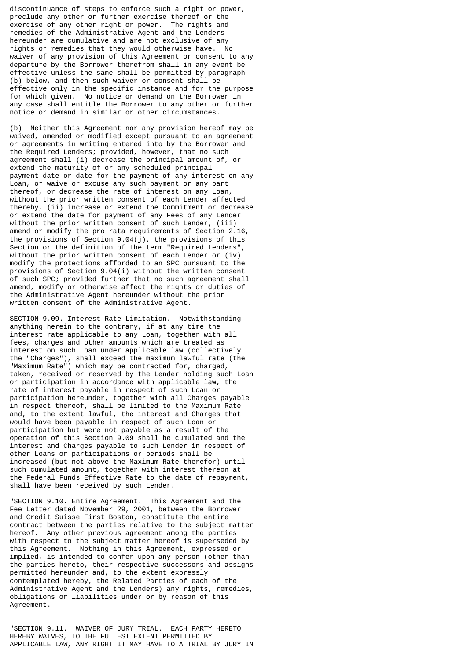discontinuance of steps to enforce such a right or power, preclude any other or further exercise thereof or the exercise of any other right or power. The rights and remedies of the Administrative Agent and the Lenders hereunder are cumulative and are not exclusive of any rights or remedies that they would otherwise have. No waiver of any provision of this Agreement or consent to any departure by the Borrower therefrom shall in any event be effective unless the same shall be permitted by paragraph (b) below, and then such waiver or consent shall be effective only in the specific instance and for the purpose for which given. No notice or demand on the Borrower in any case shall entitle the Borrower to any other or further notice or demand in similar or other circumstances.

(b) Neither this Agreement nor any provision hereof may be waived, amended or modified except pursuant to an agreement or agreements in writing entered into by the Borrower and the Required Lenders; provided, however, that no such agreement shall (i) decrease the principal amount of, or extend the maturity of or any scheduled principal payment date or date for the payment of any interest on any Loan, or waive or excuse any such payment or any part thereof, or decrease the rate of interest on any Loan, without the prior written consent of each Lender affected thereby, (ii) increase or extend the Commitment or decrease or extend the date for payment of any Fees of any Lender without the prior written consent of such Lender, (iii) amend or modify the pro rata requirements of Section 2.16, the provisions of Section 9.04(j), the provisions of this Section or the definition of the term "Required Lenders", without the prior written consent of each Lender or (iv) modify the protections afforded to an SPC pursuant to the provisions of Section 9.04(i) without the written consent of such SPC; provided further that no such agreement shall amend, modify or otherwise affect the rights or duties of the Administrative Agent hereunder without the prior written consent of the Administrative Agent.

SECTION 9.09. Interest Rate Limitation. Notwithstanding anything herein to the contrary, if at any time the interest rate applicable to any Loan, together with all fees, charges and other amounts which are treated as interest on such Loan under applicable law (collectively the "Charges"), shall exceed the maximum lawful rate (the "Maximum Rate") which may be contracted for, charged, taken, received or reserved by the Lender holding such Loan or participation in accordance with applicable law, the rate of interest payable in respect of such Loan or participation hereunder, together with all Charges payable in respect thereof, shall be limited to the Maximum Rate and, to the extent lawful, the interest and Charges that would have been payable in respect of such Loan or participation but were not payable as a result of the operation of this Section 9.09 shall be cumulated and the interest and Charges payable to such Lender in respect of other Loans or participations or periods shall be increased (but not above the Maximum Rate therefor) until such cumulated amount, together with interest thereon at the Federal Funds Effective Rate to the date of repayment, shall have been received by such Lender.

"SECTION 9.10. Entire Agreement. This Agreement and the Fee Letter dated November 29, 2001, between the Borrower and Credit Suisse First Boston, constitute the entire contract between the parties relative to the subject matter hereof. Any other previous agreement among the parties with respect to the subject matter hereof is superseded by this Agreement. Nothing in this Agreement, expressed or implied, is intended to confer upon any person (other than the parties hereto, their respective successors and assigns permitted hereunder and, to the extent expressly contemplated hereby, the Related Parties of each of the Administrative Agent and the Lenders) any rights, remedies, obligations or liabilities under or by reason of this Agreement.

"SECTION 9.11. WAIVER OF JURY TRIAL. EACH PARTY HERETO HEREBY WAIVES, TO THE FULLEST EXTENT PERMITTED BY APPLICABLE LAW, ANY RIGHT IT MAY HAVE TO A TRIAL BY JURY IN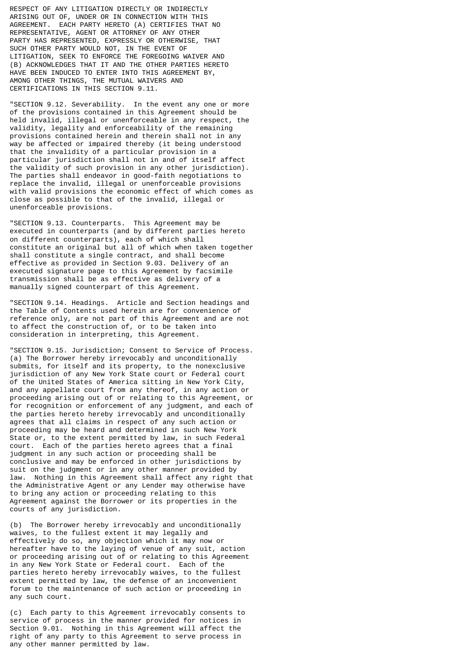RESPECT OF ANY LITIGATION DIRECTLY OR INDIRECTLY ARISING OUT OF, UNDER OR IN CONNECTION WITH THIS AGREEMENT. EACH PARTY HERETO (A) CERTIFIES THAT NO REPRESENTATIVE, AGENT OR ATTORNEY OF ANY OTHER PARTY HAS REPRESENTED, EXPRESSLY OR OTHERWISE, THAT SUCH OTHER PARTY WOULD NOT, IN THE EVENT OF LITIGATION, SEEK TO ENFORCE THE FOREGOING WAIVER AND (B) ACKNOWLEDGES THAT IT AND THE OTHER PARTIES HERETO HAVE BEEN INDUCED TO ENTER INTO THIS AGREEMENT BY, AMONG OTHER THINGS, THE MUTUAL WAIVERS AND CERTIFICATIONS IN THIS SECTION 9.11.

"SECTION 9.12. Severability. In the event any one or more of the provisions contained in this Agreement should be held invalid, illegal or unenforceable in any respect, the validity, legality and enforceability of the remaining provisions contained herein and therein shall not in any way be affected or impaired thereby (it being understood that the invalidity of a particular provision in a particular jurisdiction shall not in and of itself affect the validity of such provision in any other jurisdiction). The parties shall endeavor in good-faith negotiations to replace the invalid, illegal or unenforceable provisions with valid provisions the economic effect of which comes as close as possible to that of the invalid, illegal or unenforceable provisions.

"SECTION 9.13. Counterparts. This Agreement may be executed in counterparts (and by different parties hereto on different counterparts), each of which shall constitute an original but all of which when taken together shall constitute a single contract, and shall become effective as provided in Section 9.03. Delivery of an executed signature page to this Agreement by facsimile transmission shall be as effective as delivery of a manually signed counterpart of this Agreement.

"SECTION 9.14. Headings. Article and Section headings and the Table of Contents used herein are for convenience of reference only, are not part of this Agreement and are not to affect the construction of, or to be taken into consideration in interpreting, this Agreement.

"SECTION 9.15. Jurisdiction; Consent to Service of Process. (a) The Borrower hereby irrevocably and unconditionally submits, for itself and its property, to the nonexclusive jurisdiction of any New York State court or Federal court of the United States of America sitting in New York City, and any appellate court from any thereof, in any action or proceeding arising out of or relating to this Agreement, or for recognition or enforcement of any judgment, and each of the parties hereto hereby irrevocably and unconditionally agrees that all claims in respect of any such action or proceeding may be heard and determined in such New York State or, to the extent permitted by law, in such Federal court. Each of the parties hereto agrees that a final judgment in any such action or proceeding shall be conclusive and may be enforced in other jurisdictions by suit on the judgment or in any other manner provided by law. Nothing in this Agreement shall affect any right that the Administrative Agent or any Lender may otherwise have to bring any action or proceeding relating to this Agreement against the Borrower or its properties in the courts of any jurisdiction.

(b) The Borrower hereby irrevocably and unconditionally waives, to the fullest extent it may legally and effectively do so, any objection which it may now or hereafter have to the laying of venue of any suit, action or proceeding arising out of or relating to this Agreement in any New York State or Federal court. Each of the parties hereto hereby irrevocably waives, to the fullest extent permitted by law, the defense of an inconvenient forum to the maintenance of such action or proceeding in any such court.

(c) Each party to this Agreement irrevocably consents to service of process in the manner provided for notices in Section 9.01. Nothing in this Agreement will affect the right of any party to this Agreement to serve process in any other manner permitted by law.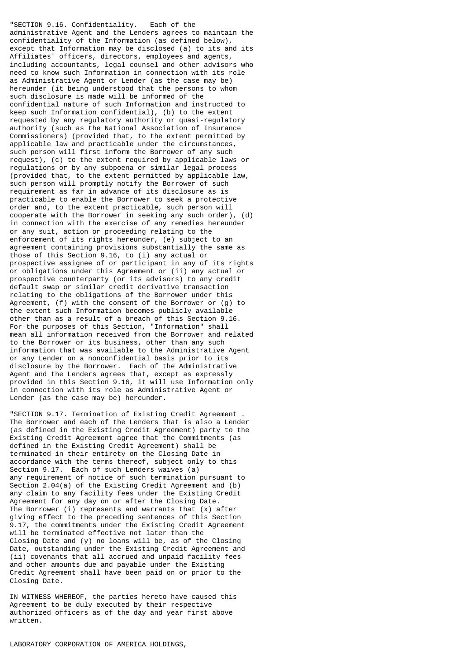"SECTION 9.16. Confidentiality. Each of the administrative Agent and the Lenders agrees to maintain the confidentiality of the Information (as defined below), except that Information may be disclosed (a) to its and its Affiliates' officers, directors, employees and agents, including accountants, legal counsel and other advisors who need to know such Information in connection with its role as Administrative Agent or Lender (as the case may be) hereunder (it being understood that the persons to whom such disclosure is made will be informed of the confidential nature of such Information and instructed to keep such Information confidential), (b) to the extent requested by any regulatory authority or quasi-regulatory authority (such as the National Association of Insurance Commissioners) (provided that, to the extent permitted by applicable law and practicable under the circumstances, such person will first inform the Borrower of any such request), (c) to the extent required by applicable laws or regulations or by any subpoena or similar legal process (provided that, to the extent permitted by applicable law, such person will promptly notify the Borrower of such requirement as far in advance of its disclosure as is practicable to enable the Borrower to seek a protective order and, to the extent practicable, such person will cooperate with the Borrower in seeking any such order), (d) in connection with the exercise of any remedies hereunder or any suit, action or proceeding relating to the enforcement of its rights hereunder, (e) subject to an agreement containing provisions substantially the same as those of this Section 9.16, to (i) any actual or prospective assignee of or participant in any of its rights or obligations under this Agreement or (ii) any actual or prospective counterparty (or its advisors) to any credit default swap or similar credit derivative transaction relating to the obligations of the Borrower under this Agreement, (f) with the consent of the Borrower or (g) to the extent such Information becomes publicly available other than as a result of a breach of this Section 9.16. For the purposes of this Section, "Information" shall mean all information received from the Borrower and related to the Borrower or its business, other than any such information that was available to the Administrative Agent or any Lender on a nonconfidential basis prior to its disclosure by the Borrower. Each of the Administrative Agent and the Lenders agrees that, except as expressly provided in this Section 9.16, it will use Information only in connection with its role as Administrative Agent or Lender (as the case may be) hereunder.

"SECTION 9.17. Termination of Existing Credit Agreement . The Borrower and each of the Lenders that is also a Lender (as defined in the Existing Credit Agreement) party to the Existing Credit Agreement agree that the Commitments (as defined in the Existing Credit Agreement) shall be terminated in their entirety on the Closing Date in accordance with the terms thereof, subject only to this Section 9.17. Each of such Lenders waives (a) any requirement of notice of such termination pursuant to Section 2.04(a) of the Existing Credit Agreement and (b) any claim to any facility fees under the Existing Credit Agreement for any day on or after the Closing Date. The Borrower (i) represents and warrants that (x) after giving effect to the preceding sentences of this Section 9.17, the commitments under the Existing Credit Agreement will be terminated effective not later than the Closing Date and (y) no loans will be, as of the Closing Date, outstanding under the Existing Credit Agreement and (ii) covenants that all accrued and unpaid facility fees and other amounts due and payable under the Existing Credit Agreement shall have been paid on or prior to the Closing Date.

IN WITNESS WHEREOF, the parties hereto have caused this Agreement to be duly executed by their respective authorized officers as of the day and year first above written.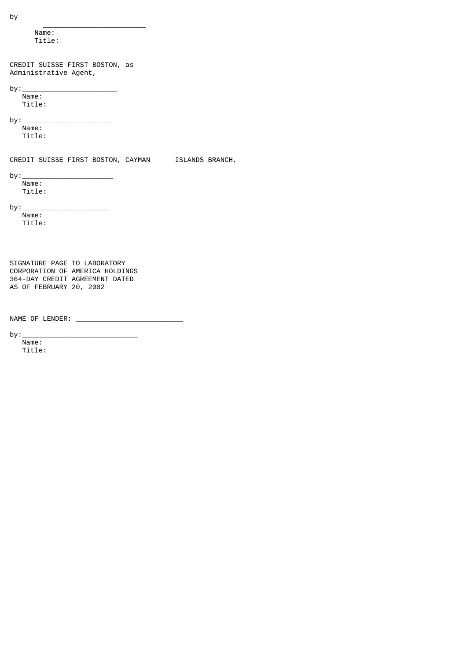by \_\_\_\_\_\_\_\_\_\_\_\_\_\_\_\_\_\_\_\_\_\_\_\_\_ Name: Title: CREDIT SUISSE FIRST BOSTON, as Administrative Agent,  $by:$  Name: Title: by: $\sqcup$  Name: Title: CREDIT SUISSE FIRST BOSTON, CAYMAN ISLANDS BRANCH,  $by:$ Name: Title:  $by:$  Name: Title: SIGNATURE PAGE TO LABORATORY CORPORATION OF AMERICA HOLDINGS 364-DAY CREDIT AGREEMENT DATED AS OF FEBRUARY 20, 2002 NAME OF LENDER: \_\_\_\_\_\_\_\_\_\_\_\_\_\_\_\_\_\_\_\_\_\_\_\_\_\_  $by:$  Name: Title: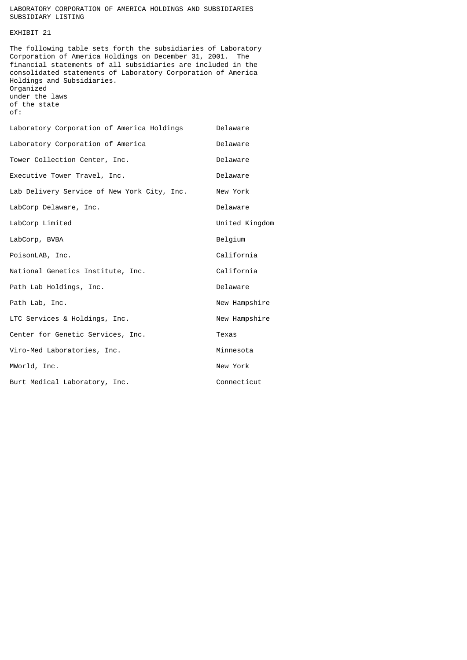# LABORATORY CORPORATION OF AMERICA HOLDINGS AND SUBSIDIARIES SUBSIDIARY LISTING

# EXHIBIT 21

The following table sets forth the subsidiaries of Laboratory Corporation of America Holdings on December 31, 2001. The financial statements of all subsidiaries are included in the consolidated statements of Laboratory Corporation of America Holdings and Subsidiaries. Organized under the laws of the state of:

| Laboratory Corporation of America Holdings  | Delaware       |
|---------------------------------------------|----------------|
| Laboratory Corporation of America           | Delaware       |
| Tower Collection Center, Inc.               | Delaware       |
| Executive Tower Travel, Inc.                | Delaware       |
| Lab Delivery Service of New York City, Inc. | New York       |
| LabCorp Delaware, Inc.                      | Delaware       |
| LabCorp Limited                             | United Kingdom |
| LabCorp, BVBA                               | Belgium        |
| PoisonLAB, Inc.                             | California     |
| National Genetics Institute, Inc.           | California     |
| Path Lab Holdings, Inc.                     | Delaware       |
| Path Lab, Inc.                              | New Hampshire  |
| LTC Services & Holdings, Inc.               | New Hampshire  |
| Center for Genetic Services, Inc.           | Texas          |
| Viro-Med Laboratories, Inc.                 | Minnesota      |
| MWorld, Inc.                                | New York       |
| Burt Medical Laboratory, Inc.               | Connecticut    |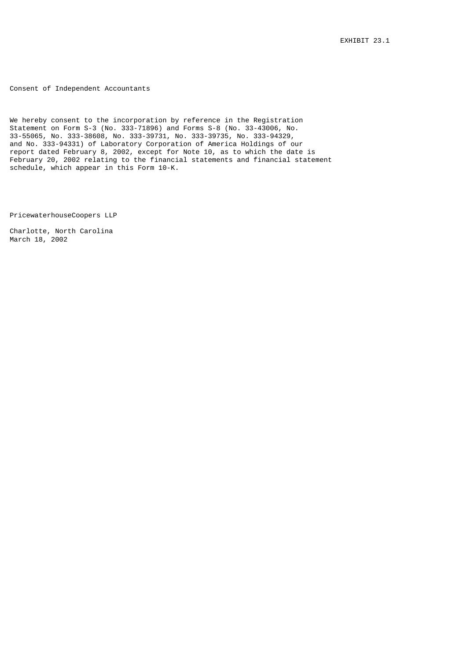Consent of Independent Accountants

We hereby consent to the incorporation by reference in the Registration Statement on Form S-3 (No. 333-71896) and Forms S-8 (No. 33-43006, No. 33-55065, No. 333-38608, No. 333-39731, No. 333-39735, No. 333-94329, and No. 333-94331) of Laboratory Corporation of America Holdings of our report dated February 8, 2002, except for Note 10, as to which the date is February 20, 2002 relating to the financial statements and financial statement schedule, which appear in this Form 10-K.

PricewaterhouseCoopers LLP

Charlotte, North Carolina March 18, 2002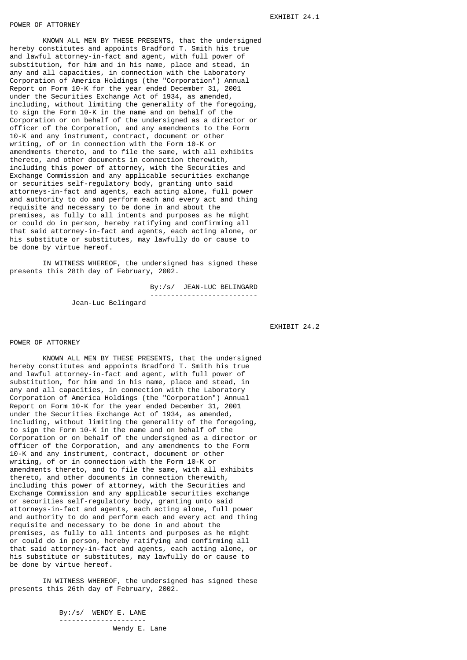KNOWN ALL MEN BY THESE PRESENTS, that the undersigned hereby constitutes and appoints Bradford T. Smith his true and lawful attorney-in-fact and agent, with full power of substitution, for him and in his name, place and stead, in any and all capacities, in connection with the Laboratory Corporation of America Holdings (the "Corporation") Annual Report on Form 10-K for the year ended December 31, 2001 under the Securities Exchange Act of 1934, as amended, including, without limiting the generality of the foregoing, to sign the Form 10-K in the name and on behalf of the Corporation or on behalf of the undersigned as a director or officer of the Corporation, and any amendments to the Form 10-K and any instrument, contract, document or other writing, of or in connection with the Form 10-K or amendments thereto, and to file the same, with all exhibits thereto, and other documents in connection therewith, including this power of attorney, with the Securities and Exchange Commission and any applicable securities exchange or securities self-regulatory body, granting unto said attorneys-in-fact and agents, each acting alone, full power and authority to do and perform each and every act and thing requisite and necessary to be done in and about the premises, as fully to all intents and purposes as he might or could do in person, hereby ratifying and confirming all that said attorney-in-fact and agents, each acting alone, or his substitute or substitutes, may lawfully do or cause to be done by virtue hereof.

IN WITNESS WHEREOF, the undersigned has signed these presents this 28th day of February, 2002.

 By:/s/ JEAN-LUC BELINGARD --------------------------

Jean-Luc Belingard

EXHIBIT 24.2

### POWER OF ATTORNEY

KNOWN ALL MEN BY THESE PRESENTS, that the undersigned hereby constitutes and appoints Bradford T. Smith his true and lawful attorney-in-fact and agent, with full power of substitution, for him and in his name, place and stead, in any and all capacities, in connection with the Laboratory Corporation of America Holdings (the "Corporation") Annual Report on Form 10-K for the year ended December 31, 2001 under the Securities Exchange Act of 1934, as amended, including, without limiting the generality of the foregoing, to sign the Form 10-K in the name and on behalf of the Corporation or on behalf of the undersigned as a director or officer of the Corporation, and any amendments to the Form 10-K and any instrument, contract, document or other writing, of or in connection with the Form 10-K or amendments thereto, and to file the same, with all exhibits thereto, and other documents in connection therewith, including this power of attorney, with the Securities and Exchange Commission and any applicable securities exchange or securities self-regulatory body, granting unto said attorneys-in-fact and agents, each acting alone, full power and authority to do and perform each and every act and thing requisite and necessary to be done in and about the premises, as fully to all intents and purposes as he might or could do in person, hereby ratifying and confirming all that said attorney-in-fact and agents, each acting alone, or his substitute or substitutes, may lawfully do or cause to be done by virtue hereof.

IN WITNESS WHEREOF, the undersigned has signed these presents this 26th day of February, 2002.

> By:/s/ WENDY E. LANE --------------------- Wendy E. Lane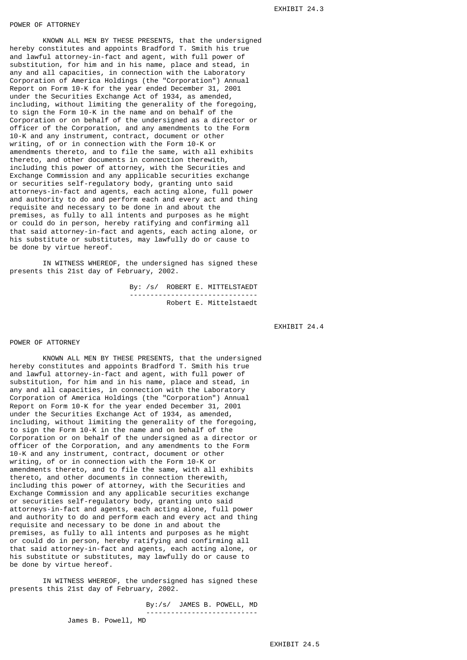## POWER OF ATTORNEY

KNOWN ALL MEN BY THESE PRESENTS, that the undersigned hereby constitutes and appoints Bradford T. Smith his true and lawful attorney-in-fact and agent, with full power of substitution, for him and in his name, place and stead, in any and all capacities, in connection with the Laboratory Corporation of America Holdings (the "Corporation") Annual Report on Form 10-K for the year ended December 31, 2001 under the Securities Exchange Act of 1934, as amended, including, without limiting the generality of the foregoing, to sign the Form 10-K in the name and on behalf of the Corporation or on behalf of the undersigned as a director or officer of the Corporation, and any amendments to the Form 10-K and any instrument, contract, document or other writing, of or in connection with the Form 10-K or amendments thereto, and to file the same, with all exhibits thereto, and other documents in connection therewith, including this power of attorney, with the Securities and Exchange Commission and any applicable securities exchange or securities self-regulatory body, granting unto said attorneys-in-fact and agents, each acting alone, full power and authority to do and perform each and every act and thing requisite and necessary to be done in and about the premises, as fully to all intents and purposes as he might or could do in person, hereby ratifying and confirming all that said attorney-in-fact and agents, each acting alone, or his substitute or substitutes, may lawfully do or cause to be done by virtue hereof.

IN WITNESS WHEREOF, the undersigned has signed these presents this 21st day of February, 2002.

> By: /s/ ROBERT E. MITTELSTAEDT ------------------------------- Robert E. Mittelstaedt

> > EXHIBIT 24.4

## POWER OF ATTORNEY

KNOWN ALL MEN BY THESE PRESENTS, that the undersigned hereby constitutes and appoints Bradford T. Smith his true and lawful attorney-in-fact and agent, with full power of substitution, for him and in his name, place and stead, in any and all capacities, in connection with the Laboratory Corporation of America Holdings (the "Corporation") Annual Report on Form 10-K for the year ended December 31, 2001 under the Securities Exchange Act of 1934, as amended, including, without limiting the generality of the foregoing, to sign the Form 10-K in the name and on behalf of the Corporation or on behalf of the undersigned as a director or officer of the Corporation, and any amendments to the Form 10-K and any instrument, contract, document or other writing, of or in connection with the Form 10-K or amendments thereto, and to file the same, with all exhibits thereto, and other documents in connection therewith, including this power of attorney, with the Securities and Exchange Commission and any applicable securities exchange or securities self-regulatory body, granting unto said attorneys-in-fact and agents, each acting alone, full power and authority to do and perform each and every act and thing requisite and necessary to be done in and about the premises, as fully to all intents and purposes as he might or could do in person, hereby ratifying and confirming all that said attorney-in-fact and agents, each acting alone, or his substitute or substitutes, may lawfully do or cause to be done by virtue hereof.

IN WITNESS WHEREOF, the undersigned has signed these presents this 21st day of February, 2002.

 By:/s/ JAMES B. POWELL, MD ---------------------------

James B. Powell, MD